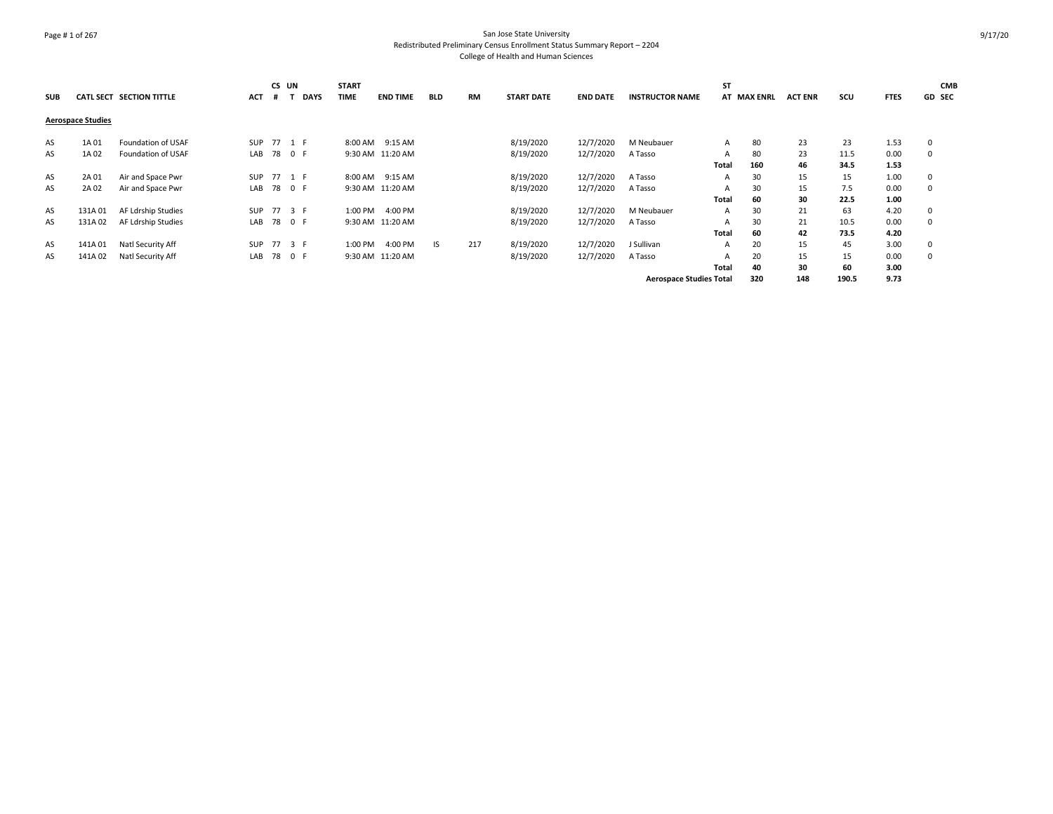# Page # 1 of 267 San Jose State University Redistributed Preliminary Census Enrollment Status Summary Report – 2204 College of Health and Human Sciences

| <b>SUB</b> |                          | CATL SECT SECTION TITTLE | <b>ACT</b> | CS UN<br># | <b>DAYS</b> | <b>START</b><br><b>TIME</b> | <b>END TIME</b>  | <b>BLD</b> | <b>RM</b> | <b>START DATE</b> | <b>END DATE</b> | <b>INSTRUCTOR NAME</b>         | <b>ST</b>    | AT MAX ENRL | <b>ACT ENR</b> | scu   | <b>FTES</b> | <b>CMB</b><br>GD SEC |
|------------|--------------------------|--------------------------|------------|------------|-------------|-----------------------------|------------------|------------|-----------|-------------------|-----------------|--------------------------------|--------------|-------------|----------------|-------|-------------|----------------------|
|            | <b>Aerospace Studies</b> |                          |            |            |             |                             |                  |            |           |                   |                 |                                |              |             |                |       |             |                      |
| AS         | 1A 01                    | Foundation of USAF       |            |            | SUP 77 1 F  |                             | 8:00 AM 9:15 AM  |            |           | 8/19/2020         | 12/7/2020       | M Neubauer                     | A            | 80          | 23             | 23    | 1.53        | 0                    |
| AS         | 1A02                     | Foundation of USAF       | LAB        |            | 78 0 F      |                             | 9:30 AM 11:20 AM |            |           | 8/19/2020         | 12/7/2020       | A Tasso                        | A            | 80          | 23             | 11.5  | 0.00        | 0                    |
|            |                          |                          |            |            |             |                             |                  |            |           |                   |                 |                                | <b>Total</b> | 160         | 46             | 34.5  | 1.53        |                      |
| AS         | 2A 01                    | Air and Space Pwr        | SUP        |            | 77 1 F      |                             | 8:00 AM 9:15 AM  |            |           | 8/19/2020         | 12/7/2020       | A Tasso                        | A            | 30          | 15             | 15    | 1.00        | 0                    |
| AS         | 2A 02                    | Air and Space Pwr        | LAB        |            | 78 0 F      |                             | 9:30 AM 11:20 AM |            |           | 8/19/2020         | 12/7/2020       | A Tasso                        | A            | 30          | 15             | 7.5   | 0.00        | 0                    |
|            |                          |                          |            |            |             |                             |                  |            |           |                   |                 |                                | Total        | 60          | 30             | 22.5  | 1.00        |                      |
| AS         | 131A01                   | AF Ldrship Studies       | SUP        |            | 77 3 F      | 1:00 PM                     | 4:00 PM          |            |           | 8/19/2020         | 12/7/2020       | M Neubauer                     | A            | 30          | 21             | 63    | 4.20        | 0                    |
| AS         | 131A02                   | AF Ldrship Studies       | LAB        |            | 78 0 F      |                             | 9:30 AM 11:20 AM |            |           | 8/19/2020         | 12/7/2020       | A Tasso                        | A            | 30          | 21             | 10.5  | 0.00        | 0                    |
|            |                          |                          |            |            |             |                             |                  |            |           |                   |                 |                                | Total        | 60          | 42             | 73.5  | 4.20        |                      |
| AS         | 141A01                   | Natl Security Aff        | SUP        |            | 77 3 F      | 1:00 PM                     | 4:00 PM          | IS.        | 217       | 8/19/2020         | 12/7/2020       | J Sullivan                     | A            | 20          | 15             | 45    | 3.00        | 0                    |
| AS         | 141A02                   | Natl Security Aff        | LAB        |            | 78 0 F      |                             | 9:30 AM 11:20 AM |            |           | 8/19/2020         | 12/7/2020       | A Tasso                        |              | 20          | 15             | 15    | 0.00        | 0                    |
|            |                          |                          |            |            |             |                             |                  |            |           |                   |                 |                                | Total        | 40          | 30             | 60    | 3.00        |                      |
|            |                          |                          |            |            |             |                             |                  |            |           |                   |                 | <b>Aerospace Studies Total</b> |              | 320         | 148            | 190.5 | 9.73        |                      |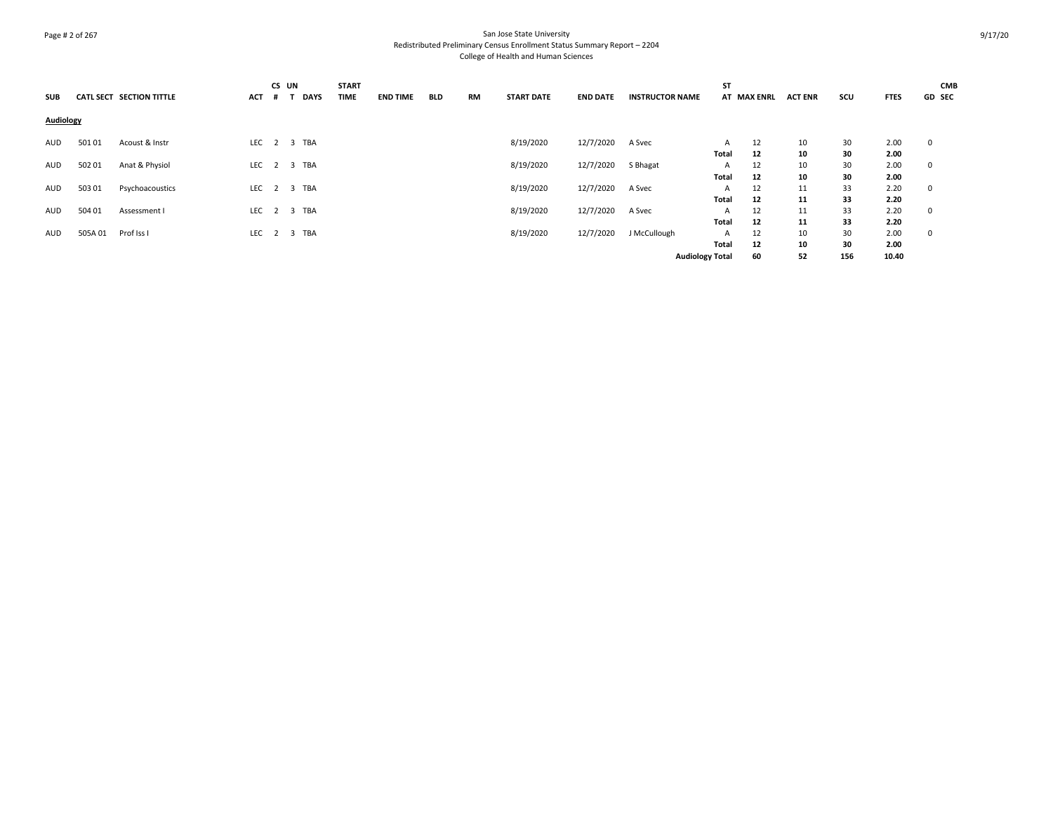# Page # 2 of 267 San Jose State University Redistributed Preliminary Census Enrollment Status Summary Report – 2204 College of Health and Human Sciences

| SUB              |         | <b>CATL SECT SECTION TITTLE</b> | <b>ACT</b>  | CS UN<br># | <b>DAYS</b> | <b>START</b><br>TIME | <b>END TIME</b> | <b>BLD</b> | <b>RM</b> | <b>START DATE</b> | <b>END DATE</b> | <b>INSTRUCTOR NAME</b> | ST    | AT MAX ENRL | <b>ACT ENR</b> | SCU | <b>FTES</b> | <b>CMB</b><br><b>GD SEC</b> |
|------------------|---------|---------------------------------|-------------|------------|-------------|----------------------|-----------------|------------|-----------|-------------------|-----------------|------------------------|-------|-------------|----------------|-----|-------------|-----------------------------|
| <b>Audiology</b> |         |                                 |             |            |             |                      |                 |            |           |                   |                 |                        |       |             |                |     |             |                             |
| AUD              | 50101   | Acoust & Instr                  | LEC 2 3 TBA |            |             |                      |                 |            |           | 8/19/2020         | 12/7/2020       | A Svec                 | A     | 12          | 10             | 30  | 2.00        | $\mathbf 0$                 |
|                  |         |                                 |             |            |             |                      |                 |            |           |                   |                 |                        | Total | 12          | 10             | 30  | 2.00        |                             |
| AUD              | 502 01  | Anat & Physiol                  | LEC 2 3 TBA |            |             |                      |                 |            |           | 8/19/2020         | 12/7/2020       | S Bhagat               | A     | 12          | 10             | 30  | 2.00        | $\mathbf 0$                 |
|                  |         |                                 |             |            |             |                      |                 |            |           |                   |                 |                        | Total | 12          | 10             | 30  | 2.00        |                             |
| AUD              | 503 01  | Psychoacoustics                 | LEC 2 3 TBA |            |             |                      |                 |            |           | 8/19/2020         | 12/7/2020       | A Svec                 | A     | 12          | 11             | 33  | 2.20        | 0                           |
|                  |         |                                 |             |            |             |                      |                 |            |           |                   |                 |                        | Total | 12          | 11             | 33  | 2.20        |                             |
| AUD              | 504 01  | Assessment I                    | LEC 2 3 TBA |            |             |                      |                 |            |           | 8/19/2020         | 12/7/2020       | A Svec                 | A     | 12          | 11             | 33  | 2.20        | 0                           |
|                  |         |                                 |             |            |             |                      |                 |            |           |                   |                 |                        | Total | 12          | 11             | 33  | 2.20        |                             |
| AUD              | 505A 01 | Prof Iss I                      | LEC 2 3 TBA |            |             |                      |                 |            |           | 8/19/2020         | 12/7/2020       | J McCullough           | A     | 12          | 10             | 30  | 2.00        | 0                           |
|                  |         |                                 |             |            |             |                      |                 |            |           |                   |                 |                        | Total | 12          | 10             | 30  | 2.00        |                             |
|                  |         |                                 |             |            |             |                      |                 |            |           |                   |                 |                        |       |             |                |     |             |                             |
|                  |         |                                 |             |            |             |                      |                 |            |           |                   |                 | <b>Audiology Total</b> |       | 60          | 52             | 156 | 10.40       |                             |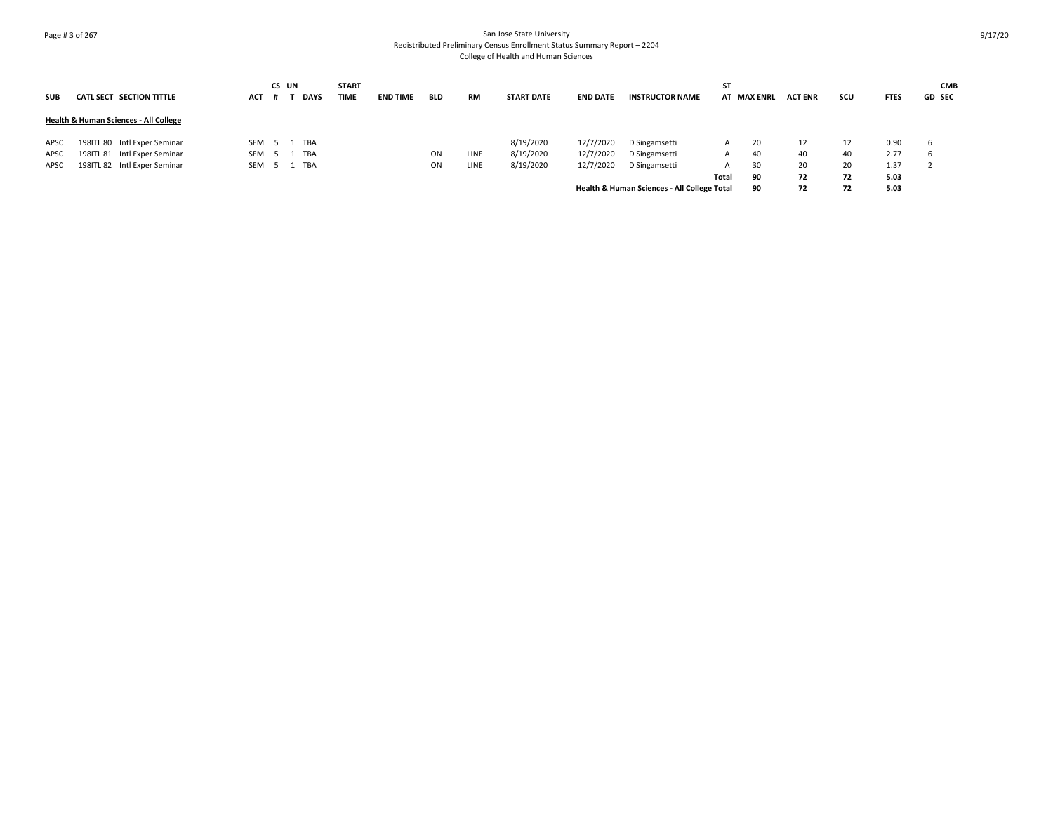# Page # 3 of 267 San Jose State University Redistributed Preliminary Census Enrollment Status Summary Report – 2204 College of Health and Human Sciences

|            |                                                  |         | CS UN |             | <b>START</b> |                 |            |             |                   |                 |                                             | ST    |             |                |     |             | <b>CMB</b>    |
|------------|--------------------------------------------------|---------|-------|-------------|--------------|-----------------|------------|-------------|-------------------|-----------------|---------------------------------------------|-------|-------------|----------------|-----|-------------|---------------|
| <b>SUB</b> | CATL SECT SECTION TITTLE                         | ACT     |       | <b>DAYS</b> | TIME         | <b>END TIME</b> | <b>BLD</b> | RM          | <b>START DATE</b> | <b>END DATE</b> | <b>INSTRUCTOR NAME</b>                      |       | AT MAX ENRL | <b>ACT ENR</b> | scu | <b>FTES</b> | <b>GD SEC</b> |
|            | <b>Health &amp; Human Sciences - All College</b> |         |       |             |              |                 |            |             |                   |                 |                                             |       |             |                |     |             |               |
| APSC       | 198ITL 80 Intl Exper Seminar                     | SEM 5 1 |       | TBA         |              |                 |            |             | 8/19/2020         | 12/7/2020       | D Singamsetti                               |       | 20          | 12             | 12  | 0.90        | -6            |
| APSC       | 198ITL 81 Intl Exper Seminar                     | SEM     |       | TBA         |              |                 | ON         | <b>LINE</b> | 8/19/2020         | 12/7/2020       | D Singamsetti                               | A     | 40          | 40             | 40  | 2.77        | b             |
| APSC       | 198ITL 82 Intl Exper Seminar                     | SEM 5 1 |       | TBA         |              |                 | OΝ         | LINE        | 8/19/2020         | 12/7/2020       | D Singamsetti                               |       | 30          | 20             | 20  | 1.37        |               |
|            |                                                  |         |       |             |              |                 |            |             |                   |                 |                                             | Total | 90          | 72             | 72  | 5.03        |               |
|            |                                                  |         |       |             |              |                 |            |             |                   |                 | Health & Human Sciences - All College Total |       | 90          | 72             | 72  | 5.03        |               |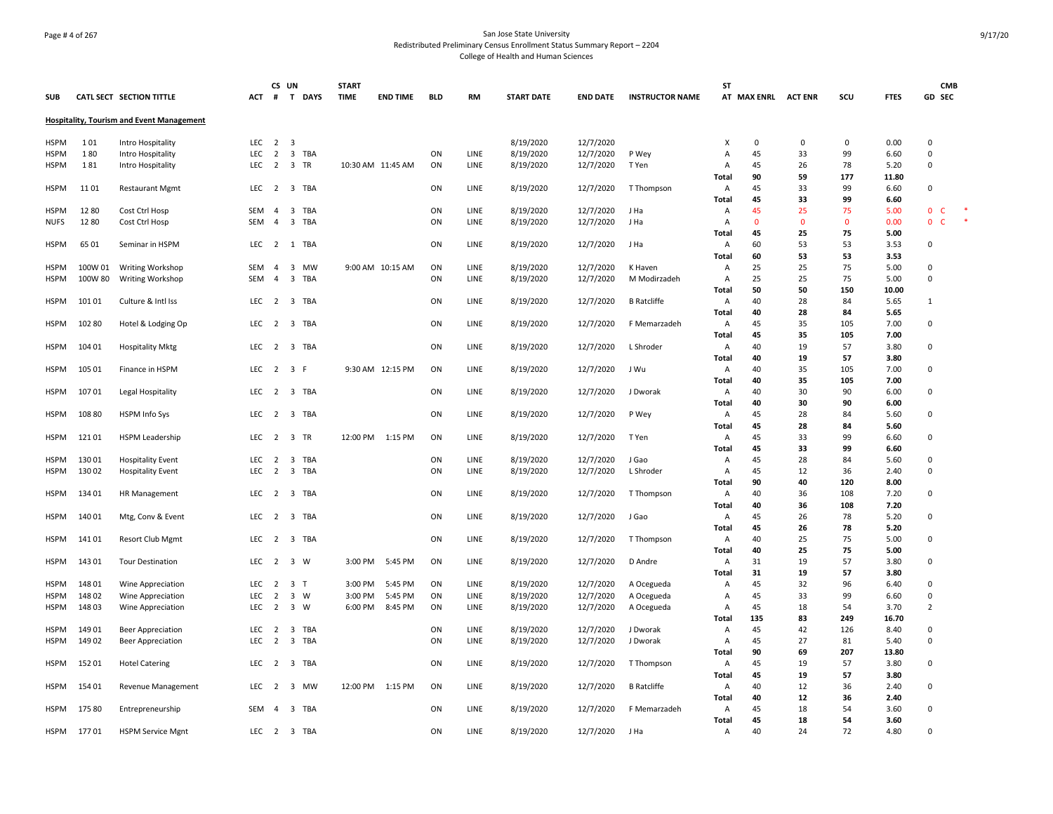# Page # 4 of 267 San Jose State University Redistributed Preliminary Census Enrollment Status Summary Report – 2204 College of Health and Human Sciences

|                     |                |                                                  |            | CS UN               |                         |                | <b>START</b> |                   |            |              |                        |                        |                        | <b>ST</b>      |              |                |             |              | <b>CMB</b>                    |
|---------------------|----------------|--------------------------------------------------|------------|---------------------|-------------------------|----------------|--------------|-------------------|------------|--------------|------------------------|------------------------|------------------------|----------------|--------------|----------------|-------------|--------------|-------------------------------|
| <b>SUB</b>          |                | CATL SECT SECTION TITTLE                         | ACT        | #                   |                         | T DAYS         | <b>TIME</b>  | <b>END TIME</b>   | <b>BLD</b> | RM           | <b>START DATE</b>      | <b>END DATE</b>        | <b>INSTRUCTOR NAME</b> |                | AT MAX ENRL  | <b>ACT ENR</b> | scu         | <b>FTES</b>  | <b>GD SEC</b>                 |
|                     |                | <b>Hospitality, Tourism and Event Management</b> |            |                     |                         |                |              |                   |            |              |                        |                        |                        |                |              |                |             |              |                               |
| <b>HSPM</b>         | 101            | Intro Hospitality                                | LEC        | $\overline{2}$      | $\overline{\mathbf{3}}$ |                |              |                   |            |              | 8/19/2020              | 12/7/2020              |                        | X              | $\mathbf 0$  | 0              | $\mathbf 0$ | 0.00         | $\Omega$                      |
| <b>HSPM</b>         | 180            | Intro Hospitality                                | <b>LEC</b> | $\overline{2}$      |                         | 3 TBA          |              |                   | ON         | LINE         | 8/19/2020              | 12/7/2020              | P Wey                  | $\overline{A}$ | 45           | 33             | 99          | 6.60         | $\mathbf 0$                   |
| <b>HSPM</b>         | 181            | Intro Hospitality                                | LEC        | 2                   |                         | 3 TR           |              | 10:30 AM 11:45 AM | ON         | LINE         | 8/19/2020              | 12/7/2020              | T Yen                  | Α              | 45           | 26             | 78          | 5.20         | 0                             |
|                     |                |                                                  |            |                     |                         |                |              |                   |            |              |                        |                        |                        | Total          | 90           | 59             | 177         | 11.80        |                               |
| <b>HSPM</b>         | 1101           | <b>Restaurant Mgmt</b>                           | LEC        |                     |                         | 2 3 TBA        |              |                   | ON         | LINE         | 8/19/2020              | 12/7/2020              | T Thompson             | Α              | 45           | 33             | 99          | 6.60         | $\Omega$                      |
|                     |                |                                                  |            |                     |                         |                |              |                   |            |              |                        |                        |                        | Total          | 45           | 33             | 99          | 6.60         |                               |
| <b>HSPM</b>         | 1280           | Cost Ctrl Hosp                                   | SEM        | $\overline{a}$      |                         | 3 TBA          |              |                   | ON         | LINE         | 8/19/2020              | 12/7/2020              | J Ha                   | Α              | 45           | 25             | 75          | 5.00         | 0 <sup>o</sup>                |
| <b>NUFS</b>         | 12 80          | Cost Ctrl Hosp                                   | SEM        | $\overline{a}$      |                         | 3 TBA          |              |                   | ON         | LINE         | 8/19/2020              | 12/7/2020              | J Ha                   | Α              | $\mathbf{0}$ | $\mathbf{0}$   | $\mathbf 0$ | 0.00         | ×<br>$\mathbf{0}$<br><b>C</b> |
|                     |                |                                                  |            |                     |                         |                |              |                   |            |              |                        |                        |                        | Total          | 45           | 25             | 75          | 5.00         |                               |
| <b>HSPM</b>         | 65 01          | Seminar in HSPM                                  | LEC        | 2                   |                         | 1 TBA          |              |                   | ON         | LINE         | 8/19/2020              | 12/7/2020              | J Ha                   | Α              | 60           | 53             | 53          | 3.53         | $\Omega$                      |
|                     |                |                                                  |            |                     |                         |                |              |                   |            |              |                        |                        |                        | Total          | 60           | 53             | 53          | 3.53         |                               |
| <b>HSPM</b>         | 100W 01        | Writing Workshop                                 | SEM        | $\overline{4}$      |                         | 3 MW           |              | 9:00 AM 10:15 AM  | ON         | LINE         | 8/19/2020              | 12/7/2020              | K Haven                | A              | 25           | 25             | 75          | 5.00         | $\Omega$                      |
| <b>HSPM</b>         | 100W 80        | Writing Workshop                                 | <b>SEM</b> | $\overline{4}$      | $\overline{\mathbf{3}}$ | TBA            |              |                   | ON         | LINE         | 8/19/2020              | 12/7/2020              | M Modirzadeh           | Α              | 25           | 25             | 75          | 5.00         | $\Omega$                      |
|                     |                |                                                  |            |                     |                         |                |              |                   |            |              |                        |                        |                        | Total          | 50           | 50             | 150         | 10.00        |                               |
| <b>HSPM</b>         | 10101          | Culture & Intl Iss                               | LEC        | 2 3 TBA             |                         |                |              |                   | ON         | LINE         | 8/19/2020              | 12/7/2020              | <b>B</b> Ratcliffe     | Α              | 40           | 28             | 84          | 5.65         | $\mathbf{1}$                  |
|                     |                |                                                  |            |                     |                         |                |              |                   |            |              |                        |                        |                        | Total          | 40           | 28             | 84          | 5.65         |                               |
| HSPM                | 102 80         | Hotel & Lodging Op                               | LEC        | 2                   |                         | 3 TBA          |              |                   | ON         | LINE         | 8/19/2020              | 12/7/2020              | F Memarzadeh           | Α              | 45           | 35             | 105         | 7.00         | 0                             |
|                     |                |                                                  |            |                     |                         |                |              |                   |            |              |                        |                        |                        | Total          | 45           | 35             | 105         | 7.00         |                               |
| <b>HSPM</b>         | 104 01         | <b>Hospitality Mktg</b>                          |            | LEC 2 3 TBA         |                         |                |              |                   | ON         | LINE         | 8/19/2020              | 12/7/2020              | L Shroder              | Α              | 40           | 19             | 57          | 3.80         | $\Omega$                      |
|                     |                |                                                  |            |                     |                         |                |              |                   |            |              |                        |                        |                        | Total          | 40           | 19             | 57          | 3.80         |                               |
| <b>HSPM</b>         | 105 01         | Finance in HSPM                                  | LEC        | 2                   | 3 F                     |                |              | 9:30 AM 12:15 PM  | ON         | LINE         | 8/19/2020              | 12/7/2020              | J Wu                   | Α              | 40           | 35             | 105         | 7.00         | 0                             |
| <b>HSPM</b>         | 107 01         |                                                  | LEC        | 2                   |                         | 3 TBA          |              |                   | ON         | LINE         | 8/19/2020              | 12/7/2020              | J Dworak               | Total<br>Α     | 40<br>40     | 35<br>30       | 105<br>90   | 7.00<br>6.00 | 0                             |
|                     |                | Legal Hospitality                                |            |                     |                         |                |              |                   |            |              |                        |                        |                        | Total          | 40           | 30             | 90          | 6.00         |                               |
| <b>HSPM</b>         | 108 80         | HSPM Info Sys                                    | LEC        | $\overline{2}$      |                         | 3 TBA          |              |                   | ON         | LINE         | 8/19/2020              | 12/7/2020              | P Wey                  | Α              | 45           | 28             | 84          | 5.60         | $\Omega$                      |
|                     |                |                                                  |            |                     |                         |                |              |                   |            |              |                        |                        |                        | Total          | 45           | 28             | 84          | 5.60         |                               |
| <b>HSPM</b>         | 12101          | HSPM Leadership                                  | LEC        | $\overline{2}$      |                         | 3 TR           | 12:00 PM     | 1:15 PM           | ON         | LINE         | 8/19/2020              | 12/7/2020              | T Yen                  | Α              | 45           | 33             | 99          | 6.60         | $\Omega$                      |
|                     |                |                                                  |            |                     |                         |                |              |                   |            |              |                        |                        |                        | Total          | 45           | 33             | 99          | 6.60         |                               |
| <b>HSPM</b>         | 13001          | <b>Hospitality Event</b>                         | LEC        | $\overline{2}$      |                         | 3 TBA          |              |                   | ON         | LINE         | 8/19/2020              | 12/7/2020              | J Gao                  | Α              | 45           | 28             | 84          | 5.60         | $\Omega$                      |
| <b>HSPM</b>         | 13002          | <b>Hospitality Event</b>                         | <b>LEC</b> | $\overline{2}$      | $\overline{\mathbf{3}}$ | TBA            |              |                   | ON         | LINE         | 8/19/2020              | 12/7/2020              | L Shroder              | Α              | 45           | 12             | 36          | 2.40         | 0                             |
|                     |                |                                                  |            |                     |                         |                |              |                   |            |              |                        |                        |                        | Total          | 90           | 40             | 120         | 8.00         |                               |
| <b>HSPM</b>         | 13401          | <b>HR Management</b>                             | LEC        | 2                   |                         | 3 TBA          |              |                   | ON         | LINE         | 8/19/2020              | 12/7/2020              | T Thompson             | Α              | 40           | 36             | 108         | 7.20         | $\Omega$                      |
|                     |                |                                                  |            |                     |                         |                |              |                   |            |              |                        |                        |                        | Total          | 40           | 36             | 108         | 7.20         |                               |
| <b>HSPM</b>         | 140 01         | Mtg, Conv & Event                                | LEC        | $\overline{2}$      |                         | 3 TBA          |              |                   | ON         | LINE         | 8/19/2020              | 12/7/2020              | J Gao                  | Α              | 45           | 26             | 78          | 5.20         | $\Omega$                      |
|                     |                |                                                  |            |                     |                         |                |              |                   |            |              |                        |                        |                        | Total          | 45           | 26             | 78          | 5.20         |                               |
| <b>HSPM</b>         | 14101          | Resort Club Mgmt                                 | LEC        | $\overline{2}$      |                         | 3 TBA          |              |                   | ON         | LINE         | 8/19/2020              | 12/7/2020              | T Thompson             | Α              | 40           | 25             | 75          | 5.00         | $\Omega$                      |
|                     |                |                                                  |            |                     |                         |                |              |                   |            |              |                        |                        |                        | Total          | 40           | 25             | 75          | 5.00         |                               |
| HSPM                | 14301          | <b>Tour Destination</b>                          | LEC        | 2                   | $\overline{\mathbf{3}}$ | W              | 3:00 PM      | 5:45 PM           | ON         | LINE         | 8/19/2020              | 12/7/2020              | D Andre                | Α              | 31           | 19             | 57          | 3.80         | 0                             |
|                     |                |                                                  |            |                     |                         |                |              |                   |            |              |                        |                        |                        | Total          | 31           | 19             | 57          | 3.80         |                               |
| <b>HSPM</b>         | 14801          | Wine Appreciation                                | LEC        | 2                   | $\overline{3}$          | $\mathsf{T}$   | 3:00 PM      | 5:45 PM           | ON         | LINE         | 8/19/2020              | 12/7/2020              | A Ocegueda             | Α              | 45           | 32             | 96          | 6.40         | $\Omega$                      |
| <b>HSPM</b>         | 14802          | Wine Appreciation                                | <b>LEC</b> | $\overline{2}$      | $\overline{\mathbf{3}}$ | W              | 3:00 PM      | 5:45 PM           | ON         | LINE         | 8/19/2020              | 12/7/2020              | A Ocegueda             | Α              | 45           | 33             | 99          | 6.60         | $\Omega$                      |
| <b>HSPM</b>         | 14803          | Wine Appreciation                                | <b>LEC</b> | 2                   | $\overline{\mathbf{3}}$ | W              | 6:00 PM      | 8:45 PM           | ON         | LINE         | 8/19/2020              | 12/7/2020              | A Ocegueda             | Α              | 45           | 18             | 54          | 3.70         | $\overline{2}$                |
|                     |                |                                                  |            |                     |                         |                |              |                   |            |              |                        |                        |                        | Total          | 135<br>45    | 83             | 249         | 16.70        | 0                             |
| <b>HSPM</b><br>HSPM | 14901<br>14902 | <b>Beer Appreciation</b>                         | LEC<br>LEC | $\overline{2}$<br>2 |                         | 3 TBA<br>3 TBA |              |                   | ON<br>ON   | LINE<br>LINE | 8/19/2020<br>8/19/2020 | 12/7/2020<br>12/7/2020 | J Dworak<br>J Dworak   | Α<br>Α         | 45           | 42<br>27       | 126<br>81   | 8.40<br>5.40 | 0                             |
|                     |                | Beer Appreciation                                |            |                     |                         |                |              |                   |            |              |                        |                        |                        | Total          | 90           | 69             | 207         | 13.80        |                               |
| <b>HSPM</b>         | 15201          | <b>Hotel Catering</b>                            |            | LEC 2 3 TBA         |                         |                |              |                   | ON         | LINE         | 8/19/2020              | 12/7/2020              | T Thompson             | Α              | 45           | 19             | 57          | 3.80         | $\Omega$                      |
|                     |                |                                                  |            |                     |                         |                |              |                   |            |              |                        |                        |                        | Total          | 45           | 19             | 57          | 3.80         |                               |
| <b>HSPM</b>         | 154 01         | Revenue Management                               | LEC        | 2                   |                         | 3 MW           | 12:00 PM     | 1:15 PM           | ON         | LINE         | 8/19/2020              | 12/7/2020              | <b>B</b> Ratcliffe     | Α              | 40           | 12             | 36          | 2.40         | 0                             |
|                     |                |                                                  |            |                     |                         |                |              |                   |            |              |                        |                        |                        | Total          | 40           | 12             | 36          | 2.40         |                               |
| <b>HSPM</b>         | 175 80         | Entrepreneurship                                 | SEM        | $\overline{4}$      |                         | 3 TBA          |              |                   | ON         | LINE         | 8/19/2020              | 12/7/2020              | F Memarzadeh           | $\overline{A}$ | 45           | 18             | 54          | 3.60         | 0                             |
|                     |                |                                                  |            |                     |                         |                |              |                   |            |              |                        |                        |                        | Total          | 45           | 18             | 54          | 3.60         |                               |
| <b>HSPM</b>         | 17701          | <b>HSPM Service Mgnt</b>                         |            | LEC 2 3 TBA         |                         |                |              |                   | ON         | LINE         | 8/19/2020              | 12/7/2020              | J Ha                   | $\overline{A}$ | 40           | 24             | 72          | 4.80         | $\Omega$                      |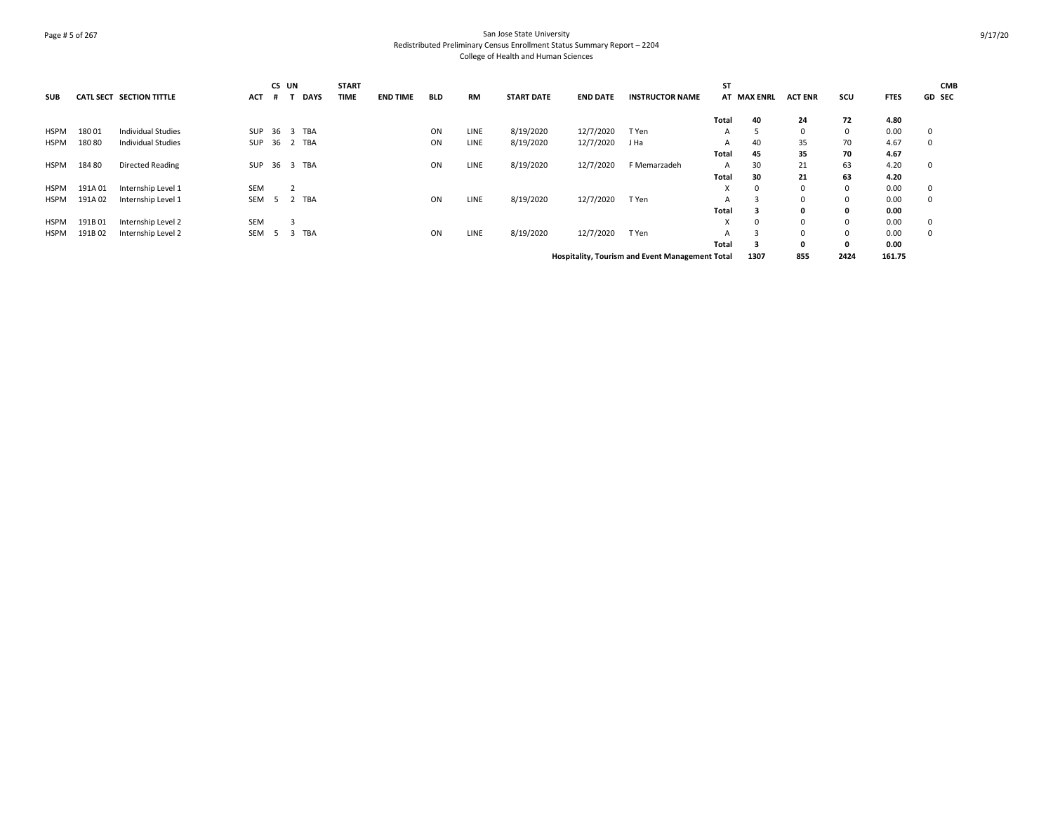# Page # 5 of 267 San Jose State University Redistributed Preliminary Census Enrollment Status Summary Report – 2204 College of Health and Human Sciences

| <b>SUB</b>  |        | <b>CATL SECT SECTION TITTLE</b> | <b>ACT</b> | CS UN<br>#   |                | <b>DAYS</b> | <b>START</b><br>TIME | <b>END TIME</b> | <b>BLD</b> | <b>RM</b>   | <b>START DATE</b> | <b>END DATE</b> | <b>INSTRUCTOR NAME</b>                                 | <b>ST</b> | AT MAX ENRL | <b>ACT ENR</b> | scu          | <b>FTES</b> | <b>CMB</b><br><b>GD SEC</b> |
|-------------|--------|---------------------------------|------------|--------------|----------------|-------------|----------------------|-----------------|------------|-------------|-------------------|-----------------|--------------------------------------------------------|-----------|-------------|----------------|--------------|-------------|-----------------------------|
|             |        |                                 |            |              |                |             |                      |                 |            |             |                   |                 |                                                        | Total     | 40          | 24             | 72           | 4.80        |                             |
| HSPM        | 18001  | <b>Individual Studies</b>       |            | SUP 36 3 TBA |                |             |                      |                 | ON         | LINE        | 8/19/2020         | 12/7/2020       | T Yen                                                  | A         |             | $\Omega$       | $\mathbf 0$  | 0.00        | 0                           |
| HSPM        | 18080  | <b>Individual Studies</b>       | SUP        | 36 2 TBA     |                |             |                      |                 | ON         | <b>LINE</b> | 8/19/2020         | 12/7/2020       | J Ha                                                   | А         | 40          | 35             | 70           | 4.67        | 0                           |
|             |        |                                 |            |              |                |             |                      |                 |            |             |                   |                 |                                                        | Total     | 45          | 35             | 70           | 4.67        |                             |
| HSPM        | 184 80 | Directed Reading                | SUP        | 36 3 TBA     |                |             |                      |                 | ON         | <b>LINE</b> | 8/19/2020         | 12/7/2020       | F Memarzadeh                                           | A         | 30          | 21             | 63           | 4.20        | 0                           |
|             |        |                                 |            |              |                |             |                      |                 |            |             |                   |                 |                                                        | Total     | 30          | 21             | 63           | 4.20        |                             |
| <b>HSPM</b> | 191A01 | Internship Level 1              | SEM        |              | $\overline{2}$ |             |                      |                 |            |             |                   |                 |                                                        | X         | 0           | $\Omega$       | $\Omega$     | 0.00        | 0                           |
| HSPM        | 191A02 | Internship Level 1              | SEM        | - 5          |                | 2 TBA       |                      |                 | ON         | <b>LINE</b> | 8/19/2020         | 12/7/2020       | T Yen                                                  | A         |             | 0              | 0            | 0.00        | 0                           |
|             |        |                                 |            |              |                |             |                      |                 |            |             |                   |                 |                                                        | Total     | 3           | 0              | $\mathbf{0}$ | 0.00        |                             |
| <b>HSPM</b> | 191B01 | Internship Level 2              | <b>SEM</b> |              | 3              |             |                      |                 |            |             |                   |                 |                                                        | x         | 0           | $\Omega$       | $\Omega$     | 0.00        | 0                           |
| HSPM        | 191B02 | Internship Level 2              | SEM        | - 5          | - 3            | TBA         |                      |                 | ON         | LINE        | 8/19/2020         | 12/7/2020       | T Yen                                                  | A         |             | 0              | 0            | 0.00        | 0                           |
|             |        |                                 |            |              |                |             |                      |                 |            |             |                   |                 |                                                        | Total     | 3           | 0              | $\mathbf{0}$ | 0.00        |                             |
|             |        |                                 |            |              |                |             |                      |                 |            |             |                   |                 | <b>Hospitality, Tourism and Event Management Total</b> |           | 1307        | 855            | 2424         | 161.75      |                             |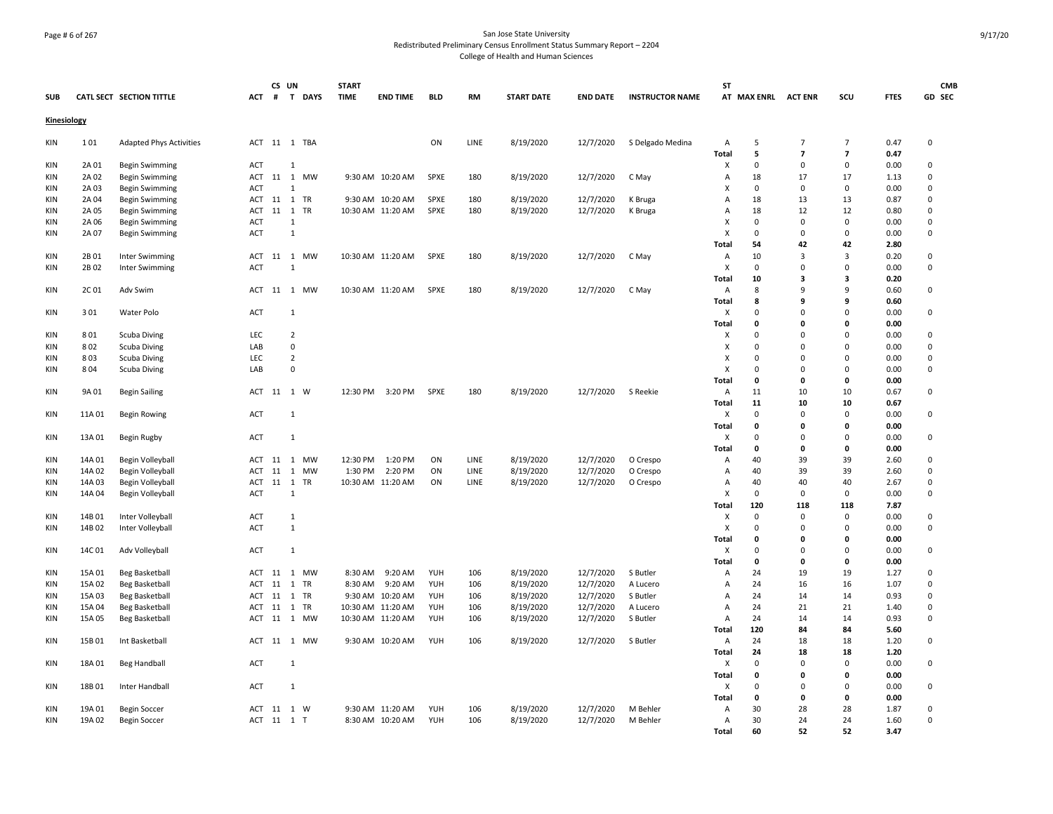## Page # 6 of 267 San Jose State University Redistributed Preliminary Census Enrollment Status Summary Report – 2204 College of Health and Human Sciences

|             |        |                                      |            | CS UN        |                |         | <b>START</b> |                   |             |           |                   |                 |                        | <b>ST</b>                 |                    |                         |                         |              | <b>CMB</b>  |
|-------------|--------|--------------------------------------|------------|--------------|----------------|---------|--------------|-------------------|-------------|-----------|-------------------|-----------------|------------------------|---------------------------|--------------------|-------------------------|-------------------------|--------------|-------------|
| <b>SUB</b>  |        | CATL SECT SECTION TITTLE             | <b>ACT</b> | #            |                | T DAYS  | <b>TIME</b>  | <b>END TIME</b>   | <b>BLD</b>  | <b>RM</b> | <b>START DATE</b> | <b>END DATE</b> | <b>INSTRUCTOR NAME</b> |                           | AT MAX ENRL        | <b>ACT ENR</b>          | scu                     | <b>FTES</b>  | GD SEC      |
| Kinesiology |        |                                      |            |              |                |         |              |                   |             |           |                   |                 |                        |                           |                    |                         |                         |              |             |
| KIN         | 101    | <b>Adapted Phys Activities</b>       |            | ACT 11 1 TBA |                |         |              |                   | ON          | LINE      | 8/19/2020         | 12/7/2020       | S Delgado Medina       | $\overline{A}$            | 5                  | $\overline{7}$          | $\overline{7}$          | 0.47         | $\pmb{0}$   |
|             |        |                                      |            |              |                |         |              |                   |             |           |                   |                 |                        | <b>Total</b>              | 5                  | $\overline{7}$          | $\overline{ }$          | 0.47         |             |
| <b>KIN</b>  | 2A 01  | <b>Begin Swimming</b>                | ACT        |              | 1              |         |              |                   |             |           |                   |                 |                        | X                         | $\Omega$           | 0                       | $\Omega$                | 0.00         | 0           |
| <b>KIN</b>  | 2A 02  | <b>Begin Swimming</b>                |            | ACT 11 1 MW  |                |         |              | 9:30 AM 10:20 AM  | <b>SPXE</b> | 180       | 8/19/2020         | 12/7/2020       | C May                  | $\overline{A}$            | 18                 | 17                      | 17                      | 1.13         | $\mathbf 0$ |
| <b>KIN</b>  | 2A 03  | <b>Begin Swimming</b>                | <b>ACT</b> |              | $\mathbf{1}$   |         |              |                   |             |           |                   |                 |                        | X                         | $\Omega$           | $\mathbf 0$             | $\Omega$                | 0.00         | $\Omega$    |
| KIN         | 2A 04  | <b>Begin Swimming</b>                | ACT        | 11 1 TR      |                |         |              | 9:30 AM 10:20 AM  | <b>SPXE</b> | 180       | 8/19/2020         | 12/7/2020       | K Bruga                | А                         | 18                 | 13                      | 13                      | 0.87         | 0           |
| KIN         | 2A 05  | Begin Swimming                       | ACT        | 11           |                | 1 TR    |              | 10:30 AM 11:20 AM | SPXE        | 180       | 8/19/2020         | 12/7/2020       | K Bruga                | A                         | 18                 | 12                      | 12                      | 0.80         | 0           |
| KIN         | 2A 06  | <b>Begin Swimming</b>                | <b>ACT</b> |              | 1              |         |              |                   |             |           |                   |                 |                        | X                         | $\Omega$           | $\mathbf 0$             | $\mathbf 0$             | 0.00         | 0           |
| <b>KIN</b>  | 2A 07  | <b>Begin Swimming</b>                | ACT        |              | $\mathbf{1}$   |         |              |                   |             |           |                   |                 |                        | $\boldsymbol{\mathsf{x}}$ | 0                  | $\mathsf 0$             | $\mathbf 0$             | 0.00         | $\mathsf 0$ |
|             |        |                                      |            |              |                |         |              |                   |             |           |                   |                 |                        | <b>Total</b>              | 54                 | 42                      | 42                      | 2.80         |             |
| <b>KIN</b>  | 2B 01  | Inter Swimming                       | ACT        | 11           | 1              | MW      |              | 10:30 AM 11:20 AM | <b>SPXE</b> | 180       | 8/19/2020         | 12/7/2020       | C May                  | A                         | 10                 | 3                       | $\overline{3}$          | 0.20         | 0           |
| KIN         | 2B 02  | Inter Swimming                       | ACT        |              |                |         |              |                   |             |           |                   |                 |                        | X                         | 0                  | 0                       | $\Omega$                | 0.00         | 0           |
|             |        |                                      |            |              |                |         |              |                   |             |           |                   |                 |                        | Total                     | 10                 | $\overline{\mathbf{3}}$ | $\overline{\mathbf{3}}$ | 0.20         |             |
| KIN         | 2C01   | Adv Swim                             | ACT        |              |                | 11 1 MW |              | 10:30 AM 11:20 AM | SPXE        | 180       | 8/19/2020         | 12/7/2020       | C May                  | Α                         | 8                  | $\mathsf{q}$            | 9                       | 0.60         | 0           |
|             |        |                                      |            |              |                |         |              |                   |             |           |                   |                 |                        | Total                     | 8                  | 9                       | 9                       | 0.60         |             |
| KIN         | 301    | <b>Water Polo</b>                    | ACT        |              | $\mathbf{1}$   |         |              |                   |             |           |                   |                 |                        | х                         | $\mathbf 0$        | $\mathbf 0$             | $\Omega$                | 0.00         | 0           |
|             |        |                                      |            |              |                |         |              |                   |             |           |                   |                 |                        | Total                     | $\Omega$           | 0                       | $\Omega$                | 0.00         |             |
| KIN         | 801    | Scuba Diving                         | LEC        |              | $\overline{2}$ |         |              |                   |             |           |                   |                 |                        | X                         | $\Omega$           | 0                       | $\Omega$                | 0.00         | $\mathbf 0$ |
| KIN         | 802    | Scuba Diving                         | LAB        |              | $\mathsf 0$    |         |              |                   |             |           |                   |                 |                        | X                         | $\mathbf 0$        | 0                       | $\Omega$                | 0.00         | $\mathbf 0$ |
| <b>KIN</b>  | 803    | Scuba Diving                         | LEC        |              | $\overline{2}$ |         |              |                   |             |           |                   |                 |                        | X                         | $\Omega$           | 0                       | $\Omega$                | 0.00         | 0           |
| KIN         | 804    | Scuba Diving                         | LAB        |              | $\mathbf 0$    |         |              |                   |             |           |                   |                 |                        | $\boldsymbol{\mathsf{x}}$ | $\Omega$           | $\mathbf 0$             | $\Omega$                | 0.00         | $\mathbf 0$ |
|             |        |                                      |            |              |                |         |              |                   |             |           |                   |                 |                        | Total                     | 0                  | 0                       | $\mathbf{0}$            | 0.00         |             |
| KIN         | 9A 01  | <b>Begin Sailing</b>                 | ACT        | 11 1 W       |                |         |              | 12:30 PM 3:20 PM  | SPXE        | 180       | 8/19/2020         | 12/7/2020       | S Reekie               | Α                         | 11                 | 10                      | 10                      | 0.67         | $\pmb{0}$   |
|             |        |                                      |            |              |                |         |              |                   |             |           |                   |                 |                        | Total                     | 11                 | 10                      | 10                      | 0.67         |             |
| KIN         | 11A 01 | <b>Begin Rowing</b>                  | <b>ACT</b> |              | 1              |         |              |                   |             |           |                   |                 |                        | X                         | 0                  | 0                       | $\mathbf 0$             | 0.00         | 0           |
|             |        |                                      |            |              |                |         |              |                   |             |           |                   |                 |                        | Total                     | $\Omega$           | $\mathbf 0$             | $\mathbf{0}$            | 0.00         |             |
| KIN         | 13A 01 | Begin Rugby                          | ACT        |              | $\mathbf{1}$   |         |              |                   |             |           |                   |                 |                        | X                         | 0                  | 0                       | $\overline{0}$          | 0.00         | 0           |
|             |        |                                      |            |              |                |         |              |                   |             |           |                   |                 |                        | Total                     | 0                  | 0                       | $\mathbf 0$             | 0.00         |             |
| <b>KIN</b>  | 14A 01 | Begin Volleyball                     |            | ACT 11 1 MW  |                |         |              | 12:30 PM 1:20 PM  | ON          | LINE      | 8/19/2020         | 12/7/2020       | O Crespo               | A                         | 40                 | 39                      | 39                      | 2.60         | $\mathbf 0$ |
| <b>KIN</b>  | 14A 02 | Begin Volleyball                     | <b>ACT</b> | 11           |                | 1 MW    | 1:30 PM      | 2:20 PM           | ON          | LINE      | 8/19/2020         | 12/7/2020       | O Crespo               | Α                         | 40                 | 39                      | 39                      | 2.60         | $\mathbf 0$ |
| KIN         | 14A 03 | Begin Volleyball                     | ACT        | 11           |                | 1 TR    |              | 10:30 AM 11:20 AM | ON          | LINE      | 8/19/2020         | 12/7/2020       | O Crespo               | А                         | 40                 | 40                      | 40                      | 2.67         | 0           |
| KIN         | 14A 04 | Begin Volleyball                     | ACT        |              | 1              |         |              |                   |             |           |                   |                 |                        | $\mathsf{x}$<br>Total     | $\mathbf 0$<br>120 | $\mathsf 0$<br>118      | $\mathbf 0$<br>118      | 0.00<br>7.87 | $\mathbf 0$ |
| KIN         | 14B 01 |                                      | <b>ACT</b> |              | 1              |         |              |                   |             |           |                   |                 |                        | X                         | $\mathbf 0$        | 0                       | $\mathbf 0$             | 0.00         | 0           |
| KIN         | 14B 02 | Inter Volleyball<br>Inter Volleyball | <b>ACT</b> |              | $\mathbf{1}$   |         |              |                   |             |           |                   |                 |                        | X                         | $\Omega$           | $\mathsf 0$             | $\Omega$                | 0.00         | $\mathbf 0$ |
|             |        |                                      |            |              |                |         |              |                   |             |           |                   |                 |                        | Total                     | 0                  | 0                       | $\mathbf 0$             | 0.00         |             |
| <b>KIN</b>  | 14C 01 | Adv Volleyball                       | ACT        |              | $\mathbf{1}$   |         |              |                   |             |           |                   |                 |                        | X                         | $\Omega$           | 0                       | $\overline{0}$          | 0.00         | 0           |
|             |        |                                      |            |              |                |         |              |                   |             |           |                   |                 |                        | <b>Total</b>              | 0                  | 0                       | $\mathbf 0$             | 0.00         |             |
| <b>KIN</b>  | 15A 01 | Beg Basketball                       | ACT        |              |                | 11 1 MW | 8:30 AM      | 9:20 AM           | YUH         | 106       | 8/19/2020         | 12/7/2020       | S Butler               | A                         | 24                 | 19                      | 19                      | 1.27         | $\mathbf 0$ |
| KIN         | 15A 02 | Beg Basketball                       | ACT        | 11 1 TR      |                |         | 8:30 AM      | 9:20 AM           | YUH         | 106       | 8/19/2020         | 12/7/2020       | A Lucero               | А                         | 24                 | 16                      | 16                      | 1.07         | 0           |
| KIN         | 15A 03 | <b>Beg Basketball</b>                | ACT        | 11           |                | 1 TR    |              | 9:30 AM 10:20 AM  | YUH         | 106       | 8/19/2020         | 12/7/2020       | S Butler               | Α                         | 24                 | 14                      | 14                      | 0.93         | 0           |
| KIN         | 15A 04 | <b>Beg Basketball</b>                | ACT        | 11           |                | 1 TR    |              | 10:30 AM 11:20 AM | YUH         | 106       | 8/19/2020         | 12/7/2020       | A Lucero               | Α                         | 24                 | 21                      | 21                      | 1.40         | 0           |
| KIN         | 15A 05 | Beg Basketball                       | ACT        | 11           |                | 1 MW    |              | 10:30 AM 11:20 AM | YUH         | 106       | 8/19/2020         | 12/7/2020       | S Butler               | Α                         | 24                 | 14                      | 14                      | 0.93         | $\mathbf 0$ |
|             |        |                                      |            |              |                |         |              |                   |             |           |                   |                 |                        | <b>Total</b>              | 120                | 84                      | 84                      | 5.60         |             |
| KIN         | 15B01  | Int Basketball                       | ACT        | 11           |                | 1 MW    |              | 9:30 AM 10:20 AM  | YUH         | 106       | 8/19/2020         | 12/7/2020       | S Butler               | Α                         | 24                 | 18                      | 18                      | 1.20         | 0           |
|             |        |                                      |            |              |                |         |              |                   |             |           |                   |                 |                        | Total                     | 24                 | 18                      | 18                      | 1.20         |             |
| KIN         | 18A 01 | <b>Beg Handball</b>                  | ACT        |              | $\mathbf{1}$   |         |              |                   |             |           |                   |                 |                        | X                         | $\Omega$           | $\Omega$                | $\mathbf 0$             | 0.00         | $\pmb{0}$   |
|             |        |                                      |            |              |                |         |              |                   |             |           |                   |                 |                        | Total                     | 0                  | 0                       | $\Omega$                | 0.00         |             |
| KIN         | 18B 01 | Inter Handball                       | ACT        |              | 1              |         |              |                   |             |           |                   |                 |                        | х                         | $\mathbf 0$        | $\mathbf 0$             | $\mathbf 0$             | 0.00         | $\mathbf 0$ |
|             |        |                                      |            |              |                |         |              |                   |             |           |                   |                 |                        | Total                     | 0                  | 0                       | $\mathbf 0$             | 0.00         |             |
| <b>KIN</b>  | 19A 01 | <b>Begin Soccer</b>                  | ACT        | 11 1 W       |                |         |              | 9:30 AM 11:20 AM  | YUH         | 106       | 8/19/2020         | 12/7/2020       | M Behler               | A                         | 30                 | 28                      | 28                      | 1.87         | 0           |
| KIN         | 19A 02 | Begin Soccer                         |            | ACT 11 1 T   |                |         |              | 8:30 AM 10:20 AM  | YUH         | 106       | 8/19/2020         | 12/7/2020       | M Behler               | Α                         | 30                 | 24                      | 24                      | 1.60         | $\mathsf 0$ |
|             |        |                                      |            |              |                |         |              |                   |             |           |                   |                 |                        | Total                     | 60                 | 52                      | 52                      | 3.47         |             |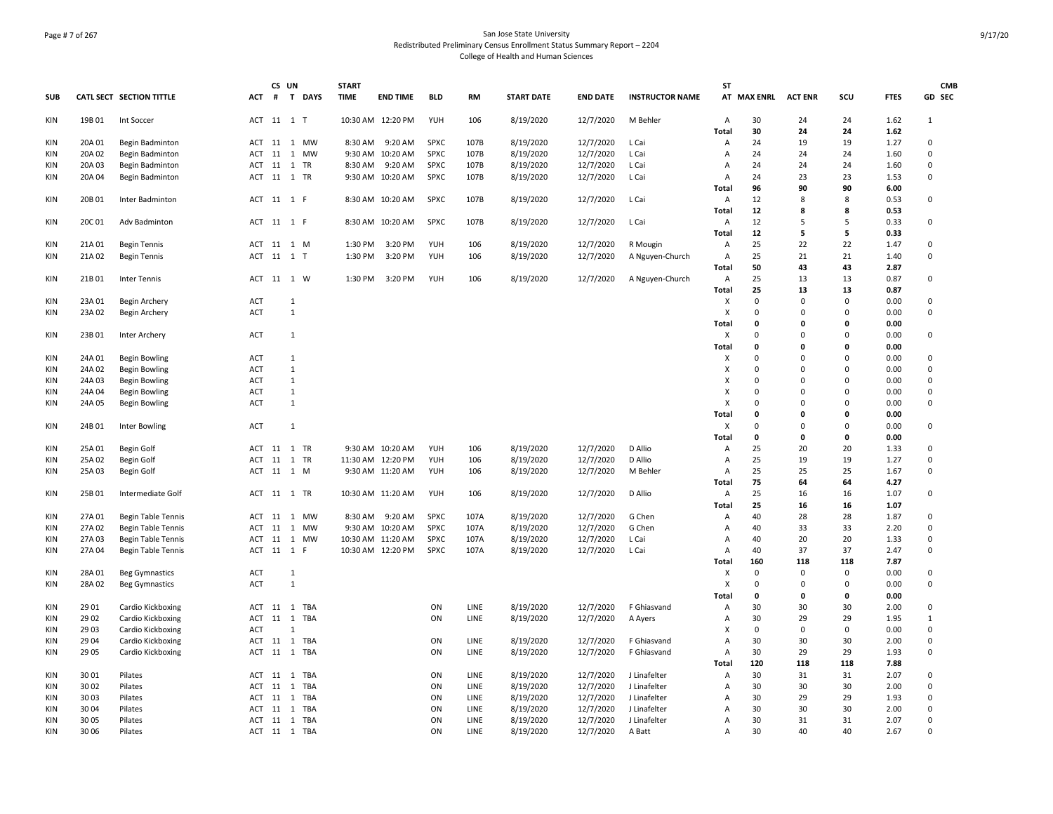# Page # 7 of 267 San Jose State University Redistributed Preliminary Census Enrollment Status Summary Report – 2204 College of Health and Human Sciences

|                          |                  |                           |            | CS UN      |                     | <b>START</b> |                                       |             |              |                        |                        |                              | <b>ST</b>      |             |                |              |              | <b>CMB</b>     |
|--------------------------|------------------|---------------------------|------------|------------|---------------------|--------------|---------------------------------------|-------------|--------------|------------------------|------------------------|------------------------------|----------------|-------------|----------------|--------------|--------------|----------------|
| <b>SUB</b>               |                  | CATL SECT SECTION TITTLE  | <b>ACT</b> |            | # T DAYS            | <b>TIME</b>  | <b>END TIME</b>                       | <b>BLD</b>  | <b>RM</b>    | <b>START DATE</b>      | <b>END DATE</b>        | <b>INSTRUCTOR NAME</b>       |                | AT MAX ENRL | <b>ACT ENR</b> | SCU          | <b>FTES</b>  | GD SEC         |
| KIN                      | 19B01            | Int Soccer                |            | ACT 11 1 T |                     |              | 10:30 AM 12:20 PM                     | YUH         | 106          | 8/19/2020              | 12/7/2020              | M Behler                     | A              | 30          | 24             | 24           | 1.62         | $\mathbf{1}$   |
|                          |                  |                           |            |            |                     |              |                                       |             |              |                        |                        |                              | Total          | 30          | 24             | 24           | 1.62         |                |
| <b>KIN</b>               | 20A 01           | Begin Badminton           |            |            | ACT 11 1 MW         | 8:30 AM      | 9:20 AM                               | SPXC        | 107B         | 8/19/2020              | 12/7/2020              | L Cai                        | Α              | 24          | 19             | 19           | 1.27         | 0              |
| <b>KIN</b>               | 20A 02           | Begin Badminton           | ACT        | 11         | 1 MW                |              | 9:30 AM 10:20 AM                      | <b>SPXC</b> | 107B         | 8/19/2020              | 12/7/2020              | L Cai                        | Α              | 24          | 24             | 24           | 1.60         | $\mathbf 0$    |
| <b>KIN</b>               | 20A 03           | Begin Badminton           |            |            | ACT 11 1 TR         | 8:30 AM      | 9:20 AM                               | SPXC        | 107B         | 8/19/2020              | 12/7/2020              | L Cai                        | A              | 24          | 24             | 24           | 1.60         | 0              |
| KIN                      | 20A 04           | Begin Badminton           |            |            | ACT 11 1 TR         |              | 9:30 AM 10:20 AM                      | SPXC        | 107B         | 8/19/2020              | 12/7/2020              | L Cai                        | Α              | 24          | 23             | 23           | 1.53         | 0              |
|                          |                  |                           |            |            |                     |              |                                       |             |              |                        |                        |                              | Total          | 96          | 90             | 90<br>8      | 6.00         |                |
| KIN                      | 20B 01           | Inter Badminton           | ACT        | 11 1 F     |                     |              | 8:30 AM 10:20 AM                      | SPXC        | 107B         | 8/19/2020              | 12/7/2020              | L Cai                        | Α              | 12<br>12    | 8<br>8         | 8            | 0.53<br>0.53 | 0              |
| KIN                      | 20C 01           | Adv Badminton             |            | ACT 11 1 F |                     |              | 8:30 AM 10:20 AM                      | SPXC        | 107B         | 8/19/2020              | 12/7/2020              | L Cai                        | Total<br>Α     | 12          | 5              | 5            | 0.33         | 0              |
|                          |                  |                           |            |            |                     |              |                                       |             |              |                        |                        |                              | Total          | 12          | 5              | 5            | 0.33         |                |
| KIN                      | 21A 01           | Begin Tennis              |            |            | ACT 11 1 M          | 1:30 PM      | 3:20 PM                               | <b>YUH</b>  | 106          | 8/19/2020              | 12/7/2020              | R Mougin                     | $\overline{A}$ | 25          | 22             | 22           | 1.47         | $\mathbf 0$    |
| KIN                      | 21A 02           | <b>Begin Tennis</b>       |            | ACT 11 1 T |                     | 1:30 PM      | 3:20 PM                               | YUH         | 106          | 8/19/2020              | 12/7/2020              | A Nguyen-Church              | A              | 25          | 21             | 21           | 1.40         | 0              |
|                          |                  |                           |            |            |                     |              |                                       |             |              |                        |                        |                              | Total          | 50          | 43             | 43           | 2.87         |                |
| KIN                      | 21B 01           | Inter Tennis              |            |            | ACT 11 1 W          | 1:30 PM      | 3:20 PM                               | YUH         | 106          | 8/19/2020              | 12/7/2020              | A Nguyen-Church              | Α              | 25          | 13             | 13           | 0.87         | 0              |
|                          |                  |                           |            |            |                     |              |                                       |             |              |                        |                        |                              | Total          | 25          | 13             | 13           | 0.87         |                |
| KIN                      | 23A 01           | Begin Archery             | ACT        |            | 1                   |              |                                       |             |              |                        |                        |                              | X              | $\mathbf 0$ | 0              | $\mathbf 0$  | 0.00         | $\mathbf 0$    |
| KIN                      | 23A 02           | Begin Archery             | <b>ACT</b> |            | $\mathbf{1}$        |              |                                       |             |              |                        |                        |                              | X              | 0           | $\mathsf 0$    | $\Omega$     | 0.00         | $\pmb{0}$      |
|                          |                  |                           |            |            |                     |              |                                       |             |              |                        |                        |                              | Total          | 0           | 0              | 0            | 0.00         |                |
| KIN                      | 23B01            | Inter Archery             | <b>ACT</b> |            | $\mathbf{1}$        |              |                                       |             |              |                        |                        |                              | X              | $\Omega$    | $\Omega$       | $\Omega$     | 0.00         | $\mathbf 0$    |
|                          |                  |                           |            |            |                     |              |                                       |             |              |                        |                        |                              | <b>Total</b>   | 0           | 0              | $\mathbf{0}$ | 0.00         |                |
| KIN                      | 24A 01           | <b>Begin Bowling</b>      | ACT        |            | $\mathbf{1}$        |              |                                       |             |              |                        |                        |                              | X              | $\Omega$    | $\mathbf 0$    | $\Omega$     | 0.00         | 0              |
| <b>KIN</b>               | 24A 02           | <b>Begin Bowling</b>      | ACT        |            | $\mathbf{1}$        |              |                                       |             |              |                        |                        |                              | х              | $\Omega$    | $\mathbf 0$    | $\Omega$     | 0.00         | 0              |
| <b>KIN</b>               | 24A 03           | <b>Begin Bowling</b>      | ACT        |            | $\mathbf{1}$        |              |                                       |             |              |                        |                        |                              | X              | $\Omega$    | 0              | $\Omega$     | 0.00         | 0              |
| <b>KIN</b>               | 24A 04           | <b>Begin Bowling</b>      | <b>ACT</b> |            | 1                   |              |                                       |             |              |                        |                        |                              | X              | $\Omega$    | $\mathbf 0$    | $\Omega$     | 0.00         | $\mathbf 0$    |
| KIN                      | 24A 05           | <b>Begin Bowling</b>      | ACT        |            | $\mathbf{1}$        |              |                                       |             |              |                        |                        |                              | X              | 0           | 0              | $\mathbf 0$  | 0.00         | 0              |
|                          |                  |                           |            |            |                     |              |                                       |             |              |                        |                        |                              | Total          | 0           | 0              | 0            | 0.00         |                |
| <b>KIN</b>               | 24B 01           | Inter Bowling             | ACT        |            | $\mathbf{1}$        |              |                                       |             |              |                        |                        |                              | X              | $\Omega$    | 0              | $\Omega$     | 0.00         | 0              |
|                          |                  |                           |            |            |                     |              |                                       |             |              |                        |                        | D Allio                      | Total          | 0           | 0              | $\mathbf{0}$ | 0.00         |                |
| <b>KIN</b><br>KIN        | 25A 01           | Begin Golf                |            |            | ACT 11 1 TR<br>1 TR |              | 9:30 AM 10:20 AM                      | YUH<br>YUH  | 106          | 8/19/2020              | 12/7/2020<br>12/7/2020 | D Allio                      | A              | 25<br>25    | 20<br>19       | 20<br>19     | 1.33<br>1.27 | 0<br>$\pmb{0}$ |
| KIN                      | 25A 02<br>25A 03 | Begin Golf<br>Begin Golf  | ACT 11     |            | ACT 11 1 M          |              | 11:30 AM 12:20 PM<br>9:30 AM 11:20 AM | YUH         | 106<br>106   | 8/19/2020<br>8/19/2020 | 12/7/2020              | M Behler                     | Α<br>Α         | 25          | 25             | 25           | 1.67         | 0              |
|                          |                  |                           |            |            |                     |              |                                       |             |              |                        |                        |                              | Total          | 75          | 64             | 64           | 4.27         |                |
| KIN                      | 25B01            | Intermediate Golf         |            |            | ACT 11 1 TR         |              | 10:30 AM 11:20 AM                     | YUH         | 106          | 8/19/2020              | 12/7/2020              | D Allio                      | Α              | 25          | 16             | 16           | 1.07         | 0              |
|                          |                  |                           |            |            |                     |              |                                       |             |              |                        |                        |                              | Total          | 25          | 16             | 16           | 1.07         |                |
| <b>KIN</b>               | 27A 01           | <b>Begin Table Tennis</b> | ACT        |            | 11 1 MW             | 8:30 AM      | 9:20 AM                               | <b>SPXC</b> | 107A         | 8/19/2020              | 12/7/2020              | G Chen                       | A              | 40          | 28             | 28           | 1.87         | 0              |
| <b>KIN</b>               | 27A 02           | Begin Table Tennis        | ACT        |            | 11 1 MW             |              | 9:30 AM 10:20 AM                      | <b>SPXC</b> | 107A         | 8/19/2020              | 12/7/2020              | G Chen                       | $\overline{A}$ | 40          | 33             | 33           | 2.20         | $\mathbf 0$    |
| <b>KIN</b>               | 27A 03           | Begin Table Tennis        | ACT        | 11         | 1 MW                |              | 10:30 AM 11:20 AM                     | SPXC        | 107A         | 8/19/2020              | 12/7/2020              | L Cai                        | A              | 40          | 20             | 20           | 1.33         | $\pmb{0}$      |
| KIN                      | 27A 04           | <b>Begin Table Tennis</b> |            | ACT 11 1 F |                     |              | 10:30 AM 12:20 PM                     | SPXC        | 107A         | 8/19/2020              | 12/7/2020              | L Cai                        | $\overline{A}$ | 40          | 37             | 37           | 2.47         | 0              |
|                          |                  |                           |            |            |                     |              |                                       |             |              |                        |                        |                              | Total          | 160         | 118            | 118          | 7.87         |                |
| <b>KIN</b>               | 28A 01           | <b>Beg Gymnastics</b>     | <b>ACT</b> |            | 1                   |              |                                       |             |              |                        |                        |                              | X              | $\mathbf 0$ | $\mathbf 0$    | $\mathbf 0$  | 0.00         | 0              |
| KIN                      | 28A02            | <b>Beg Gymnastics</b>     | ACT        |            | $\mathbf{1}$        |              |                                       |             |              |                        |                        |                              | X              | $\mathbf 0$ | 0              | $\mathbf 0$  | 0.00         | $\pmb{0}$      |
|                          |                  |                           |            |            |                     |              |                                       |             |              |                        |                        |                              | Total          | 0           | 0              | $\mathbf 0$  | 0.00         |                |
| <b>KIN</b>               | 29 01            | Cardio Kickboxing         | ACT        | 11         | 1 TBA               |              |                                       | ON          | LINE         | 8/19/2020              | 12/7/2020              | F Ghiasvand                  | $\overline{A}$ | 30          | 30             | 30           | 2.00         | 0              |
| <b>KIN</b>               | 29 02            | Cardio Kickboxing         | ACT        | 11         | 1 TBA               |              |                                       | ON          | LINE         | 8/19/2020              | 12/7/2020              | A Ayers                      | Α              | 30          | 29             | 29           | 1.95         | 1              |
| <b>KIN</b>               | 29 03            | Cardio Kickboxing         | <b>ACT</b> |            | $\mathbf{1}$        |              |                                       |             |              |                        |                        |                              | X              | $\mathbf 0$ | $\mathbf 0$    | $\mathbf 0$  | 0.00         | $\mathbf 0$    |
| <b>KIN</b>               | 29 04            | Cardio Kickboxing         |            |            | ACT 11 1 TBA        |              |                                       | ON          | LINE         | 8/19/2020              | 12/7/2020              | F Ghiasvand                  | $\overline{A}$ | 30          | 30             | 30           | 2.00         | 0              |
| KIN                      | 29 05            | Cardio Kickboxing         |            |            | ACT 11 1 TBA        |              |                                       | ON          | LINE         | 8/19/2020              | 12/7/2020              | F Ghiasvand                  | Α              | 30          | 29             | 29           | 1.93         | $\mathbf 0$    |
|                          |                  |                           |            |            |                     |              |                                       |             |              |                        |                        |                              | Total          | 120         | 118            | 118          | 7.88         |                |
| <b>KIN</b>               | 30 01            | Pilates                   |            |            | ACT 11 1 TBA        |              |                                       | ON          | LINE         | 8/19/2020              | 12/7/2020              | J Linafelter                 | A              | 30          | 31             | 31           | 2.07         | 0              |
| KIN                      | 3002             | Pilates                   | ACT        | 11         | TBA<br>1            |              |                                       | ON          | LINE         | 8/19/2020              | 12/7/2020              | J Linafelter                 | $\overline{A}$ | 30<br>30    | 30             | 30<br>29     | 2.00         | 0<br>0         |
| <b>KIN</b><br><b>KIN</b> | 3003<br>3004     | Pilates<br>Pilates        | ACT<br>ACT | 11<br>11   | 1 TBA<br>1 TBA      |              |                                       | ON<br>ON    | LINE<br>LINE | 8/19/2020<br>8/19/2020 | 12/7/2020<br>12/7/2020 | J Linafelter<br>J Linafelter | A<br>A         | 30          | 29<br>30       | 30           | 1.93<br>2.00 | 0              |
| <b>KIN</b>               | 30 05            | Pilates                   |            |            | ACT 11 1 TBA        |              |                                       | ON          | LINE         | 8/19/2020              | 12/7/2020              | J Linafelter                 | $\overline{A}$ | 30          | 31             | 31           | 2.07         | $\Omega$       |
| KIN                      | 30 06            | Pilates                   |            |            | ACT 11 1 TBA        |              |                                       | ON          | LINE         | 8/19/2020              | 12/7/2020              | A Batt                       | А              | 30          | 40             | 40           | 2.67         | 0              |
|                          |                  |                           |            |            |                     |              |                                       |             |              |                        |                        |                              |                |             |                |              |              |                |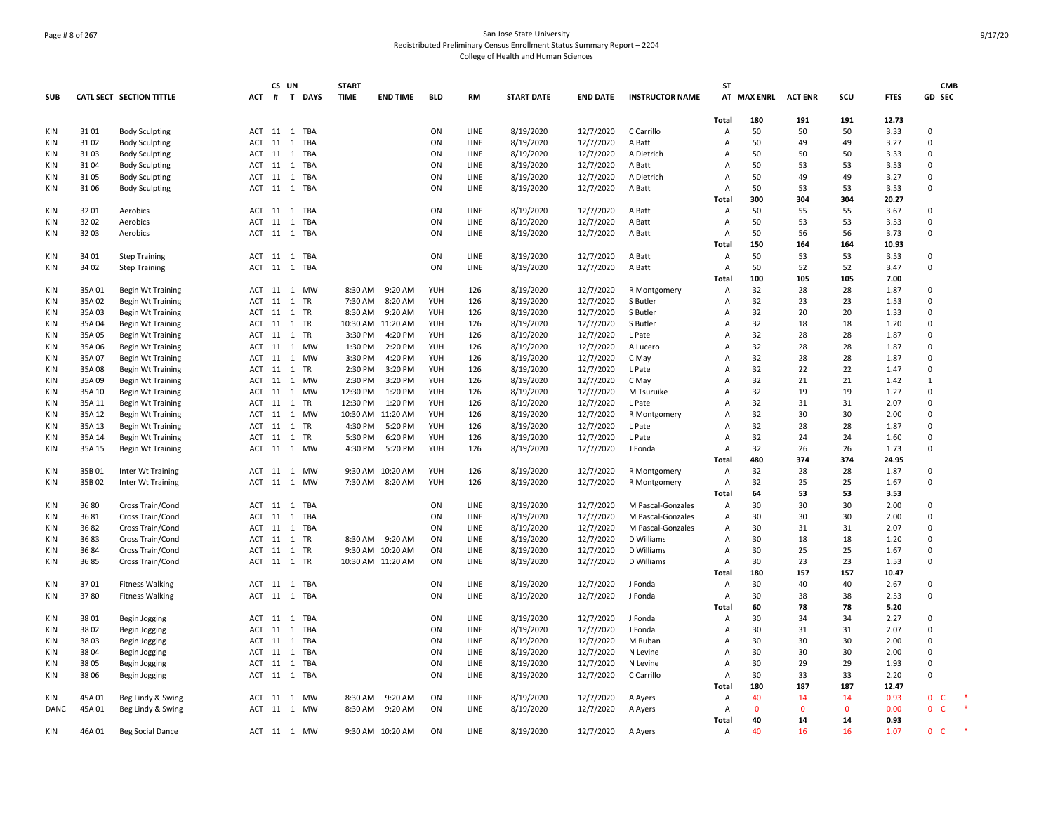# Page # 8 of 267 San Jose State University Redistributed Preliminary Census Enrollment Status Summary Report – 2204 College of Health and Human Sciences

|            |        |                          |        | CS UN        |       |        | <b>START</b>      |                  |            |      |                   |                 |                        | <b>ST</b>      |              |                |              |             | <b>CMB</b>               |        |
|------------|--------|--------------------------|--------|--------------|-------|--------|-------------------|------------------|------------|------|-------------------|-----------------|------------------------|----------------|--------------|----------------|--------------|-------------|--------------------------|--------|
| <b>SUB</b> |        | CATL SECT SECTION TITTLE | ACT    | #            |       | T DAYS | <b>TIME</b>       | <b>END TIME</b>  | <b>BLD</b> | RM   | <b>START DATE</b> | <b>END DATE</b> | <b>INSTRUCTOR NAME</b> |                | AT MAX ENRL  | <b>ACT ENR</b> | SCU          | <b>FTES</b> | GD SEC                   |        |
|            |        |                          |        |              |       |        |                   |                  |            |      |                   |                 |                        |                |              |                |              |             |                          |        |
|            |        |                          |        |              |       |        |                   |                  |            |      |                   |                 |                        | <b>Total</b>   | 180          | 191            | 191          | 12.73       |                          |        |
| KIN        | 3101   | <b>Body Sculpting</b>    |        | ACT 11 1 TBA |       |        |                   |                  | ON         | LINE | 8/19/2020         | 12/7/2020       | C Carrillo             | Α              | 50           | 50             | 50           | 3.33        | $\Omega$                 |        |
| KIN        | 3102   | <b>Body Sculpting</b>    | ACT 11 |              | 1 TBA |        |                   |                  | ON         | LINE | 8/19/2020         | 12/7/2020       | A Batt                 | A              | 50           | 49             | 49           | 3.27        | $\Omega$                 |        |
| KIN        | 3103   | <b>Body Sculpting</b>    |        | ACT 11 1 TBA |       |        |                   |                  | ON         | LINE | 8/19/2020         | 12/7/2020       | A Dietrich             | А              | 50           | 50             | 50           | 3.33        | $\Omega$                 |        |
| <b>KIN</b> | 31 04  | <b>Body Sculpting</b>    | ACT 11 |              | 1 TBA |        |                   |                  | ON         | LINE | 8/19/2020         | 12/7/2020       | A Batt                 | A              | 50           | 53             | 53           | 3.53        | $\Omega$                 |        |
| <b>KIN</b> | 31 05  | <b>Body Sculpting</b>    | ACT    | 11           | 1 TBA |        |                   |                  | ON         | LINE | 8/19/2020         | 12/7/2020       | A Dietrich             | A              | 50           | 49             | 49           | 3.27        | $\Omega$                 |        |
| KIN        | 31 06  | <b>Body Sculpting</b>    | ACT 11 |              | 1 TBA |        |                   |                  | ON         | LINE | 8/19/2020         | 12/7/2020       | A Batt                 | A              | 50           | 53             | 53           | 3.53        | $\Omega$                 |        |
|            |        |                          |        |              |       |        |                   |                  |            |      |                   |                 |                        | Total          | 300          | 304            | 304          | 20.27       |                          |        |
| KIN        | 3201   | Aerobics                 |        | ACT 11 1 TBA |       |        |                   |                  | ON         | LINE | 8/19/2020         | 12/7/2020       | A Batt                 | A              | 50           | 55             | 55           | 3.67        | $\Omega$                 |        |
| <b>KIN</b> | 3202   | Aerobics                 | ACT 11 |              | 1 TBA |        |                   |                  | ON         | LINE | 8/19/2020         | 12/7/2020       | A Batt                 | $\overline{A}$ | 50           | 53             | 53           | 3.53        | $\Omega$                 |        |
| KIN        | 3203   | Aerobics                 |        | ACT 11 1 TBA |       |        |                   |                  | ON         | LINE | 8/19/2020         | 12/7/2020       | A Batt                 | Α              | 50           | 56             | 56           | 3.73        | $\Omega$                 |        |
|            |        |                          |        |              |       |        |                   |                  |            |      |                   |                 |                        |                | 150          |                |              | 10.93       |                          |        |
|            |        |                          |        |              |       |        |                   |                  |            |      |                   |                 |                        | Total          |              | 164            | 164          |             |                          |        |
| KIN        | 34 01  | <b>Step Training</b>     |        | ACT 11 1 TBA |       |        |                   |                  | ON         | LINE | 8/19/2020         | 12/7/2020       | A Batt                 | A              | 50           | 53             | 53           | 3.53        | $\Omega$                 |        |
| KIN        | 34 02  | <b>Step Training</b>     |        | ACT 11 1 TBA |       |        |                   |                  | ON         | LINE | 8/19/2020         | 12/7/2020       | A Batt                 | Α              | 50           | 52             | 52           | 3.47        | $\Omega$                 |        |
|            |        |                          |        |              |       |        |                   |                  |            |      |                   |                 |                        | Total          | 100          | 105            | 105          | 7.00        |                          |        |
| KIN        | 35A 01 | Begin Wt Training        | ACT 11 |              | 1 MW  |        | 8:30 AM           | 9:20 AM          | YUH        | 126  | 8/19/2020         | 12/7/2020       | R Montgomery           | Α              | 32           | 28             | 28           | 1.87        | $\mathbf 0$              |        |
| KIN        | 35A02  | <b>Begin Wt Training</b> | ACT 11 |              | 1 TR  |        | 7:30 AM           | 8:20 AM          | YUH        | 126  | 8/19/2020         | 12/7/2020       | S Butler               | A              | 32           | 23             | 23           | 1.53        | $\Omega$                 |        |
| KIN        | 35A03  | <b>Begin Wt Training</b> |        | ACT 11 1 TR  |       |        | 8:30 AM           | 9:20 AM          | YUH        | 126  | 8/19/2020         | 12/7/2020       | S Butler               | A              | 32           | 20             | 20           | 1.33        | $\Omega$                 |        |
| <b>KIN</b> | 35A 04 | Begin Wt Training        | ACT 11 |              | 1 TR  |        | 10:30 AM 11:20 AM |                  | YUH        | 126  | 8/19/2020         | 12/7/2020       | S Butler               | Α              | 32           | 18             | 18           | 1.20        | $\Omega$                 |        |
| KIN        | 35A 05 | <b>Begin Wt Training</b> | ACT    | 11           | 1 TR  |        | 3:30 PM           | 4:20 PM          | YUH        | 126  | 8/19/2020         | 12/7/2020       | L Pate                 | Α              | 32           | 28             | 28           | 1.87        | $\mathbf 0$              |        |
| KIN        | 35A 06 | <b>Begin Wt Training</b> | ACT    | 11           | 1 MW  |        | 1:30 PM           | 2:20 PM          | YUH        | 126  | 8/19/2020         | 12/7/2020       | A Lucero               | Α              | 32           | 28             | 28           | 1.87        | $\Omega$                 |        |
| <b>KIN</b> | 35A 07 | <b>Begin Wt Training</b> | ACT    | 11           | 1 MW  |        | 3:30 PM           | 4:20 PM          | YUH        | 126  | 8/19/2020         | 12/7/2020       | C May                  | Α              | 32           | 28             | 28           | 1.87        | $\Omega$                 |        |
| <b>KIN</b> | 35A08  | Begin Wt Training        | ACT    | 11           | 1 TR  |        | 2:30 PM           | 3:20 PM          | YUH        | 126  | 8/19/2020         | 12/7/2020       | L Pate                 | A              | 32           | 22             | 22           | 1.47        | $\Omega$                 |        |
| KIN        | 35A09  | Begin Wt Training        | ACT    | 11           | 1 MW  |        | 2:30 PM           | 3:20 PM          | YUH        | 126  | 8/19/2020         | 12/7/2020       | C May                  | A              | 32           | 21             | 21           | 1.42        | 1                        |        |
| <b>KIN</b> | 35A 10 | <b>Begin Wt Training</b> | ACT    | 11           | 1 MW  |        | 12:30 PM          | 1:20 PM          | YUH        | 126  | 8/19/2020         | 12/7/2020       | M Tsuruike             | A              | 32           | 19             | 19           | 1.27        | $\Omega$                 |        |
| <b>KIN</b> | 35A 11 | Begin Wt Training        | ACT 11 |              | 1 TR  |        | 12:30 PM          | 1:20 PM          | YUH        | 126  | 8/19/2020         | 12/7/2020       | L Pate                 | A              | 32           | 31             | 31           | 2.07        | $\Omega$                 |        |
| KIN        | 35A 12 | <b>Begin Wt Training</b> | ACT    | 11           | 1 MW  |        | 10:30 AM 11:20 AM |                  | YUH        | 126  | 8/19/2020         | 12/7/2020       | R Montgomery           | Α              | 32           | 30             | 30           | 2.00        | $\Omega$                 |        |
| KIN        | 35A 13 | <b>Begin Wt Training</b> | ACT    | 11 1 TR      |       |        | 4:30 PM           | 5:20 PM          | YUH        | 126  | 8/19/2020         | 12/7/2020       | L Pate                 | A              | 32           | 28             | 28           | 1.87        | $\Omega$                 |        |
| KIN        | 35A 14 | Begin Wt Training        |        | ACT 11 1 TR  |       |        | 5:30 PM           | 6:20 PM          | YUH        | 126  | 8/19/2020         | 12/7/2020       | L Pate                 | Α              | 32           | 24             | 24           | 1.60        | $\Omega$                 |        |
| KIN        | 35A 15 | Begin Wt Training        | ACT    | 11           | 1 MW  |        | 4:30 PM           | 5:20 PM          | YUH        | 126  | 8/19/2020         | 12/7/2020       | J Fonda                | Α              | 32           | 26             | 26           | 1.73        | $\Omega$                 |        |
|            |        |                          |        |              |       |        |                   |                  |            |      |                   |                 |                        | Total          | 480          | 374            | 374          | 24.95       |                          |        |
| KIN        | 35B 01 | Inter Wt Training        | ACT    | 11 1 MW      |       |        |                   | 9:30 AM 10:20 AM | YUH        | 126  | 8/19/2020         | 12/7/2020       | R Montgomery           | Α              | 32           | 28             | 28           | 1.87        | $\Omega$                 |        |
| KIN        | 35B02  | Inter Wt Training        | ACT    | 11           | 1     | MW     | 7:30 AM           | 8:20 AM          | YUH        | 126  | 8/19/2020         | 12/7/2020       | R Montgomery           | Α              | 32           | 25             | 25           | 1.67        | $\Omega$                 |        |
|            |        |                          |        |              |       |        |                   |                  |            |      |                   |                 |                        | Total          | 64           | 53             | 53           | 3.53        |                          |        |
|            |        |                          |        |              |       |        |                   |                  |            |      |                   |                 |                        |                |              |                |              |             | $\Omega$                 |        |
| KIN        | 36 80  | Cross Train/Cond         |        | ACT 11 1 TBA |       |        |                   |                  | ON         | LINE | 8/19/2020         | 12/7/2020       | M Pascal-Gonzales      | Α              | 30           | 30             | 30           | 2.00        |                          |        |
| KIN        | 3681   | Cross Train/Cond         | ACT    | 11           | 1 TBA |        |                   |                  | ON         | LINE | 8/19/2020         | 12/7/2020       | M Pascal-Gonzales      | Α              | 30           | 30             | 30           | 2.00        | $\mathbf 0$              |        |
| KIN        | 3682   | Cross Train/Cond         |        | ACT 11 1 TBA |       |        |                   |                  | ON         | LINE | 8/19/2020         | 12/7/2020       | M Pascal-Gonzales      | Α              | 30           | 31             | 31           | 2.07        | $\Omega$                 |        |
| KIN        | 3683   | Cross Train/Cond         | ACT 11 |              | 1 TR  |        | 8:30 AM           | 9:20 AM          | ON         | LINE | 8/19/2020         | 12/7/2020       | D Williams             | Α              | 30           | 18             | 18           | 1.20        | $\Omega$                 |        |
| KIN        | 36 84  | Cross Train/Cond         | ACT    | 11           | 1 TR  |        |                   | 9:30 AM 10:20 AM | ON         | LINE | 8/19/2020         | 12/7/2020       | D Williams             | А              | 30           | 25             | 25           | 1.67        | $\Omega$                 |        |
| KIN        | 3685   | Cross Train/Cond         |        | ACT 11 1 TR  |       |        | 10:30 AM 11:20 AM |                  | ON         | LINE | 8/19/2020         | 12/7/2020       | D Williams             | A              | 30           | 23             | 23           | 1.53        | $\mathbf 0$              |        |
|            |        |                          |        |              |       |        |                   |                  |            |      |                   |                 |                        | Total          | 180          | 157            | 157          | 10.47       |                          |        |
| KIN        | 3701   | <b>Fitness Walking</b>   |        | ACT 11 1 TBA |       |        |                   |                  | ON         | LINE | 8/19/2020         | 12/7/2020       | J Fonda                | Α              | 30           | 40             | 40           | 2.67        | $\Omega$                 |        |
| KIN        | 3780   | <b>Fitness Walking</b>   | ACT 11 |              | 1 TBA |        |                   |                  | ON         | LINE | 8/19/2020         | 12/7/2020       | J Fonda                | Α              | 30           | 38             | 38           | 2.53        | $\Omega$                 |        |
|            |        |                          |        |              |       |        |                   |                  |            |      |                   |                 |                        | Total          | 60           | 78             | 78           | 5.20        |                          |        |
| KIN        | 38 01  | Begin Jogging            |        | ACT 11 1 TBA |       |        |                   |                  | ON         | LINE | 8/19/2020         | 12/7/2020       | J Fonda                | Α              | 30           | 34             | 34           | 2.27        | $\mathbf 0$              |        |
| KIN        | 38 02  | Begin Jogging            | ACT 11 |              | 1 TBA |        |                   |                  | ON         | LINE | 8/19/2020         | 12/7/2020       | J Fonda                | Α              | 30           | 31             | 31           | 2.07        | $\Omega$                 |        |
| KIN        | 3803   | Begin Jogging            | ACT 11 |              | 1 TBA |        |                   |                  | ON         | LINE | 8/19/2020         | 12/7/2020       | M Ruban                | А              | 30           | 30             | 30           | 2.00        | $\Omega$                 |        |
| <b>KIN</b> | 3804   | Begin Jogging            | ACT 11 |              | 1 TBA |        |                   |                  | ON         | LINE | 8/19/2020         | 12/7/2020       | N Levine               | A              | 30           | 30             | 30           | 2.00        | $\mathbf 0$              |        |
| <b>KIN</b> | 38 05  | Begin Jogging            | ACT 11 |              | 1 TBA |        |                   |                  | ON         | LINE | 8/19/2020         | 12/7/2020       | N Levine               | Α              | 30           | 29             | 29           | 1.93        | $\Omega$                 |        |
| KIN        | 38 06  | Begin Jogging            | ACT 11 |              | 1 TBA |        |                   |                  | ON         | LINE | 8/19/2020         | 12/7/2020       | C Carrillo             | Α              | 30           | 33             | 33           | 2.20        | $\Omega$                 |        |
|            |        |                          |        |              |       |        |                   |                  |            |      |                   |                 |                        | Total          | 180          | 187            | 187          | 12.47       |                          |        |
| KIN        | 45A 01 | Beg Lindy & Swing        |        | ACT 11 1 MW  |       |        | 8:30 AM           | 9:20 AM          | ON         | LINE | 8/19/2020         | 12/7/2020       | A Ayers                | A              | 40           | 14             | 14           | 0.93        | $\mathbf 0$<br>C         |        |
| DANC       | 45A 01 | Beg Lindy & Swing        |        | ACT 11 1 MW  |       |        | 8:30 AM           | 9:20 AM          | ON         | LINE | 8/19/2020         | 12/7/2020       | A Ayers                | $\overline{A}$ | $\mathbf{0}$ | $\mathbf{0}$   | $\mathbf{0}$ | 0.00        | $\mathbf{0}$<br><b>C</b> | $\ast$ |
|            |        |                          |        |              |       |        |                   |                  |            |      |                   |                 |                        | Total          | 40           | 14             | 14           | 0.93        |                          |        |
| KIN        | 46A 01 | <b>Beg Social Dance</b>  |        | ACT 11 1 MW  |       |        |                   | 9:30 AM 10:20 AM | ON         | LINE | 8/19/2020         | 12/7/2020       | A Ayers                | Α              | 40           | 16             | 16           | 1.07        | $\mathbf{0}$<br><b>C</b> |        |
|            |        |                          |        |              |       |        |                   |                  |            |      |                   |                 |                        |                |              |                |              |             |                          |        |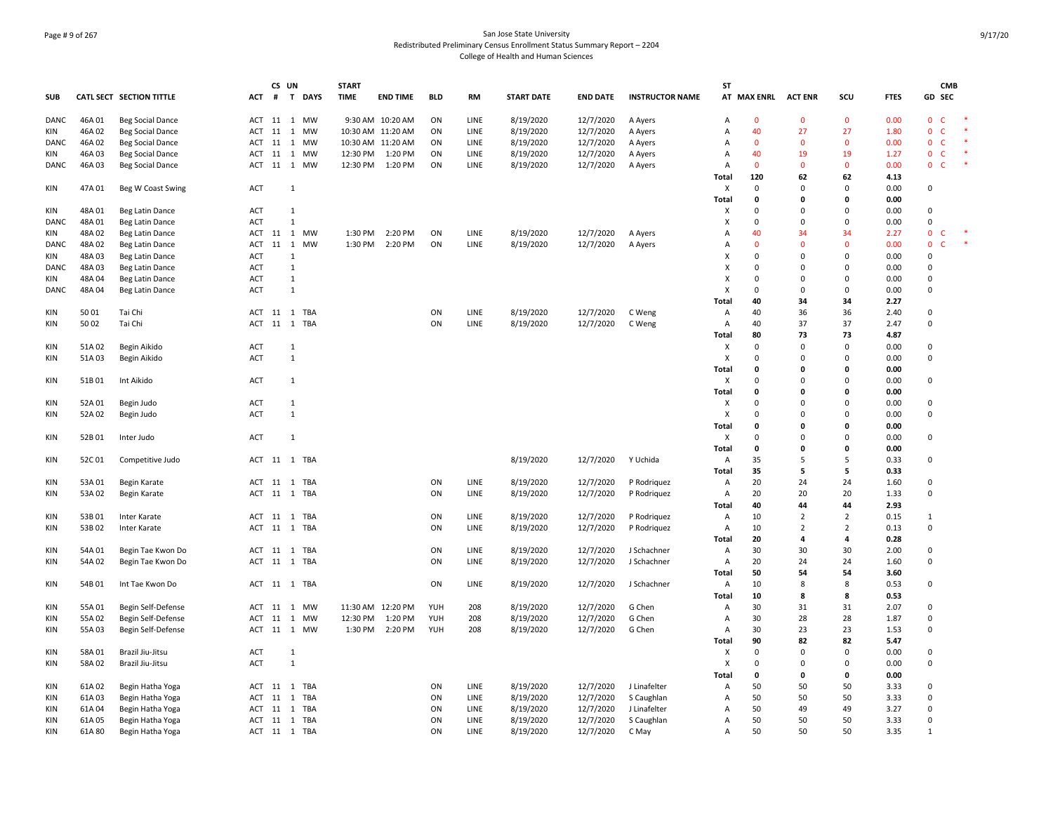# Page # 9 of 267 San Jose State University Redistributed Preliminary Census Enrollment Status Summary Report – 2204 College of Health and Human Sciences

|             |        |                          |            | CS UN |              | <b>START</b> |                   |            |      |                   |                 |                        | <b>ST</b>      |                     |                |                |             |                             | <b>CMB</b> |
|-------------|--------|--------------------------|------------|-------|--------------|--------------|-------------------|------------|------|-------------------|-----------------|------------------------|----------------|---------------------|----------------|----------------|-------------|-----------------------------|------------|
| <b>SUB</b>  |        | CATL SECT SECTION TITTLE | ACT        |       | # T DAYS     | <b>TIME</b>  | <b>END TIME</b>   | <b>BLD</b> | RM   | <b>START DATE</b> | <b>END DATE</b> | <b>INSTRUCTOR NAME</b> |                | AT MAX ENRL ACT ENR |                | SCU            | <b>FTES</b> | GD SEC                      |            |
| DANC        | 46A01  | Beg Social Dance         | ACT        |       | 11 1 MW      |              | 9:30 AM 10:20 AM  | ON         | LINE | 8/19/2020         | 12/7/2020       | A Ayers                | Α              | $\mathbf 0$         | $\mathbf 0$    | $\mathbf 0$    | 0.00        | $\mathbf 0$<br>C            |            |
| KIN         | 46A02  | <b>Beg Social Dance</b>  | ACT        | 11    | 1 MW         |              | 10:30 AM 11:20 AM | ON         | LINE | 8/19/2020         | 12/7/2020       | A Ayers                | A              | 40                  | 27             | 27             | 1.80        | $\mathbf 0$<br>c            | $\ast$     |
| DANC        | 46A02  | <b>Beg Social Dance</b>  | ACT        | 11    | 1<br>MW      |              | 10:30 AM 11:20 AM | ON         | LINE | 8/19/2020         | 12/7/2020       | A Ayers                | Α              | $\mathbf{0}$        | $\Omega$       | $\mathbf{0}$   | 0.00        | $\mathbf 0$<br>C            |            |
| KIN         | 46A 03 | <b>Beg Social Dance</b>  | ACT 11     |       | 1 MW         | 12:30 PM     | 1:20 PM           | ON         | LINE | 8/19/2020         | 12/7/2020       | A Ayers                | Α              | 40                  | 19             | 19             | 1.27        | $\mathbf 0$<br>$\mathsf{C}$ | $\ast$     |
| DANC        | 46A 03 | <b>Beg Social Dance</b>  |            |       | ACT 11 1 MW  | 12:30 PM     | 1:20 PM           | ON         | LINE | 8/19/2020         | 12/7/2020       | A Ayers                | A              | $\mathbf{0}$        | $\Omega$       | $\mathbf{0}$   | 0.00        | $\mathsf{C}$<br>$\mathbf 0$ | $\ast$     |
|             |        |                          |            |       |              |              |                   |            |      |                   |                 |                        | Total          | 120                 | 62             | 62             | 4.13        |                             |            |
| KIN         | 47A 01 | Beg W Coast Swing        | ACT        |       | 1            |              |                   |            |      |                   |                 |                        | X              | $\mathbf 0$         | $\Omega$       | $\mathbf 0$    | 0.00        | $\mathbf 0$                 |            |
|             |        |                          |            |       |              |              |                   |            |      |                   |                 |                        | Total          | $\mathbf{0}$        | $\Omega$       | $\mathbf 0$    | 0.00        |                             |            |
| KIN         | 48A 01 | Beg Latin Dance          | <b>ACT</b> |       | 1            |              |                   |            |      |                   |                 |                        | Χ              | $\Omega$            | $\Omega$       | 0              | 0.00        | 0                           |            |
| <b>DANC</b> | 48A01  | Beg Latin Dance          | <b>ACT</b> |       | 1            |              |                   |            |      |                   |                 |                        | X              | $\Omega$            | $\Omega$       | 0              | 0.00        | 0                           |            |
| <b>KIN</b>  | 48A 02 |                          | ACT        |       | 11 1 MW      | 1:30 PM      | 2:20 PM           | ON         | LINE | 8/19/2020         | 12/7/2020       |                        | Α              | 40                  | 34             | 34             | 2.27        | $\mathbf 0$<br>C.           | $\ast$     |
|             |        | Beg Latin Dance          |            |       |              |              |                   |            |      |                   |                 | A Ayers                |                |                     |                |                |             |                             | $\ast$     |
| DANC        | 48A 02 | Beg Latin Dance          | ACT        |       | 11 1 MW      | 1:30 PM      | 2:20 PM           | ON         | LINE | 8/19/2020         | 12/7/2020       | A Ayers                | Α              | $\Omega$            | $\Omega$       | $\Omega$       | 0.00        | $\mathbf 0$<br>C            |            |
| KIN         | 48A 03 | Beg Latin Dance          | ACT        |       | 1            |              |                   |            |      |                   |                 |                        | Х              | $\Omega$            | $\Omega$       | $\Omega$       | 0.00        | $\mathsf 0$                 |            |
| DANC        | 48A 03 | Beg Latin Dance          | ACT        |       | 1            |              |                   |            |      |                   |                 |                        | X              | $\Omega$            | $\Omega$       | $\Omega$       | 0.00        | $\Omega$                    |            |
| KIN         | 48A 04 | Beg Latin Dance          | ACT        |       | $\mathbf{1}$ |              |                   |            |      |                   |                 |                        | X              | $\Omega$            | $\Omega$       | $\mathbf 0$    | 0.00        | $\mathbf 0$                 |            |
| DANC        | 48A04  | Beg Latin Dance          | ACT        |       | $\mathbf{1}$ |              |                   |            |      |                   |                 |                        | X              | $\mathbf 0$         | $\Omega$       | $\mathbf 0$    | 0.00        | $\mathbf 0$                 |            |
|             |        |                          |            |       |              |              |                   |            |      |                   |                 |                        | Total          | 40                  | 34             | 34             | 2.27        |                             |            |
| KIN         | 50 01  | Tai Chi                  | ACT        |       | 11 1 TBA     |              |                   | ON         | LINE | 8/19/2020         | 12/7/2020       | C Weng                 | Α              | 40                  | 36             | 36             | 2.40        | 0                           |            |
| KIN         | 50 02  | Tai Chi                  | ACT        |       | 11 1 TBA     |              |                   | ON         | LINE | 8/19/2020         | 12/7/2020       | C Weng                 | A              | 40                  | 37             | 37             | 2.47        | $\Omega$                    |            |
|             |        |                          |            |       |              |              |                   |            |      |                   |                 |                        | Total          | 80                  | 73             | 73             | 4.87        |                             |            |
| KIN         | 51A 02 | Begin Aikido             | ACT        |       | 1            |              |                   |            |      |                   |                 |                        | X              | 0                   | $\Omega$       | 0              | 0.00        | 0                           |            |
| KIN         | 51A 03 | Begin Aikido             | <b>ACT</b> |       | 1            |              |                   |            |      |                   |                 |                        | X              | $\Omega$            | $\Omega$       | $\Omega$       | 0.00        | $\mathbf 0$                 |            |
|             |        |                          |            |       |              |              |                   |            |      |                   |                 |                        | Total          | 0                   | $\Omega$       | $\Omega$       | 0.00        |                             |            |
| KIN         | 51B01  | Int Aikido               | <b>ACT</b> |       | $\mathbf{1}$ |              |                   |            |      |                   |                 |                        | X              | $\mathbf 0$         | $\Omega$       | $\mathbf 0$    | 0.00        | $\mathbf 0$                 |            |
|             |        |                          |            |       |              |              |                   |            |      |                   |                 |                        | Total          | $\mathbf 0$         | $\Omega$       | $\mathbf 0$    | 0.00        |                             |            |
| <b>KIN</b>  | 52A 01 | Begin Judo               | <b>ACT</b> |       | 1            |              |                   |            |      |                   |                 |                        | Χ              | $\Omega$            | $\Omega$       | $\mathbf 0$    | 0.00        | 0                           |            |
| KIN         | 52A 02 | Begin Judo               | <b>ACT</b> |       | 1            |              |                   |            |      |                   |                 |                        | X              | $\Omega$            | $\Omega$       | $\Omega$       | 0.00        | $\Omega$                    |            |
|             |        |                          |            |       |              |              |                   |            |      |                   |                 |                        | Total          | $\mathbf{0}$        | $\Omega$       | 0              | 0.00        |                             |            |
| KIN         | 52B01  | Inter Judo               | <b>ACT</b> |       | 1            |              |                   |            |      |                   |                 |                        | Χ              | $\Omega$            | $\Omega$       | 0              | 0.00        | 0                           |            |
|             |        |                          |            |       |              |              |                   |            |      |                   |                 |                        | Total          | 0                   | 0              | 0              | 0.00        |                             |            |
|             |        |                          |            |       |              |              |                   |            |      |                   |                 |                        |                |                     | 5              | .5             |             | $\Omega$                    |            |
| KIN         | 52C01  | Competitive Judo         |            |       | ACT 11 1 TBA |              |                   |            |      | 8/19/2020         | 12/7/2020       | Y Uchida               | Α              | 35                  |                |                | 0.33        |                             |            |
|             |        |                          |            |       |              |              |                   |            |      |                   |                 |                        | <b>Total</b>   | 35                  | 5              | 5              | 0.33        |                             |            |
| KIN         | 53A 01 | Begin Karate             | ACT        | 11    | 1 TBA        |              |                   | ON         | LINE | 8/19/2020         | 12/7/2020       | P Rodriguez            | Α              | 20                  | 24             | 24             | 1.60        | 0                           |            |
| KIN         | 53A 02 | Begin Karate             | ACT        |       | 11 1 TBA     |              |                   | ON         | LINE | 8/19/2020         | 12/7/2020       | P Rodriguez            | Α              | 20                  | 20             | 20             | 1.33        | $\mathbf 0$                 |            |
|             |        |                          |            |       |              |              |                   |            |      |                   |                 |                        | Total          | 40                  | 44             | 44             | 2.93        |                             |            |
| <b>KIN</b>  | 53B01  | Inter Karate             |            |       | ACT 11 1 TBA |              |                   | ON         | LINE | 8/19/2020         | 12/7/2020       | P Rodriguez            | Α              | 10                  | $\overline{2}$ | $\overline{2}$ | 0.15        | 1                           |            |
| KIN         | 53B02  | Inter Karate             |            |       | ACT 11 1 TBA |              |                   | ON         | LINE | 8/19/2020         | 12/7/2020       | P Rodriguez            | A              | 10                  | $\overline{2}$ | $\overline{2}$ | 0.13        | 0                           |            |
|             |        |                          |            |       |              |              |                   |            |      |                   |                 |                        | Total          | 20                  | 4              | 4              | 0.28        |                             |            |
| <b>KIN</b>  | 54A 01 | Begin Tae Kwon Do        |            |       | ACT 11 1 TBA |              |                   | ON         | LINE | 8/19/2020         | 12/7/2020       | J Schachner            | $\mathsf{A}$   | 30                  | 30             | 30             | 2.00        | $\Omega$                    |            |
| KIN         | 54A 02 | Begin Tae Kwon Do        |            |       | ACT 11 1 TBA |              |                   | ON         | LINE | 8/19/2020         | 12/7/2020       | J Schachner            | A              | 20                  | 24             | 24             | 1.60        | $\mathbf 0$                 |            |
|             |        |                          |            |       |              |              |                   |            |      |                   |                 |                        | Total          | 50                  | 54             | 54             | 3.60        |                             |            |
| KIN         | 54B 01 | Int Tae Kwon Do          |            |       | ACT 11 1 TBA |              |                   | ON         | LINE | 8/19/2020         | 12/7/2020       | J Schachner            | Α              | 10                  | 8              | 8              | 0.53        | $\mathbf 0$                 |            |
|             |        |                          |            |       |              |              |                   |            |      |                   |                 |                        | Total          | 10                  | 8              | 8              | 0.53        |                             |            |
| KIN         | 55A 01 | Begin Self-Defense       | ACT        | 11    | 1<br>MW      |              | 11:30 AM 12:20 PM | YUH        | 208  | 8/19/2020         | 12/7/2020       | G Chen                 | Α              | 30                  | 31             | 31             | 2.07        | 0                           |            |
| <b>KIN</b>  | 55A02  | Begin Self-Defense       | ACT 11     |       | 1 MW         | 12:30 PM     | 1:20 PM           | YUH        | 208  | 8/19/2020         | 12/7/2020       | G Chen                 | Α              | 30                  | 28             | 28             | 1.87        | 0                           |            |
| KIN         | 55A 03 | Begin Self-Defense       |            |       | ACT 11 1 MW  | 1:30 PM      | 2:20 PM           | YUH        | 208  | 8/19/2020         | 12/7/2020       | G Chen                 | Α              | 30                  | 23             | 23             | 1.53        | 0                           |            |
|             |        |                          |            |       |              |              |                   |            |      |                   |                 |                        | Total          | 90                  | 82             | 82             | 5.47        |                             |            |
| KIN         | 58A 01 | Brazil Jiu-Jitsu         | <b>ACT</b> |       | 1            |              |                   |            |      |                   |                 |                        | X              | $\mathbf 0$         | $\Omega$       | $\mathbf 0$    | 0.00        | $\mathbf 0$                 |            |
| KIN         | 58A 02 | Brazil Jiu-Jitsu         | ACT        |       | 1            |              |                   |            |      |                   |                 |                        | X              | $\mathbf 0$         | $\Omega$       | 0              | 0.00        | $\mathbf 0$                 |            |
|             |        |                          |            |       |              |              |                   |            |      |                   |                 |                        |                | $\mathbf 0$         | 0              | $\mathbf 0$    | 0.00        |                             |            |
|             |        |                          |            |       |              |              |                   |            |      |                   |                 |                        | Total          |                     |                |                |             |                             |            |
| KIN         | 61A02  | Begin Hatha Yoga         | ACT        | 11    | 1 TBA        |              |                   | ON         | LINE | 8/19/2020         | 12/7/2020       | J Linafelter           | Α              | 50                  | 50             | 50             | 3.33        | $\mathbf 0$                 |            |
| <b>KIN</b>  | 61A03  | Begin Hatha Yoga         | ACT        | 11    | TBA<br>1     |              |                   | ON         | LINE | 8/19/2020         | 12/7/2020       | S Caughlan             | Α              | 50                  | 50             | 50             | 3.33        | $\mathbf 0$                 |            |
| KIN         | 61A04  | Begin Hatha Yoga         | ACT        | 11    | TBA<br>1     |              |                   | ON         | LINE | 8/19/2020         | 12/7/2020       | J Linafelter           | Α              | 50                  | 49             | 49             | 3.27        | 0                           |            |
| <b>KIN</b>  | 61A05  | Begin Hatha Yoga         |            |       | ACT 11 1 TBA |              |                   | ON         | LINE | 8/19/2020         | 12/7/2020       | S Caughlan             | Α              | 50                  | 50             | 50             | 3.33        | $\mathbf 0$                 |            |
| KIN         | 61A 80 | Begin Hatha Yoga         |            |       | ACT 11 1 TBA |              |                   | ON         | LINE | 8/19/2020         | 12/7/2020       | C May                  | $\overline{A}$ | 50                  | 50             | 50             | 3.35        | $\mathbf{1}$                |            |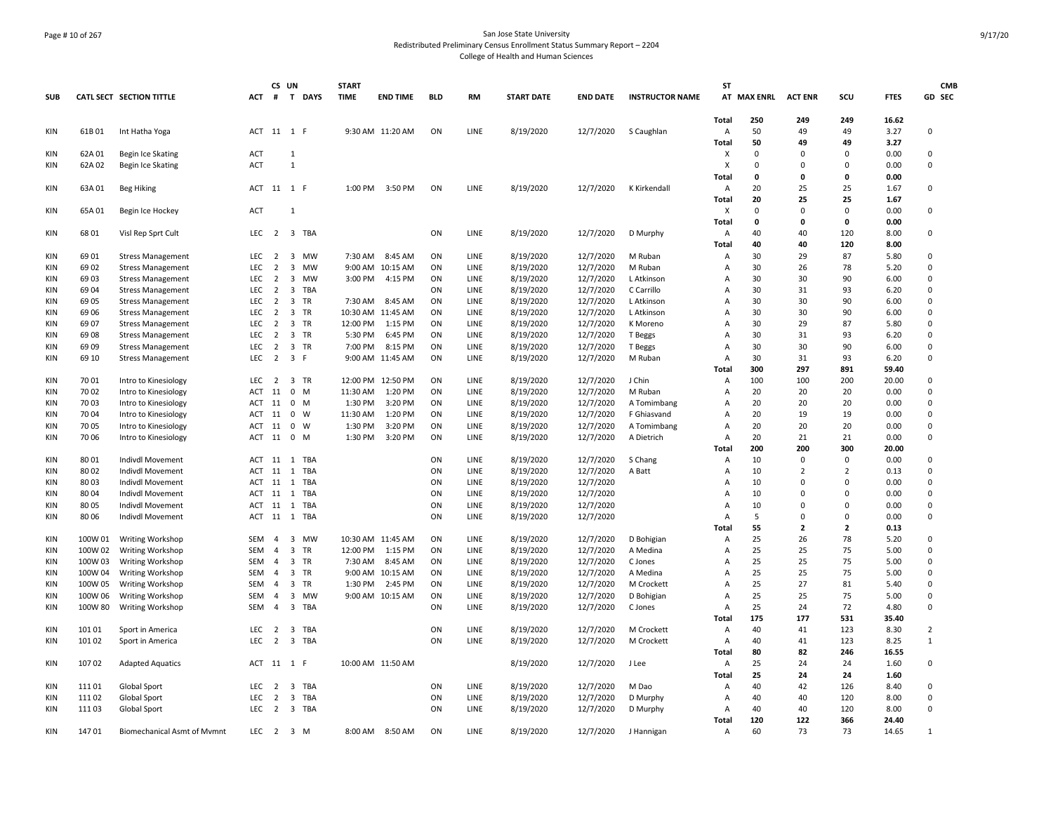# Page # 10 of 267 San Jose State University Redistributed Preliminary Census Enrollment Status Summary Report – 2204 College of Health and Human Sciences

|            |                  |                                      |                   | CS UN          |                                | <b>START</b> |                   |            |              |                        |                        |                        | SΤ                        |                |                            |               |              | <b>CMB</b>       |
|------------|------------------|--------------------------------------|-------------------|----------------|--------------------------------|--------------|-------------------|------------|--------------|------------------------|------------------------|------------------------|---------------------------|----------------|----------------------------|---------------|--------------|------------------|
| <b>SUB</b> |                  | <b>CATL SECT SECTION TITTLE</b>      | ACT               |                | # T DAYS                       | <b>TIME</b>  | <b>END TIME</b>   | <b>BLD</b> | <b>RM</b>    | <b>START DATE</b>      | <b>END DATE</b>        | <b>INSTRUCTOR NAME</b> |                           | AT MAX ENRL    | <b>ACT ENR</b>             | SCU           | <b>FTES</b>  | GD SEC           |
|            |                  |                                      |                   |                |                                |              |                   |            |              |                        |                        |                        | Total                     | 250            | 249                        | 249           | 16.62        |                  |
| KIN        | 61B01            | Int Hatha Yoga                       |                   |                | ACT 11 1 F                     |              | 9:30 AM 11:20 AM  | ON         | LINE         | 8/19/2020              | 12/7/2020              | S Caughlan             | Α                         | 50             | 49                         | 49            | 3.27         | 0                |
|            |                  |                                      |                   |                |                                |              |                   |            |              |                        |                        |                        | Total                     | 50<br>$\Omega$ | 49                         | 49            | 3.27         |                  |
| KIN<br>KIN | 62A 01<br>62A 02 | Begin Ice Skating                    | ACT<br><b>ACT</b> |                | 1<br>$\mathbf{1}$              |              |                   |            |              |                        |                        |                        | X<br>X                    | $\Omega$       | $\Omega$<br>$\Omega$       | 0<br>0        | 0.00<br>0.00 | 0<br>0           |
|            |                  | Begin Ice Skating                    |                   |                |                                |              |                   |            |              |                        |                        |                        | <b>Total</b>              | $\Omega$       | $\Omega$                   | 0             | 0.00         |                  |
| KIN        | 63A 01           | Beg Hiking                           | ACT               |                | 11 1 F                         | 1:00 PM      | 3:50 PM           | ON         | LINE         | 8/19/2020              | 12/7/2020              | K Kirkendall           | A                         | 20             | 25                         | 25            | 1.67         | 0                |
|            |                  |                                      |                   |                |                                |              |                   |            |              |                        |                        |                        | Total                     | 20             | 25                         | 25            | 1.67         |                  |
| KIN        | 65A 01           | Begin Ice Hockey                     | ACT               |                | $\mathbf{1}$                   |              |                   |            |              |                        |                        |                        | $\boldsymbol{\mathsf{x}}$ | $\Omega$       | $\Omega$                   | $\Omega$      | 0.00         | $\mathbf 0$      |
|            |                  |                                      |                   |                |                                |              |                   |            |              |                        |                        |                        | Total                     | $\mathbf{0}$   | $\mathbf{0}$               | 0             | 0.00         |                  |
| KIN        | 68 01            | Visl Rep Sprt Cult                   | <b>LEC</b>        | 2              | 3 TBA                          |              |                   | ON         | LINE         | 8/19/2020              | 12/7/2020              | D Murphy               | A                         | 40             | 40                         | 120           | 8.00         | 0                |
|            |                  |                                      |                   |                |                                |              |                   |            |              |                        |                        |                        | Total                     | 40             | 40                         | 120           | 8.00         |                  |
| KIN        | 69 01            | <b>Stress Management</b>             | LEC               | $\overline{2}$ | $\overline{\mathbf{3}}$<br>MW  | 7:30 AM      | 8:45 AM           | ON         | LINE         | 8/19/2020              | 12/7/2020              | M Ruban                | Α                         | 30             | 29                         | 87            | 5.80         | 0                |
| KIN        | 69 02            | <b>Stress Management</b>             | LEC               | $\overline{2}$ | 3 MW                           |              | 9:00 AM 10:15 AM  | ON         | LINE         | 8/19/2020              | 12/7/2020              | M Ruban                | Α                         | 30             | 26                         | 78            | 5.20         | $\mathbf 0$      |
| KIN        | 6903             | <b>Stress Management</b>             | LEC               | $\overline{2}$ | MW<br>3                        | 3:00 PM      | 4:15 PM           | ON         | LINE         | 8/19/2020              | 12/7/2020              | L Atkinson             | Α                         | 30             | 30                         | 90            | 6.00         | 0                |
| <b>KIN</b> | 69 04            | <b>Stress Management</b>             | <b>LEC</b>        | $\overline{2}$ | 3 TBA                          |              |                   | ON         | LINE         | 8/19/2020              | 12/7/2020              | C Carrillo             | A                         | 30             | 31                         | 93            | 6.20         | $\Omega$         |
| <b>KIN</b> | 69 05            | <b>Stress Management</b>             | LEC               | $\overline{2}$ | $\overline{3}$<br>TR           | 7:30 AM      | 8:45 AM           | ON         | LINE         | 8/19/2020              | 12/7/2020              | L Atkinson             | A                         | 30             | 30                         | 90            | 6.00         | 0                |
| KIN        | 69 06            | <b>Stress Management</b>             | <b>LEC</b>        | $\overline{2}$ | 3 TR                           |              | 10:30 AM 11:45 AM | ON         | LINE         | 8/19/2020              | 12/7/2020              | L Atkinson             | Α                         | 30             | 30                         | 90            | 6.00         | 0                |
| <b>KIN</b> | 69 07            | <b>Stress Management</b>             | <b>LEC</b>        | $\overline{2}$ | 3 TR                           | 12:00 PM     | 1:15 PM           | ON         | <b>LINE</b>  | 8/19/2020              | 12/7/2020              | K Moreno               | $\overline{A}$            | 30             | 29                         | 87            | 5.80         | $\Omega$         |
| KIN        | 69 08            | <b>Stress Management</b>             | <b>LEC</b>        | $\overline{2}$ | 3 TR                           | 5:30 PM      | 6:45 PM           | ON         | <b>LINE</b>  | 8/19/2020              | 12/7/2020              | T Beggs                | $\overline{A}$            | 30             | 31                         | 93            | 6.20         | 0                |
| <b>KIN</b> | 69 09            | <b>Stress Management</b>             | <b>LEC</b>        | $\overline{2}$ | 3 TR                           | 7:00 PM      | 8:15 PM           | ON         | LINE         | 8/19/2020              | 12/7/2020              | T Beggs                | $\overline{A}$            | 30             | 30                         | 90            | 6.00         | 0                |
| KIN        | 69 10            | <b>Stress Management</b>             | LEC               | $\overline{2}$ | 3 F                            |              | 9:00 AM 11:45 AM  | ON         | LINE         | 8/19/2020              | 12/7/2020              | M Ruban                | Α                         | 30             | 31                         | 93            | 6.20         | 0                |
|            |                  |                                      |                   |                |                                |              |                   |            |              |                        |                        |                        | Total                     | 300            | 297                        | 891           | 59.40        |                  |
| KIN        | 70 01            | Intro to Kinesiology                 | LEC               | $\overline{2}$ | 3 TR                           |              | 12:00 PM 12:50 PM | ON         | LINE         | 8/19/2020              | 12/7/2020              | J Chin                 | Α                         | 100            | 100                        | 200           | 20.00        | 0                |
| KIN        | 70 02            | Intro to Kinesiology                 | ACT               | 11             | $0$ M                          | 11:30 AM     | 1:20 PM           | ON         | LINE         | 8/19/2020              | 12/7/2020              | M Ruban                | Α                         | 20             | 20                         | 20            | 0.00         | $\mathsf 0$      |
| <b>KIN</b> | 70 03            | Intro to Kinesiology                 | ACT               | 11             | 0 M                            | 1:30 PM      | 3:20 PM           | ON         | LINE         | 8/19/2020              | 12/7/2020              | A Tomimbang            | Α                         | 20             | 20                         | 20            | 0.00         | 0                |
| <b>KIN</b> | 70 04            | Intro to Kinesiology                 | <b>ACT</b>        | 11             | $\mathbf{0}$<br>W              | 11:30 AM     | 1:20 PM           | ON         | LINE         | 8/19/2020              | 12/7/2020              | F Ghiasvand            | A                         | 20             | 19                         | 19            | 0.00         | $\mathbf 0$      |
| KIN        | 70 05            | Intro to Kinesiology                 | ACT               | 11             | $\mathbf 0$<br>W               | 1:30 PM      | 3:20 PM           | ON         | LINE         | 8/19/2020              | 12/7/2020              | A Tomimbang            | Α                         | 20             | 20                         | 20            | 0.00         | $\mathbf 0$      |
| KIN        | 70 06            | Intro to Kinesiology                 | <b>ACT</b>        | 11             | 0 M                            | 1:30 PM      | 3:20 PM           | ON         | LINE         | 8/19/2020              | 12/7/2020              | A Dietrich             | A                         | 20             | 21                         | 21            | 0.00         | 0                |
|            |                  |                                      |                   |                |                                |              |                   |            |              |                        |                        |                        | Total                     | 200            | 200                        | 300           | 20.00        |                  |
| KIN        | 80 01            | Indivdl Movement                     | ACT 11            | 11             | 1 TBA<br><b>TBA</b>            |              |                   | ON         | <b>LINE</b>  | 8/19/2020              | 12/7/2020              | S Chang                | $\overline{A}$            | 10<br>10       | $\Omega$<br>$\overline{2}$ | 0             | 0.00         | 0                |
| KIN<br>KIN | 8002<br>8003     | Indivdl Movement                     | <b>ACT</b><br>ACT | 11             | 1<br>1<br>TBA                  |              |                   | ON<br>ON   | LINE<br>LINE | 8/19/2020              | 12/7/2020              | A Batt                 | $\overline{A}$            | 10             | $\Omega$                   | 2<br>$\Omega$ | 0.13<br>0.00 | 0<br>$\mathbf 0$ |
| KIN        | 80 04            | Indivdl Movement                     | ACT               | 11             | <b>TBA</b><br>1                |              |                   | ON         | LINE         | 8/19/2020<br>8/19/2020 | 12/7/2020<br>12/7/2020 |                        | Α<br>$\overline{A}$       | 10             | $\Omega$                   | 0             | 0.00         | $\mathbf 0$      |
| KIN        | 80 05            | Indivdl Movement<br>Indivdl Movement | ACT               | 11             | 1 TBA                          |              |                   | ON         | LINE         | 8/19/2020              | 12/7/2020              |                        | $\overline{A}$            | 10             | $\Omega$                   | $\Omega$      | 0.00         | $\pmb{0}$        |
| KIN        | 80 06            | Indivdl Movement                     | ACT               | 11             | 1 TBA                          |              |                   | ON         | LINE         | 8/19/2020              | 12/7/2020              |                        | A                         | 5              | $\Omega$                   | 0             | 0.00         | $\mathsf 0$      |
|            |                  |                                      |                   |                |                                |              |                   |            |              |                        |                        |                        | Total                     | 55             | $\overline{2}$             | $\mathbf{z}$  | 0.13         |                  |
| <b>KIN</b> | 100W 01          | <b>Writing Workshop</b>              | <b>SEM</b>        | 4              | 3 MW                           |              | 10:30 AM 11:45 AM | ON         | LINE         | 8/19/2020              | 12/7/2020              | D Bohigian             | Α                         | 25             | 26                         | 78            | 5.20         | 0                |
| KIN        | 100W 02          | <b>Writing Workshop</b>              | <b>SEM</b>        | 4              | 3 TR                           | 12:00 PM     | 1:15 PM           | ON         | LINE         | 8/19/2020              | 12/7/2020              | A Medina               | Α                         | 25             | 25                         | 75            | 5.00         | 0                |
| <b>KIN</b> | 100W 03          | Writing Workshop                     | <b>SEM</b>        | $\overline{4}$ | 3 TR                           | 7:30 AM      | 8:45 AM           | ON         | LINE         | 8/19/2020              | 12/7/2020              | C Jones                | A                         | 25             | 25                         | 75            | 5.00         | $\Omega$         |
| <b>KIN</b> | 100W 04          | Writing Workshop                     | SEM               | $\overline{4}$ | $\overline{3}$<br>TR           | 9:00 AM      | 10:15 AM          | ON         | LINE         | 8/19/2020              | 12/7/2020              | A Medina               | Α                         | 25             | 25                         | 75            | 5.00         | $\mathbf 0$      |
| KIN        | 100W 05          | Writing Workshop                     | <b>SEM</b>        | 4              | 3 TR                           | 1:30 PM      | 2:45 PM           | ON         | LINE         | 8/19/2020              | 12/7/2020              | M Crockett             | Α                         | 25             | 27                         | 81            | 5.40         | 0                |
| <b>KIN</b> | 100W 06          | Writing Workshop                     | <b>SEM</b>        | $\overline{4}$ | 3 MW                           |              | 9:00 AM 10:15 AM  | ON         | <b>LINE</b>  | 8/19/2020              | 12/7/2020              | D Bohigian             | $\overline{A}$            | 25             | 25                         | 75            | 5.00         | $\Omega$         |
| KIN        | 100W 80          | Writing Workshop                     | <b>SEM</b>        | $\overline{4}$ | 3 TBA                          |              |                   | ON         | LINE         | 8/19/2020              | 12/7/2020              | C Jones                | А                         | 25             | 24                         | 72            | 4.80         | $\mathbf 0$      |
|            |                  |                                      |                   |                |                                |              |                   |            |              |                        |                        |                        | <b>Total</b>              | 175            | 177                        | 531           | 35.40        |                  |
| KIN        | 101 01           | Sport in America                     | LEC               | $\overline{2}$ | 3 TBA                          |              |                   | ON         | LINE         | 8/19/2020              | 12/7/2020              | M Crockett             | A                         | 40             | 41                         | 123           | 8.30         | $\overline{2}$   |
| KIN        | 101 02           | Sport in America                     | <b>LEC</b>        | $\overline{2}$ | 3 TBA                          |              |                   | ON         | LINE         | 8/19/2020              | 12/7/2020              | M Crockett             | Α                         | 40             | 41                         | 123           | 8.25         | 1                |
|            |                  |                                      |                   |                |                                |              |                   |            |              |                        |                        |                        | Total                     | 80             | 82                         | 246           | 16.55        |                  |
| KIN        | 10702            | <b>Adapted Aquatics</b>              | ACT               |                | 11 1 F                         |              | 10:00 AM 11:50 AM |            |              | 8/19/2020              | 12/7/2020              | J Lee                  | A                         | 25             | 24                         | 24            | 1.60         | 0                |
|            |                  |                                      |                   |                |                                |              |                   |            |              |                        |                        |                        | Total                     | 25             | 24                         | 24            | 1.60         |                  |
| <b>KIN</b> | 11101            | Global Sport                         | <b>LEC</b>        | 2              | 3 TBA                          |              |                   | ON         | LINE         | 8/19/2020              | 12/7/2020              | M Dao                  | Α                         | 40             | 42                         | 126           | 8.40         | 0                |
| KIN        | 11102            | Global Sport                         | LEC               | $\overline{2}$ | $\overline{\mathbf{3}}$<br>TBA |              |                   | ON         | LINE         | 8/19/2020              | 12/7/2020              | D Murphy               | Α                         | 40             | 40                         | 120           | 8.00         | $\mathbf 0$      |
| <b>KIN</b> | 11103            | Global Sport                         | <b>LEC</b>        | $\overline{2}$ | 3 TBA                          |              |                   | ON         | LINE         | 8/19/2020              | 12/7/2020              | D Murphy               | Α                         | 40             | 40                         | 120           | 8.00         | $\Omega$         |
|            |                  |                                      |                   |                |                                |              |                   |            |              |                        |                        |                        | <b>Total</b>              | 120            | 122                        | 366           | 24.40        |                  |
| KIN        | 14701            | <b>Biomechanical Asmt of Mymnt</b>   | LEC               |                | 2 3 M                          |              | 8:00 AM 8:50 AM   | ON         | <b>LINE</b>  | 8/19/2020              | 12/7/2020              | J Hannigan             | A                         | 60             | 73                         | 73            | 14.65        | 1                |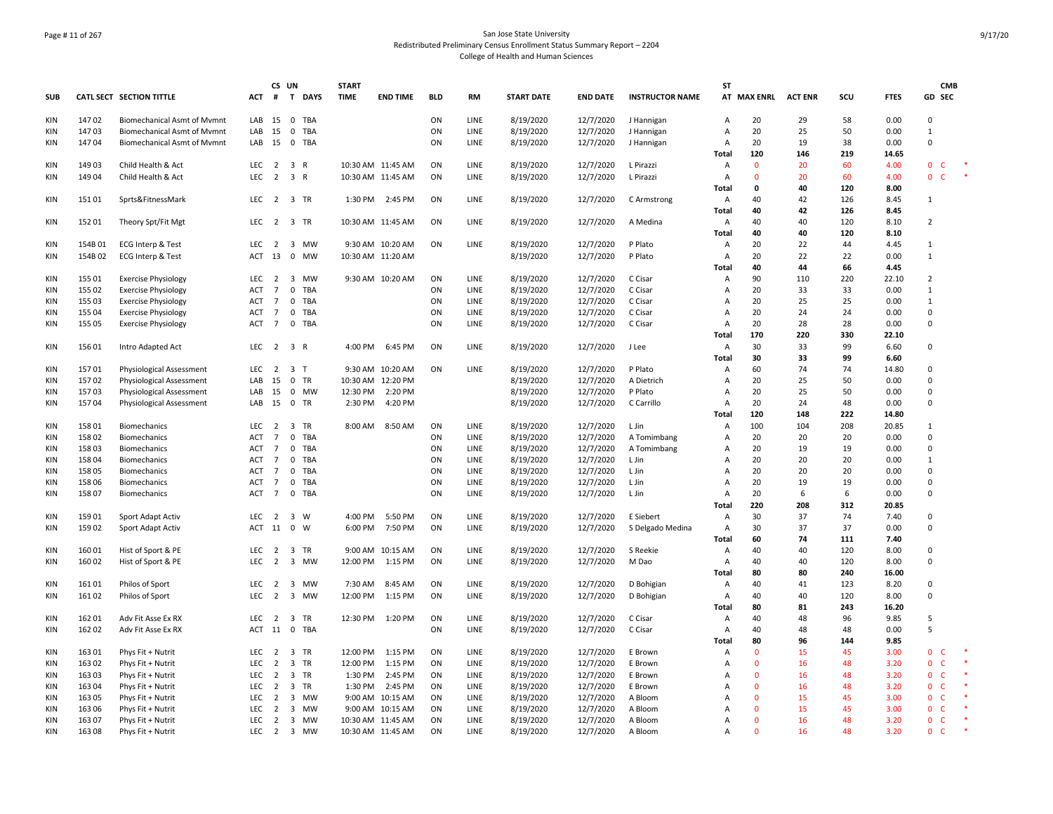# Page # 11 of 267 San Jose State University Redistributed Preliminary Census Enrollment Status Summary Report – 2204 College of Health and Human Sciences

|            |        |                                    |                  | CS UN          |                         |            | <b>START</b> |                   |            |             |                   |                 |                        | ST             |              |                |     |             |                | <b>CMB</b>   |        |
|------------|--------|------------------------------------|------------------|----------------|-------------------------|------------|--------------|-------------------|------------|-------------|-------------------|-----------------|------------------------|----------------|--------------|----------------|-----|-------------|----------------|--------------|--------|
| <b>SUB</b> |        | CATL SECT SECTION TITTLE           |                  |                | ACT # T DAYS            |            | <b>TIME</b>  | <b>END TIME</b>   | <b>BLD</b> | RM          | <b>START DATE</b> | <b>END DATE</b> | <b>INSTRUCTOR NAME</b> |                | AT MAX ENRL  | <b>ACT ENR</b> | scu | <b>FTES</b> | GD SEC         |              |        |
| KIN        | 14702  | <b>Biomechanical Asmt of Mymnt</b> | LAB              | 15             | 0 TBA                   |            |              |                   | ON         | LINE        | 8/19/2020         | 12/7/2020       | J Hannigan             | Α              | 20           | 29             | 58  | 0.00        | $\Omega$       |              |        |
| <b>KIN</b> | 14703  | <b>Biomechanical Asmt of Mymnt</b> | LAB              | 15             | 0 TBA                   |            |              |                   | ON         | LINE        | 8/19/2020         | 12/7/2020       | J Hannigan             | А              | 20           | 25             | 50  | 0.00        | $\mathbf{1}$   |              |        |
| KIN        | 14704  | <b>Biomechanical Asmt of Mvmnt</b> |                  | LAB 15         | 0 TBA                   |            |              |                   | ON         | LINE        | 8/19/2020         | 12/7/2020       | J Hannigan             | Α              | 20           | 19             | 38  | 0.00        | $\Omega$       |              |        |
|            |        |                                    |                  |                |                         |            |              |                   |            |             |                   |                 |                        | Total          | 120          | 146            | 219 | 14.65       |                |              |        |
| <b>KIN</b> | 14903  | Child Health & Act                 | LEC <sub>2</sub> |                | 3 R                     |            |              | 10:30 AM 11:45 AM | ON         | <b>LINE</b> | 8/19/2020         | 12/7/2020       | L Pirazzi              | $\overline{A}$ | $\mathbf{0}$ | 20             | 60  | 4.00        | $\mathbf{0}$   | C            |        |
| <b>KIN</b> | 149 04 | Child Health & Act                 | LEC              |                | 2 3 R                   |            |              | 10:30 AM 11:45 AM | ON         | LINE        | 8/19/2020         | 12/7/2020       | L Pirazzi              | A              | $\mathbf{0}$ | 20             | 60  | 4.00        | $\mathbf{0}$   | $\mathsf{C}$ | $\ast$ |
|            |        |                                    |                  |                |                         |            |              |                   |            |             |                   |                 |                        | <b>Total</b>   | 0            | 40             | 120 | 8.00        |                |              |        |
| KIN        | 15101  | Sprts&FitnessMark                  | LEC              | $\overline{2}$ | 3 TR                    |            | 1:30 PM      | 2:45 PM           | ON         | LINE        | 8/19/2020         | 12/7/2020       | C Armstrong            | A              | 40           | 42             | 126 | 8.45        | 1              |              |        |
|            |        |                                    |                  |                |                         |            |              |                   |            |             |                   |                 |                        | Total          | 40           | 42             | 126 | 8.45        |                |              |        |
| KIN        | 152 01 | Theory Spt/Fit Mgt                 |                  |                | LEC 2 3 TR              |            |              | 10:30 AM 11:45 AM | ON         | LINE        | 8/19/2020         | 12/7/2020       | A Medina               | A              | 40           | 40             | 120 | 8.10        | $\overline{2}$ |              |        |
|            |        |                                    |                  |                |                         |            |              |                   |            |             |                   |                 |                        | Total          | 40           | 40             | 120 | 8.10        |                |              |        |
| <b>KIN</b> | 154B01 | <b>ECG Interp &amp; Test</b>       | LEC <sub>2</sub> |                | 3 MW                    |            |              | 9:30 AM 10:20 AM  | ON         | LINE        | 8/19/2020         | 12/7/2020       | P Plato                | Α              | 20           | 22             | 44  | 4.45        | $\mathbf{1}$   |              |        |
| KIN        | 154B02 | ECG Interp & Test                  | ACT 13           |                | $\mathbf{0}$            | MW         |              | 10:30 AM 11:20 AM |            |             | 8/19/2020         | 12/7/2020       | P Plato                | $\overline{A}$ | 20           | 22             | 22  | 0.00        | $\mathbf{1}$   |              |        |
|            |        |                                    |                  |                |                         |            |              |                   |            |             |                   |                 |                        | Total          | 40           | 44             | 66  | 4.45        |                |              |        |
| KIN        | 155 01 | <b>Exercise Physiology</b>         | LEC <sub>2</sub> |                | 3 MW                    |            |              | 9:30 AM 10:20 AM  | ON         | LINE        | 8/19/2020         | 12/7/2020       | C Cisar                | A              | 90           | 110            | 220 | 22.10       | $\overline{2}$ |              |        |
| <b>KIN</b> | 155 02 | <b>Exercise Physiology</b>         | ACT              | $\overline{7}$ | $\mathbf 0$             | <b>TBA</b> |              |                   | ON         | LINE        | 8/19/2020         | 12/7/2020       | C Cisar                | $\overline{A}$ | 20           | 33             | 33  | 0.00        | $\mathbf{1}$   |              |        |
| <b>KIN</b> | 155 03 | <b>Exercise Physiology</b>         | ACT              | $\overline{7}$ | $\mathbf 0$             | TBA        |              |                   | ON         | LINE        | 8/19/2020         | 12/7/2020       | C Cisar                | A              | 20           | 25             | 25  | 0.00        | $\mathbf{1}$   |              |        |
| KIN        | 155 04 | <b>Exercise Physiology</b>         | ACT              | $\overline{7}$ | 0 TBA                   |            |              |                   | ON         | LINE        | 8/19/2020         | 12/7/2020       | C Cisar                | $\overline{A}$ | 20           | 24             | 24  | 0.00        | $\mathsf 0$    |              |        |
| KIN        | 155 05 | <b>Exercise Physiology</b>         | ACT              | 7              | $\mathbf 0$             | TBA        |              |                   | ON         | LINE        | 8/19/2020         | 12/7/2020       | C Cisar                | $\overline{A}$ | 20           | 28             | 28  | 0.00        | $\mathbf 0$    |              |        |
|            |        |                                    |                  |                |                         |            |              |                   |            |             |                   |                 |                        | Total          | 170          | 220            | 330 | 22.10       |                |              |        |
| KIN        | 15601  | Intro Adapted Act                  |                  |                | LEC 2 3 R               |            | 4:00 PM      | 6:45 PM           | ON         | LINE        | 8/19/2020         | 12/7/2020       | J Lee                  | $\overline{A}$ | 30           | 33             | 99  | 6.60        | 0              |              |        |
|            |        |                                    |                  |                |                         |            |              |                   |            |             |                   |                 |                        | Total          | 30           | 33             | 99  | 6.60        |                |              |        |
| KIN        | 15701  | <b>Physiological Assessment</b>    | LEC <sub>2</sub> |                | 3 <sub>T</sub>          |            |              | 9:30 AM 10:20 AM  | ON         | LINE        | 8/19/2020         | 12/7/2020       | P Plato                | $\overline{A}$ | 60           | 74             | 74  | 14.80       | $\mathbf 0$    |              |        |
| KIN        | 15702  | <b>Physiological Assessment</b>    | LAB              | 15             | 0 TR                    |            |              | 10:30 AM 12:20 PM |            |             | 8/19/2020         | 12/7/2020       | A Dietrich             | A              | 20           | 25             | 50  | 0.00        | $\mathsf 0$    |              |        |
| <b>KIN</b> | 15703  | <b>Physiological Assessment</b>    | LAB              | 15             | 0 MW                    |            | 12:30 PM     | 2:20 PM           |            |             | 8/19/2020         | 12/7/2020       | P Plato                | A              | 20           | 25             | 50  | 0.00        | $\mathbf 0$    |              |        |
| <b>KIN</b> | 15704  | Physiological Assessment           | LAB 15           |                | 0 TR                    |            | 2:30 PM      | 4:20 PM           |            |             | 8/19/2020         | 12/7/2020       | C Carrillo             | $\overline{A}$ | 20           | 24             | 48  | 0.00        | 0              |              |        |
|            |        |                                    |                  |                |                         |            |              |                   |            |             |                   |                 |                        | Total          | 120          | 148            | 222 | 14.80       |                |              |        |
| KIN        | 15801  | Biomechanics                       | LEC <sub>2</sub> |                | 3 TR                    |            | 8:00 AM      | 8:50 AM           | ON         | LINE        | 8/19/2020         | 12/7/2020       | L Jin                  | A              | 100          | 104            | 208 | 20.85       | 1              |              |        |
| KIN        | 15802  | Biomechanics                       | ACT              | 7              | $\mathbf 0$             | TBA        |              |                   | ON         | LINE        | 8/19/2020         | 12/7/2020       | A Tomimbang            | $\overline{A}$ | 20           | 20             | 20  | 0.00        | $\mathbf 0$    |              |        |
| KIN        | 15803  | Biomechanics                       | ACT 7            |                | $\mathbf 0$             | TBA        |              |                   | ON         | <b>LINE</b> | 8/19/2020         | 12/7/2020       | A Tomimbang            | Α              | 20           | 19             | 19  | 0.00        | $\mathbf 0$    |              |        |
| KIN        | 158 04 | Biomechanics                       | ACT              | $\overline{7}$ | $\mathbf 0$             | TBA        |              |                   | ON         | LINE        | 8/19/2020         | 12/7/2020       | L Jin                  | A              | 20           | 20             | 20  | 0.00        | $\overline{1}$ |              |        |
| KIN        | 158 05 | Biomechanics                       | ACT              | $\overline{7}$ | 0 TBA                   |            |              |                   | ON         | LINE        | 8/19/2020         | 12/7/2020       | L Jin                  | $\overline{A}$ | 20           | 20             | 20  | 0.00        | $\Omega$       |              |        |
| <b>KIN</b> | 158 06 | Biomechanics                       | ACT              | $\overline{7}$ | $\mathbf 0$             | TBA        |              |                   | ON         | LINE        | 8/19/2020         | 12/7/2020       | L Jin                  | A              | 20           | 19             | 19  | 0.00        | $\mathbf 0$    |              |        |
| <b>KIN</b> | 15807  | Biomechanics                       | <b>ACT</b>       | $\overline{7}$ | 0 TBA                   |            |              |                   | ON         | LINE        | 8/19/2020         | 12/7/2020       | L Jin                  | $\overline{A}$ | 20           | 6              | 6   | 0.00        | $\mathbf 0$    |              |        |
|            |        |                                    |                  |                |                         |            |              |                   |            |             |                   |                 |                        | Total          | 220          | 208            | 312 | 20.85       |                |              |        |
| <b>KIN</b> | 15901  | Sport Adapt Activ                  | LEC              | $\overline{2}$ | 3 W                     |            | 4:00 PM      | 5:50 PM           | ON         | LINE        | 8/19/2020         | 12/7/2020       | E Siebert              | Α              | 30           | 37             | 74  | 7.40        | $\mathsf 0$    |              |        |
| KIN        | 15902  | Sport Adapt Activ                  | <b>ACT</b>       | 11             | 0                       | W          | 6:00 PM      | 7:50 PM           | ON         | LINE        | 8/19/2020         | 12/7/2020       | S Delgado Medina       | $\overline{A}$ | 30           | 37             | 37  | 0.00        | $\mathbf 0$    |              |        |
|            |        |                                    |                  |                |                         |            |              |                   |            |             |                   |                 |                        | Total          | 60           | 74             | 111 | 7.40        |                |              |        |
| KIN        | 16001  | Hist of Sport & PE                 | LEC              | 2              | 3 TR                    |            |              | 9:00 AM 10:15 AM  | ON         | LINE        | 8/19/2020         | 12/7/2020       | S Reekie               | A              | 40           | 40             | 120 | 8.00        | 0              |              |        |
| KIN        | 160 02 | Hist of Sport & PE                 | <b>LEC</b>       | $\overline{2}$ | 3 MW                    |            | 12:00 PM     | 1:15 PM           | ON         | <b>LINE</b> | 8/19/2020         | 12/7/2020       | M Dao                  | Α              | 40           | 40             | 120 | 8.00        | 0              |              |        |
|            |        |                                    |                  |                |                         |            |              |                   |            |             |                   |                 |                        | <b>Total</b>   | 80           | 80             | 240 | 16.00       |                |              |        |
| KIN        | 16101  | Philos of Sport                    | LEC <sub>2</sub> |                | 3 MW                    |            | 7:30 AM      | 8:45 AM           | ON         | LINE        | 8/19/2020         | 12/7/2020       | D Bohigian             | A              | 40           | 41             | 123 | 8.20        | 0              |              |        |
| <b>KIN</b> | 16102  | Philos of Sport                    | LEC              | $\overline{2}$ | 3 MW                    |            | 12:00 PM     | 1:15 PM           | ON         | LINE        | 8/19/2020         | 12/7/2020       | D Bohigian             | A              | 40           | 40             | 120 | 8.00        | $\mathsf 0$    |              |        |
|            |        |                                    |                  |                |                         |            |              |                   |            |             |                   |                 |                        | Total          | 80           | 81             | 243 | 16.20       |                |              |        |
| <b>KIN</b> | 16201  | Adv Fit Asse Ex RX                 | LEC <sub>2</sub> |                | 3 TR                    |            |              | 12:30 PM 1:20 PM  | ON         | LINE        | 8/19/2020         | 12/7/2020       | C Cisar                | $\overline{A}$ | 40           | 48             | 96  | 9.85        | 5              |              |        |
| KIN        | 162 02 | Adv Fit Asse Ex RX                 | ACT 11           |                | 0 TBA                   |            |              |                   | ON         | LINE        | 8/19/2020         | 12/7/2020       | C Cisar                | A              | 40           | 48             | 48  | 0.00        | 5              |              |        |
|            |        |                                    |                  |                |                         |            |              |                   |            |             |                   |                 |                        | Total          | 80           | 96             | 144 | 9.85        |                |              |        |
| <b>KIN</b> | 16301  | Phys Fit + Nutrit                  | LEC <sub>2</sub> |                | 3 TR                    |            | 12:00 PM     | 1:15 PM           | ON         | LINE        | 8/19/2020         | 12/7/2020       | E Brown                | $\overline{A}$ | $\mathbf{0}$ | 15             | 45  | 3.00        | $\mathbf{0}$   | C.           |        |
| KIN        | 163 02 | Phys Fit + Nutrit                  | LEC              | $\overline{2}$ | 3 TR                    |            | 12:00 PM     | 1:15 PM           | ON         | LINE        | 8/19/2020         | 12/7/2020       | E Brown                | $\overline{A}$ | $\mathbf{0}$ | 16             | 48  | 3.20        | $\mathbf 0$    | C            |        |
| KIN        | 163 03 | Phys Fit + Nutrit                  | LEC              | $\overline{2}$ | 3 TR                    |            | 1:30 PM      | 2:45 PM           | ON         | LINE        | 8/19/2020         | 12/7/2020       | E Brown                | $\overline{A}$ | $\mathbf{0}$ | 16             | 48  | 3.20        | $\mathbf{0}$   | $\mathsf{C}$ |        |
| KIN        | 163 04 | Phys Fit + Nutrit                  | LEC              | $\overline{2}$ | 3 TR                    |            | 1:30 PM      | 2:45 PM           | ON         | LINE        | 8/19/2020         | 12/7/2020       | E Brown                | $\overline{A}$ | $\mathbf{0}$ | 16             | 48  | 3.20        | $\mathbf 0$    | C            |        |
| <b>KIN</b> | 163 05 | Phys Fit + Nutrit                  | LEC              | $\overline{2}$ | $\overline{\mathbf{3}}$ | <b>MW</b>  |              | 9:00 AM 10:15 AM  | ON         | LINE        | 8/19/2020         | 12/7/2020       | A Bloom                | $\overline{A}$ | $\mathbf{0}$ | 15             | 45  | 3.00        | $\mathbf{0}$   | <b>C</b>     |        |
| <b>KIN</b> | 163 06 | Phys Fit + Nutrit                  | LEC              | $\overline{2}$ | 3 MW                    |            |              | 9:00 AM 10:15 AM  | ON         | LINE        | 8/19/2020         | 12/7/2020       | A Bloom                | A              | $\mathbf 0$  | 15             | 45  | 3.00        | $\mathbf 0$    | $\mathsf{C}$ |        |
| KIN        | 16307  | Phys Fit + Nutrit                  | LEC <sub>2</sub> |                | 3 MW                    |            |              | 10:30 AM 11:45 AM | ON         | LINE        | 8/19/2020         | 12/7/2020       | A Bloom                | $\overline{A}$ | $\mathbf{0}$ | 16             | 48  | 3.20        | $\mathbf{0}$   | c            |        |
| KIN        | 16308  | Phys Fit + Nutrit                  | LEC <sub>2</sub> |                | 3 MW                    |            |              | 10:30 AM 11:45 AM | ON         | LINE        | 8/19/2020         | 12/7/2020       | A Bloom                | $\overline{A}$ | $\mathbf{0}$ | 16             | 48  | 3.20        | $\mathbf{0}$   | $\mathsf{C}$ |        |
|            |        |                                    |                  |                |                         |            |              |                   |            |             |                   |                 |                        |                |              |                |     |             |                |              |        |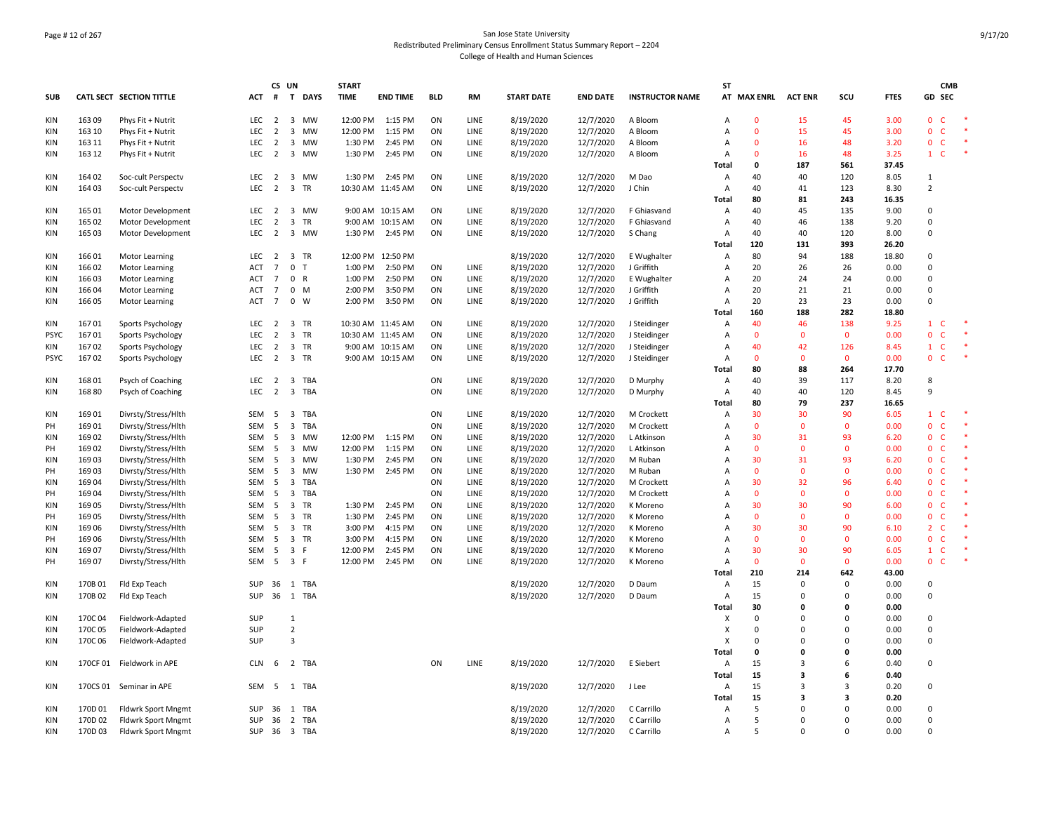# Page # 12 of 267 San Jose State University Redistributed Preliminary Census Enrollment Status Summary Report – 2204 College of Health and Human Sciences

|             |         |                                 |                  | CS UN           |                               | <b>START</b> |                   |            |              |                   |                 |                        | SΤ             |              |                |                    |             |                                  | <b>CMB</b> |
|-------------|---------|---------------------------------|------------------|-----------------|-------------------------------|--------------|-------------------|------------|--------------|-------------------|-----------------|------------------------|----------------|--------------|----------------|--------------------|-------------|----------------------------------|------------|
| <b>SUB</b>  |         | <b>CATL SECT SECTION TITTLE</b> | ACT              | #               | $\mathbf{T}$<br><b>DAYS</b>   | <b>TIME</b>  | <b>END TIME</b>   | <b>BLD</b> | RM           | <b>START DATE</b> | <b>END DATE</b> | <b>INSTRUCTOR NAME</b> |                | AT MAX ENRL  | <b>ACT ENR</b> | scu                | <b>FTES</b> | GD SEC                           |            |
| KIN         | 16309   | Phys Fit + Nutrit               | LEC              | $\overline{2}$  | 3 MW                          | 12:00 PM     | 1:15 PM           | ON         | LINE         | 8/19/2020         | 12/7/2020       | A Bloom                | A              | $\mathbf 0$  | 15             | 45                 | 3.00        | $\mathbf 0$<br>C                 |            |
| KIN         | 163 10  | Phys Fit + Nutrit               | LEC              | $\overline{2}$  | $\overline{3}$<br><b>MW</b>   | 12:00 PM     | 1:15 PM           | ON         | LINE         | 8/19/2020         | 12/7/2020       | A Bloom                | A              | $\mathbf{0}$ | 15             | 45                 | 3.00        | $\overline{0}$<br>$\mathsf{C}$   |            |
| KIN         | 163 11  | Phys Fit + Nutrit               | LEC              | $\overline{2}$  | $\overline{\mathbf{3}}$<br>MW | 1:30 PM      | 2:45 PM           | ON         | LINE         | 8/19/2020         | 12/7/2020       | A Bloom                | Α              | $\mathbf 0$  | 16             | 48                 | 3.20        | $\mathbf 0$<br>C                 |            |
| KIN         | 163 12  | Phys Fit + Nutrit               | LEC              | $\overline{2}$  | 3 MW                          | 1:30 PM      | 2:45 PM           | ON         | LINE         | 8/19/2020         | 12/7/2020       | A Bloom                | Α              | $\Omega$     | 16             | 48                 | 3.25        | $\mathbf{1}$<br>C                | $\ast$     |
|             |         |                                 |                  |                 |                               |              |                   |            |              |                   |                 |                        | <b>Total</b>   | 0            | 187            | 561                | 37.45       |                                  |            |
| KIN         | 164 02  | Soc-cult Perspectv              | LEC <sub>2</sub> |                 | 3 MW                          | 1:30 PM      | 2:45 PM           | ON         | LINE         | 8/19/2020         | 12/7/2020       | M Dao                  | A              | 40           | 40             | 120                | 8.05        | $\mathbf{1}$                     |            |
| KIN         | 164 03  | Soc-cult Perspectv              | LEC              | $\overline{2}$  | $\overline{3}$<br>TR          |              | 10:30 AM 11:45 AM | ON         | LINE         | 8/19/2020         | 12/7/2020       | J Chin                 | A              | 40           | 41             | 123                | 8.30        | $\overline{2}$                   |            |
|             |         |                                 |                  |                 |                               |              |                   |            |              |                   |                 |                        | <b>Total</b>   | 80           | 81             | 243                | 16.35       |                                  |            |
| KIN         | 165 01  | Motor Development               | LEC              | $\overline{2}$  | 3 MW                          |              | 9:00 AM 10:15 AM  | ON         | LINE         | 8/19/2020         | 12/7/2020       | F Ghiasvand            | A              | 40           | 45             | 135                | 9.00        | $\mathbf 0$                      |            |
| KIN         | 165 02  | Motor Development               | LEC              | $\overline{2}$  | $\overline{\mathbf{3}}$<br>TR |              | 9:00 AM 10:15 AM  | ON         | LINE         | 8/19/2020         | 12/7/2020       | F Ghiasvand            | $\overline{A}$ | 40           | 46             | 138                | 9.20        | $\mathbf 0$                      |            |
| KIN         | 165 03  | Motor Development               | LEC              | $\overline{2}$  | 3 MW                          | 1:30 PM      | 2:45 PM           | ON         | LINE         | 8/19/2020         | 12/7/2020       | S Chang                | $\overline{A}$ | 40           | 40             | 120                | 8.00        | $\Omega$                         |            |
|             |         |                                 |                  |                 |                               |              |                   |            |              |                   |                 |                        | <b>Total</b>   | 120          | 131            | 393                | 26.20       |                                  |            |
|             |         |                                 |                  |                 |                               |              |                   |            |              |                   |                 |                        |                |              |                |                    |             |                                  |            |
| KIN         | 16601   | Motor Learning                  | LEC <sub>2</sub> |                 | 3 TR                          |              | 12:00 PM 12:50 PM |            |              | 8/19/2020         | 12/7/2020       | E Wughalter            | A              | 80           | 94             | 188                | 18.80       | $\Omega$                         |            |
| KIN         | 166 02  | Motor Learning                  | <b>ACT</b>       | $\overline{7}$  | $\mathbf 0$<br>$\mathsf{T}$   | 1:00 PM      | 2:50 PM           | ON         | LINE         | 8/19/2020         | 12/7/2020       | J Griffith             | $\overline{A}$ | 20           | 26             | 26                 | 0.00        | $\Omega$                         |            |
| <b>KIN</b>  | 16603   | Motor Learning                  | <b>ACT</b>       | $\overline{7}$  | $\mathbf 0$<br>$\mathsf{R}$   | 1:00 PM      | 2:50 PM           | ON         | LINE         | 8/19/2020         | 12/7/2020       | E Wughalter            | A              | 20           | 24             | 24                 | 0.00        | $\Omega$                         |            |
| <b>KIN</b>  | 166 04  | Motor Learning                  | ACT              | $\overline{7}$  | $\mathbf 0$<br>M              | 2:00 PM      | 3:50 PM           | ON         | LINE         | 8/19/2020         | 12/7/2020       | J Griffith             | $\overline{A}$ | 20           | 21             | 21                 | 0.00        | $\mathbf 0$                      |            |
| KIN         | 166 05  | <b>Motor Learning</b>           | ACT              | $7\overline{ }$ | $\mathbf{0}$<br>W             | 2:00 PM      | 3:50 PM           | ON         | LINE         | 8/19/2020         | 12/7/2020       | J Griffith             | Α              | 20           | 23             | 23                 | 0.00        | $\mathbf 0$                      |            |
|             |         |                                 |                  |                 |                               |              |                   |            |              |                   |                 |                        | Total          | 160          | 188            | 282                | 18.80       |                                  |            |
| <b>KIN</b>  | 16701   | Sports Psychology               | LEC              | $\overline{2}$  | 3<br>TR                       |              | 10:30 AM 11:45 AM | ON         | LINE         | 8/19/2020         | 12/7/2020       | J Steidinger           | A              | 40           | 46             | 138                | 9.25        | $\mathbf{1}$<br>C                | $\ast$     |
| <b>PSYC</b> | 16701   | Sports Psychology               | <b>LEC</b>       | $\overline{2}$  | 3 TR                          |              | 10:30 AM 11:45 AM | ON         | LINE         | 8/19/2020         | 12/7/2020       | J Steidinger           | $\overline{A}$ | $\Omega$     | $\Omega$       | $\mathbf{0}$       | 0.00        | $\Omega$<br>C                    |            |
| KIN         | 16702   | Sports Psychology               | LEC              | $\overline{2}$  | 3 TR                          |              | 9:00 AM 10:15 AM  | ON         | LINE         | 8/19/2020         | 12/7/2020       | J Steidinger           | A              | 40           | 42             | 126                | 8.45        | $\mathbf{1}$<br>C                |            |
| <b>PSYC</b> | 16702   | Sports Psychology               | LEC              | $\overline{2}$  | 3 TR                          |              | 9:00 AM 10:15 AM  | ON         | LINE         | 8/19/2020         | 12/7/2020       | J Steidinger           | A              | $\mathbf{0}$ | $\Omega$       | $\mathbf{0}$       | 0.00        | $\mathbf 0$<br>C                 | $\ast$     |
|             |         |                                 |                  |                 |                               |              |                   |            |              |                   |                 |                        | <b>Total</b>   | 80           | 88             | 264                | 17.70       |                                  |            |
| KIN         | 168 01  | Psych of Coaching               | LEC              | $\overline{2}$  | 3 TBA                         |              |                   | ON         | LINE         | 8/19/2020         | 12/7/2020       | D Murphy               | A              | 40           | 39             | 117                | 8.20        | 8                                |            |
| KIN         | 168 80  | Psych of Coaching               | LEC <sub>2</sub> |                 | 3 TBA                         |              |                   | ON         | LINE         | 8/19/2020         | 12/7/2020       | D Murphy               | $\overline{A}$ | 40           | 40             | 120                | 8.45        | 9                                |            |
|             |         |                                 |                  |                 |                               |              |                   |            |              |                   |                 |                        | <b>Total</b>   | 80           | 79             | 237                | 16.65       |                                  |            |
| KIN         | 16901   | Divrsty/Stress/Hlth             | SEM              | 5               | 3 TBA                         |              |                   | ON         | LINE         | 8/19/2020         | 12/7/2020       | M Crockett             | Α              | 30           | 30             | 90                 | 6.05        | $\mathbf{1}$<br>C                |            |
| PH          | 16901   | Divrsty/Stress/Hlth             | SEM              | 5               | $\overline{3}$<br>TBA         |              |                   | ON         | LINE         | 8/19/2020         | 12/7/2020       | M Crockett             | $\overline{A}$ | $\mathbf{0}$ | $\Omega$       | $\mathbf{0}$       | 0.00        | $\overline{0}$<br>C              |            |
| KIN         | 16902   | Divrsty/Stress/Hlth             | SEM              | 5               | 3 MW                          | 12:00 PM     | 1:15 PM           | ON         | <b>LINE</b>  | 8/19/2020         | 12/7/2020       | L Atkinson             | $\overline{A}$ | 30           | 31             | 93                 | 6.20        | $\Omega$<br>C                    | $\ast$     |
| PH          | 16902   | Divrsty/Stress/Hlth             | SEM              | 5               | $\overline{3}$<br><b>MW</b>   | 12:00 PM     | 1:15 PM           | ON         | LINE         | 8/19/2020         | 12/7/2020       | L Atkinson             | $\overline{A}$ | $\Omega$     | $\Omega$       | $\Omega$           | 0.00        | $\mathbf{0}$<br>C                |            |
| KIN         | 16903   | Divrsty/Stress/Hlth             | SEM              | - 5             | 3 MW                          | 1:30 PM      | 2:45 PM           | ON         | LINE         | 8/19/2020         | 12/7/2020       | M Ruban                | A              | 30           | 31             | 93                 | 6.20        | 0<br>C                           |            |
| PH          | 16903   | Divrsty/Stress/Hlth             | SEM              | -5              | 3 MW                          | 1:30 PM      | 2:45 PM           | ON         | LINE         | 8/19/2020         | 12/7/2020       | M Ruban                | Α              | $\mathbf{0}$ | $\mathbf{0}$   | $\mathbf{0}$       | 0.00        | $\mathbf 0$<br>C                 |            |
| KIN         | 16904   | Divrsty/Stress/Hlth             | SEM              | - 5             | 3<br>TBA                      |              |                   | ON         | LINE         | 8/19/2020         | 12/7/2020       | M Crockett             | A              | 30           | 32             | 96                 | 6.40        | $\mathbf 0$<br>C                 |            |
| PH          | 16904   | Divrsty/Stress/Hlth             | SEM              | - 5             | $\overline{3}$<br>TBA         |              |                   | ON         | LINE         | 8/19/2020         | 12/7/2020       | M Crockett             | $\overline{A}$ | $\mathbf{0}$ | $\Omega$       | $\Omega$           | 0.00        | $\mathbf{0}$<br>$\mathsf{C}$     |            |
| <b>KIN</b>  | 16905   | Divrsty/Stress/Hlth             | SEM              | - 5             | $\overline{3}$<br>TR          | 1:30 PM      | 2:45 PM           | ON         | LINE         | 8/19/2020         | 12/7/2020       | K Moreno               | $\overline{A}$ | 30           | 30             | 90                 | 6.00        | $\overline{0}$<br>C              |            |
| PH          | 169 05  | Divrsty/Stress/Hlth             | SEM              | 5               | 3 TR                          | 1:30 PM      | 2:45 PM           | ON         | LINE         | 8/19/2020         | 12/7/2020       | K Moreno               | $\overline{A}$ | $\mathbf 0$  | $\Omega$       | $\Omega$           | 0.00        | $\mathbf 0$<br>C                 |            |
|             |         |                                 |                  |                 | TR                            |              |                   |            |              |                   |                 |                        | $\overline{A}$ | 30           | 30             | 90                 |             | C                                |            |
| <b>KIN</b>  | 169 06  | Divrsty/Stress/Hlth             | SEM              | - 5             | 3                             | 3:00 PM      | 4:15 PM           | ON         | LINE<br>LINE | 8/19/2020         | 12/7/2020       | K Moreno               | $\overline{A}$ | $\mathbf{0}$ | $\Omega$       |                    | 6.10        | $\overline{2}$                   |            |
| PH          | 169 06  | Divrsty/Stress/Hlth             | SEM              | - 5             | 3 TR                          | 3:00 PM      | 4:15 PM           | ON         |              | 8/19/2020         | 12/7/2020       | K Moreno               |                | 30           | 30             | $\mathbf{0}$<br>90 | 0.00        | $\mathbf 0$<br>$\mathsf{C}$<br>C |            |
| KIN         | 169 07  | Divrsty/Stress/Hlth             | SEM              | 5               | 3 F                           | 12:00 PM     | 2:45 PM           | ON         | LINE         | 8/19/2020         | 12/7/2020       | K Moreno               | $\overline{A}$ |              |                | $\Omega$           | 6.05        | $\mathbf{1}$                     | $\ast$     |
| PH          | 169 07  | Divrsty/Stress/Hlth             | SEM              | 5               | 3 F                           | 12:00 PM     | 2:45 PM           | ON         | LINE         | 8/19/2020         | 12/7/2020       | K Moreno               | A              | $\mathbf 0$  | $\mathbf 0$    |                    | 0.00        | 0<br>$\mathsf{C}$                |            |
|             |         |                                 |                  |                 |                               |              |                   |            |              |                   |                 |                        | Total          | 210          | 214            | 642                | 43.00       |                                  |            |
| KIN         | 170B01  | Fld Exp Teach                   |                  |                 | SUP 36 1 TBA                  |              |                   |            |              | 8/19/2020         | 12/7/2020       | D Daum                 | Α              | 15           | 0              | 0                  | 0.00        | 0                                |            |
| KIN         | 170B02  | Fld Exp Teach                   |                  |                 | SUP 36 1 TBA                  |              |                   |            |              | 8/19/2020         | 12/7/2020       | D Daum                 | A              | 15           | $\Omega$       | $\Omega$           | 0.00        | $\mathbf 0$                      |            |
|             |         |                                 |                  |                 |                               |              |                   |            |              |                   |                 |                        | <b>Total</b>   | 30           | $\Omega$       | $\Omega$           | 0.00        |                                  |            |
| KIN         | 170C04  | Fieldwork-Adapted               | SUP              |                 | $\mathbf{1}$                  |              |                   |            |              |                   |                 |                        | X              | $\Omega$     | $\Omega$       | $\Omega$           | 0.00        | $\Omega$                         |            |
| KIN         | 170C05  | Fieldwork-Adapted               | SUP              |                 | $\overline{2}$                |              |                   |            |              |                   |                 |                        | X              | $\Omega$     | $\Omega$       | $\Omega$           | 0.00        | $\Omega$                         |            |
| KIN         | 170C06  | Fieldwork-Adapted               | SUP              |                 | 3                             |              |                   |            |              |                   |                 |                        | X              | $\mathbf 0$  | $\Omega$       | $\Omega$           | 0.00        | $\mathbf 0$                      |            |
|             |         |                                 |                  |                 |                               |              |                   |            |              |                   |                 |                        | <b>Total</b>   | 0            | $\Omega$       | $\Omega$           | 0.00        |                                  |            |
| KIN         |         | 170CF 01 Fieldwork in APE       | <b>CLN</b>       | 6               | 2 TBA                         |              |                   | ON         | LINE         | 8/19/2020         | 12/7/2020       | E Siebert              | Α              | 15           | 3              | 6                  | 0.40        | $\Omega$                         |            |
|             |         |                                 |                  |                 |                               |              |                   |            |              |                   |                 |                        | <b>Total</b>   | 15           | 3              | 6                  | 0.40        |                                  |            |
| KIN         |         | 170CS 01 Seminar in APE         | SEM              | 5               | 1 TBA                         |              |                   |            |              | 8/19/2020         | 12/7/2020       | J Lee                  | A              | 15           | 3              | 3                  | 0.20        | 0                                |            |
|             |         |                                 |                  |                 |                               |              |                   |            |              |                   |                 |                        | <b>Total</b>   | 15           | 3              | 3                  | 0.20        |                                  |            |
| KIN         | 170D 01 | Fldwrk Sport Mngmt              | SUP 36           |                 | 1 TBA                         |              |                   |            |              | 8/19/2020         | 12/7/2020       | C Carrillo             | $\overline{A}$ | 5            | $\Omega$       | $\Omega$           | 0.00        | $\Omega$                         |            |
| KIN         | 170D 02 | Fldwrk Sport Mngmt              | SUP 36           |                 | 2 TBA                         |              |                   |            |              | 8/19/2020         | 12/7/2020       | C Carrillo             | $\overline{A}$ | 5            | $\Omega$       | $\Omega$           | 0.00        | $\Omega$                         |            |
| KIN         | 170D 03 | <b>Fldwrk Sport Mngmt</b>       |                  |                 | SUP 36 3 TBA                  |              |                   |            |              | 8/19/2020         | 12/7/2020       | C Carrillo             | A              | 5            | $\Omega$       | $\Omega$           | 0.00        | $\Omega$                         |            |
|             |         |                                 |                  |                 |                               |              |                   |            |              |                   |                 |                        |                |              |                |                    |             |                                  |            |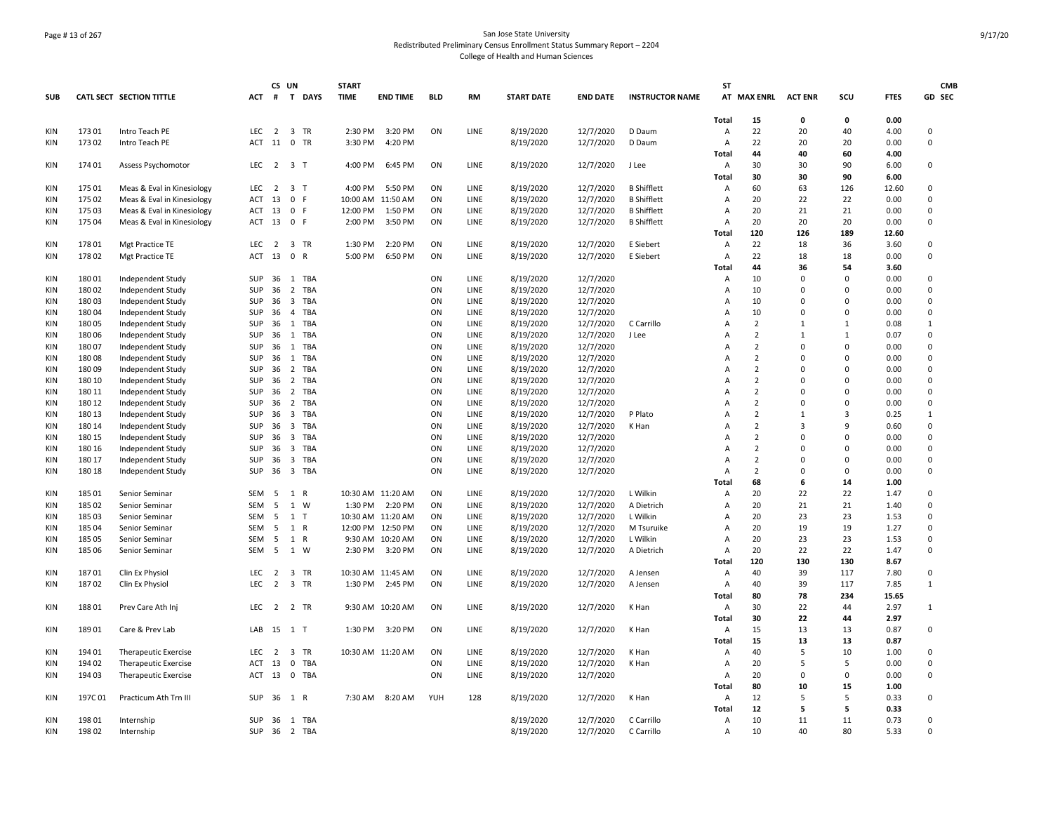# Page # 13 of 267 San Jose State University Redistributed Preliminary Census Enrollment Status Summary Report – 2204 College of Health and Human Sciences

|            |        |                                 |            | CS UN          |                                | <b>START</b> |                   |            |             |                   |                 |                        | <b>ST</b>      |                     |              |                |             | <b>CMB</b>  |
|------------|--------|---------------------------------|------------|----------------|--------------------------------|--------------|-------------------|------------|-------------|-------------------|-----------------|------------------------|----------------|---------------------|--------------|----------------|-------------|-------------|
| <b>SUB</b> |        | <b>CATL SECT SECTION TITTLE</b> | ACT        |                | # T DAYS                       | <b>TIME</b>  | <b>END TIME</b>   | <b>BLD</b> | RM          | <b>START DATE</b> | <b>END DATE</b> | <b>INSTRUCTOR NAME</b> |                | AT MAX ENRL ACT ENR |              | SCU            | <b>FTES</b> | GD SEC      |
|            |        |                                 |            |                |                                |              |                   |            |             |                   |                 |                        | Total          | 15                  | 0            | 0              | 0.00        |             |
| <b>KIN</b> | 17301  | Intro Teach PE                  | <b>LEC</b> | $\overline{2}$ | 3 TR                           | 2:30 PM      | 3:20 PM           | ON         | LINE        | 8/19/2020         | 12/7/2020       | D Daum                 | $\overline{A}$ | 22                  | 20           | 40             | 4.00        | $\Omega$    |
| <b>KIN</b> | 17302  | Intro Teach PE                  | ACT        | 11             | 0 TR                           | 3:30 PM      | 4:20 PM           |            |             | 8/19/2020         | 12/7/2020       | D Daum                 | $\overline{A}$ | 22                  | 20           | 20             | 0.00        | $\mathbf 0$ |
|            |        |                                 |            |                |                                |              |                   |            |             |                   |                 |                        | Total          | 44                  | 40           | 60             | 4.00        |             |
| KIN        | 174 01 | Assess Psychomotor              | LEC        | $\overline{2}$ | 3 T                            | 4:00 PM      | 6:45 PM           | ON         | LINE        | 8/19/2020         | 12/7/2020       | J Lee                  | A              | 30                  | 30           | 90             | 6.00        | $\mathsf 0$ |
|            |        |                                 |            |                |                                |              |                   |            |             |                   |                 |                        | Total          | 30                  | 30           | 90             | 6.00        |             |
| KIN        | 175 01 | Meas & Eval in Kinesiology      | LEC        |                | 2 3 T                          | 4:00 PM      | 5:50 PM           | ON         | LINE        | 8/19/2020         | 12/7/2020       | <b>B</b> Shifflett     | A              | 60                  | 63           | 126            | 12.60       | 0           |
| KIN        | 175 02 | Meas & Eval in Kinesiology      | ACT        | 13             | 0 F                            | 10:00 AM     | 11:50 AM          | ON         | LINE        | 8/19/2020         | 12/7/2020       | <b>B</b> Shifflett     | $\overline{A}$ | 20                  | 22           | 22             | 0.00        | $\mathbf 0$ |
| <b>KIN</b> | 17503  | Meas & Eval in Kinesiology      | ACT        | 13             | 0 F                            | 12:00 PM     | 1:50 PM           | ON         | LINE        | 8/19/2020         | 12/7/2020       | <b>B</b> Shifflett     | A              | 20                  | 21           | 21             | 0.00        | $\mathbf 0$ |
| KIN        | 175 04 | Meas & Eval in Kinesiology      | ACT        | 13             | 0 F                            | 2:00 PM      | 3:50 PM           | ON         | LINE        | 8/19/2020         | 12/7/2020       | <b>B</b> Shifflett     | Α              | 20                  | 20           | 20             | 0.00        | 0           |
|            |        |                                 |            |                |                                |              |                   |            |             |                   |                 |                        | Total          | 120                 | 126          | 189            | 12.60       |             |
| KIN        | 17801  | Mgt Practice TE                 | <b>LEC</b> | 2              | 3 TR                           | 1:30 PM      | 2:20 PM           | ON         | LINE        | 8/19/2020         | 12/7/2020       | E Siebert              | $\overline{A}$ | 22                  | 18           | 36             | 3.60        | $\mathbf 0$ |
| KIN        | 17802  | Mgt Practice TE                 | ACT        | 13             | 0 R                            | 5:00 PM      | 6:50 PM           | ON         | LINE        | 8/19/2020         | 12/7/2020       | E Siebert              | Α              | 22                  | 18           | 18             | 0.00        | $\mathsf 0$ |
|            |        |                                 |            |                |                                |              |                   |            |             |                   |                 |                        | Total          | 44                  | 36           | 54             | 3.60        |             |
| KIN        | 18001  | Independent Study               | SUP        | 36             | 1 TBA                          |              |                   | ON         | LINE        | 8/19/2020         | 12/7/2020       |                        | Α              | 10                  | $\mathbf 0$  | $\mathbf 0$    | 0.00        | 0           |
| KIN        | 18002  | Independent Study               | <b>SUP</b> | 36             | $\overline{2}$<br>TBA          |              |                   | ON         | LINE        | 8/19/2020         | 12/7/2020       |                        | A              | 10                  | $\Omega$     | $\Omega$       | 0.00        | $\Omega$    |
| KIN        | 18003  | Independent Study               | SUP        | 36             | $\overline{\mathbf{3}}$<br>TBA |              |                   | ON         | LINE        | 8/19/2020         | 12/7/2020       |                        | A              | 10                  | $\Omega$     | $\Omega$       | 0.00        | 0           |
| KIN        | 18004  | Independent Study               | SUP        | 36             | 4 TBA                          |              |                   | ON         | LINE        | 8/19/2020         | 12/7/2020       |                        | A              | 10                  | $\Omega$     | 0              | 0.00        | 0           |
| <b>KIN</b> | 18005  | Independent Study               | SUP        | 36             | 1 TBA                          |              |                   | ON         | <b>LINE</b> | 8/19/2020         | 12/7/2020       | C Carrillo             | $\overline{A}$ | 2                   | $\mathbf{1}$ | $\mathbf{1}$   | 0.08        | 1           |
| KIN        | 18006  | Independent Study               | SUP        | 36             | 1 TBA                          |              |                   | ON         | LINE        | 8/19/2020         | 12/7/2020       | J Lee                  | $\overline{A}$ | $\overline{2}$      | $\mathbf{1}$ | $\mathbf{1}$   | 0.07        | 0           |
| KIN        | 18007  | Independent Study               | SUP        | 36             | 1 TBA                          |              |                   | ON         | LINE        | 8/19/2020         | 12/7/2020       |                        | $\Delta$       | $\overline{2}$      | $\Omega$     | $\mathbf 0$    | 0.00        | 0           |
| KIN        | 18008  | Independent Study               | SUP        | 36             | 1 TBA                          |              |                   | ON         | LINE        | 8/19/2020         | 12/7/2020       |                        | A              | $\overline{2}$      | $\mathbf 0$  | $\overline{0}$ | 0.00        | $\pmb{0}$   |
| KIN        | 18009  | Independent Study               | SUP        | 36             | 2<br>TBA                       |              |                   | ON         | LINE        | 8/19/2020         | 12/7/2020       |                        | A              | $\overline{2}$      | $\Omega$     | $\Omega$       | 0.00        | 0           |
| KIN        | 180 10 | Independent Study               | SUP        | 36             | $\overline{2}$<br>TBA          |              |                   | ON         | LINE        | 8/19/2020         | 12/7/2020       |                        | A              | $\overline{2}$      | $\Omega$     | $\Omega$       | 0.00        | $\mathbf 0$ |
| <b>KIN</b> | 180 11 | Independent Study               | SUP        | 36             | 2 TBA                          |              |                   | ON         | LINE        | 8/19/2020         | 12/7/2020       |                        | A              | $\overline{2}$      | $\Omega$     | $\Omega$       | 0.00        | $\Omega$    |
| KIN        | 180 12 | Independent Study               | SUP        | 36             | $\overline{2}$<br>TBA          |              |                   | ON         | LINE        | 8/19/2020         | 12/7/2020       |                        | A              | $\overline{2}$      | $\Omega$     | $\overline{0}$ | 0.00        | $\mathbf 0$ |
| <b>KIN</b> | 180 13 | Independent Study               | SUP        | 36             | $\overline{\mathbf{3}}$<br>TBA |              |                   | ON         | LINE        | 8/19/2020         | 12/7/2020       | P Plato                | $\overline{A}$ | 2                   | $\mathbf{1}$ | $\overline{3}$ | 0.25        | 1           |
| KIN        | 180 14 | Independent Study               | <b>SUP</b> | 36             | $\overline{\mathbf{3}}$<br>TBA |              |                   | ON         | LINE        | 8/19/2020         | 12/7/2020       | K Han                  | $\overline{A}$ | $\overline{2}$      | 3            | 9              | 0.60        | $^{\circ}$  |
| KIN        | 180 15 | Independent Study               | <b>SUP</b> | 36             | 3 TBA                          |              |                   | ON         | LINE        | 8/19/2020         | 12/7/2020       |                        | $\overline{A}$ | $\overline{2}$      | $\Omega$     | $\Omega$       | 0.00        | $\mathbf 0$ |
| KIN        | 180 16 | Independent Study               | SUP        | 36             | $\overline{\mathbf{3}}$<br>TBA |              |                   | ON         | LINE        | 8/19/2020         | 12/7/2020       |                        | A              | $\overline{2}$      | $\Omega$     | $\mathbf 0$    | 0.00        | 0           |
| <b>KIN</b> | 180 17 | Independent Study               | SUP        | 36             | $\overline{\mathbf{3}}$<br>TBA |              |                   | ON         | LINE        | 8/19/2020         | 12/7/2020       |                        | A              | 2                   | $\mathbf 0$  | $\mathbf 0$    | 0.00        | 0           |
| KIN        | 180 18 | Independent Study               | SUP        | 36             | 3 TBA                          |              |                   | ON         | LINE        | 8/19/2020         | 12/7/2020       |                        | A              | $\overline{2}$      | $\Omega$     | $\mathbf 0$    | 0.00        | 0           |
|            |        |                                 |            |                |                                |              |                   |            |             |                   |                 |                        | <b>Total</b>   | 68                  | 6            | 14             | 1.00        |             |
| KIN        | 185 01 | Senior Seminar                  | SEM        | 5              | 1 R                            |              | 10:30 AM 11:20 AM | ON         | LINE        | 8/19/2020         | 12/7/2020       | L Wilkin               | $\overline{A}$ | 20                  | 22           | 22             | 1.47        | 0           |
| KIN        | 185 02 | Senior Seminar                  | SEM        | 5              | 1 W                            | 1:30 PM      | 2:20 PM           | ON         | LINE        | 8/19/2020         | 12/7/2020       | A Dietrich             | A              | 20                  | 21           | 21             | 1.40        | 0           |
| <b>KIN</b> | 185 03 | Senior Seminar                  | <b>SEM</b> | 5              | $1$ T                          |              | 10:30 AM 11:20 AM | ON         | <b>LINE</b> | 8/19/2020         | 12/7/2020       | L Wilkin               | $\overline{A}$ | 20                  | 23           | 23             | 1.53        | 0           |
| KIN        | 185 04 | Senior Seminar                  | <b>SEM</b> | 5              | 1 R                            |              | 12:00 PM 12:50 PM | ON         | LINE        | 8/19/2020         | 12/7/2020       | M Tsuruike             | $\overline{A}$ | 20                  | 19           | 19             | 1.27        | $\mathbf 0$ |
| KIN        | 185 05 | Senior Seminar                  | SEM        | 5              | 1 R                            |              | 9:30 AM 10:20 AM  | ON         | LINE        | 8/19/2020         | 12/7/2020       | L Wilkin               | A              | 20                  | 23           | 23             | 1.53        | $\mathbf 0$ |
| <b>KIN</b> | 185 06 | Senior Seminar                  | <b>SEM</b> | 5              | 1 W                            | 2:30 PM      | 3:20 PM           | ON         | LINE        | 8/19/2020         | 12/7/2020       | A Dietrich             | A              | 20                  | 22           | 22             | 1.47        | $\pmb{0}$   |
|            |        |                                 |            |                |                                |              |                   |            |             |                   |                 |                        | Total          | 120                 | 130          | 130            | 8.67        |             |
| <b>KIN</b> | 18701  | Clin Ex Physiol                 | <b>LEC</b> | $\overline{2}$ | 3 TR                           |              | 10:30 AM 11:45 AM | ON         | LINE        | 8/19/2020         | 12/7/2020       | A Jensen               | A              | 40                  | 39           | 117            | 7.80        | $\mathbf 0$ |
| KIN        | 18702  | Clin Ex Physiol                 | <b>LEC</b> | $\overline{2}$ | 3 TR                           | 1:30 PM      | 2:45 PM           | ON         | LINE        | 8/19/2020         | 12/7/2020       | A Jensen               | $\overline{A}$ | 40                  | 39           | 117            | 7.85        | 1           |
|            |        |                                 |            |                |                                |              |                   |            |             |                   |                 |                        | <b>Total</b>   | 80                  | 78           | 234            | 15.65       |             |
| KIN        | 18801  | Prev Care Ath Inj               | <b>LEC</b> | 2              | 2 TR                           |              | 9:30 AM 10:20 AM  | ON         | <b>LINE</b> | 8/19/2020         | 12/7/2020       | K Han                  | $\overline{A}$ | 30                  | 22           | 44             | 2.97        | 1           |
|            |        |                                 |            |                |                                |              |                   |            |             |                   |                 |                        | <b>Total</b>   | 30                  | 22           | 44             | 2.97        |             |
| KIN        | 18901  | Care & Prev Lab                 |            |                | LAB 15 1 T                     |              | 1:30 PM 3:20 PM   | ON         | LINE        | 8/19/2020         | 12/7/2020       | K Han                  | $\overline{A}$ | 15                  | 13           | 13             | 0.87        | $\pmb{0}$   |
|            |        |                                 |            |                |                                |              |                   |            |             |                   |                 |                        | Total          | 15                  | 13           | 13             | 0.87        |             |
| KIN        | 194 01 | <b>Therapeutic Exercise</b>     | LEC        | $\overline{2}$ | 3 TR                           |              | 10:30 AM 11:20 AM | ON         | LINE        | 8/19/2020         | 12/7/2020       | K Han                  | A              | 40                  | 5            | 10             | 1.00        | 0           |
| KIN        | 194 02 | <b>Therapeutic Exercise</b>     | ACT        | 13             | $\mathbf 0$<br>TBA             |              |                   | ON         | LINE        | 8/19/2020         | 12/7/2020       | K Han                  | A              | 20                  | 5            | .5             | 0.00        | 0           |
| KIN        | 194 03 | <b>Therapeutic Exercise</b>     | ACT        | 13             | 0 TBA                          |              |                   | ON         | LINE        | 8/19/2020         | 12/7/2020       |                        | $\overline{A}$ | 20                  | $\Omega$     | $\mathbf 0$    | 0.00        | 0           |
|            |        |                                 |            |                |                                |              |                   |            |             |                   |                 |                        | <b>Total</b>   | 80                  | 10           | 15             | 1.00        |             |
| KIN        | 197C01 | Practicum Ath Trn III           | <b>SUP</b> | 36             | 1 R                            | 7:30 AM      | 8:20 AM           | YUH        | 128         | 8/19/2020         | 12/7/2020       | K Han                  | $\overline{A}$ | 12                  | 5            | -5             | 0.33        | 0           |
|            |        |                                 |            |                |                                |              |                   |            |             |                   |                 |                        | Total          | 12                  | 5            | 5              | 0.33        |             |
| KIN        | 19801  | Internship                      | SUP        | 36             | 1 TBA                          |              |                   |            |             | 8/19/2020         | 12/7/2020       | C Carrillo             | $\overline{A}$ | 10                  | 11           | 11             | 0.73        | $\Omega$    |
| KIN        | 198 02 | Internship                      | SUP        | 36             | 2 TBA                          |              |                   |            |             | 8/19/2020         | 12/7/2020       | C Carrillo             | Α              | 10                  | 40           | 80             | 5.33        | $\Omega$    |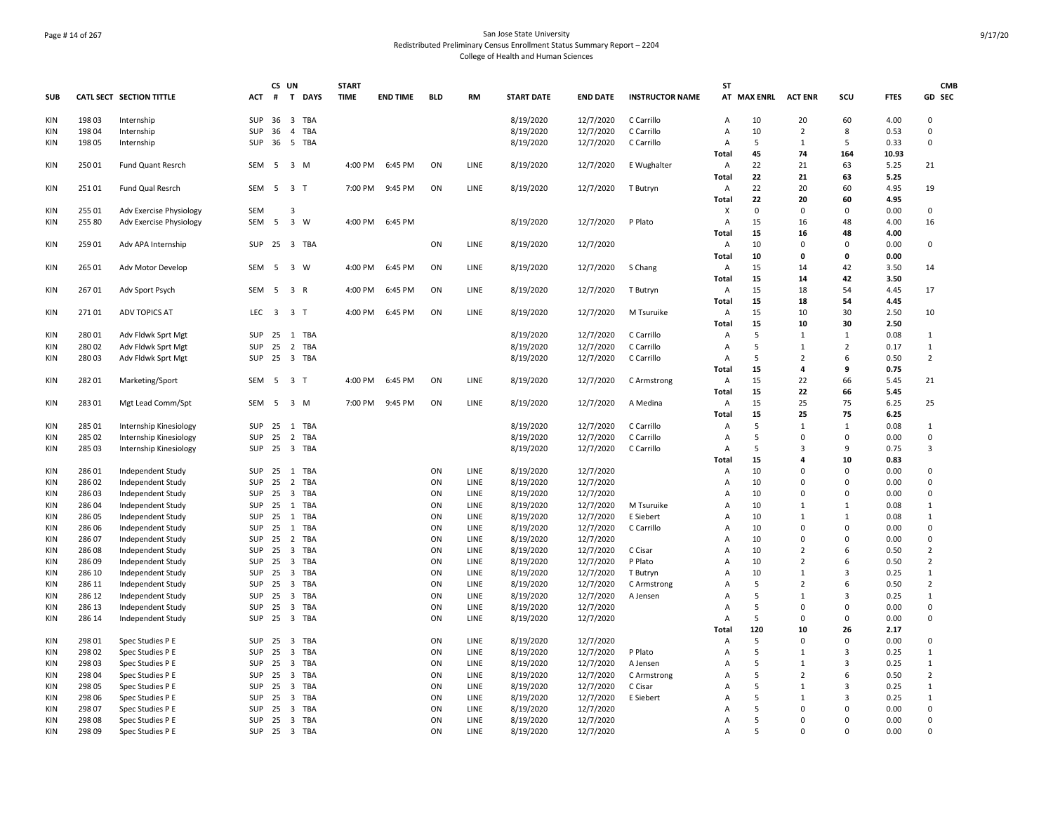# Page # 14 of 267 San Jose State University Redistributed Preliminary Census Enrollment Status Summary Report – 2204 College of Health and Human Sciences

|            |        |                                 |              | CS UN |                         |            | <b>START</b> |                 |            |             |                   |                 |                        | <b>ST</b>      |                     |                |                |             | <b>CMB</b>     |
|------------|--------|---------------------------------|--------------|-------|-------------------------|------------|--------------|-----------------|------------|-------------|-------------------|-----------------|------------------------|----------------|---------------------|----------------|----------------|-------------|----------------|
| <b>SUB</b> |        | <b>CATL SECT SECTION TITTLE</b> | <b>ACT</b>   | #     |                         | T DAYS     | <b>TIME</b>  | <b>END TIME</b> | <b>BLD</b> | <b>RM</b>   | <b>START DATE</b> | <b>END DATE</b> | <b>INSTRUCTOR NAME</b> |                | AT MAX ENRL ACT ENR |                | SCU            | <b>FTES</b> | GD SEC         |
| KIN        | 19803  | Internship                      | <b>SUP</b>   | 36    | $\overline{\mathbf{3}}$ | TBA        |              |                 |            |             | 8/19/2020         | 12/7/2020       | C Carrillo             | Α              | 10                  | 20             | 60             | 4.00        | $\Omega$       |
| KIN        | 198 04 | Internship                      | <b>SUP</b>   | 36    | $\overline{4}$          | TBA        |              |                 |            |             | 8/19/2020         | 12/7/2020       | C Carrillo             | A              | 10                  | $\overline{2}$ | 8              | 0.53        | $^{\circ}$     |
| <b>KIN</b> | 198 05 | Internship                      | <b>SUP</b>   | 36    | 5 TBA                   |            |              |                 |            |             | 8/19/2020         | 12/7/2020       | C Carrillo             | A              | 5                   | $\mathbf{1}$   | 5              | 0.33        | $\mathbf 0$    |
|            |        |                                 |              |       |                         |            |              |                 |            |             |                   |                 |                        | Total          | 45                  | 74             | 164            | 10.93       |                |
| KIN        | 25001  | Fund Quant Resrch               | SEM          | 5     | 3 M                     |            | 4:00 PM      | 6:45 PM         | ON         | LINE        | 8/19/2020         | 12/7/2020       | E Wughalter            | Α              | 22                  | 21             | 63             | 5.25        | 21             |
|            |        |                                 |              |       |                         |            |              |                 |            |             |                   |                 |                        | Total          | 22                  | 21             | 63             | 5.25        |                |
| <b>KIN</b> | 25101  | Fund Qual Resrch                | SEM          | 5 3 T |                         |            | 7:00 PM      | 9:45 PM         | ON         | LINE        | 8/19/2020         | 12/7/2020       | T Butryn               | Α              | 22                  | 20             | 60             | 4.95        | 19             |
|            |        |                                 |              |       |                         |            |              |                 |            |             |                   |                 |                        | Total          | 22                  | 20             | 60             | 4.95        |                |
| <b>KIN</b> | 255 01 | Adv Exercise Physiology         | SEM          |       | 3                       |            |              |                 |            |             |                   |                 |                        | X              | 0                   | $\Omega$       | $\Omega$       | 0.00        | 0              |
| <b>KIN</b> | 255 80 | Adv Exercise Physiology         | SEM          | 5     | 3 W                     |            | 4:00 PM      | 6:45 PM         |            |             | 8/19/2020         | 12/7/2020       | P Plato                | Α              | 15                  | 16             | 48             | 4.00        | 16             |
|            |        |                                 |              |       |                         |            |              |                 |            |             |                   |                 |                        | <b>Total</b>   | 15                  | 16             | 48             | 4.00        |                |
|            |        |                                 |              |       |                         |            |              |                 |            |             |                   |                 |                        |                |                     | $\Omega$       |                |             |                |
| KIN        | 259 01 | Adv APA Internship              | SUP          | 25    | 3 TBA                   |            |              |                 | ON         | LINE        | 8/19/2020         | 12/7/2020       |                        | А              | 10                  |                | $\mathbf 0$    | 0.00        | 0              |
|            |        |                                 |              |       |                         |            |              |                 |            |             |                   |                 |                        | <b>Total</b>   | 10                  | 0              | $\mathbf 0$    | 0.00        |                |
| KIN        | 265 01 | Adv Motor Develop               | SEM          | 5     | 3 W                     |            | 4:00 PM      | 6:45 PM         | ON         | LINE        | 8/19/2020         | 12/7/2020       | S Chang                | Α              | 15                  | 14             | 42             | 3.50        | 14             |
|            |        |                                 |              |       |                         |            |              |                 |            |             |                   |                 |                        | Total          | 15                  | 14             | 42             | 3.50        |                |
| KIN        | 26701  | Adv Sport Psych                 | SEM          | -5    | 3 R                     |            | 4:00 PM      | 6:45 PM         | ON         | LINE        | 8/19/2020         | 12/7/2020       | T Butryn               | Α              | 15                  | 18             | 54             | 4.45        | 17             |
|            |        |                                 |              |       |                         |            |              |                 |            |             |                   |                 |                        | Total          | 15                  | 18             | 54             | 4.45        |                |
| <b>KIN</b> | 27101  | <b>ADV TOPICS AT</b>            | LEC          | 3 3 T |                         |            | 4:00 PM      | 6:45 PM         | ON         | LINE        | 8/19/2020         | 12/7/2020       | M Tsuruike             | Α              | 15                  | 10             | 30             | 2.50        | 10             |
|            |        |                                 |              |       |                         |            |              |                 |            |             |                   |                 |                        | <b>Total</b>   | 15                  | 10             | 30             | 2.50        |                |
| KIN        | 28001  | Adv Fldwk Sprt Mgt              | <b>SUP</b>   | 25    | 1 TBA                   |            |              |                 |            |             | 8/19/2020         | 12/7/2020       | C Carrillo             | А              | 5                   | $\mathbf{1}$   | $\mathbf{1}$   | 0.08        | $\mathbf{1}$   |
| KIN        | 28002  | Adv Fldwk Sprt Mgt              | <b>SUP</b>   | 25    | $\overline{2}$          | TBA        |              |                 |            |             | 8/19/2020         | 12/7/2020       | C Carrillo             | A              | 5                   | $\mathbf{1}$   | $\overline{2}$ | 0.17        | 1              |
| KIN        | 28003  | Adv Fldwk Sprt Mgt              | <b>SUP</b>   | 25    | 3 TBA                   |            |              |                 |            |             | 8/19/2020         | 12/7/2020       | C Carrillo             | Α              | 5                   | $\overline{2}$ | 6              | 0.50        | $\overline{2}$ |
|            |        |                                 |              |       |                         |            |              |                 |            |             |                   |                 |                        | Total          | 15                  | 4              | 9              | 0.75        |                |
| <b>KIN</b> | 28201  | Marketing/Sport                 | SEM          | 5     | 3 <sub>1</sub>          |            | 4:00 PM      | 6:45 PM         | ON         | LINE        | 8/19/2020         | 12/7/2020       | C Armstrong            | Α              | 15                  | 22             | 66             | 5.45        | 21             |
|            |        |                                 |              |       |                         |            |              |                 |            |             |                   |                 |                        | Total          | 15                  | 22             | 66             | 5.45        |                |
| KIN        | 28301  | Mgt Lead Comm/Spt               | SEM          | -5    | 3 M                     |            | 7:00 PM      | 9:45 PM         | ON         | LINE        | 8/19/2020         | 12/7/2020       | A Medina               | Α              | 15                  | 25             | 75             | 6.25        | 25             |
|            |        |                                 |              |       |                         |            |              |                 |            |             |                   |                 |                        | <b>Total</b>   | 15                  | 25             | 75             | 6.25        |                |
| <b>KIN</b> | 285 01 | Internship Kinesiology          | SUP          | 25    | 1 TBA                   |            |              |                 |            |             | 8/19/2020         | 12/7/2020       | C Carrillo             | $\overline{A}$ | 5                   | $\mathbf{1}$   | $\mathbf{1}$   | 0.08        | $\mathbf{1}$   |
| <b>KIN</b> | 285 02 | Internship Kinesiology          | <b>SUP</b>   | 25    | 2 TBA                   |            |              |                 |            |             | 8/19/2020         | 12/7/2020       | C Carrillo             | Α              | 5                   | 0              | $\mathbf 0$    | 0.00        | 0              |
| KIN        | 285 03 |                                 | <b>SUP</b>   | 25    | 3 TBA                   |            |              |                 |            |             |                   |                 | C Carrillo             | $\overline{A}$ | 5                   | 3              | 9              | 0.75        | 3              |
|            |        | Internship Kinesiology          |              |       |                         |            |              |                 |            |             | 8/19/2020         | 12/7/2020       |                        |                |                     | 4              |                |             |                |
|            |        |                                 |              |       |                         |            |              |                 |            |             |                   |                 |                        | Total          | 15                  | $\Omega$       | 10             | 0.83        |                |
| <b>KIN</b> | 28601  | Independent Study               | SUP          | 25    | 1 TBA                   |            |              |                 | ON         | LINE        | 8/19/2020         | 12/7/2020       |                        | $\overline{A}$ | 10                  |                | $\mathbf 0$    | 0.00        | $\mathsf 0$    |
| <b>KIN</b> | 286 02 | Independent Study               | SUP          | 25    | 2 TBA                   |            |              |                 | ON         | LINE        | 8/19/2020         | 12/7/2020       |                        | A              | 10                  | 0              | $\overline{0}$ | 0.00        | 0              |
| <b>KIN</b> | 28603  | Independent Study               | <b>SUP</b>   | 25    | 3 TBA                   |            |              |                 | ON         | LINE        | 8/19/2020         | 12/7/2020       |                        | A              | 10                  | $\Omega$       | $\Omega$       | 0.00        | 0              |
| KIN        | 28604  | Independent Study               | <b>SUP</b>   | 25    | $\mathbf{1}$            | TBA        |              |                 | ON         | LINE        | 8/19/2020         | 12/7/2020       | M Tsuruike             | $\overline{A}$ | 10                  | $\mathbf{1}$   | $\mathbf{1}$   | 0.08        | $\mathbf{1}$   |
| KIN        | 286 05 | Independent Study               | SUP          | 25    | 1 TBA                   |            |              |                 | ON         | LINE        | 8/19/2020         | 12/7/2020       | E Siebert              | A              | 10                  | $\mathbf{1}$   | $\mathbf{1}$   | 0.08        | $\mathbf{1}$   |
| KIN        | 286 06 | Independent Study               | <b>SUP</b>   | 25    | 1                       | TBA        |              |                 | ON         | LINE        | 8/19/2020         | 12/7/2020       | C Carrillo             | A              | 10                  | $\Omega$       | $\Omega$       | 0.00        | 0              |
| <b>KIN</b> | 28607  | Independent Study               | SUP          | 25    | 2 TBA                   |            |              |                 | ON         | LINE        | 8/19/2020         | 12/7/2020       |                        | $\overline{A}$ | 10                  | $\Omega$       | $\overline{0}$ | 0.00        | 0              |
| <b>KIN</b> | 28608  | Independent Study               | SUP          | 25    | $\overline{\mathbf{3}}$ | <b>TBA</b> |              |                 | ON         | LINE        | 8/19/2020         | 12/7/2020       | C Cisar                | A              | 10                  | $\overline{2}$ | 6              | 0.50        | $\overline{2}$ |
| KIN        | 28609  | Independent Study               | SUP          | 25    | 3 TBA                   |            |              |                 | ON         | LINE        | 8/19/2020         | 12/7/2020       | P Plato                | $\overline{A}$ | 10                  | $\overline{2}$ | 6              | 0.50        | $\overline{2}$ |
| KIN        | 286 10 | Independent Study               | <b>SUP</b>   | 25    | 3 TBA                   |            |              |                 | ON         | LINE        | 8/19/2020         | 12/7/2020       | T Butryn               | A              | 10                  | $\mathbf{1}$   | $\overline{3}$ | 0.25        | $\mathbf{1}$   |
| KIN        | 286 11 | Independent Study               | <b>SUP</b>   | 25    | 3 TBA                   |            |              |                 | ON         | LINE        | 8/19/2020         | 12/7/2020       | C Armstrong            | Α              | 5                   | $\overline{2}$ | 6              | 0.50        | $\overline{2}$ |
| <b>KIN</b> | 286 12 | Independent Study               | <b>SUP</b>   | 25    | 3 TBA                   |            |              |                 | ON         | LINE        | 8/19/2020         | 12/7/2020       | A Jensen               | $\overline{A}$ | 5                   | $\mathbf{1}$   | $\overline{3}$ | 0.25        | $\mathbf{1}$   |
| KIN        | 286 13 | Independent Study               | SUP          | 25    | $\overline{\mathbf{3}}$ | TBA        |              |                 | ON         | LINE        | 8/19/2020         | 12/7/2020       |                        | A              | 5                   | $\mathbf 0$    | $^{\circ}$     | 0.00        | 0              |
| KIN        | 286 14 | Independent Study               | <b>SUP</b>   | 25    | 3 TBA                   |            |              |                 | ON         | LINE        | 8/19/2020         | 12/7/2020       |                        | A              | -5                  | $\Omega$       | $\mathbf 0$    | 0.00        | $^{\circ}$     |
|            |        |                                 |              |       |                         |            |              |                 |            |             |                   |                 |                        | Total          | 120                 | 10             | 26             | 2.17        |                |
| KIN        | 298 01 | Spec Studies P E                | SUP          | 25    | $\overline{\mathbf{3}}$ | <b>TBA</b> |              |                 | ON         | <b>LINE</b> | 8/19/2020         | 12/7/2020       |                        | $\overline{A}$ | 5                   | $\Omega$       | $\Omega$       | 0.00        | $\mathbf 0$    |
| KIN        | 298 02 | Spec Studies P E                | SUP          | 25    | $\overline{\mathbf{3}}$ | TBA        |              |                 | ON         | LINE        | 8/19/2020         | 12/7/2020       | P Plato                | A              | 5                   | $\mathbf{1}$   | $\overline{3}$ | 0.25        | $\mathbf{1}$   |
| KIN        | 298 03 | Spec Studies P E                | <b>SUP</b>   | 25    | 3 TBA                   |            |              |                 | ON         | LINE        | 8/19/2020         | 12/7/2020       | A Jensen               | A              | 5                   | $\mathbf{1}$   | $\overline{3}$ | 0.25        | $\mathbf{1}$   |
| KIN        | 298 04 | Spec Studies P E                | SUP          | 25    | 3 TBA                   |            |              |                 | ON         | LINE        | 8/19/2020         | 12/7/2020       | C Armstrong            | A              | 5                   | $\overline{2}$ | 6              | 0.50        | $\overline{2}$ |
| <b>KIN</b> | 298 05 | Spec Studies P E                | <b>SUP</b>   | 25    | $\overline{\mathbf{3}}$ | TBA        |              |                 | ON         | LINE        | 8/19/2020         | 12/7/2020       | C Cisar                | $\overline{A}$ | 5                   | $\mathbf{1}$   | $\overline{3}$ | 0.25        | $\mathbf{1}$   |
|            |        |                                 |              |       |                         |            |              |                 |            |             |                   |                 |                        |                | 5                   | $\mathbf{1}$   | $\overline{3}$ |             |                |
| KIN        | 298 06 | Spec Studies P E                | SUP          | 25    | $\overline{\mathbf{3}}$ | TBA        |              |                 | ON         | LINE        | 8/19/2020         | 12/7/2020       | E Siebert              | A              |                     |                |                | 0.25        | $\mathbf{1}$   |
| <b>KIN</b> | 298 07 | Spec Studies P E                | <b>SUP</b>   | 25    | $\overline{\mathbf{3}}$ | TBA        |              |                 | ON         | LINE        | 8/19/2020         | 12/7/2020       |                        | A              | 5                   | 0              | 0              | 0.00        | 0              |
| <b>KIN</b> | 298 08 | Spec Studies P E                | <b>SUP</b>   | 25    | 3 TBA                   |            |              |                 | ON         | <b>LINE</b> | 8/19/2020         | 12/7/2020       |                        | A              | 5                   | $\Omega$       | $\Omega$       | 0.00        | $\Omega$       |
| KIN        | 298 09 | Spec Studies P E                | SUP 25 3 TBA |       |                         |            |              |                 | ON         | LINE        | 8/19/2020         | 12/7/2020       |                        | А              | .5                  | $\Omega$       | $\Omega$       | 0.00        | $\Omega$       |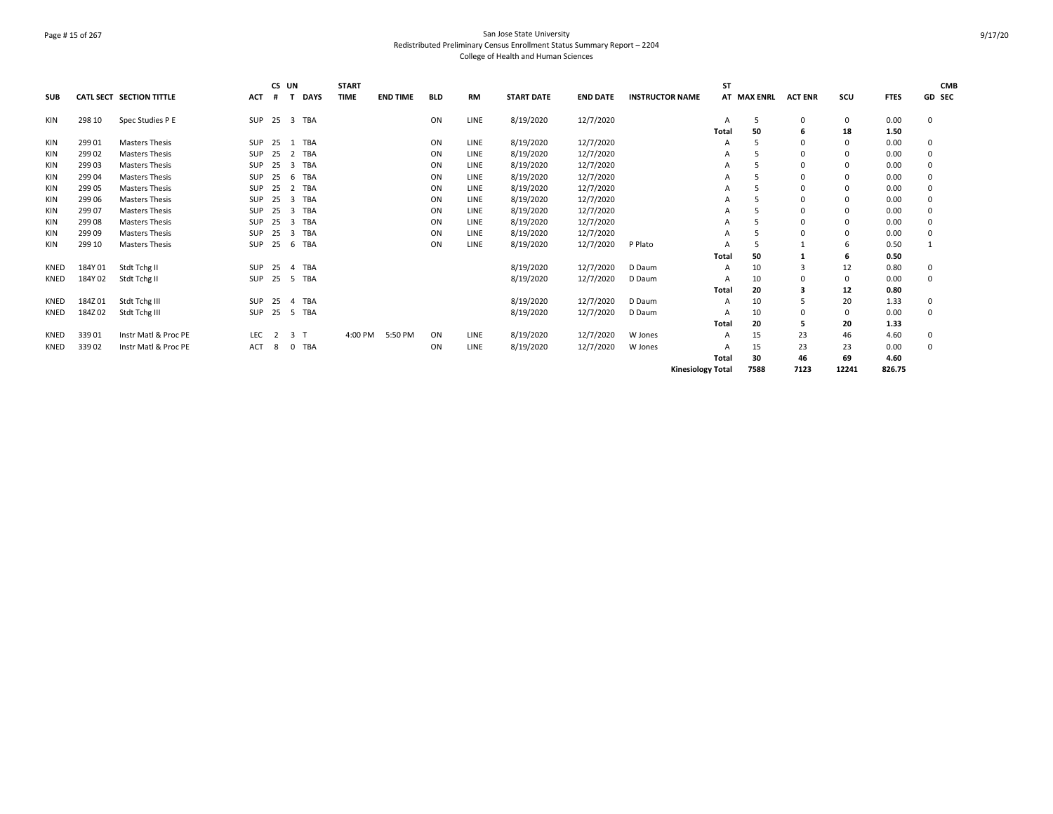# Page # 15 of 267 San Jose State University Redistributed Preliminary Census Enrollment Status Summary Report – 2204 College of Health and Human Sciences

| <b>SUB</b>  |         | <b>CATL SECT SECTION TITTLE</b> | ACT        | CS UN<br>#     | т                       | <b>DAYS</b> | <b>START</b><br><b>TIME</b> | <b>END TIME</b> | <b>BLD</b> | <b>RM</b>   | <b>START DATE</b> | <b>END DATE</b> | <b>INSTRUCTOR NAME</b> |                          | <b>ST</b> | AT MAX ENRL | <b>ACT ENR</b> | scu         | <b>FTES</b> | <b>CMB</b><br>GD SEC |
|-------------|---------|---------------------------------|------------|----------------|-------------------------|-------------|-----------------------------|-----------------|------------|-------------|-------------------|-----------------|------------------------|--------------------------|-----------|-------------|----------------|-------------|-------------|----------------------|
| KIN         | 298 10  | Spec Studies P E                | SUP        | 25             |                         | 3 TBA       |                             |                 | ON         | LINE        | 8/19/2020         | 12/7/2020       |                        |                          |           | 5           | 0              | $\mathbf 0$ | 0.00        | 0                    |
|             |         |                                 |            |                |                         |             |                             |                 |            |             |                   |                 |                        |                          | Total     | 50          | 6              | 18          | 1.50        |                      |
| KIN         | 299 01  | <b>Masters Thesis</b>           | SUP        | 25             |                         | 1 TBA       |                             |                 | ON         | LINE        | 8/19/2020         | 12/7/2020       |                        |                          |           | 5           | $\Omega$       | $\Omega$    | 0.00        | 0                    |
| KIN         | 299 02  | <b>Masters Thesis</b>           | SUP        | 25             |                         | 2 TBA       |                             |                 | ON         | <b>LINE</b> | 8/19/2020         | 12/7/2020       |                        |                          |           |             | 0              |             | 0.00        | 0                    |
| KIN         | 299 03  | Masters Thesis                  | <b>SUP</b> | 25             |                         | 3 TBA       |                             |                 | ON         | LINE        | 8/19/2020         | 12/7/2020       |                        |                          |           |             | $\Omega$       | $\Omega$    | 0.00        | 0                    |
| KIN         | 299 04  | Masters Thesis                  | <b>SUP</b> | 25             | 6                       | TBA         |                             |                 | ON         | <b>LINE</b> | 8/19/2020         | 12/7/2020       |                        |                          |           |             | $\Omega$       | $\Omega$    | 0.00        | 0                    |
| KIN         | 299 05  | <b>Masters Thesis</b>           | <b>SUP</b> | 25             |                         | 2 TBA       |                             |                 | ON         | LINE        | 8/19/2020         | 12/7/2020       |                        |                          |           | 5           | 0              |             | 0.00        | 0                    |
| KIN         | 299 06  | <b>Masters Thesis</b>           | <b>SUP</b> | 25             | $\overline{\mathbf{3}}$ | TBA         |                             |                 | ON         | LINE        | 8/19/2020         | 12/7/2020       |                        |                          |           |             | 0              | $\Omega$    | 0.00        | 0                    |
| KIN         | 299 07  | <b>Masters Thesis</b>           | SUP        | 25             |                         | 3 TBA       |                             |                 | ON         | <b>LINE</b> | 8/19/2020         | 12/7/2020       |                        |                          |           |             | $\Omega$       | $\Omega$    | 0.00        | 0                    |
| KIN         | 29908   | <b>Masters Thesis</b>           | <b>SUP</b> | 25             |                         | 3 TBA       |                             |                 | ON         | LINE        | 8/19/2020         | 12/7/2020       |                        |                          | А         |             | $\Omega$       |             | 0.00        | 0                    |
| KIN         | 29909   | <b>Masters Thesis</b>           | SUP        | 25             |                         | 3 TBA       |                             |                 | ON         | LINE        | 8/19/2020         | 12/7/2020       |                        |                          | А         |             | $\Omega$       | $\Omega$    | 0.00        | 0                    |
| KIN         | 299 10  | <b>Masters Thesis</b>           | SUP        | 25             |                         | 6 TBA       |                             |                 | ON         | LINE        | 8/19/2020         | 12/7/2020       | P Plato                |                          |           | 5           |                | -6          | 0.50        |                      |
|             |         |                                 |            |                |                         |             |                             |                 |            |             |                   |                 |                        |                          | Total     | 50          |                | 6           | 0.50        |                      |
| KNED        | 184Y 01 | Stdt Tchg II                    | SUP        | 25             |                         | 4 TBA       |                             |                 |            |             | 8/19/2020         | 12/7/2020       | D Daum                 |                          | A         | 10          | 3              | 12          | 0.80        | 0                    |
| <b>KNED</b> | 184Y 02 | Stdt Tchg II                    | SUP        | 25             |                         | 5 TBA       |                             |                 |            |             | 8/19/2020         | 12/7/2020       | D Daum                 |                          |           | 10          | $\Omega$       | $\Omega$    | 0.00        | 0                    |
|             |         |                                 |            |                |                         |             |                             |                 |            |             |                   |                 |                        |                          | Total     | 20          | 3              | 12          | 0.80        |                      |
| <b>KNED</b> | 184Z01  | Stdt Tchg III                   | SUP        | 25             |                         | 4 TBA       |                             |                 |            |             | 8/19/2020         | 12/7/2020       | D Daum                 |                          | А         | 10          | 5              | 20          | 1.33        | 0                    |
| <b>KNED</b> | 184Z02  | Stdt Tchg III                   | SUP        | 25             |                         | 5 TBA       |                             |                 |            |             | 8/19/2020         | 12/7/2020       | D Daum                 |                          |           | 10          | $\Omega$       | $\Omega$    | 0.00        | 0                    |
|             |         |                                 |            |                |                         |             |                             |                 |            |             |                   |                 |                        |                          | Total     | 20          | 5              | 20          | 1.33        |                      |
| <b>KNED</b> | 33901   | Instr Matl & Proc PE            | <b>LEC</b> | $\overline{2}$ | 3 <sub>1</sub>          |             | 4:00 PM                     | 5:50 PM         | ON         | <b>LINE</b> | 8/19/2020         | 12/7/2020       | W Jones                |                          |           | 15          | 23             | 46          | 4.60        | 0                    |
| <b>KNED</b> | 33902   | Instr Matl & Proc PE            | ACT        | 8              | $\mathbf{0}$            | TBA         |                             |                 | ON         | LINE        | 8/19/2020         | 12/7/2020       | W Jones                |                          |           | 15          | 23             | 23          | 0.00        | 0                    |
|             |         |                                 |            |                |                         |             |                             |                 |            |             |                   |                 |                        |                          | Total     | 30          | 46             | 69          | 4.60        |                      |
|             |         |                                 |            |                |                         |             |                             |                 |            |             |                   |                 |                        | <b>Kinesiology Total</b> |           | 7588        | 7123           | 12241       | 826.75      |                      |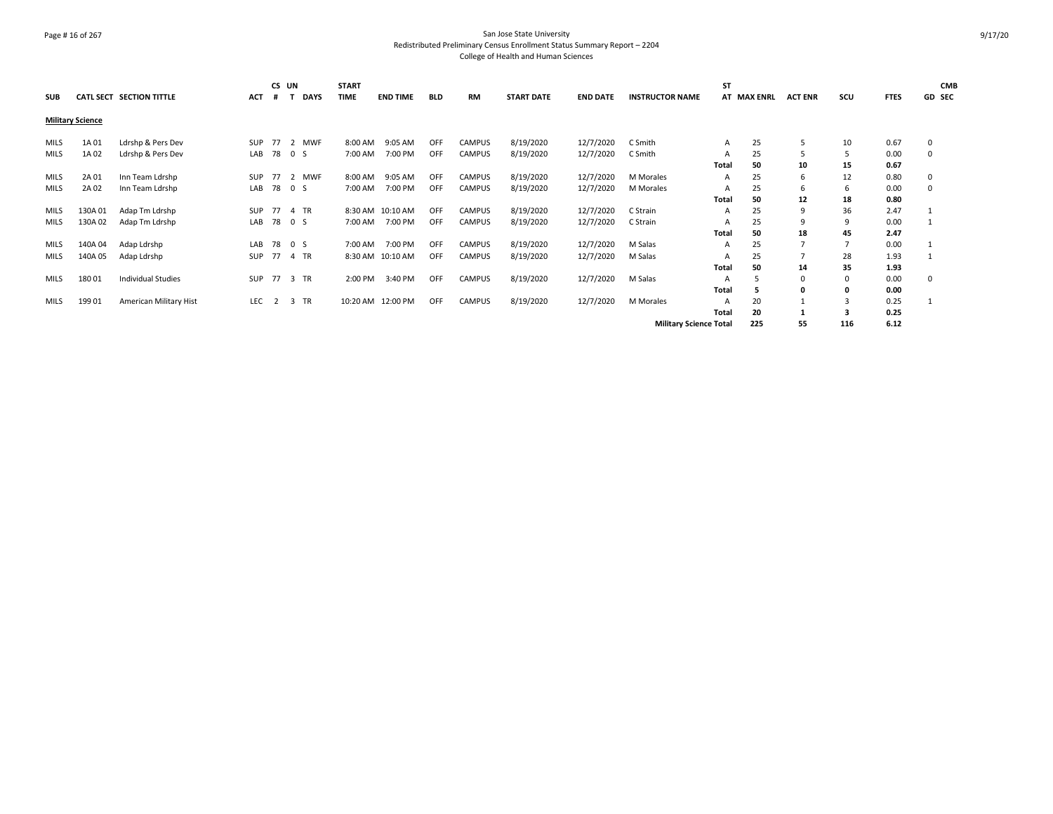# Page # 16 of 267 San Jose State University Redistributed Preliminary Census Enrollment Status Summary Report – 2204 College of Health and Human Sciences

| <b>SUB</b>  |                         | <b>CATL SECT SECTION TITTLE</b> | <b>ACT</b> | CS UN<br># |         | <b>DAYS</b> | <b>START</b><br><b>TIME</b> | <b>END TIME</b>   | <b>BLD</b> | <b>RM</b>     | <b>START DATE</b> | <b>END DATE</b> | <b>INSTRUCTOR NAME</b>        | <b>ST</b> | AT MAX ENRL | <b>ACT ENR</b> | scu      | <b>FTES</b> | <b>CMB</b><br><b>GD SEC</b> |
|-------------|-------------------------|---------------------------------|------------|------------|---------|-------------|-----------------------------|-------------------|------------|---------------|-------------------|-----------------|-------------------------------|-----------|-------------|----------------|----------|-------------|-----------------------------|
|             | <b>Military Science</b> |                                 |            |            |         |             |                             |                   |            |               |                   |                 |                               |           |             |                |          |             |                             |
| MILS        | 1A 01                   | Ldrshp & Pers Dev               | SUP        | 77         | 2 MWF   |             | 8:00 AM                     | 9:05 AM           | <b>OFF</b> | <b>CAMPUS</b> | 8/19/2020         | 12/7/2020       | C Smith                       | A         | 25          | 5              | 10       | 0.67        | 0                           |
| <b>MILS</b> | 1A 02                   | Ldrshp & Pers Dev               | LAB        |            | 78 0 S  |             | 7:00 AM                     | 7:00 PM           | OFF        | <b>CAMPUS</b> | 8/19/2020         | 12/7/2020       | C Smith                       |           | 25          | 5              |          | 0.00        | 0                           |
|             |                         |                                 |            |            |         |             |                             |                   |            |               |                   |                 |                               | Total     | 50          | 10             | 15       | 0.67        |                             |
| MILS        | 2A 01                   | Inn Team Ldrshp                 | SUP        | 77         | 2 MWF   |             | 8:00 AM                     | 9:05 AM           | <b>OFF</b> | <b>CAMPUS</b> | 8/19/2020         | 12/7/2020       | <b>M</b> Morales              | A         | 25          | 6              | 12       | 0.80        | 0                           |
| <b>MILS</b> | 2A 02                   | Inn Team Ldrshp                 | LAB        |            | 78 0 S  |             | 7:00 AM                     | 7:00 PM           | OFF        | CAMPUS        | 8/19/2020         | 12/7/2020       | M Morales                     |           | 25          | 6              | -6       | 0.00        | 0                           |
|             |                         |                                 |            |            |         |             |                             |                   |            |               |                   |                 |                               | Total     | 50          | 12             | 18       | 0.80        |                             |
| MILS        | 130A01                  | Adap Tm Ldrshp                  | SUP        | 77         | 4 TR    |             |                             | 8:30 AM 10:10 AM  | <b>OFF</b> | <b>CAMPUS</b> | 8/19/2020         | 12/7/2020       | C Strain                      | A         | 25          | 9              | 36       | 2.47        |                             |
| <b>MILS</b> | 130A 02                 | Adap Tm Ldrshp                  | LAB        |            | 78 0 S  |             | 7:00 AM                     | 7:00 PM           | OFF        | <b>CAMPUS</b> | 8/19/2020         | 12/7/2020       | C Strain                      |           | 25          | 9              | 9        | 0.00        |                             |
|             |                         |                                 |            |            |         |             |                             |                   |            |               |                   |                 |                               | Total     | 50          | 18             | 45       | 2.47        |                             |
| MILS        | 140A 04                 | Adap Ldrshp                     | LAB        |            | 78 0 S  |             | 7:00 AM                     | 7:00 PM           | <b>OFF</b> | <b>CAMPUS</b> | 8/19/2020         | 12/7/2020       | M Salas                       | A         | 25          | $\overline{7}$ |          | 0.00        |                             |
| <b>MILS</b> | 140A 05                 | Adap Ldrshp                     | SUP        |            | 77 4 TR |             |                             | 8:30 AM 10:10 AM  | <b>OFF</b> | <b>CAMPUS</b> | 8/19/2020         | 12/7/2020       | M Salas                       |           | 25          |                | 28       | 1.93        |                             |
|             |                         |                                 |            |            |         |             |                             |                   |            |               |                   |                 |                               | Total     | 50          | 14             | 35       | 1.93        |                             |
| MILS        | 18001                   | <b>Individual Studies</b>       | SUP        |            | 77 3 TR |             | 2:00 PM                     | 3:40 PM           | <b>OFF</b> | CAMPUS        | 8/19/2020         | 12/7/2020       | M Salas                       | A         |             | 0              | $\Omega$ | 0.00        | 0                           |
|             |                         |                                 |            |            |         |             |                             |                   |            |               |                   |                 |                               | Total     | 5           | 0              | - 0      | 0.00        |                             |
| MILS        | 19901                   | American Military Hist          | LEC        | 2          | 3 TR    |             |                             | 10:20 AM 12:00 PM | OFF        | CAMPUS        | 8/19/2020         | 12/7/2020       | M Morales                     |           | 20          |                |          | 0.25        |                             |
|             |                         |                                 |            |            |         |             |                             |                   |            |               |                   |                 |                               | Total     | 20          |                | з        | 0.25        |                             |
|             |                         |                                 |            |            |         |             |                             |                   |            |               |                   |                 | <b>Military Science Total</b> |           | 225         | 55             | 116      | 6.12        |                             |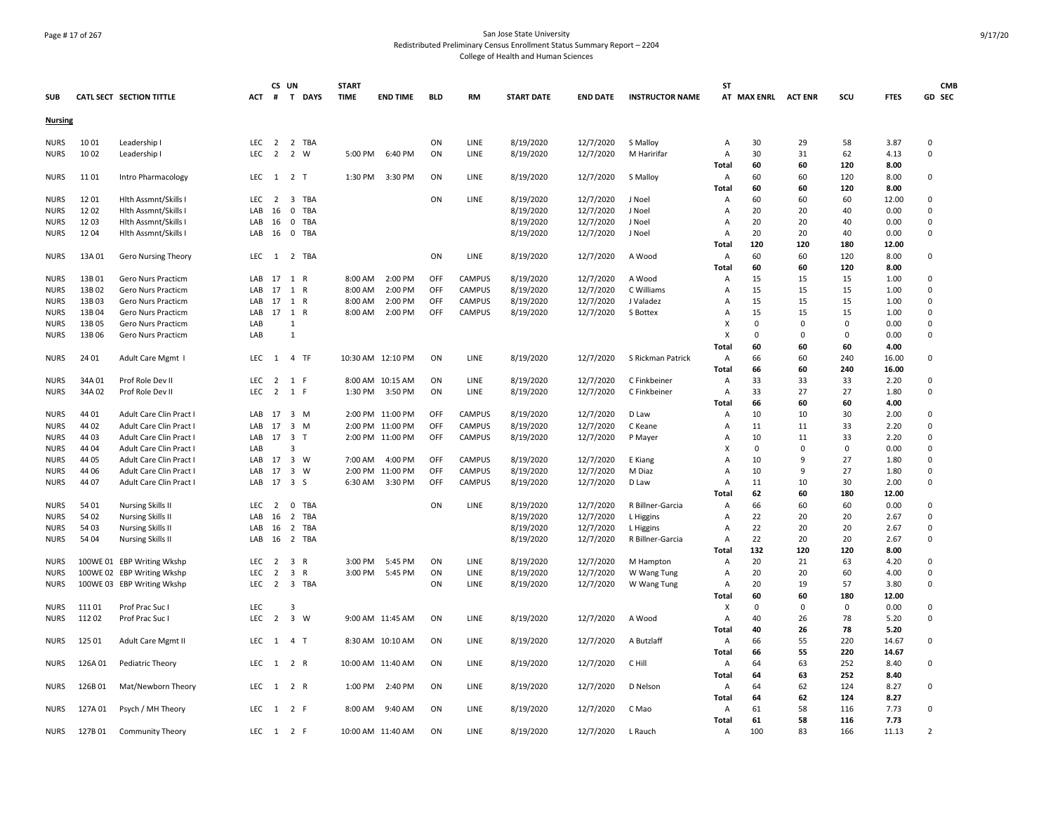# Page # 17 of 267 San Jose State University Redistributed Preliminary Census Enrollment Status Summary Report – 2204 College of Health and Human Sciences

|                            |         |                                 |            | CS UN          |                                |                   | <b>START</b> |                   |            |               |                   |                 |                        | ST                               |                     |          |             |              | <b>CMB</b>                |
|----------------------------|---------|---------------------------------|------------|----------------|--------------------------------|-------------------|--------------|-------------------|------------|---------------|-------------------|-----------------|------------------------|----------------------------------|---------------------|----------|-------------|--------------|---------------------------|
| <b>SUB</b>                 |         | <b>CATL SECT SECTION TITTLE</b> | ACT        |                | # T DAYS                       |                   | <b>TIME</b>  | <b>END TIME</b>   | <b>BLD</b> | <b>RM</b>     | <b>START DATE</b> | <b>END DATE</b> | <b>INSTRUCTOR NAME</b> |                                  | AT MAX ENRL ACT ENR |          | SCU         | <b>FTES</b>  | GD SEC                    |
| <b>Nursing</b>             |         |                                 |            |                |                                |                   |              |                   |            |               |                   |                 |                        |                                  |                     |          |             |              |                           |
|                            | 10 01   |                                 | LEC        |                |                                |                   |              |                   | ON         | LINE          |                   |                 |                        |                                  | 30                  | 29       |             |              | 0                         |
| <b>NURS</b>                |         | Leadership I                    | LEC        | $\overline{2}$ | 2 2 TBA<br>$\overline{2}$<br>W |                   |              | 6:40 PM           |            |               | 8/19/2020         | 12/7/2020       | S Malloy               | Α                                |                     |          | 58<br>62    | 3.87         | $\pmb{0}$                 |
| <b>NURS</b>                | 10 02   | Leadership I                    |            |                |                                |                   | 5:00 PM      |                   | ON         | LINE          | 8/19/2020         | 12/7/2020       | M Haririfar            | Α                                | 30                  | 31       |             | 4.13         |                           |
|                            |         |                                 |            |                |                                |                   |              |                   |            |               |                   |                 |                        | Total                            | 60<br>60            | 60       | 120         | 8.00         |                           |
| <b>NURS</b>                | 1101    | Intro Pharmacology              | <b>LEC</b> |                | 1 2 T                          |                   | 1:30 PM      | 3:30 PM           | ON         | LINE          | 8/19/2020         | 12/7/2020       | S Malloy               | A                                | 60                  | 60<br>60 | 120         | 8.00         | 0                         |
|                            |         |                                 |            |                |                                |                   |              |                   |            |               |                   |                 |                        | Total                            |                     |          | 120         | 8.00         |                           |
| <b>NURS</b>                | 1201    | Hlth Assmnt/Skills I            | LEC        | $\overline{2}$ | 3                              | TBA               |              |                   | ON         | LINE          | 8/19/2020         | 12/7/2020       | J Noel                 | A                                | 60                  | 60       | 60          | 12.00        | 0                         |
| <b>NURS</b><br><b>NURS</b> | 1202    | Hith Assmnt/Skills I            | LAB<br>LAB | 16             | $\mathbf{0}$<br>$^{\circ}$     | TBA<br><b>TBA</b> |              |                   |            |               | 8/19/2020         | 12/7/2020       | J Noel<br>J Noel       | $\overline{A}$<br>$\overline{A}$ | 20<br>20            | 20<br>20 | 40<br>40    | 0.00<br>0.00 | $^{\circ}$<br>$\mathbf 0$ |
|                            | 1203    | Hlth Assmnt/Skills I            |            | 16             |                                |                   |              |                   |            |               | 8/19/2020         | 12/7/2020       |                        |                                  |                     | 20       | 40          |              |                           |
| <b>NURS</b>                | 1204    | Hlth Assmnt/Skills I            | LAB        | 16             | $\mathbf 0$                    | TBA               |              |                   |            |               | 8/19/2020         | 12/7/2020       | J Noel                 | A                                | 20                  |          |             | 0.00         | 0                         |
|                            |         |                                 |            |                |                                |                   |              |                   |            |               |                   |                 |                        | <b>Total</b>                     | 120                 | 120      | 180         | 12.00        |                           |
| <b>NURS</b>                | 13A 01  | Gero Nursing Theory             | LEC        | 1              | 2 TBA                          |                   |              |                   | ON         | LINE          | 8/19/2020         | 12/7/2020       | A Wood                 | A                                | 60                  | 60       | 120         | 8.00         | 0                         |
|                            |         |                                 |            |                |                                |                   |              |                   |            |               |                   |                 |                        | Total                            | 60                  | 60       | 120         | 8.00         |                           |
| <b>NURS</b>                | 13B01   | Gero Nurs Practicm              | LAB        | 17             | 1<br>R                         |                   | 8:00 AM      | 2:00 PM           | OFF        | <b>CAMPUS</b> | 8/19/2020         | 12/7/2020       | A Wood                 | A                                | 15                  | 15       | 15          | 1.00         | 0                         |
| <b>NURS</b>                | 13B02   | Gero Nurs Practicm              | LAB        | 17             | 1<br>$\mathsf{R}$              |                   | 8:00 AM      | 2:00 PM           | OFF        | <b>CAMPUS</b> | 8/19/2020         | 12/7/2020       | C Williams             | A                                | 15                  | 15       | 15          | 1.00         | $\Omega$                  |
| <b>NURS</b>                | 13B03   | Gero Nurs Practicm              | LAB        | 17             | 1<br>$\mathsf{R}$              |                   | 8:00 AM      | 2:00 PM           | OFF        | <b>CAMPUS</b> | 8/19/2020         | 12/7/2020       | J Valadez              | A                                | 15                  | 15       | 15          | 1.00         | 0                         |
| <b>NURS</b>                | 13B 04  | Gero Nurs Practicm              | LAB        | 17             | 1 R                            |                   | 8:00 AM      | 2:00 PM           | OFF        | CAMPUS        | 8/19/2020         | 12/7/2020       | S Bottex               | $\overline{A}$                   | 15                  | 15       | 15          | 1.00         | $\Omega$                  |
| <b>NURS</b>                | 13B05   | Gero Nurs Practicm              | LAB        |                | -1                             |                   |              |                   |            |               |                   |                 |                        | x                                | $\Omega$            | $\Omega$ | $\Omega$    | 0.00         | 0                         |
| <b>NURS</b>                | 13B 06  | Gero Nurs Practicm              | LAB        |                | $\overline{1}$                 |                   |              |                   |            |               |                   |                 |                        | X                                | $\Omega$            | $\Omega$ | $\Omega$    | 0.00         | 0                         |
|                            |         |                                 |            |                |                                |                   |              |                   |            |               |                   |                 |                        | <b>Total</b>                     | 60                  | 60       | 60          | 4.00         |                           |
| <b>NURS</b>                | 24 01   | Adult Care Mgmt I               | LEC        | 1              | 4 TF                           |                   |              | 10:30 AM 12:10 PM | ON         | LINE          | 8/19/2020         | 12/7/2020       | S Rickman Patrick      | A                                | 66                  | 60       | 240         | 16.00        | 0                         |
|                            |         |                                 |            |                |                                |                   |              |                   |            |               |                   |                 |                        | Total                            | 66                  | 60       | 240         | 16.00        |                           |
| <b>NURS</b>                | 34A01   | Prof Role Dev II                | <b>LEC</b> | $\overline{2}$ | 1 F                            |                   |              | 8:00 AM 10:15 AM  | ON         | LINE          | 8/19/2020         | 12/7/2020       | C Finkbeiner           | A                                | 33                  | 33       | 33          | 2.20         | 0                         |
| <b>NURS</b>                | 34A 02  | Prof Role Dev II                | <b>LEC</b> | 2              | 1 F                            |                   | 1:30 PM      | 3:50 PM           | ON         | LINE          | 8/19/2020         | 12/7/2020       | C Finkbeiner           | $\overline{A}$                   | 33                  | 27       | 27          | 1.80         | $\mathbf 0$               |
|                            |         |                                 |            |                |                                |                   |              |                   |            |               |                   |                 |                        | Total                            | 66                  | 60       | 60          | 4.00         |                           |
| <b>NURS</b>                | 44 01   | Adult Care Clin Pract I         | LAB        | 17             | 3 M                            |                   |              | 2:00 PM 11:00 PM  | OFF        | CAMPUS        | 8/19/2020         | 12/7/2020       | D Law                  | A                                | 10                  | 10       | 30          | 2.00         | 0                         |
| <b>NURS</b>                | 44 02   | Adult Care Clin Pract I         | LAB        | 17             | 3 M                            |                   |              | 2:00 PM 11:00 PM  | <b>OFF</b> | <b>CAMPUS</b> | 8/19/2020         | 12/7/2020       | C Keane                | $\overline{A}$                   | 11                  | 11       | 33          | 2.20         | $^{\circ}$                |
| <b>NURS</b>                | 44 03   | Adult Care Clin Pract I         | LAB        | 17             | 3 <sub>T</sub>                 |                   |              | 2:00 PM 11:00 PM  | OFF        | <b>CAMPUS</b> | 8/19/2020         | 12/7/2020       | P Mayer                | $\overline{A}$                   | 10                  | 11       | 33          | 2.20         | 0                         |
| <b>NURS</b>                | 44 04   | Adult Care Clin Pract I         | LAB        |                | 3                              |                   |              |                   |            |               |                   |                 |                        | X                                | $\Omega$            | 0        | $\mathbf 0$ | 0.00         | 0                         |
| <b>NURS</b>                | 44 05   | Adult Care Clin Pract I         | LAB        | 17             | 3 W                            |                   | 7:00 AM      | 4:00 PM           | OFF        | <b>CAMPUS</b> | 8/19/2020         | 12/7/2020       | E Kiang                | A                                | 10                  | 9        | 27          | 1.80         | 0                         |
| <b>NURS</b>                | 44 06   | Adult Care Clin Pract I         | LAB        | 17             | 3 W                            |                   |              | 2:00 PM 11:00 PM  | OFF        | <b>CAMPUS</b> | 8/19/2020         | 12/7/2020       | M Diaz                 | A                                | 10                  | 9        | 27          | 1.80         | $\mathbf 0$               |
| <b>NURS</b>                | 44 07   | Adult Care Clin Pract I         | LAB        | 17             | 3S                             |                   | 6:30 AM      | 3:30 PM           | OFF        | CAMPUS        | 8/19/2020         | 12/7/2020       | D Law                  | $\overline{A}$                   | 11                  | 10       | 30          | 2.00         | 0                         |
|                            |         |                                 |            |                |                                |                   |              |                   |            |               |                   |                 |                        | Total                            | 62                  | 60       | 180         | 12.00        |                           |
| <b>NURS</b>                | 54 01   | <b>Nursing Skills II</b>        | <b>LEC</b> | $\overline{2}$ | $\mathbf 0$                    | TBA               |              |                   | ON         | LINE          | 8/19/2020         | 12/7/2020       | R Billner-Garcia       | A                                | 66                  | 60       | 60          | 0.00         | 0                         |
| <b>NURS</b>                | 54 02   | Nursing Skills II               | LAB        | 16             | 2 TBA                          |                   |              |                   |            |               | 8/19/2020         | 12/7/2020       | L Higgins              | $\overline{A}$                   | 22                  | 20       | 20          | 2.67         | $\Omega$                  |
| <b>NURS</b>                | 54 03   | Nursing Skills II               | LAB        | 16             | $\overline{2}$                 | TBA               |              |                   |            |               | 8/19/2020         | 12/7/2020       | L Higgins              | A                                | 22                  | 20       | 20          | 2.67         | 0                         |
| <b>NURS</b>                | 54 04   | <b>Nursing Skills II</b>        | LAB        | 16             | 2 TBA                          |                   |              |                   |            |               | 8/19/2020         | 12/7/2020       | R Billner-Garcia       | A                                | 22                  | 20       | 20          | 2.67         | 0                         |
|                            |         |                                 |            |                |                                |                   |              |                   |            |               |                   |                 |                        | Total                            | 132                 | 120      | 120         | 8.00         |                           |
| <b>NURS</b>                |         | 100WE 01 EBP Writing Wkshp      | <b>LEC</b> | $\overline{2}$ | $\overline{3}$<br>$\mathsf{R}$ |                   | 3:00 PM      | 5:45 PM           | ON         | LINE          | 8/19/2020         | 12/7/2020       | M Hampton              | $\overline{A}$                   | 20                  | 21       | 63          | 4.20         | $\mathbf 0$               |
| <b>NURS</b>                |         | 100WE 02 EBP Writing Wkshp      | LEC        | $\overline{2}$ | $\overline{3}$<br>$\mathsf{R}$ |                   | 3:00 PM      | 5:45 PM           | ON         | LINE          | 8/19/2020         | 12/7/2020       | W Wang Tung            | A                                | 20                  | 20       | 60          | 4.00         | 0                         |
| <b>NURS</b>                |         | 100WE 03 EBP Writing Wkshp      | <b>LEC</b> | $\overline{2}$ | 3 TBA                          |                   |              |                   | ON         | LINE          | 8/19/2020         | 12/7/2020       | W Wang Tung            | A                                | 20                  | 19       | 57          | 3.80         | 0                         |
|                            |         |                                 |            |                |                                |                   |              |                   |            |               |                   |                 |                        | Total                            | 60                  | 60       | 180         | 12.00        |                           |
| <b>NURS</b>                | 11101   | Prof Prac Suc I                 | LEC        |                | $\mathbf{a}$                   |                   |              |                   |            |               |                   |                 |                        | X                                | $\Omega$            | $\Omega$ | $\Omega$    | 0.00         | 0                         |
| NURS                       | 11202   | Prof Prac Suc I                 | LEC        |                | 2 3 W                          |                   |              | 9:00 AM 11:45 AM  | ON         | <b>LINE</b>   | 8/19/2020         | 12/7/2020       | A Wood                 | $\overline{A}$                   | 40                  | 26       | 78          | 5.20         | 0                         |
|                            |         |                                 |            |                |                                |                   |              |                   |            |               |                   |                 |                        | Total                            | 40                  | 26       | 78          | 5.20         |                           |
| NURS                       | 125 01  | Adult Care Mgmt II              | <b>LEC</b> | 1              | 4 <sub>T</sub>                 |                   |              | 8:30 AM 10:10 AM  | ON         | LINE          | 8/19/2020         | 12/7/2020       | A Butzlaff             | $\overline{A}$                   | 66                  | 55       | 220         | 14.67        | 0                         |
|                            |         |                                 |            |                |                                |                   |              |                   |            |               |                   |                 |                        | Total                            | 66                  | 55       | 220         | 14.67        |                           |
| <b>NURS</b>                | 126A01  | Pediatric Theory                | LEC        |                | 1 2 R                          |                   |              | 10:00 AM 11:40 AM | ON         | LINE          | 8/19/2020         | 12/7/2020       | C Hill                 | A                                | 64                  | 63       | 252         | 8.40         | 0                         |
|                            |         |                                 |            |                |                                |                   |              |                   |            |               |                   |                 |                        | Total                            | 64                  | 63       | 252         | 8.40         |                           |
| <b>NURS</b>                | 126B01  | Mat/Newborn Theory              | <b>LEC</b> | 1              | 2 R                            |                   | 1:00 PM      | 2:40 PM           | ON         | LINE          | 8/19/2020         | 12/7/2020       | D Nelson               | $\overline{A}$                   | 64                  | 62       | 124         | 8.27         | 0                         |
|                            |         |                                 |            |                |                                |                   |              |                   |            |               |                   |                 |                        | Total                            | 64                  | 62       | 124         | 8.27         |                           |
| <b>NURS</b>                | 127A 01 | Psych / MH Theory               | LEC        |                | 1 2 F                          |                   | 8:00 AM      | 9:40 AM           | ON         | LINE          | 8/19/2020         | 12/7/2020       | C Mao                  | A                                | 61                  | 58       | 116         | 7.73         | 0                         |
|                            |         |                                 |            |                |                                |                   |              |                   |            |               |                   |                 |                        | <b>Total</b>                     | 61                  | 58       | 116         | 7.73         |                           |
| <b>NURS</b>                | 127B01  | <b>Community Theory</b>         | LEC        |                | 1 2 F                          |                   |              | 10:00 AM 11:40 AM | ON         | <b>LINE</b>   | 8/19/2020         | 12/7/2020       | L Rauch                | Α                                | 100                 | 83       | 166         | 11.13        | $\overline{2}$            |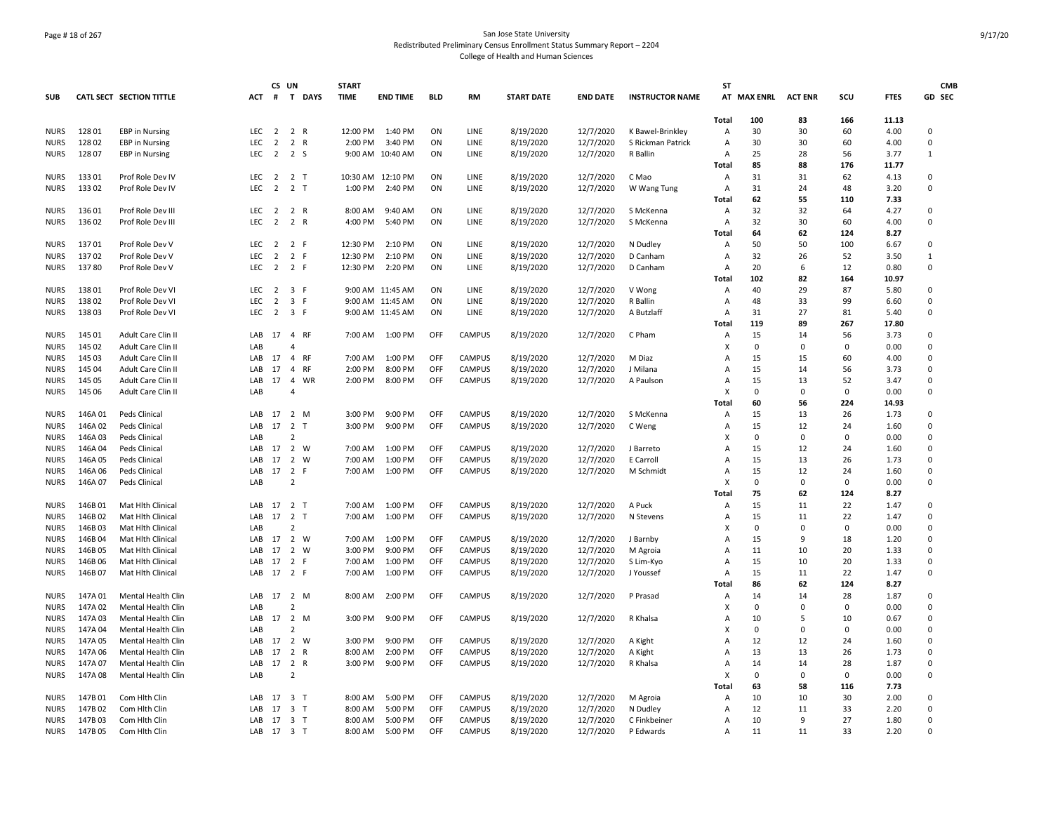# Page # 18 of 267 San Jose State University Redistributed Preliminary Census Enrollment Status Summary Report – 2204 College of Health and Human Sciences

|             |         |                           |            | CS UN          |                                         | <b>START</b> |                   |            |               |                   |                 |                        | <b>ST</b>      |             |                |          |             | <b>CMB</b>   |
|-------------|---------|---------------------------|------------|----------------|-----------------------------------------|--------------|-------------------|------------|---------------|-------------------|-----------------|------------------------|----------------|-------------|----------------|----------|-------------|--------------|
| <b>SUB</b>  |         | CATL SECT SECTION TITTLE  | <b>ACT</b> | #              | $\mathbf{T}$<br><b>DAYS</b>             | <b>TIME</b>  | <b>END TIME</b>   | <b>BLD</b> | <b>RM</b>     | <b>START DATE</b> | <b>END DATE</b> | <b>INSTRUCTOR NAME</b> |                | AT MAX ENRL | <b>ACT ENR</b> | SCU      | <b>FTES</b> | GD SEC       |
|             |         |                           |            |                |                                         |              |                   |            |               |                   |                 |                        | Total          | 100         | 83             | 166      | 11.13       |              |
| <b>NURS</b> | 12801   | <b>EBP</b> in Nursing     | LEC        | $\overline{2}$ | 2 R                                     | 12:00 PM     | 1:40 PM           | ON         | LINE          | 8/19/2020         | 12/7/2020       | K Bawel-Brinkley       | A              | 30          | 30             | 60       | 4.00        | 0            |
| NURS        | 12802   | <b>EBP</b> in Nursing     | <b>LEC</b> | $\overline{2}$ | $\overline{2}$<br>R                     | 2:00 PM      | 3:40 PM           | ON         | LINE          | 8/19/2020         | 12/7/2020       | S Rickman Patrick      | A              | 30          | 30             | 60       | 4.00        | 0            |
| <b>NURS</b> | 12807   | <b>EBP</b> in Nursing     | <b>LEC</b> |                | $2 \t2 \t5$                             |              | 9:00 AM 10:40 AM  | ON         | LINE          | 8/19/2020         | 12/7/2020       | R Ballin               | $\overline{A}$ | 25          | 28             | 56       | 3.77        | 1            |
|             |         |                           |            |                |                                         |              |                   |            |               |                   |                 |                        | Total          | 85          | 88             | 176      | 11.77       |              |
| <b>NURS</b> | 13301   | Prof Role Dev IV          | LEC        | $\overline{2}$ | 2 T                                     |              | 10:30 AM 12:10 PM | ON         | LINE          | 8/19/2020         | 12/7/2020       | C Mao                  | A              | 31          | 31             | 62       | 4.13        | 0            |
| <b>NURS</b> | 133 02  | Prof Role Dev IV          | LEC.       | 2              | 2 T                                     | 1:00 PM      | 2:40 PM           | ON         | LINE          | 8/19/2020         | 12/7/2020       | W Wang Tung            | A              | 31          | 24             | 48       | 3.20        | $\mathbf 0$  |
|             |         |                           |            |                |                                         |              |                   |            |               |                   |                 |                        | Total          | 62          | 55             | 110      | 7.33        |              |
| <b>NURS</b> | 136 01  | Prof Role Dev III         | LEC        | $\overline{2}$ | 2 R                                     | 8:00 AM      | 9:40 AM           | ON         | LINE          | 8/19/2020         | 12/7/2020       | S McKenna              | $\overline{A}$ | 32          | 32             | 64       | 4.27        | 0            |
| <b>NURS</b> | 136 02  | Prof Role Dev III         | LEC        | $\overline{2}$ | 2 R                                     | 4:00 PM      | 5:40 PM           | ON         | LINE          | 8/19/2020         | 12/7/2020       | S McKenna              | A              | 32          | 30             | 60       | 4.00        | 0            |
|             |         |                           |            |                |                                         |              |                   |            |               |                   |                 |                        | Total          | 64          | 62             | 124      | 8.27        |              |
| <b>NURS</b> | 13701   | Prof Role Dev V           | <b>LEC</b> | $\overline{2}$ | 2 F                                     | 12:30 PM     | 2:10 PM           | ON         | LINE          | 8/19/2020         | 12/7/2020       | N Dudley               | $\overline{A}$ | 50          | 50             | 100      | 6.67        | 0            |
| <b>NURS</b> | 13702   | Prof Role Dev V           | <b>LEC</b> | $\overline{2}$ | 2 F                                     | 12:30 PM     | 2:10 PM           | ON         | LINE          | 8/19/2020         | 12/7/2020       | D Canham               | Α              | 32          | 26             | 52       | 3.50        | $\mathbf{1}$ |
| <b>NURS</b> | 13780   | Prof Role Dev V           | <b>LEC</b> | 2              | 2 F                                     | 12:30 PM     | 2:20 PM           | ON         | LINE          | 8/19/2020         | 12/7/2020       | D Canham               | A              | 20          | 6              | 12       | 0.80        | 0            |
|             |         |                           |            |                |                                         |              |                   |            |               |                   |                 |                        | Total          | 102         | 82             | 164      | 10.97       |              |
| <b>NURS</b> | 13801   | Prof Role Dev VI          | <b>LEC</b> | $\overline{2}$ | 3 F                                     |              | 9:00 AM 11:45 AM  | ON         | LINE          | 8/19/2020         | 12/7/2020       | V Wong                 | A              | 40          | 29             | 87       | 5.80        | $\mathbf 0$  |
| <b>NURS</b> | 13802   | Prof Role Dev VI          | <b>LEC</b> | $\overline{2}$ | 3 F                                     |              | 9:00 AM 11:45 AM  | ON         | LINE          | 8/19/2020         | 12/7/2020       | R Ballin               | A              | 48          | 33             | 99       | 6.60        | $\pmb{0}$    |
| <b>NURS</b> | 13803   | Prof Role Dev VI          | LEC        | $\overline{2}$ | 3 F                                     |              | 9:00 AM 11:45 AM  | ON         | LINE          | 8/19/2020         | 12/7/2020       | A Butzlaff             | A              | 31          | 27             | 81       | 5.40        | 0            |
|             |         |                           |            |                |                                         |              |                   |            |               |                   |                 |                        | Total          | 119         | 89             | 267      | 17.80       |              |
| <b>NURS</b> | 145 01  | Adult Care Clin II        | LAB        | 17             | $\overline{4}$<br><b>RF</b>             | 7:00 AM      | 1:00 PM           | OFF        | CAMPUS        | 8/19/2020         | 12/7/2020       | C Pham                 | A              | 15          | 14             | 56       | 3.73        | 0            |
| <b>NURS</b> | 145 02  | <b>Adult Care Clin II</b> | LAB        |                |                                         |              |                   |            |               |                   |                 |                        |                | $\Omega$    | $\Omega$       | $\Omega$ | 0.00        | $\Omega$     |
| <b>NURS</b> | 145 03  | Adult Care Clin II        | LAB        | 17             | $\overline{4}$<br><b>RF</b>             | 7:00 AM      | 1:00 PM           | OFF        | CAMPUS        | 8/19/2020         | 12/7/2020       | M Diaz                 | A              | 15          | 15             | 60       | 4.00        | $\mathbf 0$  |
| <b>NURS</b> | 145 04  | Adult Care Clin II        | LAB        | 17             | <b>RF</b><br>$\overline{4}$             | 2:00 PM      | 8:00 PM           | OFF        | CAMPUS        | 8/19/2020         | 12/7/2020       | J Milana               | A              | 15          | 14             | 56       | 3.73        | 0            |
| <b>NURS</b> | 145 05  | Adult Care Clin II        | LAB        | 17             | 4<br>WR                                 | 2:00 PM      | 8:00 PM           | OFF        | <b>CAMPUS</b> | 8/19/2020         | 12/7/2020       | A Paulson              | A              | 15          | 13             | 52       | 3.47        | 0            |
| <b>NURS</b> | 145 06  | Adult Care Clin II        | LAB        |                | Δ                                       |              |                   |            |               |                   |                 |                        | x              | $\Omega$    | $\mathbf 0$    | $\Omega$ | 0.00        | $\mathbf 0$  |
|             |         |                           |            |                |                                         |              |                   |            |               |                   |                 |                        | Total          | 60          | 56             | 224      | 14.93       |              |
| <b>NURS</b> | 146A01  | Peds Clinical             | LAB        | 17             | 2 M                                     | 3:00 PM      | 9:00 PM           | OFF        | <b>CAMPUS</b> | 8/19/2020         | 12/7/2020       | S McKenna              | A              | 15          | 13             | 26       | 1.73        | 0            |
| <b>NURS</b> | 146A02  | Peds Clinical             | LAB        | 17             | 2<br>$\mathsf{T}$                       | 3:00 PM      | 9:00 PM           | OFF        | <b>CAMPUS</b> | 8/19/2020         | 12/7/2020       | C Weng                 | A              | 15          | 12             | 24       | 1.60        | 0            |
| <b>NURS</b> | 146A03  | Peds Clinical             | LAB        |                | $\mathcal{P}$                           |              |                   |            |               |                   |                 |                        | x              | $\Omega$    | $\Omega$       | $\Omega$ | 0.00        | $\Omega$     |
| <b>NURS</b> | 146A04  | Peds Clinical             | <b>IAR</b> | 17             | 2 W                                     | 7:00 AM      | 1:00 PM           | OFF        | <b>CAMPUS</b> | 8/19/2020         | 12/7/2020       | J Barreto              | A              | 15          | 12             | 24       | 1.60        | $\mathbf 0$  |
| <b>NURS</b> | 146A05  | Peds Clinical             | LAB        | 17             | $\overline{2}$<br>W                     | 7:00 AM      | 1:00 PM           | OFF        | <b>CAMPUS</b> | 8/19/2020         | 12/7/2020       | E Carroll              | A              | 15          | 13             | 26       | 1.73        | 0            |
| <b>NURS</b> | 146A06  | Peds Clinical             | LAB        | 17             | $\overline{2}$<br>-F                    | 7:00 AM      | 1:00 PM           | OFF        | CAMPUS        | 8/19/2020         | 12/7/2020       | M Schmidt              | A              | 15          | 12             | 24       | 1.60        | $\mathbf 0$  |
| <b>NURS</b> | 146A07  | Peds Clinical             | LAB        |                | $\overline{2}$                          |              |                   |            |               |                   |                 |                        | x              | $\mathbf 0$ | $\Omega$       | $\Omega$ | 0.00        | 0            |
|             |         |                           |            |                |                                         |              |                   |            |               |                   |                 |                        | Total          | 75          | 62             | 124      | 8.27        |              |
| <b>NURS</b> | 146B01  | Mat Hith Clinical         | LAB        | 17             | 2 <sub>T</sub>                          | 7:00 AM      | 1:00 PM           | OFF        | <b>CAMPUS</b> | 8/19/2020         | 12/7/2020       | A Puck                 | A              | 15          | 11             | 22       | 1.47        | 0            |
| <b>NURS</b> | 146B02  | Mat Hlth Clinical         | LAB        | 17             | 2 T                                     | 7:00 AM      | 1:00 PM           | OFF        | <b>CAMPUS</b> | 8/19/2020         | 12/7/2020       | N Stevens              | A              | 15          | 11             | 22       | 1.47        | 0            |
| <b>NURS</b> | 146B03  | <b>Mat Hith Clinical</b>  | LAB        |                | $\mathcal{P}$                           |              |                   |            |               |                   |                 |                        | x              | $\Omega$    | $\Omega$       | $\Omega$ | 0.00        | $\Omega$     |
| <b>NURS</b> | 146B04  | Mat Hlth Clinica          | <b>IAR</b> | 17             | 2 W                                     | 7:00 AM      | $1:00$ PM         | OFF        | <b>CAMPUS</b> | 8/19/2020         | 12/7/2020       | J Barnby               | $\Delta$       | 15          | q              | 18       | 1.20        | $\Omega$     |
| <b>NURS</b> | 146B05  | Mat Hlth Clinical         | LAB        | 17             | 2 W                                     | 3:00 PM      | 9:00 PM           | OFF        | CAMPUS        | 8/19/2020         | 12/7/2020       | M Agroia               | $\Delta$       | 11          | 10             | 20       | 1.33        | $\mathbf 0$  |
| <b>NURS</b> | 146B06  | Mat Hlth Clinical         | LAB        | 17             | 2 F                                     | 7:00 AM      | 1:00 PM           | OFF        | <b>CAMPUS</b> | 8/19/2020         | 12/7/2020       | S Lim-Kyo              | A              | 15          | 10             | 20       | 1.33        | 0            |
| <b>NURS</b> | 146B07  | Mat Hlth Clinical         | LAB        | 17             | 2 F                                     | 7:00 AM      | 1:00 PM           | OFF        | <b>CAMPUS</b> | 8/19/2020         | 12/7/2020       | J Youssef              | A              | 15          | 11             | 22       | 1.47        | $\mathbf 0$  |
|             |         |                           |            |                |                                         |              |                   |            |               |                   |                 |                        | Total          | 86          | 62             | 124      | 8.27        |              |
| <b>NURS</b> | 147A 01 | Mental Health Clin        | LAB        | 17             | 2 M                                     | 8:00 AM      | 2:00 PM           | OFF        | <b>CAMPUS</b> | 8/19/2020         | 12/7/2020       | P Prasad               | A              | 14          | 14             | 28       | 1.87        | 0            |
| <b>NURS</b> | 147A 02 | Mental Health Clin        | LAB        |                | $\overline{2}$                          |              |                   |            |               |                   |                 |                        | x              | $\Omega$    | $\Omega$       | $\Omega$ | 0.00        | 0            |
| <b>NURS</b> | 147A 03 | Mental Health Clin        | LAB        | 17             | 2 M                                     | 3:00 PM      | 9:00 PM           | OFF        | CAMPUS        | 8/19/2020         | 12/7/2020       | R Khalsa               | A              | 10          | 5              | 10       | 0.67        | $\Omega$     |
| <b>NURS</b> | 147A 04 | Mental Health Clin        | LAB        |                | $\mathcal{P}$                           |              |                   |            |               |                   |                 |                        |                | $\Omega$    | $\Omega$       | $\Omega$ | 0.00        | $\Omega$     |
| <b>NURS</b> | 147A 05 | Mental Health Clin        | <b>IAR</b> | 17             | $\overline{2}$<br>W                     | 3:00 PM      | 9:00 PM           | OFF        | CAMPUS        | 8/19/2020         | 12/7/2020       | A Kight                | A              | 12          | 12             | 24       | 1.60        | $\mathbf 0$  |
| <b>NURS</b> | 147A 06 | Mental Health Clin        | LAB        | 17             | $\overline{2}$<br>$\mathsf{R}$          | 8:00 AM      | 2:00 PM           | OFF        | <b>CAMPUS</b> | 8/19/2020         | 12/7/2020       | A Kight                | A              | 13          | 13             | 26       | 1.73        | 0            |
| <b>NURS</b> | 147A 07 | Mental Health Clin        | LAB        | 17             | 2<br>R                                  | 3:00 PM      | 9:00 PM           | OFF        | <b>CAMPUS</b> | 8/19/2020         | 12/7/2020       | R Khalsa               | А              | 14          | 14             | 28       | 1.87        | 0            |
| <b>NURS</b> | 147A 08 | Mental Health Clin        | LAB        |                | $\overline{2}$                          |              |                   |            |               |                   |                 |                        | x              | 0           | $\Omega$       | $\Omega$ | 0.00        | $\mathbf 0$  |
|             |         |                           |            |                |                                         |              |                   |            |               |                   |                 |                        | Total          | 63          | 58             | 116      | 7.73        |              |
| <b>NURS</b> | 147B01  | Com Hith Clin             | LAB        | 17             | 3 T                                     | 8:00 AM      | 5:00 PM           | OFF        | <b>CAMPUS</b> | 8/19/2020         | 12/7/2020       | M Agroia               | A              | 10          | 10             | 30       | 2.00        | 0            |
| <b>NURS</b> | 147B02  | Com Hith Clin             | LAB        | 17             | $\overline{\mathbf{3}}$<br>$\mathsf{T}$ | 8:00 AM      | 5:00 PM           | OFF        | CAMPUS        | 8/19/2020         | 12/7/2020       | N Dudley               | A              | 12          | 11             | 33       | 2.20        | 0            |
| <b>NURS</b> | 147B03  | Com Hith Clin             | LAB        | 17             | 3 T                                     | 8:00 AM      | 5:00 PM           | OFF        | <b>CAMPUS</b> | 8/19/2020         | 12/7/2020       | C Finkbeiner           | A              | 10          | q              | 27       | 1.80        | $\Omega$     |
| <b>NURS</b> | 147B 05 | Com Hlth Clin             | LAB        |                | 17 3 T                                  | 8:00 AM      | 5:00 PM           | OFF        | <b>CAMPUS</b> | 8/19/2020         | 12/7/2020       | P Edwards              | $\Delta$       | 11          | 11             | 33       | 2.20        | $\Omega$     |
|             |         |                           |            |                |                                         |              |                   |            |               |                   |                 |                        |                |             |                |          |             |              |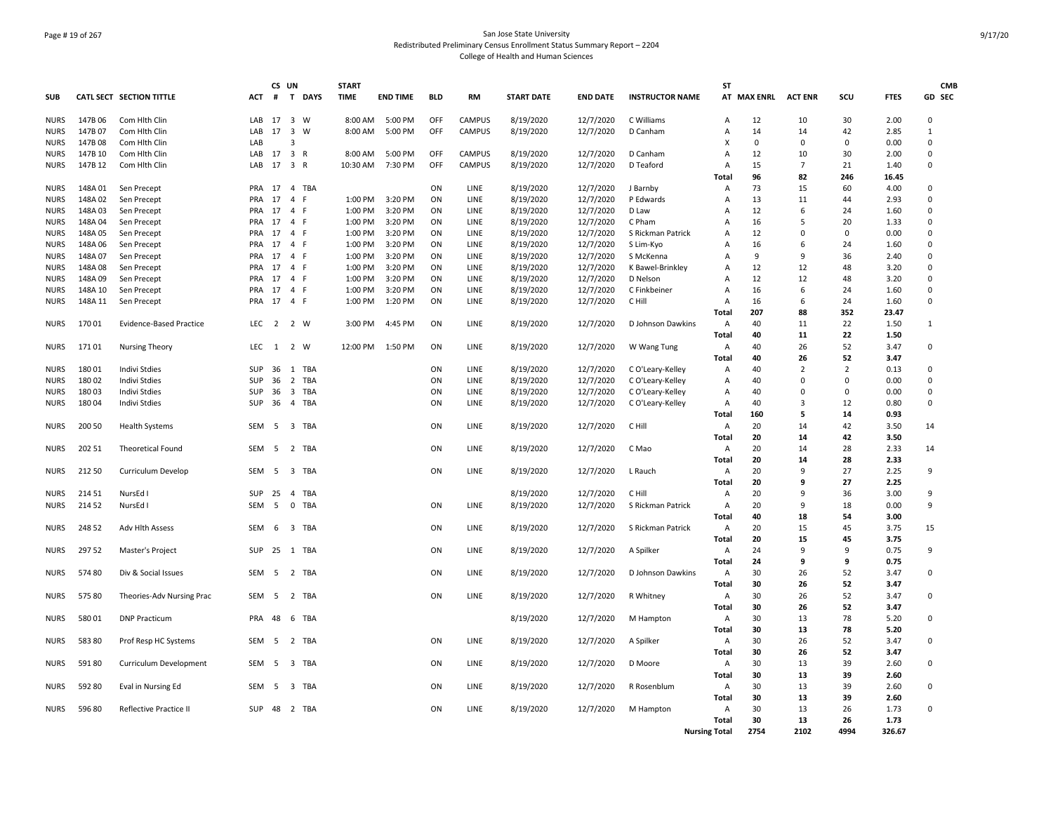# Page # 19 of 267 San Jose State University Redistributed Preliminary Census Enrollment Status Summary Report – 2204 College of Health and Human Sciences

|             |         |                                 |                  | CS UN          |                                | <b>START</b> |                 |            |               |                   |                 |                        | <b>ST</b>            |                     |                |                |             | <b>CMB</b>   |
|-------------|---------|---------------------------------|------------------|----------------|--------------------------------|--------------|-----------------|------------|---------------|-------------------|-----------------|------------------------|----------------------|---------------------|----------------|----------------|-------------|--------------|
| <b>SUB</b>  |         | <b>CATL SECT SECTION TITTLE</b> | <b>ACT</b>       | #              | T DAYS                         | <b>TIME</b>  | <b>END TIME</b> | <b>BLD</b> | RM            | <b>START DATE</b> | <b>END DATE</b> | <b>INSTRUCTOR NAME</b> |                      | AT MAX ENRL ACT ENR |                | SCU            | <b>FTES</b> | GD SEC       |
| <b>NURS</b> | 147B 06 | Com Hlth Clin                   | LAB              | 17             | 3 W                            | 8:00 AM      | 5:00 PM         | OFF        | <b>CAMPUS</b> | 8/19/2020         | 12/7/2020       | C Williams             | A                    | 12                  | 10             | 30             | 2.00        | $\mathbf 0$  |
| <b>NURS</b> | 147B 07 | Com Hlth Clin                   | LAB              | 17             | $\overline{3}$<br>W            | 8:00 AM      | 5:00 PM         | OFF        | CAMPUS        | 8/19/2020         | 12/7/2020       | D Canham               | A                    | 14                  | 14             | 42             | 2.85        | $\mathbf{1}$ |
| <b>NURS</b> | 147B08  | Com Hlth Clin                   | LAB              |                | 3                              |              |                 |            |               |                   |                 |                        | x                    | $\mathbf 0$         | $\mathbf 0$    | $\mathbf 0$    | 0.00        | 0            |
| <b>NURS</b> | 147B 10 | Com Hlth Clin                   | LAB              | 17             | 3 R                            | 8:00 AM      | 5:00 PM         | OFF        | <b>CAMPUS</b> | 8/19/2020         | 12/7/2020       | D Canham               | Α                    | 12                  | 10             | 30             | 2.00        | $\mathbf 0$  |
| <b>NURS</b> | 147B 12 | Com Hith Clin                   | LAB              | 17             | 3 R                            | 10:30 AM     | 7:30 PM         | OFF        | <b>CAMPUS</b> | 8/19/2020         | 12/7/2020       | D Teaford              | Α                    | 15                  | $\overline{7}$ | 21             | 1.40        | 0            |
|             |         |                                 |                  |                |                                |              |                 |            |               |                   |                 |                        | Total                | 96                  | 82             | 246            | 16.45       |              |
| <b>NURS</b> | 148A 01 | Sen Precept                     | <b>PRA</b>       | 17             | 4 TBA                          |              |                 | ON         | LINE          | 8/19/2020         | 12/7/2020       | J Barnby               | Α                    | 73                  | 15             | 60             | 4.00        | 0            |
| <b>NURS</b> | 148A02  | Sen Precept                     | PRA              | 17             | $\overline{4}$<br>E            | 1:00 PM      | 3:20 PM         | ON         | <b>LINE</b>   | 8/19/2020         | 12/7/2020       | P Edwards              | $\overline{A}$       | 13                  | 11             | 44             | 2.93        | $\mathbf 0$  |
| <b>NURS</b> | 148A03  | Sen Precept                     | PRA              | 17             | $\overline{4}$<br>F            | 1:00 PM      | 3:20 PM         | ON         | LINE          | 8/19/2020         | 12/7/2020       | D Law                  | $\Delta$             | 12                  | 6              | 24             | 1.60        | 0            |
| <b>NURS</b> | 148A04  | Sen Precept                     | PRA              | 17             | $\overline{4}$<br>$\mathsf{F}$ | 1:00 PM      | 3:20 PM         | ON         | LINE          | 8/19/2020         | 12/7/2020       | C Pham                 | A                    | 16                  | 5              | 20             | 1.33        | 0            |
|             |         |                                 |                  |                | 4 F                            |              |                 |            |               |                   |                 |                        |                      |                     | $\mathbf 0$    | $\mathbf 0$    | 0.00        | 0            |
| <b>NURS</b> | 148A 05 | Sen Precept                     | PRA              | 17             |                                | 1:00 PM      | 3:20 PM         | ON         | LINE          | 8/19/2020         | 12/7/2020       | S Rickman Patrick      | Α                    | 12                  |                |                |             |              |
| <b>NURS</b> | 148A06  | Sen Precept                     | PRA              | 17             | $\overline{4}$<br>-F           | 1:00 PM      | 3:20 PM         | ON         | LINE          | 8/19/2020         | 12/7/2020       | S Lim-Kyo              | Α                    | 16                  | 6              | 24             | 1.60        | 0            |
| <b>NURS</b> | 148A07  | Sen Precept                     | PRA              | 17             | $\overline{4}$<br>-F           | 1:00 PM      | 3:20 PM         | ON         | LINE          | 8/19/2020         | 12/7/2020       | S McKenna              | A                    | 9                   | 9              | 36             | 2.40        | $\mathbf 0$  |
| <b>NURS</b> | 148A08  | Sen Precept                     | PRA              | 17             | 4 F                            | 1:00 PM      | 3:20 PM         | ON         | LINE          | 8/19/2020         | 12/7/2020       | K Bawel-Brinkley       | A                    | 12                  | 12             | 48             | 3.20        | 0            |
| <b>NURS</b> | 148A09  | Sen Precept                     | PRA              | 17             | $\overline{4}$<br>F            | 1:00 PM      | 3:20 PM         | ON         | <b>LINE</b>   | 8/19/2020         | 12/7/2020       | D Nelson               | $\overline{A}$       | 12                  | 12             | 48             | 3.20        | $\mathbf 0$  |
| <b>NURS</b> | 148A 10 | Sen Precept                     | PRA              | 17             | 4 F                            | 1:00 PM      | 3:20 PM         | ON         | LINE          | 8/19/2020         | 12/7/2020       | C Finkbeiner           | A                    | 16                  | 6              | 24             | 1.60        | 0            |
| <b>NURS</b> | 148A 11 | Sen Precept                     | PRA              | 17             | 4 F                            | 1:00 PM      | 1:20 PM         | ON         | LINE          | 8/19/2020         | 12/7/2020       | C Hill                 | A                    | 16                  | 6              | 24             | 1.60        | 0            |
|             |         |                                 |                  |                |                                |              |                 |            |               |                   |                 |                        | Total                | 207                 | 88             | 352            | 23.47       |              |
| <b>NURS</b> | 17001   | <b>Evidence-Based Practice</b>  | LEC              | $\overline{2}$ | 2 W                            | 3:00 PM      | 4:45 PM         | ON         | LINE          | 8/19/2020         | 12/7/2020       | D Johnson Dawkins      | Α                    | 40                  | 11             | 22             | 1.50        | 1            |
|             |         |                                 |                  |                |                                |              |                 |            |               |                   |                 |                        | Total                | 40                  | 11             | 22             | 1.50        |              |
| <b>NURS</b> | 17101   | <b>Nursing Theory</b>           | LEC              |                | 1 2 W                          | 12:00 PM     | 1:50 PM         | ON         | LINE          | 8/19/2020         | 12/7/2020       | W Wang Tung            | A                    | 40                  | 26             | 52             | 3.47        | 0            |
|             |         |                                 |                  |                |                                |              |                 |            |               |                   |                 |                        | Total                | 40                  | 26             | 52             | 3.47        |              |
| <b>NURS</b> | 18001   | <b>Indivi Stdies</b>            | SUP              | 36             | 1 TBA                          |              |                 | ON         | LINE          | 8/19/2020         | 12/7/2020       | C O'Leary-Kelley       | Α                    | 40                  | $\overline{2}$ | $\overline{2}$ | 0.13        | 0            |
| <b>NURS</b> | 18002   | Indivi Stdies                   | <b>SUP</b>       | 36             | $\overline{2}$<br><b>TBA</b>   |              |                 | ON         | LINE          | 8/19/2020         | 12/7/2020       | C O'Leary-Kelley       | A                    | 40                  | $\mathbf 0$    | $\mathbf 0$    | 0.00        | $\mathbf 0$  |
| <b>NURS</b> | 18003   | Indivi Stdies                   | <b>SUP</b>       | 36             | 3 TBA                          |              |                 | ON         | LINE          | 8/19/2020         | 12/7/2020       | C O'Leary-Kelley       | Α                    | 40                  | $\mathbf 0$    | $\mathbf 0$    | 0.00        | 0            |
| <b>NURS</b> | 18004   | Indivi Stdies                   | SUP              | 36             | 4 TBA                          |              |                 | ON         | LINE          | 8/19/2020         | 12/7/2020       | C O'Leary-Kelley       | Α                    | 40                  | 3              | 12             | 0.80        | 0            |
|             |         |                                 |                  |                |                                |              |                 |            |               |                   |                 |                        | Total                | 160                 | 5              | 14             | 0.93        |              |
| <b>NURS</b> | 200 50  | <b>Health Systems</b>           | SEM              | 5              | 3 TBA                          |              |                 | ON         | LINE          | 8/19/2020         | 12/7/2020       | C Hill                 | Α                    | 20                  | 14             | 42             | 3.50        | 14           |
|             |         |                                 |                  |                |                                |              |                 |            |               |                   |                 |                        |                      |                     |                |                |             |              |
|             |         |                                 |                  |                |                                |              |                 |            |               |                   |                 |                        | Total                | 20                  | 14             | 42             | 3.50        |              |
| <b>NURS</b> | 202 51  | <b>Theoretical Found</b>        | SEM 5            |                | 2 TBA                          |              |                 | ON         | LINE          | 8/19/2020         | 12/7/2020       | C Mao                  | Α                    | 20                  | 14             | 28             | 2.33        | 14           |
|             |         |                                 |                  |                |                                |              |                 |            |               |                   |                 |                        | Total                | 20                  | 14             | 28             | 2.33        |              |
| <b>NURS</b> | 212 50  | Curriculum Develop              | SEM              | 5              | 3 TBA                          |              |                 | ON         | LINE          | 8/19/2020         | 12/7/2020       | L Rauch                | Α                    | 20                  | 9              | 27             | 2.25        | 9            |
|             |         |                                 |                  |                |                                |              |                 |            |               |                   |                 |                        | Total                | 20                  | 9              | 27             | 2.25        |              |
| <b>NURS</b> | 214 51  | NursEd I                        | <b>SUP</b>       | 25             | $\overline{4}$<br>TBA          |              |                 |            |               | 8/19/2020         | 12/7/2020       | C Hill                 | A                    | 20                  | 9              | 36             | 3.00        | 9            |
| <b>NURS</b> | 214 52  | NursEd I                        | <b>SEM</b>       | 5              | $\mathbf 0$<br>TBA             |              |                 | ON         | LINE          | 8/19/2020         | 12/7/2020       | S Rickman Patrick      | $\overline{A}$       | 20                  | 9              | 18             | 0.00        | 9            |
|             |         |                                 |                  |                |                                |              |                 |            |               |                   |                 |                        | Total                | 40                  | 18             | 54             | 3.00        |              |
| <b>NURS</b> | 248 52  | Adv Hlth Assess                 | SEM              | 6              | 3 TBA                          |              |                 | ON         | LINE          | 8/19/2020         | 12/7/2020       | S Rickman Patrick      | Α                    | 20                  | 15             | 45             | 3.75        | 15           |
|             |         |                                 |                  |                |                                |              |                 |            |               |                   |                 |                        | Total                | 20                  | 15             | 45             | 3.75        |              |
| <b>NURS</b> | 297 52  | Master's Project                | SUP              | 25             | 1 TBA                          |              |                 | ON         | LINE          | 8/19/2020         | 12/7/2020       | A Spilker              | Α                    | 24                  | 9              | 9              | 0.75        | 9            |
|             |         |                                 |                  |                |                                |              |                 |            |               |                   |                 |                        | Total                | 24                  | 9              | 9              | 0.75        |              |
| <b>NURS</b> | 57480   | Div & Social Issues             | SEM 5            |                | 2 TBA                          |              |                 | ON         | LINE          | 8/19/2020         | 12/7/2020       | D Johnson Dawkins      | A                    | 30                  | 26             | 52             | 3.47        | 0            |
|             |         |                                 |                  |                |                                |              |                 |            |               |                   |                 |                        | Total                | 30                  | 26             | 52             | 3.47        |              |
| <b>NURS</b> | 57580   | Theories-Adv Nursing Prac       | SEM <sub>5</sub> |                | 2 TBA                          |              |                 | ON         | <b>LINE</b>   | 8/19/2020         | 12/7/2020       | R Whitney              | A                    | 30                  | 26             | 52             | 3.47        | $\mathbf 0$  |
|             |         |                                 |                  |                |                                |              |                 |            |               |                   |                 |                        | <b>Total</b>         | 30                  | 26             | 52             | 3.47        |              |
| <b>NURS</b> | 58001   | <b>DNP Practicum</b>            | PRA              | 48             | 6 TBA                          |              |                 |            |               | 8/19/2020         | 12/7/2020       | M Hampton              | A                    | 30                  | 13             | 78             | 5.20        | $\pmb{0}$    |
|             |         |                                 |                  |                |                                |              |                 |            |               |                   |                 |                        | Total                | 30                  | 13             | 78             | 5.20        |              |
| <b>NURS</b> | 58380   | Prof Resp HC Systems            | SEM              | 5              | 2 TBA                          |              |                 | ON         | LINE          | 8/19/2020         | 12/7/2020       | A Spilker              | Α                    | 30                  | 26             | 52             | 3.47        | 0            |
|             |         |                                 |                  |                |                                |              |                 |            |               |                   |                 |                        |                      |                     |                |                |             |              |
|             |         |                                 |                  |                |                                |              |                 |            |               |                   |                 |                        | Total                | 30                  | 26             | 52             | 3.47        |              |
| <b>NURS</b> | 59180   | Curriculum Development          | SEM <sub>5</sub> |                | 3 TBA                          |              |                 | ON         | LINE          | 8/19/2020         | 12/7/2020       | D Moore                | A                    | 30                  | 13             | 39             | 2.60        | $^{\circ}$   |
|             |         |                                 |                  |                |                                |              |                 |            |               |                   |                 |                        | Total                | 30                  | 13             | 39             | 2.60        |              |
| <b>NURS</b> | 592 80  | Eval in Nursing Ed              | SEM              | $5^{\circ}$    | 3 TBA                          |              |                 | ON         | LINE          | 8/19/2020         | 12/7/2020       | R Rosenblum            | Α                    | 30                  | 13             | 39             | 2.60        | 0            |
|             |         |                                 |                  |                |                                |              |                 |            |               |                   |                 |                        | Total                | 30                  | 13             | 39             | 2.60        |              |
| <b>NURS</b> | 596 80  | Reflective Practice II          | SUP              | 48             | 2 TBA                          |              |                 | ON         | LINE          | 8/19/2020         | 12/7/2020       | M Hampton              | Α                    | 30                  | 13             | 26             | 1.73        | 0            |
|             |         |                                 |                  |                |                                |              |                 |            |               |                   |                 |                        | Total                | 30                  | 13             | 26             | 1.73        |              |
|             |         |                                 |                  |                |                                |              |                 |            |               |                   |                 |                        | <b>Nursing Total</b> | 2754                | 2102           | 4994           | 326.67      |              |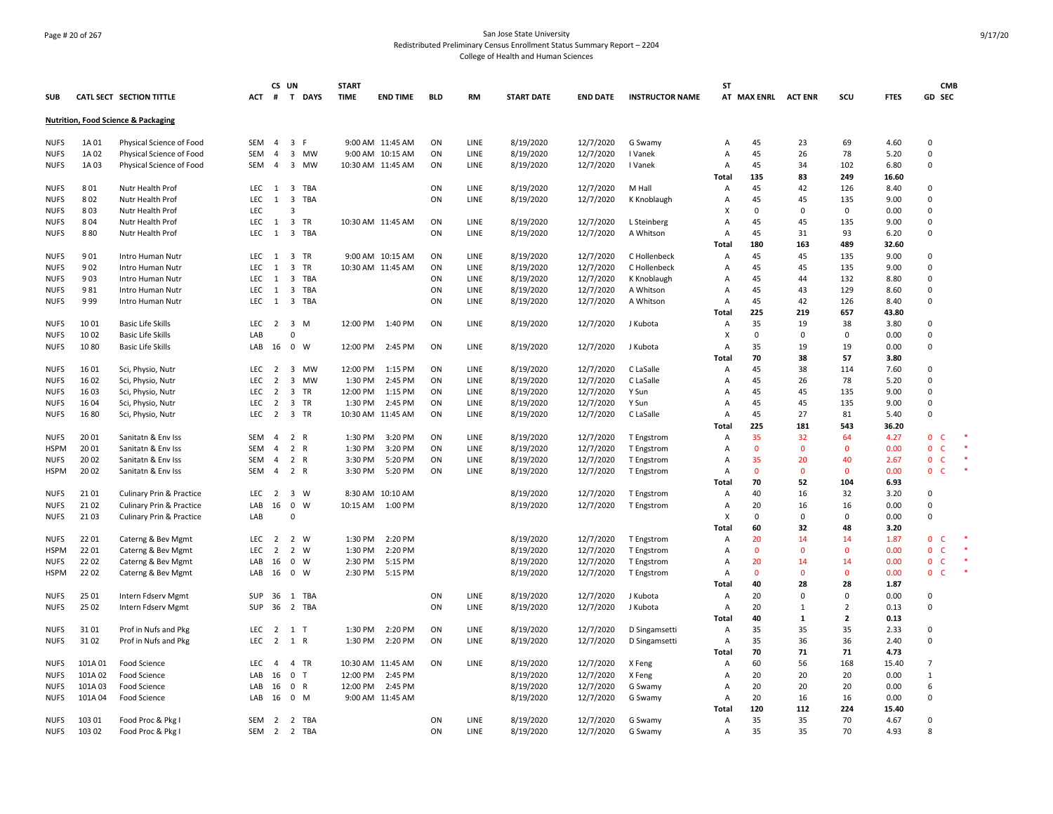# Page # 20 of 267 San Jose State University Redistributed Preliminary Census Enrollment Status Summary Report – 2204 College of Health and Human Sciences

| <b>CATL SECT SECTION TITTLE</b><br>T DAYS<br><b>TIME</b><br><b>END TIME</b><br><b>START DATE</b><br><b>INSTRUCTOR NAME</b><br>AT MAX ENRL ACT ENR<br>SCU<br><b>FTES</b><br>GD SEC<br><b>SUB</b><br>ACT<br>#<br><b>BLD</b><br><b>RM</b><br><b>END DATE</b><br><b>Nutrition, Food Science &amp; Packaging</b><br>8/19/2020<br>12/7/2020<br><b>NUFS</b><br>1A 01<br>Physical Science of Food<br>SEM<br>$\overline{4}$<br>$\overline{\mathbf{3}}$<br>-F<br>9:00 AM 11:45 AM<br>ON<br>LINE<br>G Swamy<br>Α<br>45<br>23<br>69<br>4.60<br>$\Omega$<br>1A02<br>3 MW<br>9:00 AM 10:15 AM<br>ON<br>8/19/2020<br>12/7/2020<br>45<br>26<br>78<br>5.20<br>$\Omega$<br><b>NUFS</b><br>Physical Science of Food<br><b>SEM</b><br>$\overline{a}$<br><b>LINE</b><br>I Vanek<br>$\overline{A}$<br>1A03<br>Physical Science of Food<br><b>SEM</b><br>$\overline{4}$<br>3<br><b>MW</b><br>10:30 AM 11:45 AM<br>ON<br>LINE<br>8/19/2020<br>12/7/2020<br>I Vanek<br>45<br>34<br>102<br>6.80<br>$\Omega$<br><b>NUFS</b><br>$\overline{A}$<br>249<br>135<br>83<br>16.60<br>Total<br>3 TBA<br>ON<br>LINE<br>8/19/2020<br>12/7/2020<br>45<br>42<br>126<br>$\Omega$<br><b>NUFS</b><br>801<br>Nutr Health Prof<br>LEC 1<br>M Hall<br>Α<br>8.40<br>802<br><b>LEC</b><br>3 TBA<br>ON<br>LINE<br>8/19/2020<br>12/7/2020<br>45<br>$\Omega$<br><b>NUFS</b><br>Nutr Health Prof<br>1<br>K Knoblaugh<br>A<br>45<br>135<br>9.00<br>803<br>LEC<br>$\mathbf 0$<br>$\mathbf 0$<br><b>NUFS</b><br>Nutr Health Prof<br>3<br>X<br>0<br>$\Omega$<br>0.00<br>12/7/2020<br>804<br>LEC<br>$\overline{\mathbf{3}}$<br>ON<br>LINE<br>8/19/2020<br>45<br>135<br>0<br>NUFS<br>Nutr Health Prof<br>1<br>TR<br>10:30 AM 11:45 AM<br>L Steinberg<br>A<br>45<br>9.00<br>3 TBA<br>45<br>$\mathbf 0$<br><b>NUFS</b><br>880<br>Nutr Health Prof<br>LEC.<br>1<br>ON<br>LINE<br>8/19/2020<br>12/7/2020<br>A Whitson<br>Α<br>31<br>93<br>6.20<br><b>Total</b><br>180<br>163<br>489<br>32.60<br>901<br>LEC<br>$\overline{\mathbf{3}}$<br>TR<br>9:00 AM 10:15 AM<br>ON<br>LINE<br>8/19/2020<br>12/7/2020<br>A<br>45<br>45<br>135<br>9.00<br>$\mathbf 0$<br><b>NUFS</b><br>Intro Human Nutr<br>1<br>C Hollenbeck<br>45<br><b>NUFS</b><br>902<br><b>LEC</b><br>1<br>3<br>TR<br>10:30 AM 11:45 AM<br>ON<br>LINE<br>8/19/2020<br>12/7/2020<br>C Hollenbeck<br>$\overline{A}$<br>45<br>135<br>9.00<br>$\Omega$<br>Intro Human Nutr<br>903<br>8/19/2020<br>12/7/2020<br>45<br>132<br>$\Omega$<br>LEC.<br>3 TBA<br>ON<br>LINE<br>A<br>44<br>8.80<br><b>NUFS</b><br>Intro Human Nutr<br>1<br>K Knoblaugh<br>981<br><b>LEC</b><br>$\overline{\mathbf{3}}$<br>TBA<br>ON<br>8/19/2020<br>12/7/2020<br>45<br>129<br>$\Omega$<br>LINE<br>$\overline{A}$<br>43<br>8.60<br><b>NUFS</b><br>Intro Human Nutr<br>-1<br>A Whitson<br>$\mathbf 0$<br>999<br><b>LEC</b><br>3 TBA<br>ON<br>8/19/2020<br>12/7/2020<br>45<br>42<br>8.40<br><b>NUFS</b><br>LINE<br>A Whitson<br>Α<br>126<br>Intro Human Nutr<br>1<br>225<br>657<br>Total<br>219<br>43.80<br>35<br>10 01<br><b>Basic Life Skills</b><br>LEC<br>$\overline{2}$<br>$\overline{\mathbf{3}}$<br>M<br>12:00 PM<br>1:40 PM<br>ON<br>LINE<br>8/19/2020<br>12/7/2020<br>J Kubota<br>19<br>38<br>3.80<br>$\Omega$<br>NUFS<br>A<br>10 02<br>$\boldsymbol{\mathsf{x}}$<br>$\Omega$<br>0.00<br>$\Omega$<br><b>NUFS</b><br><b>Basic Life Skills</b><br>LAB<br>$\Omega$<br>$\Omega$<br>0<br>1080<br>LAB 16 0 W<br>2:45 PM<br>ON<br><b>LINE</b><br>12/7/2020<br>J Kubota<br>35<br>19<br>0.00<br>$\Omega$<br><b>NUFS</b><br><b>Basic Life Skills</b><br>12:00 PM<br>8/19/2020<br>$\overline{A}$<br>19<br>70<br>38<br>57<br>3.80<br>Total<br>16 01<br>MW<br>12:00 PM<br>1:15 PM<br>12/7/2020<br>45<br>38<br>$\Omega$<br><b>NUFS</b><br>Sci, Physio, Nutr<br>LEC<br>$\overline{\mathbf{3}}$<br>ON<br>LINE<br>8/19/2020<br>C LaSalle<br>Α<br>114<br>7.60<br>2<br>16 02<br>$\overline{\mathbf{3}}$<br>ON<br>8/19/2020<br>12/7/2020<br>45<br>$\mathbf 0$<br>Sci, Physio, Nutr<br><b>LEC</b><br>$\overline{2}$<br>MW<br>1:30 PM<br>2:45 PM<br>LINE<br>C LaSalle<br>$\overline{A}$<br>26<br>78<br>5.20<br><b>NUFS</b><br>45<br>$\Omega$<br>16 03<br>$\overline{2}$<br>$\overline{3}$<br>ON<br>45<br>135<br>9.00<br>Sci, Physio, Nutr<br>LEC.<br>TR<br>12:00 PM<br>1:15 PM<br>LINE<br>8/19/2020<br>12/7/2020<br>Y Sun<br><b>NUFS</b><br>A<br>ON<br>8/19/2020<br>12/7/2020<br>45<br>$\mathbf 0$<br>16 04<br>Sci, Physio, Nutr<br>LEC<br>$\overline{2}$<br>$\overline{\mathbf{3}}$<br>TR<br>1:30 PM<br>2:45 PM<br>LINE<br>Y Sun<br>Α<br>45<br>135<br>9.00<br>NUFS<br>1680<br>LEC<br>$\overline{2}$<br>3 TR<br>10:30 AM 11:45 AM<br>ON<br>LINE<br>8/19/2020<br>12/7/2020<br>C LaSalle<br>Α<br>45<br>27<br>81<br>5.40<br>0<br><b>NUFS</b><br>Sci, Physio, Nutr<br>225<br>Total<br>181<br>543<br>36.20<br>20 01<br>2 R<br>1:30 PM<br>3:20 PM<br>8/19/2020<br>12/7/2020<br>35<br>$\Omega$<br><b>NUFS</b><br>Sanitatn & Env Iss<br><b>SEM</b><br>$\overline{4}$<br>ON<br><b>LINE</b><br>T Engstrom<br>$\overline{A}$<br>32<br>64<br>4.27<br>C<br><b>HSPM</b><br>20 01<br>Sanitatn & Env Iss<br>SEM<br>$\overline{4}$<br>$\overline{2}$<br>$\mathsf{R}$<br>1:30 PM<br>3:20 PM<br>ON<br>LINE<br>8/19/2020<br>12/7/2020<br>$\overline{A}$<br>$\Omega$<br>$\mathbf{0}$<br>0.00<br>$\mathbf{0}$<br>$\mathsf{C}$<br>T Engstrom<br>$\Omega$<br>$\overline{2}$<br>ON<br>35<br>40<br>2.67<br>$\mathbf 0$<br>20 02<br><b>SEM</b><br>R<br>3:30 PM<br>5:20 PM<br>LINE<br>8/19/2020<br>12/7/2020<br>$\overline{A}$<br>20<br>C<br><b>NUFS</b><br>Sanitatn & Env Iss<br>4<br>T Engstrom<br>20 02<br>$\overline{2}$<br>5:20 PM<br>ON<br>$\mathbf{0}$<br>0.00<br>$\mathbf 0$<br>C<br><b>HSPM</b><br><b>SEM</b><br>$\overline{4}$<br>R<br>3:30 PM<br>LINE<br>8/19/2020<br>12/7/2020<br>T Engstrom<br>Α<br>$\Omega$<br>$\mathbf{0}$<br>Sanitatn & Env Iss<br>70<br>52<br>104<br>6.93<br><b>Total</b><br>21 01<br>$\overline{\mathbf{3}}$<br>W<br>8/19/2020<br>32<br><b>NUFS</b><br>Culinary Prin & Practice<br>LEC<br>$\overline{2}$<br>8:30 AM 10:10 AM<br>12/7/2020<br>T Engstrom<br>$\overline{A}$<br>40<br>16<br>3.20<br>$\Omega$<br>$\pmb{0}$<br>21 02<br>16<br>8/19/2020<br>12/7/2020<br>20<br>0.00<br>$\mathbf 0$<br>NUFS<br>Culinary Prin & Practice<br>LAB<br>W<br>10:15 AM<br>1:00 PM<br>T Engstrom<br>Α<br>16<br>16<br>$\mathbf 0$<br>21 03<br>Culinary Prin & Practice<br>LAB<br>$\Omega$<br>X<br>$\Omega$<br>$\Omega$<br>0<br>0.00<br><b>NUFS</b><br><b>Total</b><br>60<br>32<br>48<br>3.20<br>22 01<br>LEC<br>$\overline{2}$<br>W<br>1:30 PM<br>2:20 PM<br>8/19/2020<br>12/7/2020<br>$\overline{A}$<br>20<br>14<br>14<br>1.87<br>$\mathbf 0$<br>C<br><b>NUFS</b><br>Caterng & Bev Mgmt<br>$\overline{2}$<br>T Engstrom<br>$\mathbf 0$<br><b>HSPM</b><br>22 01<br><b>LEC</b><br>$\overline{2}$<br>$\overline{2}$<br>W<br>1:30 PM<br>2:20 PM<br>8/19/2020<br>12/7/2020<br>$\overline{A}$<br>$\mathbf{0}$<br>$\mathbf{0}$<br>$\mathbf{0}$<br>0.00<br>C<br>Caterng & Bev Mgmt<br>T Engstrom<br>22 02<br>8/19/2020<br>20<br>0.00<br>$\mathbf{0}$<br>0<br>W<br>5:15 PM<br>12/7/2020<br>A<br>14<br>C<br><b>NUFS</b><br>Caterng & Bev Mgmt<br>LAB<br>16<br>2:30 PM<br>T Engstrom<br>14<br>22 02<br>$\mathbf 0$<br>$\Omega$<br>0.00<br>$\mathbf{0}$<br>$\mathsf{C}$<br>LAB<br>16<br>W<br>2:30 PM<br>5:15 PM<br>8/19/2020<br>12/7/2020<br>T Engstrom<br>Α<br>$\Omega$<br>$\mathbf{0}$<br><b>HSPM</b><br>Caterng & Bev Mgmt<br>40<br>28<br>28<br>1.87<br>Total<br>ON<br>LINE<br>8/19/2020<br>12/7/2020<br>20<br>$\mathbf 0$<br>$\mathbf 0$<br><b>NUFS</b><br>25 01<br>Intern Fdserv Mgmt<br><b>SUP</b><br>36<br>1 TBA<br>J Kubota<br>Α<br>$\Omega$<br>0.00<br>25 02<br>Intern Fdserv Mgmt<br>SUP<br>36<br>2 TBA<br>ON<br>LINE<br>8/19/2020<br>12/7/2020<br>J Kubota<br>20<br>$\overline{2}$<br>0.13<br>0<br><b>NUFS</b><br>A<br>1<br>40<br>Total<br>1<br>$\overline{2}$<br>0.13<br>2:20 PM<br>ON<br><b>LINE</b><br>8/19/2020<br>12/7/2020<br>35<br>35<br>$\Omega$<br><b>NUFS</b><br>31 01<br>Prof in Nufs and Pkg<br>LEC<br>2 1 T<br>1:30 PM<br>D Singamsetti<br>$\mathsf{A}$<br>35<br>2.33<br><b>NUFS</b><br>31 02<br>LEC<br>$\overline{2}$<br>1 R<br>1:30 PM<br>2:20 PM<br>ON<br>LINE<br>8/19/2020<br>12/7/2020<br>D Singamsetti<br>$\overline{A}$<br>35<br>36<br>2.40<br>$\mathbf 0$<br>Prof in Nufs and Pkg<br>36<br>70<br>4.73<br>71<br>71<br>Total<br>8/19/2020<br>12/7/2020<br>60<br>15.40<br>$\overline{7}$<br>101A01<br>Food Science<br>LEC<br>4 TR<br>10:30 AM 11:45 AM<br>ON<br>LINE<br>56<br>168<br><b>NUFS</b><br>$\overline{a}$<br>X Feng<br>Α<br>0 <sub>T</sub><br>8/19/2020<br>20<br>20<br>20<br>101A02<br>Food Science<br>LAB<br>16<br>12:00 PM<br>2:45 PM<br>12/7/2020<br>X Feng<br>0.00<br>$\mathbf{1}$<br><b>NUFS</b><br>A<br>8/19/2020<br>12/7/2020<br>20<br>101A03<br>Food Science<br>LAB<br>16<br>0<br>R<br>12:00 PM<br>2:45 PM<br>G Swamy<br>Α<br>20<br>20<br>0.00<br>6<br><b>NUFS</b><br>101A04<br>$\mathbf 0$<br>M<br>9:00 AM 11:45 AM<br>8/19/2020<br>12/7/2020<br>Α<br>20<br>16<br>16<br>0.00<br>0<br><b>NUFS</b><br><b>Food Science</b><br>LAB<br>16<br>G Swamy<br>120<br>112<br>224<br>15.40<br>Total<br>35<br><b>NUFS</b><br>103 01<br>Food Proc & Pkg<br>SEM<br>2<br>2 TBA<br>ON<br><b>LINE</b><br>8/19/2020<br>12/7/2020<br>G Swamy<br>$\overline{A}$<br>35<br>70<br>4.67<br>$\Omega$<br><b>NUFS</b><br>103 02<br>Food Proc & Pkg<br>SEM<br>2 2 TBA<br>ON<br>LINE<br>8/19/2020<br>12/7/2020<br>35<br>35<br>70<br>4.93<br>$\mathbf{R}$<br>G Swamy<br>Α |  |  | CS UN |  | <b>START</b> |  |  |  | ST |  |  | <b>CMB</b> |
|-----------------------------------------------------------------------------------------------------------------------------------------------------------------------------------------------------------------------------------------------------------------------------------------------------------------------------------------------------------------------------------------------------------------------------------------------------------------------------------------------------------------------------------------------------------------------------------------------------------------------------------------------------------------------------------------------------------------------------------------------------------------------------------------------------------------------------------------------------------------------------------------------------------------------------------------------------------------------------------------------------------------------------------------------------------------------------------------------------------------------------------------------------------------------------------------------------------------------------------------------------------------------------------------------------------------------------------------------------------------------------------------------------------------------------------------------------------------------------------------------------------------------------------------------------------------------------------------------------------------------------------------------------------------------------------------------------------------------------------------------------------------------------------------------------------------------------------------------------------------------------------------------------------------------------------------------------------------------------------------------------------------------------------------------------------------------------------------------------------------------------------------------------------------------------------------------------------------------------------------------------------------------------------------------------------------------------------------------------------------------------------------------------------------------------------------------------------------------------------------------------------------------------------------------------------------------------------------------------------------------------------------------------------------------------------------------------------------------------------------------------------------------------------------------------------------------------------------------------------------------------------------------------------------------------------------------------------------------------------------------------------------------------------------------------------------------------------------------------------------------------------------------------------------------------------------------------------------------------------------------------------------------------------------------------------------------------------------------------------------------------------------------------------------------------------------------------------------------------------------------------------------------------------------------------------------------------------------------------------------------------------------------------------------------------------------------------------------------------------------------------------------------------------------------------------------------------------------------------------------------------------------------------------------------------------------------------------------------------------------------------------------------------------------------------------------------------------------------------------------------------------------------------------------------------------------------------------------------------------------------------------------------------------------------------------------------------------------------------------------------------------------------------------------------------------------------------------------------------------------------------------------------------------------------------------------------------------------------------------------------------------------------------------------------------------------------------------------------------------------------------------------------------------------------------------------------------------------------------------------------------------------------------------------------------------------------------------------------------------------------------------------------------------------------------------------------------------------------------------------------------------------------------------------------------------------------------------------------------------------------------------------------------------------------------------------------------------------------------------------------------------------------------------------------------------------------------------------------------------------------------------------------------------------------------------------------------------------------------------------------------------------------------------------------------------------------------------------------------------------------------------------------------------------------------------------------------------------------------------------------------------------------------------------------------------------------------------------------------------------------------------------------------------------------------------------------------------------------------------------------------------------------------------------------------------------------------------------------------------------------------------------------------------------------------------------------------------------------------------------------------------------------------------------------------------------------------------------------------------------------------------------------------------------------------------------------------------------------------------------------------------------------------------------------------------------------------------------------------------------------------------------------------------------------------------------------------------------------------------------------------------------------------------------------------------------------------------------------------------------------------------------------------------------------------------------------------------------------------------------------------------------------------------------------------------------------------------------------------------------------------------------------------------------------------------------------------------------------------------------------------------------------------------------------------------------------------------------------------------------------------------------------------------------------------------------------------------------------------------------------------------------------------------------------------------------------------------------------------------------------------------------------------------------------------------------------------------------------------------------------------------------------------------------------------------------------------------------------------------------------------------------------------------------------------------------------------------------------------------------------------------------------------------------------------------------------------------------------------------------------------------------------------------------------------------------------------------------------------------------------------------------------------------------------------------------------------------------------------------------------------------------------------------------------------------------------------------------------------------------------------------------------------------------------------------------------------------------------------------------------------------------------------------------------------------------------------------------------------------------------------------------------------------------------------------------------------------------------------------------------------------------------------------------------------------------------------------------------------------------------------------------------------------------------------------------------------------------------------------------------------------------------------------------------------------------------------------------------------------------------------------------------------------------|--|--|-------|--|--------------|--|--|--|----|--|--|------------|
|                                                                                                                                                                                                                                                                                                                                                                                                                                                                                                                                                                                                                                                                                                                                                                                                                                                                                                                                                                                                                                                                                                                                                                                                                                                                                                                                                                                                                                                                                                                                                                                                                                                                                                                                                                                                                                                                                                                                                                                                                                                                                                                                                                                                                                                                                                                                                                                                                                                                                                                                                                                                                                                                                                                                                                                                                                                                                                                                                                                                                                                                                                                                                                                                                                                                                                                                                                                                                                                                                                                                                                                                                                                                                                                                                                                                                                                                                                                                                                                                                                                                                                                                                                                                                                                                                                                                                                                                                                                                                                                                                                                                                                                                                                                                                                                                                                                                                                                                                                                                                                                                                                                                                                                                                                                                                                                                                                                                                                                                                                                                                                                                                                                                                                                                                                                                                                                                                                                                                                                                                                                                                                                                                                                                                                                                                                                                                                                                                                                                                                                                                                                                                                                                                                                                                                                                                                                                                                                                                                                                                                                                                                                                                                                                                                                                                                                                                                                                                                                                                                                                                                                                                                                                                                                                                                                                                                                                                                                                                                                                                                                                                                                                                                                                                                                                                                                                                                                                                                                                                                                                                                                                                                                                                                                                                                                                                                                                                                                                                                                                                                                                                                                                                                                                                                                                                                                                                                                                                 |  |  |       |  |              |  |  |  |    |  |  |            |
|                                                                                                                                                                                                                                                                                                                                                                                                                                                                                                                                                                                                                                                                                                                                                                                                                                                                                                                                                                                                                                                                                                                                                                                                                                                                                                                                                                                                                                                                                                                                                                                                                                                                                                                                                                                                                                                                                                                                                                                                                                                                                                                                                                                                                                                                                                                                                                                                                                                                                                                                                                                                                                                                                                                                                                                                                                                                                                                                                                                                                                                                                                                                                                                                                                                                                                                                                                                                                                                                                                                                                                                                                                                                                                                                                                                                                                                                                                                                                                                                                                                                                                                                                                                                                                                                                                                                                                                                                                                                                                                                                                                                                                                                                                                                                                                                                                                                                                                                                                                                                                                                                                                                                                                                                                                                                                                                                                                                                                                                                                                                                                                                                                                                                                                                                                                                                                                                                                                                                                                                                                                                                                                                                                                                                                                                                                                                                                                                                                                                                                                                                                                                                                                                                                                                                                                                                                                                                                                                                                                                                                                                                                                                                                                                                                                                                                                                                                                                                                                                                                                                                                                                                                                                                                                                                                                                                                                                                                                                                                                                                                                                                                                                                                                                                                                                                                                                                                                                                                                                                                                                                                                                                                                                                                                                                                                                                                                                                                                                                                                                                                                                                                                                                                                                                                                                                                                                                                                                                 |  |  |       |  |              |  |  |  |    |  |  |            |
|                                                                                                                                                                                                                                                                                                                                                                                                                                                                                                                                                                                                                                                                                                                                                                                                                                                                                                                                                                                                                                                                                                                                                                                                                                                                                                                                                                                                                                                                                                                                                                                                                                                                                                                                                                                                                                                                                                                                                                                                                                                                                                                                                                                                                                                                                                                                                                                                                                                                                                                                                                                                                                                                                                                                                                                                                                                                                                                                                                                                                                                                                                                                                                                                                                                                                                                                                                                                                                                                                                                                                                                                                                                                                                                                                                                                                                                                                                                                                                                                                                                                                                                                                                                                                                                                                                                                                                                                                                                                                                                                                                                                                                                                                                                                                                                                                                                                                                                                                                                                                                                                                                                                                                                                                                                                                                                                                                                                                                                                                                                                                                                                                                                                                                                                                                                                                                                                                                                                                                                                                                                                                                                                                                                                                                                                                                                                                                                                                                                                                                                                                                                                                                                                                                                                                                                                                                                                                                                                                                                                                                                                                                                                                                                                                                                                                                                                                                                                                                                                                                                                                                                                                                                                                                                                                                                                                                                                                                                                                                                                                                                                                                                                                                                                                                                                                                                                                                                                                                                                                                                                                                                                                                                                                                                                                                                                                                                                                                                                                                                                                                                                                                                                                                                                                                                                                                                                                                                                                 |  |  |       |  |              |  |  |  |    |  |  |            |
|                                                                                                                                                                                                                                                                                                                                                                                                                                                                                                                                                                                                                                                                                                                                                                                                                                                                                                                                                                                                                                                                                                                                                                                                                                                                                                                                                                                                                                                                                                                                                                                                                                                                                                                                                                                                                                                                                                                                                                                                                                                                                                                                                                                                                                                                                                                                                                                                                                                                                                                                                                                                                                                                                                                                                                                                                                                                                                                                                                                                                                                                                                                                                                                                                                                                                                                                                                                                                                                                                                                                                                                                                                                                                                                                                                                                                                                                                                                                                                                                                                                                                                                                                                                                                                                                                                                                                                                                                                                                                                                                                                                                                                                                                                                                                                                                                                                                                                                                                                                                                                                                                                                                                                                                                                                                                                                                                                                                                                                                                                                                                                                                                                                                                                                                                                                                                                                                                                                                                                                                                                                                                                                                                                                                                                                                                                                                                                                                                                                                                                                                                                                                                                                                                                                                                                                                                                                                                                                                                                                                                                                                                                                                                                                                                                                                                                                                                                                                                                                                                                                                                                                                                                                                                                                                                                                                                                                                                                                                                                                                                                                                                                                                                                                                                                                                                                                                                                                                                                                                                                                                                                                                                                                                                                                                                                                                                                                                                                                                                                                                                                                                                                                                                                                                                                                                                                                                                                                                                 |  |  |       |  |              |  |  |  |    |  |  |            |
|                                                                                                                                                                                                                                                                                                                                                                                                                                                                                                                                                                                                                                                                                                                                                                                                                                                                                                                                                                                                                                                                                                                                                                                                                                                                                                                                                                                                                                                                                                                                                                                                                                                                                                                                                                                                                                                                                                                                                                                                                                                                                                                                                                                                                                                                                                                                                                                                                                                                                                                                                                                                                                                                                                                                                                                                                                                                                                                                                                                                                                                                                                                                                                                                                                                                                                                                                                                                                                                                                                                                                                                                                                                                                                                                                                                                                                                                                                                                                                                                                                                                                                                                                                                                                                                                                                                                                                                                                                                                                                                                                                                                                                                                                                                                                                                                                                                                                                                                                                                                                                                                                                                                                                                                                                                                                                                                                                                                                                                                                                                                                                                                                                                                                                                                                                                                                                                                                                                                                                                                                                                                                                                                                                                                                                                                                                                                                                                                                                                                                                                                                                                                                                                                                                                                                                                                                                                                                                                                                                                                                                                                                                                                                                                                                                                                                                                                                                                                                                                                                                                                                                                                                                                                                                                                                                                                                                                                                                                                                                                                                                                                                                                                                                                                                                                                                                                                                                                                                                                                                                                                                                                                                                                                                                                                                                                                                                                                                                                                                                                                                                                                                                                                                                                                                                                                                                                                                                                                                 |  |  |       |  |              |  |  |  |    |  |  |            |
|                                                                                                                                                                                                                                                                                                                                                                                                                                                                                                                                                                                                                                                                                                                                                                                                                                                                                                                                                                                                                                                                                                                                                                                                                                                                                                                                                                                                                                                                                                                                                                                                                                                                                                                                                                                                                                                                                                                                                                                                                                                                                                                                                                                                                                                                                                                                                                                                                                                                                                                                                                                                                                                                                                                                                                                                                                                                                                                                                                                                                                                                                                                                                                                                                                                                                                                                                                                                                                                                                                                                                                                                                                                                                                                                                                                                                                                                                                                                                                                                                                                                                                                                                                                                                                                                                                                                                                                                                                                                                                                                                                                                                                                                                                                                                                                                                                                                                                                                                                                                                                                                                                                                                                                                                                                                                                                                                                                                                                                                                                                                                                                                                                                                                                                                                                                                                                                                                                                                                                                                                                                                                                                                                                                                                                                                                                                                                                                                                                                                                                                                                                                                                                                                                                                                                                                                                                                                                                                                                                                                                                                                                                                                                                                                                                                                                                                                                                                                                                                                                                                                                                                                                                                                                                                                                                                                                                                                                                                                                                                                                                                                                                                                                                                                                                                                                                                                                                                                                                                                                                                                                                                                                                                                                                                                                                                                                                                                                                                                                                                                                                                                                                                                                                                                                                                                                                                                                                                                                 |  |  |       |  |              |  |  |  |    |  |  |            |
|                                                                                                                                                                                                                                                                                                                                                                                                                                                                                                                                                                                                                                                                                                                                                                                                                                                                                                                                                                                                                                                                                                                                                                                                                                                                                                                                                                                                                                                                                                                                                                                                                                                                                                                                                                                                                                                                                                                                                                                                                                                                                                                                                                                                                                                                                                                                                                                                                                                                                                                                                                                                                                                                                                                                                                                                                                                                                                                                                                                                                                                                                                                                                                                                                                                                                                                                                                                                                                                                                                                                                                                                                                                                                                                                                                                                                                                                                                                                                                                                                                                                                                                                                                                                                                                                                                                                                                                                                                                                                                                                                                                                                                                                                                                                                                                                                                                                                                                                                                                                                                                                                                                                                                                                                                                                                                                                                                                                                                                                                                                                                                                                                                                                                                                                                                                                                                                                                                                                                                                                                                                                                                                                                                                                                                                                                                                                                                                                                                                                                                                                                                                                                                                                                                                                                                                                                                                                                                                                                                                                                                                                                                                                                                                                                                                                                                                                                                                                                                                                                                                                                                                                                                                                                                                                                                                                                                                                                                                                                                                                                                                                                                                                                                                                                                                                                                                                                                                                                                                                                                                                                                                                                                                                                                                                                                                                                                                                                                                                                                                                                                                                                                                                                                                                                                                                                                                                                                                                                 |  |  |       |  |              |  |  |  |    |  |  |            |
|                                                                                                                                                                                                                                                                                                                                                                                                                                                                                                                                                                                                                                                                                                                                                                                                                                                                                                                                                                                                                                                                                                                                                                                                                                                                                                                                                                                                                                                                                                                                                                                                                                                                                                                                                                                                                                                                                                                                                                                                                                                                                                                                                                                                                                                                                                                                                                                                                                                                                                                                                                                                                                                                                                                                                                                                                                                                                                                                                                                                                                                                                                                                                                                                                                                                                                                                                                                                                                                                                                                                                                                                                                                                                                                                                                                                                                                                                                                                                                                                                                                                                                                                                                                                                                                                                                                                                                                                                                                                                                                                                                                                                                                                                                                                                                                                                                                                                                                                                                                                                                                                                                                                                                                                                                                                                                                                                                                                                                                                                                                                                                                                                                                                                                                                                                                                                                                                                                                                                                                                                                                                                                                                                                                                                                                                                                                                                                                                                                                                                                                                                                                                                                                                                                                                                                                                                                                                                                                                                                                                                                                                                                                                                                                                                                                                                                                                                                                                                                                                                                                                                                                                                                                                                                                                                                                                                                                                                                                                                                                                                                                                                                                                                                                                                                                                                                                                                                                                                                                                                                                                                                                                                                                                                                                                                                                                                                                                                                                                                                                                                                                                                                                                                                                                                                                                                                                                                                                                                 |  |  |       |  |              |  |  |  |    |  |  |            |
|                                                                                                                                                                                                                                                                                                                                                                                                                                                                                                                                                                                                                                                                                                                                                                                                                                                                                                                                                                                                                                                                                                                                                                                                                                                                                                                                                                                                                                                                                                                                                                                                                                                                                                                                                                                                                                                                                                                                                                                                                                                                                                                                                                                                                                                                                                                                                                                                                                                                                                                                                                                                                                                                                                                                                                                                                                                                                                                                                                                                                                                                                                                                                                                                                                                                                                                                                                                                                                                                                                                                                                                                                                                                                                                                                                                                                                                                                                                                                                                                                                                                                                                                                                                                                                                                                                                                                                                                                                                                                                                                                                                                                                                                                                                                                                                                                                                                                                                                                                                                                                                                                                                                                                                                                                                                                                                                                                                                                                                                                                                                                                                                                                                                                                                                                                                                                                                                                                                                                                                                                                                                                                                                                                                                                                                                                                                                                                                                                                                                                                                                                                                                                                                                                                                                                                                                                                                                                                                                                                                                                                                                                                                                                                                                                                                                                                                                                                                                                                                                                                                                                                                                                                                                                                                                                                                                                                                                                                                                                                                                                                                                                                                                                                                                                                                                                                                                                                                                                                                                                                                                                                                                                                                                                                                                                                                                                                                                                                                                                                                                                                                                                                                                                                                                                                                                                                                                                                                                                 |  |  |       |  |              |  |  |  |    |  |  |            |
|                                                                                                                                                                                                                                                                                                                                                                                                                                                                                                                                                                                                                                                                                                                                                                                                                                                                                                                                                                                                                                                                                                                                                                                                                                                                                                                                                                                                                                                                                                                                                                                                                                                                                                                                                                                                                                                                                                                                                                                                                                                                                                                                                                                                                                                                                                                                                                                                                                                                                                                                                                                                                                                                                                                                                                                                                                                                                                                                                                                                                                                                                                                                                                                                                                                                                                                                                                                                                                                                                                                                                                                                                                                                                                                                                                                                                                                                                                                                                                                                                                                                                                                                                                                                                                                                                                                                                                                                                                                                                                                                                                                                                                                                                                                                                                                                                                                                                                                                                                                                                                                                                                                                                                                                                                                                                                                                                                                                                                                                                                                                                                                                                                                                                                                                                                                                                                                                                                                                                                                                                                                                                                                                                                                                                                                                                                                                                                                                                                                                                                                                                                                                                                                                                                                                                                                                                                                                                                                                                                                                                                                                                                                                                                                                                                                                                                                                                                                                                                                                                                                                                                                                                                                                                                                                                                                                                                                                                                                                                                                                                                                                                                                                                                                                                                                                                                                                                                                                                                                                                                                                                                                                                                                                                                                                                                                                                                                                                                                                                                                                                                                                                                                                                                                                                                                                                                                                                                                                                 |  |  |       |  |              |  |  |  |    |  |  |            |
|                                                                                                                                                                                                                                                                                                                                                                                                                                                                                                                                                                                                                                                                                                                                                                                                                                                                                                                                                                                                                                                                                                                                                                                                                                                                                                                                                                                                                                                                                                                                                                                                                                                                                                                                                                                                                                                                                                                                                                                                                                                                                                                                                                                                                                                                                                                                                                                                                                                                                                                                                                                                                                                                                                                                                                                                                                                                                                                                                                                                                                                                                                                                                                                                                                                                                                                                                                                                                                                                                                                                                                                                                                                                                                                                                                                                                                                                                                                                                                                                                                                                                                                                                                                                                                                                                                                                                                                                                                                                                                                                                                                                                                                                                                                                                                                                                                                                                                                                                                                                                                                                                                                                                                                                                                                                                                                                                                                                                                                                                                                                                                                                                                                                                                                                                                                                                                                                                                                                                                                                                                                                                                                                                                                                                                                                                                                                                                                                                                                                                                                                                                                                                                                                                                                                                                                                                                                                                                                                                                                                                                                                                                                                                                                                                                                                                                                                                                                                                                                                                                                                                                                                                                                                                                                                                                                                                                                                                                                                                                                                                                                                                                                                                                                                                                                                                                                                                                                                                                                                                                                                                                                                                                                                                                                                                                                                                                                                                                                                                                                                                                                                                                                                                                                                                                                                                                                                                                                                                 |  |  |       |  |              |  |  |  |    |  |  |            |
|                                                                                                                                                                                                                                                                                                                                                                                                                                                                                                                                                                                                                                                                                                                                                                                                                                                                                                                                                                                                                                                                                                                                                                                                                                                                                                                                                                                                                                                                                                                                                                                                                                                                                                                                                                                                                                                                                                                                                                                                                                                                                                                                                                                                                                                                                                                                                                                                                                                                                                                                                                                                                                                                                                                                                                                                                                                                                                                                                                                                                                                                                                                                                                                                                                                                                                                                                                                                                                                                                                                                                                                                                                                                                                                                                                                                                                                                                                                                                                                                                                                                                                                                                                                                                                                                                                                                                                                                                                                                                                                                                                                                                                                                                                                                                                                                                                                                                                                                                                                                                                                                                                                                                                                                                                                                                                                                                                                                                                                                                                                                                                                                                                                                                                                                                                                                                                                                                                                                                                                                                                                                                                                                                                                                                                                                                                                                                                                                                                                                                                                                                                                                                                                                                                                                                                                                                                                                                                                                                                                                                                                                                                                                                                                                                                                                                                                                                                                                                                                                                                                                                                                                                                                                                                                                                                                                                                                                                                                                                                                                                                                                                                                                                                                                                                                                                                                                                                                                                                                                                                                                                                                                                                                                                                                                                                                                                                                                                                                                                                                                                                                                                                                                                                                                                                                                                                                                                                                                                 |  |  |       |  |              |  |  |  |    |  |  |            |
|                                                                                                                                                                                                                                                                                                                                                                                                                                                                                                                                                                                                                                                                                                                                                                                                                                                                                                                                                                                                                                                                                                                                                                                                                                                                                                                                                                                                                                                                                                                                                                                                                                                                                                                                                                                                                                                                                                                                                                                                                                                                                                                                                                                                                                                                                                                                                                                                                                                                                                                                                                                                                                                                                                                                                                                                                                                                                                                                                                                                                                                                                                                                                                                                                                                                                                                                                                                                                                                                                                                                                                                                                                                                                                                                                                                                                                                                                                                                                                                                                                                                                                                                                                                                                                                                                                                                                                                                                                                                                                                                                                                                                                                                                                                                                                                                                                                                                                                                                                                                                                                                                                                                                                                                                                                                                                                                                                                                                                                                                                                                                                                                                                                                                                                                                                                                                                                                                                                                                                                                                                                                                                                                                                                                                                                                                                                                                                                                                                                                                                                                                                                                                                                                                                                                                                                                                                                                                                                                                                                                                                                                                                                                                                                                                                                                                                                                                                                                                                                                                                                                                                                                                                                                                                                                                                                                                                                                                                                                                                                                                                                                                                                                                                                                                                                                                                                                                                                                                                                                                                                                                                                                                                                                                                                                                                                                                                                                                                                                                                                                                                                                                                                                                                                                                                                                                                                                                                                                                 |  |  |       |  |              |  |  |  |    |  |  |            |
|                                                                                                                                                                                                                                                                                                                                                                                                                                                                                                                                                                                                                                                                                                                                                                                                                                                                                                                                                                                                                                                                                                                                                                                                                                                                                                                                                                                                                                                                                                                                                                                                                                                                                                                                                                                                                                                                                                                                                                                                                                                                                                                                                                                                                                                                                                                                                                                                                                                                                                                                                                                                                                                                                                                                                                                                                                                                                                                                                                                                                                                                                                                                                                                                                                                                                                                                                                                                                                                                                                                                                                                                                                                                                                                                                                                                                                                                                                                                                                                                                                                                                                                                                                                                                                                                                                                                                                                                                                                                                                                                                                                                                                                                                                                                                                                                                                                                                                                                                                                                                                                                                                                                                                                                                                                                                                                                                                                                                                                                                                                                                                                                                                                                                                                                                                                                                                                                                                                                                                                                                                                                                                                                                                                                                                                                                                                                                                                                                                                                                                                                                                                                                                                                                                                                                                                                                                                                                                                                                                                                                                                                                                                                                                                                                                                                                                                                                                                                                                                                                                                                                                                                                                                                                                                                                                                                                                                                                                                                                                                                                                                                                                                                                                                                                                                                                                                                                                                                                                                                                                                                                                                                                                                                                                                                                                                                                                                                                                                                                                                                                                                                                                                                                                                                                                                                                                                                                                                                                 |  |  |       |  |              |  |  |  |    |  |  |            |
|                                                                                                                                                                                                                                                                                                                                                                                                                                                                                                                                                                                                                                                                                                                                                                                                                                                                                                                                                                                                                                                                                                                                                                                                                                                                                                                                                                                                                                                                                                                                                                                                                                                                                                                                                                                                                                                                                                                                                                                                                                                                                                                                                                                                                                                                                                                                                                                                                                                                                                                                                                                                                                                                                                                                                                                                                                                                                                                                                                                                                                                                                                                                                                                                                                                                                                                                                                                                                                                                                                                                                                                                                                                                                                                                                                                                                                                                                                                                                                                                                                                                                                                                                                                                                                                                                                                                                                                                                                                                                                                                                                                                                                                                                                                                                                                                                                                                                                                                                                                                                                                                                                                                                                                                                                                                                                                                                                                                                                                                                                                                                                                                                                                                                                                                                                                                                                                                                                                                                                                                                                                                                                                                                                                                                                                                                                                                                                                                                                                                                                                                                                                                                                                                                                                                                                                                                                                                                                                                                                                                                                                                                                                                                                                                                                                                                                                                                                                                                                                                                                                                                                                                                                                                                                                                                                                                                                                                                                                                                                                                                                                                                                                                                                                                                                                                                                                                                                                                                                                                                                                                                                                                                                                                                                                                                                                                                                                                                                                                                                                                                                                                                                                                                                                                                                                                                                                                                                                                                 |  |  |       |  |              |  |  |  |    |  |  |            |
|                                                                                                                                                                                                                                                                                                                                                                                                                                                                                                                                                                                                                                                                                                                                                                                                                                                                                                                                                                                                                                                                                                                                                                                                                                                                                                                                                                                                                                                                                                                                                                                                                                                                                                                                                                                                                                                                                                                                                                                                                                                                                                                                                                                                                                                                                                                                                                                                                                                                                                                                                                                                                                                                                                                                                                                                                                                                                                                                                                                                                                                                                                                                                                                                                                                                                                                                                                                                                                                                                                                                                                                                                                                                                                                                                                                                                                                                                                                                                                                                                                                                                                                                                                                                                                                                                                                                                                                                                                                                                                                                                                                                                                                                                                                                                                                                                                                                                                                                                                                                                                                                                                                                                                                                                                                                                                                                                                                                                                                                                                                                                                                                                                                                                                                                                                                                                                                                                                                                                                                                                                                                                                                                                                                                                                                                                                                                                                                                                                                                                                                                                                                                                                                                                                                                                                                                                                                                                                                                                                                                                                                                                                                                                                                                                                                                                                                                                                                                                                                                                                                                                                                                                                                                                                                                                                                                                                                                                                                                                                                                                                                                                                                                                                                                                                                                                                                                                                                                                                                                                                                                                                                                                                                                                                                                                                                                                                                                                                                                                                                                                                                                                                                                                                                                                                                                                                                                                                                                                 |  |  |       |  |              |  |  |  |    |  |  |            |
|                                                                                                                                                                                                                                                                                                                                                                                                                                                                                                                                                                                                                                                                                                                                                                                                                                                                                                                                                                                                                                                                                                                                                                                                                                                                                                                                                                                                                                                                                                                                                                                                                                                                                                                                                                                                                                                                                                                                                                                                                                                                                                                                                                                                                                                                                                                                                                                                                                                                                                                                                                                                                                                                                                                                                                                                                                                                                                                                                                                                                                                                                                                                                                                                                                                                                                                                                                                                                                                                                                                                                                                                                                                                                                                                                                                                                                                                                                                                                                                                                                                                                                                                                                                                                                                                                                                                                                                                                                                                                                                                                                                                                                                                                                                                                                                                                                                                                                                                                                                                                                                                                                                                                                                                                                                                                                                                                                                                                                                                                                                                                                                                                                                                                                                                                                                                                                                                                                                                                                                                                                                                                                                                                                                                                                                                                                                                                                                                                                                                                                                                                                                                                                                                                                                                                                                                                                                                                                                                                                                                                                                                                                                                                                                                                                                                                                                                                                                                                                                                                                                                                                                                                                                                                                                                                                                                                                                                                                                                                                                                                                                                                                                                                                                                                                                                                                                                                                                                                                                                                                                                                                                                                                                                                                                                                                                                                                                                                                                                                                                                                                                                                                                                                                                                                                                                                                                                                                                                                 |  |  |       |  |              |  |  |  |    |  |  |            |
|                                                                                                                                                                                                                                                                                                                                                                                                                                                                                                                                                                                                                                                                                                                                                                                                                                                                                                                                                                                                                                                                                                                                                                                                                                                                                                                                                                                                                                                                                                                                                                                                                                                                                                                                                                                                                                                                                                                                                                                                                                                                                                                                                                                                                                                                                                                                                                                                                                                                                                                                                                                                                                                                                                                                                                                                                                                                                                                                                                                                                                                                                                                                                                                                                                                                                                                                                                                                                                                                                                                                                                                                                                                                                                                                                                                                                                                                                                                                                                                                                                                                                                                                                                                                                                                                                                                                                                                                                                                                                                                                                                                                                                                                                                                                                                                                                                                                                                                                                                                                                                                                                                                                                                                                                                                                                                                                                                                                                                                                                                                                                                                                                                                                                                                                                                                                                                                                                                                                                                                                                                                                                                                                                                                                                                                                                                                                                                                                                                                                                                                                                                                                                                                                                                                                                                                                                                                                                                                                                                                                                                                                                                                                                                                                                                                                                                                                                                                                                                                                                                                                                                                                                                                                                                                                                                                                                                                                                                                                                                                                                                                                                                                                                                                                                                                                                                                                                                                                                                                                                                                                                                                                                                                                                                                                                                                                                                                                                                                                                                                                                                                                                                                                                                                                                                                                                                                                                                                                                 |  |  |       |  |              |  |  |  |    |  |  |            |
|                                                                                                                                                                                                                                                                                                                                                                                                                                                                                                                                                                                                                                                                                                                                                                                                                                                                                                                                                                                                                                                                                                                                                                                                                                                                                                                                                                                                                                                                                                                                                                                                                                                                                                                                                                                                                                                                                                                                                                                                                                                                                                                                                                                                                                                                                                                                                                                                                                                                                                                                                                                                                                                                                                                                                                                                                                                                                                                                                                                                                                                                                                                                                                                                                                                                                                                                                                                                                                                                                                                                                                                                                                                                                                                                                                                                                                                                                                                                                                                                                                                                                                                                                                                                                                                                                                                                                                                                                                                                                                                                                                                                                                                                                                                                                                                                                                                                                                                                                                                                                                                                                                                                                                                                                                                                                                                                                                                                                                                                                                                                                                                                                                                                                                                                                                                                                                                                                                                                                                                                                                                                                                                                                                                                                                                                                                                                                                                                                                                                                                                                                                                                                                                                                                                                                                                                                                                                                                                                                                                                                                                                                                                                                                                                                                                                                                                                                                                                                                                                                                                                                                                                                                                                                                                                                                                                                                                                                                                                                                                                                                                                                                                                                                                                                                                                                                                                                                                                                                                                                                                                                                                                                                                                                                                                                                                                                                                                                                                                                                                                                                                                                                                                                                                                                                                                                                                                                                                                                 |  |  |       |  |              |  |  |  |    |  |  |            |
|                                                                                                                                                                                                                                                                                                                                                                                                                                                                                                                                                                                                                                                                                                                                                                                                                                                                                                                                                                                                                                                                                                                                                                                                                                                                                                                                                                                                                                                                                                                                                                                                                                                                                                                                                                                                                                                                                                                                                                                                                                                                                                                                                                                                                                                                                                                                                                                                                                                                                                                                                                                                                                                                                                                                                                                                                                                                                                                                                                                                                                                                                                                                                                                                                                                                                                                                                                                                                                                                                                                                                                                                                                                                                                                                                                                                                                                                                                                                                                                                                                                                                                                                                                                                                                                                                                                                                                                                                                                                                                                                                                                                                                                                                                                                                                                                                                                                                                                                                                                                                                                                                                                                                                                                                                                                                                                                                                                                                                                                                                                                                                                                                                                                                                                                                                                                                                                                                                                                                                                                                                                                                                                                                                                                                                                                                                                                                                                                                                                                                                                                                                                                                                                                                                                                                                                                                                                                                                                                                                                                                                                                                                                                                                                                                                                                                                                                                                                                                                                                                                                                                                                                                                                                                                                                                                                                                                                                                                                                                                                                                                                                                                                                                                                                                                                                                                                                                                                                                                                                                                                                                                                                                                                                                                                                                                                                                                                                                                                                                                                                                                                                                                                                                                                                                                                                                                                                                                                                                 |  |  |       |  |              |  |  |  |    |  |  |            |
|                                                                                                                                                                                                                                                                                                                                                                                                                                                                                                                                                                                                                                                                                                                                                                                                                                                                                                                                                                                                                                                                                                                                                                                                                                                                                                                                                                                                                                                                                                                                                                                                                                                                                                                                                                                                                                                                                                                                                                                                                                                                                                                                                                                                                                                                                                                                                                                                                                                                                                                                                                                                                                                                                                                                                                                                                                                                                                                                                                                                                                                                                                                                                                                                                                                                                                                                                                                                                                                                                                                                                                                                                                                                                                                                                                                                                                                                                                                                                                                                                                                                                                                                                                                                                                                                                                                                                                                                                                                                                                                                                                                                                                                                                                                                                                                                                                                                                                                                                                                                                                                                                                                                                                                                                                                                                                                                                                                                                                                                                                                                                                                                                                                                                                                                                                                                                                                                                                                                                                                                                                                                                                                                                                                                                                                                                                                                                                                                                                                                                                                                                                                                                                                                                                                                                                                                                                                                                                                                                                                                                                                                                                                                                                                                                                                                                                                                                                                                                                                                                                                                                                                                                                                                                                                                                                                                                                                                                                                                                                                                                                                                                                                                                                                                                                                                                                                                                                                                                                                                                                                                                                                                                                                                                                                                                                                                                                                                                                                                                                                                                                                                                                                                                                                                                                                                                                                                                                                                                 |  |  |       |  |              |  |  |  |    |  |  |            |
|                                                                                                                                                                                                                                                                                                                                                                                                                                                                                                                                                                                                                                                                                                                                                                                                                                                                                                                                                                                                                                                                                                                                                                                                                                                                                                                                                                                                                                                                                                                                                                                                                                                                                                                                                                                                                                                                                                                                                                                                                                                                                                                                                                                                                                                                                                                                                                                                                                                                                                                                                                                                                                                                                                                                                                                                                                                                                                                                                                                                                                                                                                                                                                                                                                                                                                                                                                                                                                                                                                                                                                                                                                                                                                                                                                                                                                                                                                                                                                                                                                                                                                                                                                                                                                                                                                                                                                                                                                                                                                                                                                                                                                                                                                                                                                                                                                                                                                                                                                                                                                                                                                                                                                                                                                                                                                                                                                                                                                                                                                                                                                                                                                                                                                                                                                                                                                                                                                                                                                                                                                                                                                                                                                                                                                                                                                                                                                                                                                                                                                                                                                                                                                                                                                                                                                                                                                                                                                                                                                                                                                                                                                                                                                                                                                                                                                                                                                                                                                                                                                                                                                                                                                                                                                                                                                                                                                                                                                                                                                                                                                                                                                                                                                                                                                                                                                                                                                                                                                                                                                                                                                                                                                                                                                                                                                                                                                                                                                                                                                                                                                                                                                                                                                                                                                                                                                                                                                                                                 |  |  |       |  |              |  |  |  |    |  |  |            |
|                                                                                                                                                                                                                                                                                                                                                                                                                                                                                                                                                                                                                                                                                                                                                                                                                                                                                                                                                                                                                                                                                                                                                                                                                                                                                                                                                                                                                                                                                                                                                                                                                                                                                                                                                                                                                                                                                                                                                                                                                                                                                                                                                                                                                                                                                                                                                                                                                                                                                                                                                                                                                                                                                                                                                                                                                                                                                                                                                                                                                                                                                                                                                                                                                                                                                                                                                                                                                                                                                                                                                                                                                                                                                                                                                                                                                                                                                                                                                                                                                                                                                                                                                                                                                                                                                                                                                                                                                                                                                                                                                                                                                                                                                                                                                                                                                                                                                                                                                                                                                                                                                                                                                                                                                                                                                                                                                                                                                                                                                                                                                                                                                                                                                                                                                                                                                                                                                                                                                                                                                                                                                                                                                                                                                                                                                                                                                                                                                                                                                                                                                                                                                                                                                                                                                                                                                                                                                                                                                                                                                                                                                                                                                                                                                                                                                                                                                                                                                                                                                                                                                                                                                                                                                                                                                                                                                                                                                                                                                                                                                                                                                                                                                                                                                                                                                                                                                                                                                                                                                                                                                                                                                                                                                                                                                                                                                                                                                                                                                                                                                                                                                                                                                                                                                                                                                                                                                                                                                 |  |  |       |  |              |  |  |  |    |  |  |            |
|                                                                                                                                                                                                                                                                                                                                                                                                                                                                                                                                                                                                                                                                                                                                                                                                                                                                                                                                                                                                                                                                                                                                                                                                                                                                                                                                                                                                                                                                                                                                                                                                                                                                                                                                                                                                                                                                                                                                                                                                                                                                                                                                                                                                                                                                                                                                                                                                                                                                                                                                                                                                                                                                                                                                                                                                                                                                                                                                                                                                                                                                                                                                                                                                                                                                                                                                                                                                                                                                                                                                                                                                                                                                                                                                                                                                                                                                                                                                                                                                                                                                                                                                                                                                                                                                                                                                                                                                                                                                                                                                                                                                                                                                                                                                                                                                                                                                                                                                                                                                                                                                                                                                                                                                                                                                                                                                                                                                                                                                                                                                                                                                                                                                                                                                                                                                                                                                                                                                                                                                                                                                                                                                                                                                                                                                                                                                                                                                                                                                                                                                                                                                                                                                                                                                                                                                                                                                                                                                                                                                                                                                                                                                                                                                                                                                                                                                                                                                                                                                                                                                                                                                                                                                                                                                                                                                                                                                                                                                                                                                                                                                                                                                                                                                                                                                                                                                                                                                                                                                                                                                                                                                                                                                                                                                                                                                                                                                                                                                                                                                                                                                                                                                                                                                                                                                                                                                                                                                                 |  |  |       |  |              |  |  |  |    |  |  |            |
|                                                                                                                                                                                                                                                                                                                                                                                                                                                                                                                                                                                                                                                                                                                                                                                                                                                                                                                                                                                                                                                                                                                                                                                                                                                                                                                                                                                                                                                                                                                                                                                                                                                                                                                                                                                                                                                                                                                                                                                                                                                                                                                                                                                                                                                                                                                                                                                                                                                                                                                                                                                                                                                                                                                                                                                                                                                                                                                                                                                                                                                                                                                                                                                                                                                                                                                                                                                                                                                                                                                                                                                                                                                                                                                                                                                                                                                                                                                                                                                                                                                                                                                                                                                                                                                                                                                                                                                                                                                                                                                                                                                                                                                                                                                                                                                                                                                                                                                                                                                                                                                                                                                                                                                                                                                                                                                                                                                                                                                                                                                                                                                                                                                                                                                                                                                                                                                                                                                                                                                                                                                                                                                                                                                                                                                                                                                                                                                                                                                                                                                                                                                                                                                                                                                                                                                                                                                                                                                                                                                                                                                                                                                                                                                                                                                                                                                                                                                                                                                                                                                                                                                                                                                                                                                                                                                                                                                                                                                                                                                                                                                                                                                                                                                                                                                                                                                                                                                                                                                                                                                                                                                                                                                                                                                                                                                                                                                                                                                                                                                                                                                                                                                                                                                                                                                                                                                                                                                                                 |  |  |       |  |              |  |  |  |    |  |  |            |
|                                                                                                                                                                                                                                                                                                                                                                                                                                                                                                                                                                                                                                                                                                                                                                                                                                                                                                                                                                                                                                                                                                                                                                                                                                                                                                                                                                                                                                                                                                                                                                                                                                                                                                                                                                                                                                                                                                                                                                                                                                                                                                                                                                                                                                                                                                                                                                                                                                                                                                                                                                                                                                                                                                                                                                                                                                                                                                                                                                                                                                                                                                                                                                                                                                                                                                                                                                                                                                                                                                                                                                                                                                                                                                                                                                                                                                                                                                                                                                                                                                                                                                                                                                                                                                                                                                                                                                                                                                                                                                                                                                                                                                                                                                                                                                                                                                                                                                                                                                                                                                                                                                                                                                                                                                                                                                                                                                                                                                                                                                                                                                                                                                                                                                                                                                                                                                                                                                                                                                                                                                                                                                                                                                                                                                                                                                                                                                                                                                                                                                                                                                                                                                                                                                                                                                                                                                                                                                                                                                                                                                                                                                                                                                                                                                                                                                                                                                                                                                                                                                                                                                                                                                                                                                                                                                                                                                                                                                                                                                                                                                                                                                                                                                                                                                                                                                                                                                                                                                                                                                                                                                                                                                                                                                                                                                                                                                                                                                                                                                                                                                                                                                                                                                                                                                                                                                                                                                                                                 |  |  |       |  |              |  |  |  |    |  |  |            |
|                                                                                                                                                                                                                                                                                                                                                                                                                                                                                                                                                                                                                                                                                                                                                                                                                                                                                                                                                                                                                                                                                                                                                                                                                                                                                                                                                                                                                                                                                                                                                                                                                                                                                                                                                                                                                                                                                                                                                                                                                                                                                                                                                                                                                                                                                                                                                                                                                                                                                                                                                                                                                                                                                                                                                                                                                                                                                                                                                                                                                                                                                                                                                                                                                                                                                                                                                                                                                                                                                                                                                                                                                                                                                                                                                                                                                                                                                                                                                                                                                                                                                                                                                                                                                                                                                                                                                                                                                                                                                                                                                                                                                                                                                                                                                                                                                                                                                                                                                                                                                                                                                                                                                                                                                                                                                                                                                                                                                                                                                                                                                                                                                                                                                                                                                                                                                                                                                                                                                                                                                                                                                                                                                                                                                                                                                                                                                                                                                                                                                                                                                                                                                                                                                                                                                                                                                                                                                                                                                                                                                                                                                                                                                                                                                                                                                                                                                                                                                                                                                                                                                                                                                                                                                                                                                                                                                                                                                                                                                                                                                                                                                                                                                                                                                                                                                                                                                                                                                                                                                                                                                                                                                                                                                                                                                                                                                                                                                                                                                                                                                                                                                                                                                                                                                                                                                                                                                                                                                 |  |  |       |  |              |  |  |  |    |  |  |            |
|                                                                                                                                                                                                                                                                                                                                                                                                                                                                                                                                                                                                                                                                                                                                                                                                                                                                                                                                                                                                                                                                                                                                                                                                                                                                                                                                                                                                                                                                                                                                                                                                                                                                                                                                                                                                                                                                                                                                                                                                                                                                                                                                                                                                                                                                                                                                                                                                                                                                                                                                                                                                                                                                                                                                                                                                                                                                                                                                                                                                                                                                                                                                                                                                                                                                                                                                                                                                                                                                                                                                                                                                                                                                                                                                                                                                                                                                                                                                                                                                                                                                                                                                                                                                                                                                                                                                                                                                                                                                                                                                                                                                                                                                                                                                                                                                                                                                                                                                                                                                                                                                                                                                                                                                                                                                                                                                                                                                                                                                                                                                                                                                                                                                                                                                                                                                                                                                                                                                                                                                                                                                                                                                                                                                                                                                                                                                                                                                                                                                                                                                                                                                                                                                                                                                                                                                                                                                                                                                                                                                                                                                                                                                                                                                                                                                                                                                                                                                                                                                                                                                                                                                                                                                                                                                                                                                                                                                                                                                                                                                                                                                                                                                                                                                                                                                                                                                                                                                                                                                                                                                                                                                                                                                                                                                                                                                                                                                                                                                                                                                                                                                                                                                                                                                                                                                                                                                                                                                                 |  |  |       |  |              |  |  |  |    |  |  |            |
|                                                                                                                                                                                                                                                                                                                                                                                                                                                                                                                                                                                                                                                                                                                                                                                                                                                                                                                                                                                                                                                                                                                                                                                                                                                                                                                                                                                                                                                                                                                                                                                                                                                                                                                                                                                                                                                                                                                                                                                                                                                                                                                                                                                                                                                                                                                                                                                                                                                                                                                                                                                                                                                                                                                                                                                                                                                                                                                                                                                                                                                                                                                                                                                                                                                                                                                                                                                                                                                                                                                                                                                                                                                                                                                                                                                                                                                                                                                                                                                                                                                                                                                                                                                                                                                                                                                                                                                                                                                                                                                                                                                                                                                                                                                                                                                                                                                                                                                                                                                                                                                                                                                                                                                                                                                                                                                                                                                                                                                                                                                                                                                                                                                                                                                                                                                                                                                                                                                                                                                                                                                                                                                                                                                                                                                                                                                                                                                                                                                                                                                                                                                                                                                                                                                                                                                                                                                                                                                                                                                                                                                                                                                                                                                                                                                                                                                                                                                                                                                                                                                                                                                                                                                                                                                                                                                                                                                                                                                                                                                                                                                                                                                                                                                                                                                                                                                                                                                                                                                                                                                                                                                                                                                                                                                                                                                                                                                                                                                                                                                                                                                                                                                                                                                                                                                                                                                                                                                                                 |  |  |       |  |              |  |  |  |    |  |  | $\ast$     |
|                                                                                                                                                                                                                                                                                                                                                                                                                                                                                                                                                                                                                                                                                                                                                                                                                                                                                                                                                                                                                                                                                                                                                                                                                                                                                                                                                                                                                                                                                                                                                                                                                                                                                                                                                                                                                                                                                                                                                                                                                                                                                                                                                                                                                                                                                                                                                                                                                                                                                                                                                                                                                                                                                                                                                                                                                                                                                                                                                                                                                                                                                                                                                                                                                                                                                                                                                                                                                                                                                                                                                                                                                                                                                                                                                                                                                                                                                                                                                                                                                                                                                                                                                                                                                                                                                                                                                                                                                                                                                                                                                                                                                                                                                                                                                                                                                                                                                                                                                                                                                                                                                                                                                                                                                                                                                                                                                                                                                                                                                                                                                                                                                                                                                                                                                                                                                                                                                                                                                                                                                                                                                                                                                                                                                                                                                                                                                                                                                                                                                                                                                                                                                                                                                                                                                                                                                                                                                                                                                                                                                                                                                                                                                                                                                                                                                                                                                                                                                                                                                                                                                                                                                                                                                                                                                                                                                                                                                                                                                                                                                                                                                                                                                                                                                                                                                                                                                                                                                                                                                                                                                                                                                                                                                                                                                                                                                                                                                                                                                                                                                                                                                                                                                                                                                                                                                                                                                                                                                 |  |  |       |  |              |  |  |  |    |  |  | $\star$    |
|                                                                                                                                                                                                                                                                                                                                                                                                                                                                                                                                                                                                                                                                                                                                                                                                                                                                                                                                                                                                                                                                                                                                                                                                                                                                                                                                                                                                                                                                                                                                                                                                                                                                                                                                                                                                                                                                                                                                                                                                                                                                                                                                                                                                                                                                                                                                                                                                                                                                                                                                                                                                                                                                                                                                                                                                                                                                                                                                                                                                                                                                                                                                                                                                                                                                                                                                                                                                                                                                                                                                                                                                                                                                                                                                                                                                                                                                                                                                                                                                                                                                                                                                                                                                                                                                                                                                                                                                                                                                                                                                                                                                                                                                                                                                                                                                                                                                                                                                                                                                                                                                                                                                                                                                                                                                                                                                                                                                                                                                                                                                                                                                                                                                                                                                                                                                                                                                                                                                                                                                                                                                                                                                                                                                                                                                                                                                                                                                                                                                                                                                                                                                                                                                                                                                                                                                                                                                                                                                                                                                                                                                                                                                                                                                                                                                                                                                                                                                                                                                                                                                                                                                                                                                                                                                                                                                                                                                                                                                                                                                                                                                                                                                                                                                                                                                                                                                                                                                                                                                                                                                                                                                                                                                                                                                                                                                                                                                                                                                                                                                                                                                                                                                                                                                                                                                                                                                                                                                                 |  |  |       |  |              |  |  |  |    |  |  |            |
|                                                                                                                                                                                                                                                                                                                                                                                                                                                                                                                                                                                                                                                                                                                                                                                                                                                                                                                                                                                                                                                                                                                                                                                                                                                                                                                                                                                                                                                                                                                                                                                                                                                                                                                                                                                                                                                                                                                                                                                                                                                                                                                                                                                                                                                                                                                                                                                                                                                                                                                                                                                                                                                                                                                                                                                                                                                                                                                                                                                                                                                                                                                                                                                                                                                                                                                                                                                                                                                                                                                                                                                                                                                                                                                                                                                                                                                                                                                                                                                                                                                                                                                                                                                                                                                                                                                                                                                                                                                                                                                                                                                                                                                                                                                                                                                                                                                                                                                                                                                                                                                                                                                                                                                                                                                                                                                                                                                                                                                                                                                                                                                                                                                                                                                                                                                                                                                                                                                                                                                                                                                                                                                                                                                                                                                                                                                                                                                                                                                                                                                                                                                                                                                                                                                                                                                                                                                                                                                                                                                                                                                                                                                                                                                                                                                                                                                                                                                                                                                                                                                                                                                                                                                                                                                                                                                                                                                                                                                                                                                                                                                                                                                                                                                                                                                                                                                                                                                                                                                                                                                                                                                                                                                                                                                                                                                                                                                                                                                                                                                                                                                                                                                                                                                                                                                                                                                                                                                                                 |  |  |       |  |              |  |  |  |    |  |  |            |
|                                                                                                                                                                                                                                                                                                                                                                                                                                                                                                                                                                                                                                                                                                                                                                                                                                                                                                                                                                                                                                                                                                                                                                                                                                                                                                                                                                                                                                                                                                                                                                                                                                                                                                                                                                                                                                                                                                                                                                                                                                                                                                                                                                                                                                                                                                                                                                                                                                                                                                                                                                                                                                                                                                                                                                                                                                                                                                                                                                                                                                                                                                                                                                                                                                                                                                                                                                                                                                                                                                                                                                                                                                                                                                                                                                                                                                                                                                                                                                                                                                                                                                                                                                                                                                                                                                                                                                                                                                                                                                                                                                                                                                                                                                                                                                                                                                                                                                                                                                                                                                                                                                                                                                                                                                                                                                                                                                                                                                                                                                                                                                                                                                                                                                                                                                                                                                                                                                                                                                                                                                                                                                                                                                                                                                                                                                                                                                                                                                                                                                                                                                                                                                                                                                                                                                                                                                                                                                                                                                                                                                                                                                                                                                                                                                                                                                                                                                                                                                                                                                                                                                                                                                                                                                                                                                                                                                                                                                                                                                                                                                                                                                                                                                                                                                                                                                                                                                                                                                                                                                                                                                                                                                                                                                                                                                                                                                                                                                                                                                                                                                                                                                                                                                                                                                                                                                                                                                                                                 |  |  |       |  |              |  |  |  |    |  |  |            |
|                                                                                                                                                                                                                                                                                                                                                                                                                                                                                                                                                                                                                                                                                                                                                                                                                                                                                                                                                                                                                                                                                                                                                                                                                                                                                                                                                                                                                                                                                                                                                                                                                                                                                                                                                                                                                                                                                                                                                                                                                                                                                                                                                                                                                                                                                                                                                                                                                                                                                                                                                                                                                                                                                                                                                                                                                                                                                                                                                                                                                                                                                                                                                                                                                                                                                                                                                                                                                                                                                                                                                                                                                                                                                                                                                                                                                                                                                                                                                                                                                                                                                                                                                                                                                                                                                                                                                                                                                                                                                                                                                                                                                                                                                                                                                                                                                                                                                                                                                                                                                                                                                                                                                                                                                                                                                                                                                                                                                                                                                                                                                                                                                                                                                                                                                                                                                                                                                                                                                                                                                                                                                                                                                                                                                                                                                                                                                                                                                                                                                                                                                                                                                                                                                                                                                                                                                                                                                                                                                                                                                                                                                                                                                                                                                                                                                                                                                                                                                                                                                                                                                                                                                                                                                                                                                                                                                                                                                                                                                                                                                                                                                                                                                                                                                                                                                                                                                                                                                                                                                                                                                                                                                                                                                                                                                                                                                                                                                                                                                                                                                                                                                                                                                                                                                                                                                                                                                                                                                 |  |  |       |  |              |  |  |  |    |  |  |            |
|                                                                                                                                                                                                                                                                                                                                                                                                                                                                                                                                                                                                                                                                                                                                                                                                                                                                                                                                                                                                                                                                                                                                                                                                                                                                                                                                                                                                                                                                                                                                                                                                                                                                                                                                                                                                                                                                                                                                                                                                                                                                                                                                                                                                                                                                                                                                                                                                                                                                                                                                                                                                                                                                                                                                                                                                                                                                                                                                                                                                                                                                                                                                                                                                                                                                                                                                                                                                                                                                                                                                                                                                                                                                                                                                                                                                                                                                                                                                                                                                                                                                                                                                                                                                                                                                                                                                                                                                                                                                                                                                                                                                                                                                                                                                                                                                                                                                                                                                                                                                                                                                                                                                                                                                                                                                                                                                                                                                                                                                                                                                                                                                                                                                                                                                                                                                                                                                                                                                                                                                                                                                                                                                                                                                                                                                                                                                                                                                                                                                                                                                                                                                                                                                                                                                                                                                                                                                                                                                                                                                                                                                                                                                                                                                                                                                                                                                                                                                                                                                                                                                                                                                                                                                                                                                                                                                                                                                                                                                                                                                                                                                                                                                                                                                                                                                                                                                                                                                                                                                                                                                                                                                                                                                                                                                                                                                                                                                                                                                                                                                                                                                                                                                                                                                                                                                                                                                                                                                                 |  |  |       |  |              |  |  |  |    |  |  |            |
|                                                                                                                                                                                                                                                                                                                                                                                                                                                                                                                                                                                                                                                                                                                                                                                                                                                                                                                                                                                                                                                                                                                                                                                                                                                                                                                                                                                                                                                                                                                                                                                                                                                                                                                                                                                                                                                                                                                                                                                                                                                                                                                                                                                                                                                                                                                                                                                                                                                                                                                                                                                                                                                                                                                                                                                                                                                                                                                                                                                                                                                                                                                                                                                                                                                                                                                                                                                                                                                                                                                                                                                                                                                                                                                                                                                                                                                                                                                                                                                                                                                                                                                                                                                                                                                                                                                                                                                                                                                                                                                                                                                                                                                                                                                                                                                                                                                                                                                                                                                                                                                                                                                                                                                                                                                                                                                                                                                                                                                                                                                                                                                                                                                                                                                                                                                                                                                                                                                                                                                                                                                                                                                                                                                                                                                                                                                                                                                                                                                                                                                                                                                                                                                                                                                                                                                                                                                                                                                                                                                                                                                                                                                                                                                                                                                                                                                                                                                                                                                                                                                                                                                                                                                                                                                                                                                                                                                                                                                                                                                                                                                                                                                                                                                                                                                                                                                                                                                                                                                                                                                                                                                                                                                                                                                                                                                                                                                                                                                                                                                                                                                                                                                                                                                                                                                                                                                                                                                                                 |  |  |       |  |              |  |  |  |    |  |  |            |
|                                                                                                                                                                                                                                                                                                                                                                                                                                                                                                                                                                                                                                                                                                                                                                                                                                                                                                                                                                                                                                                                                                                                                                                                                                                                                                                                                                                                                                                                                                                                                                                                                                                                                                                                                                                                                                                                                                                                                                                                                                                                                                                                                                                                                                                                                                                                                                                                                                                                                                                                                                                                                                                                                                                                                                                                                                                                                                                                                                                                                                                                                                                                                                                                                                                                                                                                                                                                                                                                                                                                                                                                                                                                                                                                                                                                                                                                                                                                                                                                                                                                                                                                                                                                                                                                                                                                                                                                                                                                                                                                                                                                                                                                                                                                                                                                                                                                                                                                                                                                                                                                                                                                                                                                                                                                                                                                                                                                                                                                                                                                                                                                                                                                                                                                                                                                                                                                                                                                                                                                                                                                                                                                                                                                                                                                                                                                                                                                                                                                                                                                                                                                                                                                                                                                                                                                                                                                                                                                                                                                                                                                                                                                                                                                                                                                                                                                                                                                                                                                                                                                                                                                                                                                                                                                                                                                                                                                                                                                                                                                                                                                                                                                                                                                                                                                                                                                                                                                                                                                                                                                                                                                                                                                                                                                                                                                                                                                                                                                                                                                                                                                                                                                                                                                                                                                                                                                                                                                                 |  |  |       |  |              |  |  |  |    |  |  |            |
|                                                                                                                                                                                                                                                                                                                                                                                                                                                                                                                                                                                                                                                                                                                                                                                                                                                                                                                                                                                                                                                                                                                                                                                                                                                                                                                                                                                                                                                                                                                                                                                                                                                                                                                                                                                                                                                                                                                                                                                                                                                                                                                                                                                                                                                                                                                                                                                                                                                                                                                                                                                                                                                                                                                                                                                                                                                                                                                                                                                                                                                                                                                                                                                                                                                                                                                                                                                                                                                                                                                                                                                                                                                                                                                                                                                                                                                                                                                                                                                                                                                                                                                                                                                                                                                                                                                                                                                                                                                                                                                                                                                                                                                                                                                                                                                                                                                                                                                                                                                                                                                                                                                                                                                                                                                                                                                                                                                                                                                                                                                                                                                                                                                                                                                                                                                                                                                                                                                                                                                                                                                                                                                                                                                                                                                                                                                                                                                                                                                                                                                                                                                                                                                                                                                                                                                                                                                                                                                                                                                                                                                                                                                                                                                                                                                                                                                                                                                                                                                                                                                                                                                                                                                                                                                                                                                                                                                                                                                                                                                                                                                                                                                                                                                                                                                                                                                                                                                                                                                                                                                                                                                                                                                                                                                                                                                                                                                                                                                                                                                                                                                                                                                                                                                                                                                                                                                                                                                                                 |  |  |       |  |              |  |  |  |    |  |  |            |
|                                                                                                                                                                                                                                                                                                                                                                                                                                                                                                                                                                                                                                                                                                                                                                                                                                                                                                                                                                                                                                                                                                                                                                                                                                                                                                                                                                                                                                                                                                                                                                                                                                                                                                                                                                                                                                                                                                                                                                                                                                                                                                                                                                                                                                                                                                                                                                                                                                                                                                                                                                                                                                                                                                                                                                                                                                                                                                                                                                                                                                                                                                                                                                                                                                                                                                                                                                                                                                                                                                                                                                                                                                                                                                                                                                                                                                                                                                                                                                                                                                                                                                                                                                                                                                                                                                                                                                                                                                                                                                                                                                                                                                                                                                                                                                                                                                                                                                                                                                                                                                                                                                                                                                                                                                                                                                                                                                                                                                                                                                                                                                                                                                                                                                                                                                                                                                                                                                                                                                                                                                                                                                                                                                                                                                                                                                                                                                                                                                                                                                                                                                                                                                                                                                                                                                                                                                                                                                                                                                                                                                                                                                                                                                                                                                                                                                                                                                                                                                                                                                                                                                                                                                                                                                                                                                                                                                                                                                                                                                                                                                                                                                                                                                                                                                                                                                                                                                                                                                                                                                                                                                                                                                                                                                                                                                                                                                                                                                                                                                                                                                                                                                                                                                                                                                                                                                                                                                                                                 |  |  |       |  |              |  |  |  |    |  |  | $\ast$     |
|                                                                                                                                                                                                                                                                                                                                                                                                                                                                                                                                                                                                                                                                                                                                                                                                                                                                                                                                                                                                                                                                                                                                                                                                                                                                                                                                                                                                                                                                                                                                                                                                                                                                                                                                                                                                                                                                                                                                                                                                                                                                                                                                                                                                                                                                                                                                                                                                                                                                                                                                                                                                                                                                                                                                                                                                                                                                                                                                                                                                                                                                                                                                                                                                                                                                                                                                                                                                                                                                                                                                                                                                                                                                                                                                                                                                                                                                                                                                                                                                                                                                                                                                                                                                                                                                                                                                                                                                                                                                                                                                                                                                                                                                                                                                                                                                                                                                                                                                                                                                                                                                                                                                                                                                                                                                                                                                                                                                                                                                                                                                                                                                                                                                                                                                                                                                                                                                                                                                                                                                                                                                                                                                                                                                                                                                                                                                                                                                                                                                                                                                                                                                                                                                                                                                                                                                                                                                                                                                                                                                                                                                                                                                                                                                                                                                                                                                                                                                                                                                                                                                                                                                                                                                                                                                                                                                                                                                                                                                                                                                                                                                                                                                                                                                                                                                                                                                                                                                                                                                                                                                                                                                                                                                                                                                                                                                                                                                                                                                                                                                                                                                                                                                                                                                                                                                                                                                                                                                                 |  |  |       |  |              |  |  |  |    |  |  | $\ast$     |
|                                                                                                                                                                                                                                                                                                                                                                                                                                                                                                                                                                                                                                                                                                                                                                                                                                                                                                                                                                                                                                                                                                                                                                                                                                                                                                                                                                                                                                                                                                                                                                                                                                                                                                                                                                                                                                                                                                                                                                                                                                                                                                                                                                                                                                                                                                                                                                                                                                                                                                                                                                                                                                                                                                                                                                                                                                                                                                                                                                                                                                                                                                                                                                                                                                                                                                                                                                                                                                                                                                                                                                                                                                                                                                                                                                                                                                                                                                                                                                                                                                                                                                                                                                                                                                                                                                                                                                                                                                                                                                                                                                                                                                                                                                                                                                                                                                                                                                                                                                                                                                                                                                                                                                                                                                                                                                                                                                                                                                                                                                                                                                                                                                                                                                                                                                                                                                                                                                                                                                                                                                                                                                                                                                                                                                                                                                                                                                                                                                                                                                                                                                                                                                                                                                                                                                                                                                                                                                                                                                                                                                                                                                                                                                                                                                                                                                                                                                                                                                                                                                                                                                                                                                                                                                                                                                                                                                                                                                                                                                                                                                                                                                                                                                                                                                                                                                                                                                                                                                                                                                                                                                                                                                                                                                                                                                                                                                                                                                                                                                                                                                                                                                                                                                                                                                                                                                                                                                                                                 |  |  |       |  |              |  |  |  |    |  |  |            |
|                                                                                                                                                                                                                                                                                                                                                                                                                                                                                                                                                                                                                                                                                                                                                                                                                                                                                                                                                                                                                                                                                                                                                                                                                                                                                                                                                                                                                                                                                                                                                                                                                                                                                                                                                                                                                                                                                                                                                                                                                                                                                                                                                                                                                                                                                                                                                                                                                                                                                                                                                                                                                                                                                                                                                                                                                                                                                                                                                                                                                                                                                                                                                                                                                                                                                                                                                                                                                                                                                                                                                                                                                                                                                                                                                                                                                                                                                                                                                                                                                                                                                                                                                                                                                                                                                                                                                                                                                                                                                                                                                                                                                                                                                                                                                                                                                                                                                                                                                                                                                                                                                                                                                                                                                                                                                                                                                                                                                                                                                                                                                                                                                                                                                                                                                                                                                                                                                                                                                                                                                                                                                                                                                                                                                                                                                                                                                                                                                                                                                                                                                                                                                                                                                                                                                                                                                                                                                                                                                                                                                                                                                                                                                                                                                                                                                                                                                                                                                                                                                                                                                                                                                                                                                                                                                                                                                                                                                                                                                                                                                                                                                                                                                                                                                                                                                                                                                                                                                                                                                                                                                                                                                                                                                                                                                                                                                                                                                                                                                                                                                                                                                                                                                                                                                                                                                                                                                                                                                 |  |  |       |  |              |  |  |  |    |  |  |            |
|                                                                                                                                                                                                                                                                                                                                                                                                                                                                                                                                                                                                                                                                                                                                                                                                                                                                                                                                                                                                                                                                                                                                                                                                                                                                                                                                                                                                                                                                                                                                                                                                                                                                                                                                                                                                                                                                                                                                                                                                                                                                                                                                                                                                                                                                                                                                                                                                                                                                                                                                                                                                                                                                                                                                                                                                                                                                                                                                                                                                                                                                                                                                                                                                                                                                                                                                                                                                                                                                                                                                                                                                                                                                                                                                                                                                                                                                                                                                                                                                                                                                                                                                                                                                                                                                                                                                                                                                                                                                                                                                                                                                                                                                                                                                                                                                                                                                                                                                                                                                                                                                                                                                                                                                                                                                                                                                                                                                                                                                                                                                                                                                                                                                                                                                                                                                                                                                                                                                                                                                                                                                                                                                                                                                                                                                                                                                                                                                                                                                                                                                                                                                                                                                                                                                                                                                                                                                                                                                                                                                                                                                                                                                                                                                                                                                                                                                                                                                                                                                                                                                                                                                                                                                                                                                                                                                                                                                                                                                                                                                                                                                                                                                                                                                                                                                                                                                                                                                                                                                                                                                                                                                                                                                                                                                                                                                                                                                                                                                                                                                                                                                                                                                                                                                                                                                                                                                                                                                                 |  |  |       |  |              |  |  |  |    |  |  |            |
|                                                                                                                                                                                                                                                                                                                                                                                                                                                                                                                                                                                                                                                                                                                                                                                                                                                                                                                                                                                                                                                                                                                                                                                                                                                                                                                                                                                                                                                                                                                                                                                                                                                                                                                                                                                                                                                                                                                                                                                                                                                                                                                                                                                                                                                                                                                                                                                                                                                                                                                                                                                                                                                                                                                                                                                                                                                                                                                                                                                                                                                                                                                                                                                                                                                                                                                                                                                                                                                                                                                                                                                                                                                                                                                                                                                                                                                                                                                                                                                                                                                                                                                                                                                                                                                                                                                                                                                                                                                                                                                                                                                                                                                                                                                                                                                                                                                                                                                                                                                                                                                                                                                                                                                                                                                                                                                                                                                                                                                                                                                                                                                                                                                                                                                                                                                                                                                                                                                                                                                                                                                                                                                                                                                                                                                                                                                                                                                                                                                                                                                                                                                                                                                                                                                                                                                                                                                                                                                                                                                                                                                                                                                                                                                                                                                                                                                                                                                                                                                                                                                                                                                                                                                                                                                                                                                                                                                                                                                                                                                                                                                                                                                                                                                                                                                                                                                                                                                                                                                                                                                                                                                                                                                                                                                                                                                                                                                                                                                                                                                                                                                                                                                                                                                                                                                                                                                                                                                                                 |  |  |       |  |              |  |  |  |    |  |  |            |
|                                                                                                                                                                                                                                                                                                                                                                                                                                                                                                                                                                                                                                                                                                                                                                                                                                                                                                                                                                                                                                                                                                                                                                                                                                                                                                                                                                                                                                                                                                                                                                                                                                                                                                                                                                                                                                                                                                                                                                                                                                                                                                                                                                                                                                                                                                                                                                                                                                                                                                                                                                                                                                                                                                                                                                                                                                                                                                                                                                                                                                                                                                                                                                                                                                                                                                                                                                                                                                                                                                                                                                                                                                                                                                                                                                                                                                                                                                                                                                                                                                                                                                                                                                                                                                                                                                                                                                                                                                                                                                                                                                                                                                                                                                                                                                                                                                                                                                                                                                                                                                                                                                                                                                                                                                                                                                                                                                                                                                                                                                                                                                                                                                                                                                                                                                                                                                                                                                                                                                                                                                                                                                                                                                                                                                                                                                                                                                                                                                                                                                                                                                                                                                                                                                                                                                                                                                                                                                                                                                                                                                                                                                                                                                                                                                                                                                                                                                                                                                                                                                                                                                                                                                                                                                                                                                                                                                                                                                                                                                                                                                                                                                                                                                                                                                                                                                                                                                                                                                                                                                                                                                                                                                                                                                                                                                                                                                                                                                                                                                                                                                                                                                                                                                                                                                                                                                                                                                                                                 |  |  |       |  |              |  |  |  |    |  |  |            |
|                                                                                                                                                                                                                                                                                                                                                                                                                                                                                                                                                                                                                                                                                                                                                                                                                                                                                                                                                                                                                                                                                                                                                                                                                                                                                                                                                                                                                                                                                                                                                                                                                                                                                                                                                                                                                                                                                                                                                                                                                                                                                                                                                                                                                                                                                                                                                                                                                                                                                                                                                                                                                                                                                                                                                                                                                                                                                                                                                                                                                                                                                                                                                                                                                                                                                                                                                                                                                                                                                                                                                                                                                                                                                                                                                                                                                                                                                                                                                                                                                                                                                                                                                                                                                                                                                                                                                                                                                                                                                                                                                                                                                                                                                                                                                                                                                                                                                                                                                                                                                                                                                                                                                                                                                                                                                                                                                                                                                                                                                                                                                                                                                                                                                                                                                                                                                                                                                                                                                                                                                                                                                                                                                                                                                                                                                                                                                                                                                                                                                                                                                                                                                                                                                                                                                                                                                                                                                                                                                                                                                                                                                                                                                                                                                                                                                                                                                                                                                                                                                                                                                                                                                                                                                                                                                                                                                                                                                                                                                                                                                                                                                                                                                                                                                                                                                                                                                                                                                                                                                                                                                                                                                                                                                                                                                                                                                                                                                                                                                                                                                                                                                                                                                                                                                                                                                                                                                                                                                 |  |  |       |  |              |  |  |  |    |  |  |            |
|                                                                                                                                                                                                                                                                                                                                                                                                                                                                                                                                                                                                                                                                                                                                                                                                                                                                                                                                                                                                                                                                                                                                                                                                                                                                                                                                                                                                                                                                                                                                                                                                                                                                                                                                                                                                                                                                                                                                                                                                                                                                                                                                                                                                                                                                                                                                                                                                                                                                                                                                                                                                                                                                                                                                                                                                                                                                                                                                                                                                                                                                                                                                                                                                                                                                                                                                                                                                                                                                                                                                                                                                                                                                                                                                                                                                                                                                                                                                                                                                                                                                                                                                                                                                                                                                                                                                                                                                                                                                                                                                                                                                                                                                                                                                                                                                                                                                                                                                                                                                                                                                                                                                                                                                                                                                                                                                                                                                                                                                                                                                                                                                                                                                                                                                                                                                                                                                                                                                                                                                                                                                                                                                                                                                                                                                                                                                                                                                                                                                                                                                                                                                                                                                                                                                                                                                                                                                                                                                                                                                                                                                                                                                                                                                                                                                                                                                                                                                                                                                                                                                                                                                                                                                                                                                                                                                                                                                                                                                                                                                                                                                                                                                                                                                                                                                                                                                                                                                                                                                                                                                                                                                                                                                                                                                                                                                                                                                                                                                                                                                                                                                                                                                                                                                                                                                                                                                                                                                                 |  |  |       |  |              |  |  |  |    |  |  |            |
|                                                                                                                                                                                                                                                                                                                                                                                                                                                                                                                                                                                                                                                                                                                                                                                                                                                                                                                                                                                                                                                                                                                                                                                                                                                                                                                                                                                                                                                                                                                                                                                                                                                                                                                                                                                                                                                                                                                                                                                                                                                                                                                                                                                                                                                                                                                                                                                                                                                                                                                                                                                                                                                                                                                                                                                                                                                                                                                                                                                                                                                                                                                                                                                                                                                                                                                                                                                                                                                                                                                                                                                                                                                                                                                                                                                                                                                                                                                                                                                                                                                                                                                                                                                                                                                                                                                                                                                                                                                                                                                                                                                                                                                                                                                                                                                                                                                                                                                                                                                                                                                                                                                                                                                                                                                                                                                                                                                                                                                                                                                                                                                                                                                                                                                                                                                                                                                                                                                                                                                                                                                                                                                                                                                                                                                                                                                                                                                                                                                                                                                                                                                                                                                                                                                                                                                                                                                                                                                                                                                                                                                                                                                                                                                                                                                                                                                                                                                                                                                                                                                                                                                                                                                                                                                                                                                                                                                                                                                                                                                                                                                                                                                                                                                                                                                                                                                                                                                                                                                                                                                                                                                                                                                                                                                                                                                                                                                                                                                                                                                                                                                                                                                                                                                                                                                                                                                                                                                                                 |  |  |       |  |              |  |  |  |    |  |  |            |
|                                                                                                                                                                                                                                                                                                                                                                                                                                                                                                                                                                                                                                                                                                                                                                                                                                                                                                                                                                                                                                                                                                                                                                                                                                                                                                                                                                                                                                                                                                                                                                                                                                                                                                                                                                                                                                                                                                                                                                                                                                                                                                                                                                                                                                                                                                                                                                                                                                                                                                                                                                                                                                                                                                                                                                                                                                                                                                                                                                                                                                                                                                                                                                                                                                                                                                                                                                                                                                                                                                                                                                                                                                                                                                                                                                                                                                                                                                                                                                                                                                                                                                                                                                                                                                                                                                                                                                                                                                                                                                                                                                                                                                                                                                                                                                                                                                                                                                                                                                                                                                                                                                                                                                                                                                                                                                                                                                                                                                                                                                                                                                                                                                                                                                                                                                                                                                                                                                                                                                                                                                                                                                                                                                                                                                                                                                                                                                                                                                                                                                                                                                                                                                                                                                                                                                                                                                                                                                                                                                                                                                                                                                                                                                                                                                                                                                                                                                                                                                                                                                                                                                                                                                                                                                                                                                                                                                                                                                                                                                                                                                                                                                                                                                                                                                                                                                                                                                                                                                                                                                                                                                                                                                                                                                                                                                                                                                                                                                                                                                                                                                                                                                                                                                                                                                                                                                                                                                                                                 |  |  |       |  |              |  |  |  |    |  |  |            |
|                                                                                                                                                                                                                                                                                                                                                                                                                                                                                                                                                                                                                                                                                                                                                                                                                                                                                                                                                                                                                                                                                                                                                                                                                                                                                                                                                                                                                                                                                                                                                                                                                                                                                                                                                                                                                                                                                                                                                                                                                                                                                                                                                                                                                                                                                                                                                                                                                                                                                                                                                                                                                                                                                                                                                                                                                                                                                                                                                                                                                                                                                                                                                                                                                                                                                                                                                                                                                                                                                                                                                                                                                                                                                                                                                                                                                                                                                                                                                                                                                                                                                                                                                                                                                                                                                                                                                                                                                                                                                                                                                                                                                                                                                                                                                                                                                                                                                                                                                                                                                                                                                                                                                                                                                                                                                                                                                                                                                                                                                                                                                                                                                                                                                                                                                                                                                                                                                                                                                                                                                                                                                                                                                                                                                                                                                                                                                                                                                                                                                                                                                                                                                                                                                                                                                                                                                                                                                                                                                                                                                                                                                                                                                                                                                                                                                                                                                                                                                                                                                                                                                                                                                                                                                                                                                                                                                                                                                                                                                                                                                                                                                                                                                                                                                                                                                                                                                                                                                                                                                                                                                                                                                                                                                                                                                                                                                                                                                                                                                                                                                                                                                                                                                                                                                                                                                                                                                                                                                 |  |  |       |  |              |  |  |  |    |  |  |            |
|                                                                                                                                                                                                                                                                                                                                                                                                                                                                                                                                                                                                                                                                                                                                                                                                                                                                                                                                                                                                                                                                                                                                                                                                                                                                                                                                                                                                                                                                                                                                                                                                                                                                                                                                                                                                                                                                                                                                                                                                                                                                                                                                                                                                                                                                                                                                                                                                                                                                                                                                                                                                                                                                                                                                                                                                                                                                                                                                                                                                                                                                                                                                                                                                                                                                                                                                                                                                                                                                                                                                                                                                                                                                                                                                                                                                                                                                                                                                                                                                                                                                                                                                                                                                                                                                                                                                                                                                                                                                                                                                                                                                                                                                                                                                                                                                                                                                                                                                                                                                                                                                                                                                                                                                                                                                                                                                                                                                                                                                                                                                                                                                                                                                                                                                                                                                                                                                                                                                                                                                                                                                                                                                                                                                                                                                                                                                                                                                                                                                                                                                                                                                                                                                                                                                                                                                                                                                                                                                                                                                                                                                                                                                                                                                                                                                                                                                                                                                                                                                                                                                                                                                                                                                                                                                                                                                                                                                                                                                                                                                                                                                                                                                                                                                                                                                                                                                                                                                                                                                                                                                                                                                                                                                                                                                                                                                                                                                                                                                                                                                                                                                                                                                                                                                                                                                                                                                                                                                                 |  |  |       |  |              |  |  |  |    |  |  |            |
|                                                                                                                                                                                                                                                                                                                                                                                                                                                                                                                                                                                                                                                                                                                                                                                                                                                                                                                                                                                                                                                                                                                                                                                                                                                                                                                                                                                                                                                                                                                                                                                                                                                                                                                                                                                                                                                                                                                                                                                                                                                                                                                                                                                                                                                                                                                                                                                                                                                                                                                                                                                                                                                                                                                                                                                                                                                                                                                                                                                                                                                                                                                                                                                                                                                                                                                                                                                                                                                                                                                                                                                                                                                                                                                                                                                                                                                                                                                                                                                                                                                                                                                                                                                                                                                                                                                                                                                                                                                                                                                                                                                                                                                                                                                                                                                                                                                                                                                                                                                                                                                                                                                                                                                                                                                                                                                                                                                                                                                                                                                                                                                                                                                                                                                                                                                                                                                                                                                                                                                                                                                                                                                                                                                                                                                                                                                                                                                                                                                                                                                                                                                                                                                                                                                                                                                                                                                                                                                                                                                                                                                                                                                                                                                                                                                                                                                                                                                                                                                                                                                                                                                                                                                                                                                                                                                                                                                                                                                                                                                                                                                                                                                                                                                                                                                                                                                                                                                                                                                                                                                                                                                                                                                                                                                                                                                                                                                                                                                                                                                                                                                                                                                                                                                                                                                                                                                                                                                                                 |  |  |       |  |              |  |  |  |    |  |  |            |
|                                                                                                                                                                                                                                                                                                                                                                                                                                                                                                                                                                                                                                                                                                                                                                                                                                                                                                                                                                                                                                                                                                                                                                                                                                                                                                                                                                                                                                                                                                                                                                                                                                                                                                                                                                                                                                                                                                                                                                                                                                                                                                                                                                                                                                                                                                                                                                                                                                                                                                                                                                                                                                                                                                                                                                                                                                                                                                                                                                                                                                                                                                                                                                                                                                                                                                                                                                                                                                                                                                                                                                                                                                                                                                                                                                                                                                                                                                                                                                                                                                                                                                                                                                                                                                                                                                                                                                                                                                                                                                                                                                                                                                                                                                                                                                                                                                                                                                                                                                                                                                                                                                                                                                                                                                                                                                                                                                                                                                                                                                                                                                                                                                                                                                                                                                                                                                                                                                                                                                                                                                                                                                                                                                                                                                                                                                                                                                                                                                                                                                                                                                                                                                                                                                                                                                                                                                                                                                                                                                                                                                                                                                                                                                                                                                                                                                                                                                                                                                                                                                                                                                                                                                                                                                                                                                                                                                                                                                                                                                                                                                                                                                                                                                                                                                                                                                                                                                                                                                                                                                                                                                                                                                                                                                                                                                                                                                                                                                                                                                                                                                                                                                                                                                                                                                                                                                                                                                                                                 |  |  |       |  |              |  |  |  |    |  |  |            |
|                                                                                                                                                                                                                                                                                                                                                                                                                                                                                                                                                                                                                                                                                                                                                                                                                                                                                                                                                                                                                                                                                                                                                                                                                                                                                                                                                                                                                                                                                                                                                                                                                                                                                                                                                                                                                                                                                                                                                                                                                                                                                                                                                                                                                                                                                                                                                                                                                                                                                                                                                                                                                                                                                                                                                                                                                                                                                                                                                                                                                                                                                                                                                                                                                                                                                                                                                                                                                                                                                                                                                                                                                                                                                                                                                                                                                                                                                                                                                                                                                                                                                                                                                                                                                                                                                                                                                                                                                                                                                                                                                                                                                                                                                                                                                                                                                                                                                                                                                                                                                                                                                                                                                                                                                                                                                                                                                                                                                                                                                                                                                                                                                                                                                                                                                                                                                                                                                                                                                                                                                                                                                                                                                                                                                                                                                                                                                                                                                                                                                                                                                                                                                                                                                                                                                                                                                                                                                                                                                                                                                                                                                                                                                                                                                                                                                                                                                                                                                                                                                                                                                                                                                                                                                                                                                                                                                                                                                                                                                                                                                                                                                                                                                                                                                                                                                                                                                                                                                                                                                                                                                                                                                                                                                                                                                                                                                                                                                                                                                                                                                                                                                                                                                                                                                                                                                                                                                                                                                 |  |  |       |  |              |  |  |  |    |  |  |            |
|                                                                                                                                                                                                                                                                                                                                                                                                                                                                                                                                                                                                                                                                                                                                                                                                                                                                                                                                                                                                                                                                                                                                                                                                                                                                                                                                                                                                                                                                                                                                                                                                                                                                                                                                                                                                                                                                                                                                                                                                                                                                                                                                                                                                                                                                                                                                                                                                                                                                                                                                                                                                                                                                                                                                                                                                                                                                                                                                                                                                                                                                                                                                                                                                                                                                                                                                                                                                                                                                                                                                                                                                                                                                                                                                                                                                                                                                                                                                                                                                                                                                                                                                                                                                                                                                                                                                                                                                                                                                                                                                                                                                                                                                                                                                                                                                                                                                                                                                                                                                                                                                                                                                                                                                                                                                                                                                                                                                                                                                                                                                                                                                                                                                                                                                                                                                                                                                                                                                                                                                                                                                                                                                                                                                                                                                                                                                                                                                                                                                                                                                                                                                                                                                                                                                                                                                                                                                                                                                                                                                                                                                                                                                                                                                                                                                                                                                                                                                                                                                                                                                                                                                                                                                                                                                                                                                                                                                                                                                                                                                                                                                                                                                                                                                                                                                                                                                                                                                                                                                                                                                                                                                                                                                                                                                                                                                                                                                                                                                                                                                                                                                                                                                                                                                                                                                                                                                                                                                                 |  |  |       |  |              |  |  |  |    |  |  |            |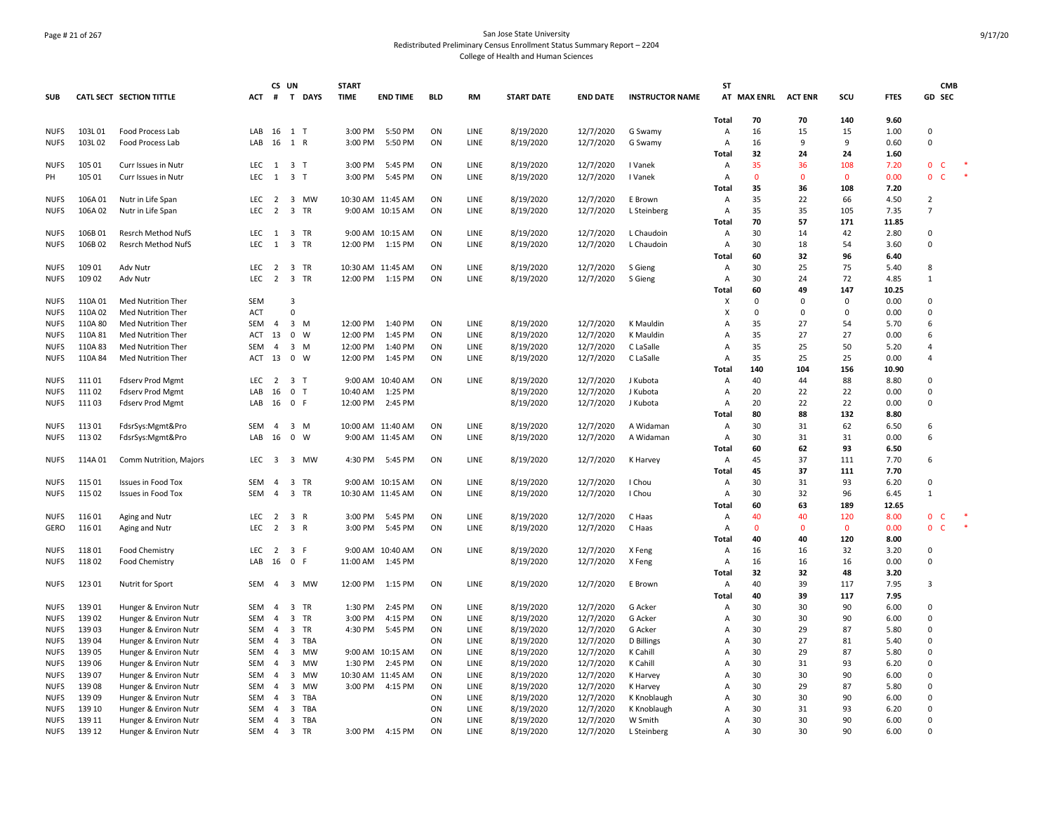# Page # 21 of 267 San Jose State University Redistributed Preliminary Census Enrollment Status Summary Report – 2204 College of Health and Human Sciences

|             |         |                                                    |            | CS UN          |                         |                         | <b>START</b> |                   |            |             |                   |                 |                        | <b>ST</b>      |             |                |              |               |                       | <b>CMB</b> |  |
|-------------|---------|----------------------------------------------------|------------|----------------|-------------------------|-------------------------|--------------|-------------------|------------|-------------|-------------------|-----------------|------------------------|----------------|-------------|----------------|--------------|---------------|-----------------------|------------|--|
| <b>SUB</b>  |         | <b>CATL SECT SECTION TITTLE</b>                    | ACT        | #              |                         | T DAYS                  | <b>TIME</b>  | <b>END TIME</b>   | <b>BLD</b> | RM          | <b>START DATE</b> | <b>END DATE</b> | <b>INSTRUCTOR NAME</b> |                | AT MAX ENRL | <b>ACT ENR</b> | SCU          | <b>FTES</b>   | GD SEC                |            |  |
|             |         |                                                    |            |                |                         |                         |              |                   |            |             |                   |                 |                        | <b>Total</b>   | 70          | 70             | 140          | 9.60          |                       |            |  |
| <b>NUFS</b> | 103L01  | Food Process Lab                                   | LAB 16 1 T |                |                         |                         | 3:00 PM      | 5:50 PM           | ON         | LINE        | 8/19/2020         | 12/7/2020       | G Swamy                | Α              | 16          | 15             | 15           | 1.00          | $\Omega$              |            |  |
| <b>NUFS</b> | 103L02  | Food Process Lab                                   | LAB        | 16             | 1 R                     |                         | 3:00 PM      | 5:50 PM           | ON         | LINE        | 8/19/2020         | 12/7/2020       | G Swamy                | Α              | 16          | 9              | 9            | 0.60          | $\Omega$              |            |  |
|             |         |                                                    |            |                |                         |                         |              |                   |            |             |                   |                 |                        | Total          | 32          | 24             | 24           | 1.60          |                       |            |  |
| <b>NUFS</b> | 105 01  | Curr Issues in Nutr                                | LEC        | -1             | $\overline{\mathbf{3}}$ | ா                       | 3:00 PM      | 5:45 PM           | ON         | LINE        | 8/19/2020         | 12/7/2020       | I Vanek                | Α              | 35          | 36             | 108          | 7.20          | 0<br>C                |            |  |
| PH          | 105 01  | Curr Issues in Nutr                                | <b>LEC</b> | 1              | 3 <sub>T</sub>          |                         | 3:00 PM      | 5:45 PM           | ON         | LINE        | 8/19/2020         | 12/7/2020       | I Vanek                | Α              | $\mathbf 0$ | 0              | $\mathbf 0$  | 0.00          | $\mathbf 0$<br>C      |            |  |
|             |         |                                                    |            |                |                         |                         |              |                   |            |             |                   |                 |                        | Total          | 35          | 36             | 108          | 7.20          |                       |            |  |
| <b>NUFS</b> | 106A01  | Nutr in Life Span                                  | LEC        | 2              | $\overline{\mathbf{3}}$ | MW                      |              | 10:30 AM 11:45 AM | ON         | LINE        | 8/19/2020         | 12/7/2020       | E Brown                | Α              | 35          | 22             | 66           | 4.50          | $\overline{2}$        |            |  |
| <b>NUFS</b> | 106A02  | Nutr in Life Span                                  | <b>LEC</b> | $\overline{2}$ |                         | 3 TR                    |              | 9:00 AM 10:15 AM  | ON         | LINE        | 8/19/2020         | 12/7/2020       | L Steinberg            | $\overline{A}$ | 35          | 35             | 105          | 7.35          | $\overline{7}$        |            |  |
|             |         |                                                    |            |                |                         |                         |              |                   |            |             |                   |                 |                        | Total          | 70          | 57             | 171          | 11.85         |                       |            |  |
| <b>NUES</b> | 106B01  | Resrch Method NufS                                 | LEC        | 1              |                         | 3 TR                    |              | 9:00 AM 10:15 AM  | ON         | LINE        | 8/19/2020         | 12/7/2020       | L Chaudoin             | A              | 30          | 14             | 42           | 2.80          | $\Omega$              |            |  |
| <b>NUFS</b> | 106B02  | <b>Resrch Method NufS</b>                          | LEC        | $\overline{1}$ | $\overline{\mathbf{3}}$ | TR                      | 12:00 PM     | 1:15 PM           | ON         | LINE        | 8/19/2020         | 12/7/2020       | L Chaudoin             | Α              | 30          | 18             | 54           | 3.60          | $\Omega$              |            |  |
|             |         |                                                    |            |                |                         |                         |              |                   |            |             |                   |                 |                        | Total          | 60          | 32             | 96           | 6.40          |                       |            |  |
| <b>NUFS</b> | 109 01  | Adv Nutr                                           | LEC        | 2              |                         | 3 TR                    |              | 10:30 AM 11:45 AM | ON         | LINE        | 8/19/2020         | 12/7/2020       | S Gieng                | Α              | 30          | 25             | 75           | 5.40          | 8                     |            |  |
| <b>NUFS</b> | 109 02  | Adv Nutr                                           | LEC        | $\overline{2}$ | $\overline{\mathbf{3}}$ | TR                      | 12:00 PM     | 1:15 PM           | ON         | LINE        | 8/19/2020         | 12/7/2020       | S Gieng                | Α              | 30          | 24             | 72           | 4.85          | $\mathbf{1}$          |            |  |
|             |         |                                                    |            |                |                         |                         |              |                   |            |             |                   |                 |                        | <b>Total</b>   | 60          | 49             | 147          | 10.25         |                       |            |  |
| <b>NUFS</b> | 110A01  | Med Nutrition Ther                                 | <b>SEM</b> |                | 3                       |                         |              |                   |            |             |                   |                 |                        | х              | 0           | $\Omega$       | 0            | 0.00          | $\Omega$              |            |  |
| <b>NUFS</b> | 110A 02 | Med Nutrition Ther                                 | <b>ACT</b> |                | $\Omega$                |                         |              |                   |            |             |                   |                 |                        | X              | 0           | $\Omega$       | 0            | 0.00          | 0                     |            |  |
| <b>NUFS</b> | 110A 80 | Med Nutrition Ther                                 | <b>SEM</b> | $\overline{4}$ | $\overline{\mathbf{3}}$ | M                       | 12:00 PM     | 1:40 PM           | ON         | LINE        | 8/19/2020         | 12/7/2020       | K Mauldin              | $\overline{A}$ | 35          | 27             | 54           | 5.70          | 6                     |            |  |
| <b>NUFS</b> | 110A 81 | Med Nutrition Ther                                 | ACT        | 13             | $\mathbf 0$             | W                       | 12:00 PM     | 1:45 PM           | ON         | LINE        | 8/19/2020         | 12/7/2020       | K Mauldin              | Α              | 35          | 27             | 27           | 0.00          | 6                     |            |  |
| <b>NUFS</b> | 110A 83 | Med Nutrition Ther                                 | <b>SEM</b> | 4              | $\overline{3}$          | M                       | 12:00 PM     | 1:40 PM           | ON         | LINE        | 8/19/2020         | 12/7/2020       | C LaSalle              | Α              | 35          | 25             | 50           | 5.20          | Δ                     |            |  |
| <b>NUFS</b> | 110A 84 | Med Nutrition Ther                                 | ACT        | 13             | $\mathbf 0$             | W                       | 12:00 PM     | 1:45 PM           | ON         | LINE        | 8/19/2020         | 12/7/2020       | C LaSalle              | Α              | 35          | 25             | 25           | 0.00          | $\overline{4}$        |            |  |
|             |         |                                                    |            |                |                         |                         |              |                   |            |             |                   |                 |                        | <b>Total</b>   | 140         | 104            | 156          | 10.90         |                       |            |  |
| <b>NUFS</b> | 11101   |                                                    | LEC        | 2              | 3 <sub>T</sub>          |                         |              | 9:00 AM 10:40 AM  | ON         | LINE        | 8/19/2020         | 12/7/2020       | J Kubota               | $\overline{A}$ | 40          | 44             | 88           | 8.80          | 0                     |            |  |
| <b>NUFS</b> | 11102   | <b>Fdserv Prod Mgmt</b><br><b>Fdserv Prod Mgmt</b> | I AR       | 16             | $\mathbf 0$             | $\mathsf{T}$            | 10:40 AM     | 1:25 PM           |            |             | 8/19/2020         | 12/7/2020       | J Kubota               | Α              | 20          | 22             | 22           | 0.00          | U                     |            |  |
|             | 11103   |                                                    | LAB 16 0 F |                |                         |                         | 12:00 PM     | 2:45 PM           |            |             |                   |                 | J Kubota               | Α              | 20          | 22             | 22           | 0.00          | $\Omega$              |            |  |
| <b>NUFS</b> |         | <b>Fdserv Prod Mgmt</b>                            |            |                |                         |                         |              |                   |            |             | 8/19/2020         | 12/7/2020       |                        | Total          | 80          | 88             | 132          | 8.80          |                       |            |  |
| <b>NUFS</b> | 11301   |                                                    | SEM        | $\overline{a}$ | $\overline{\mathbf{3}}$ | M                       |              | 10:00 AM 11:40 AM | ON         | LINE        | 8/19/2020         | 12/7/2020       | A Widaman              | Α              | 30          | 31             | 62           | 6.50          | 6                     |            |  |
|             |         | FdsrSys:Mgmt&Pro                                   | LAB        |                | $\mathbf 0$             | W                       |              |                   |            |             |                   |                 |                        |                | 30          |                |              |               | 6                     |            |  |
| <b>NUFS</b> | 11302   | FdsrSys:Mgmt&Pro                                   |            | 16             |                         |                         |              | 9:00 AM 11:45 AM  | ON         | LINE        | 8/19/2020         | 12/7/2020       | A Widaman              | Α              | 60          | 31<br>62       | 31<br>93     | 0.00<br>6.50  |                       |            |  |
|             |         |                                                    |            |                |                         |                         |              |                   |            |             |                   |                 |                        | Total          |             |                |              |               |                       |            |  |
| <b>NUFS</b> | 114A 01 | Comm Nutrition, Majors                             | LEC        | 3              |                         | 3 MW                    |              | 4:30 PM 5:45 PM   | ON         | LINE        | 8/19/2020         | 12/7/2020       | K Harvey               | Α              | 45          | 37             | 111          | 7.70          | 6                     |            |  |
|             |         |                                                    |            |                |                         |                         |              |                   |            |             |                   |                 |                        | <b>Total</b>   | 45<br>30    | 37             | 111<br>93    | 7.70          | 0                     |            |  |
| <b>NUFS</b> | 11501   | Issues in Food Tox                                 | <b>SEM</b> | $\overline{4}$ |                         | 3 TR                    |              | 9:00 AM 10:15 AM  | ON         | <b>LINE</b> | 8/19/2020         | 12/7/2020       | I Chou                 | $\overline{A}$ |             | 31             |              | 6.20          | $\mathbf{1}$          |            |  |
| <b>NUFS</b> | 115 02  | Issues in Food Tox                                 | SEM        | 4              |                         | 3 TR                    |              | 10:30 AM 11:45 AM | ON         | LINE        | 8/19/2020         | 12/7/2020       | I Chou                 | A              | 30<br>60    | 32<br>63       | 96<br>189    | 6.45<br>12.65 |                       |            |  |
|             |         |                                                    |            |                |                         |                         |              |                   |            |             |                   |                 |                        | Total          |             |                |              |               |                       |            |  |
| <b>NUFS</b> | 11601   | Aging and Nutr                                     | LEC        | 2              | $\overline{3}$          | R                       | 3:00 PM      | 5:45 PM           | ON         | LINE        | 8/19/2020         | 12/7/2020       | C Haas                 | Α              | 40          | 40             | 120          | 8.00          | $\mathbf 0$<br>C<br>Ċ |            |  |
| GERO        | 11601   | Aging and Nutr                                     | <b>LEC</b> | $\overline{2}$ | $\overline{\mathbf{3}}$ | $\overline{\mathsf{R}}$ | 3:00 PM      | 5:45 PM           | ON         | LINE        | 8/19/2020         | 12/7/2020       | C Haas                 | Α              | 0           | $\Omega$       | $\mathbf{0}$ | 0.00          | $\mathbf 0$           |            |  |
| <b>NUFS</b> |         |                                                    | <b>LEC</b> | 2              |                         | -F                      | 9:00 AM      | 10:40 AM          | ON         | LINE        |                   |                 |                        | <b>Total</b>   | 40          | 40<br>16       | 120<br>32    | 8.00          | $\Omega$              |            |  |
|             | 11801   | Food Chemistry                                     |            |                | $\overline{\mathbf{3}}$ |                         |              |                   |            |             | 8/19/2020         | 12/7/2020       | X Feng                 | Α              | 16          |                |              | 3.20          | $\mathbf 0$           |            |  |
| <b>NUFS</b> | 11802   | <b>Food Chemistry</b>                              | LAB        | 16             | 0 F                     |                         | 11:00 AM     | 1:45 PM           |            |             | 8/19/2020         | 12/7/2020       | X Feng                 | Α              | 16          | 16             | 16           | 0.00          |                       |            |  |
|             |         |                                                    |            |                |                         |                         |              |                   |            |             |                   |                 |                        | Total          | 32          | 32             | 48           | 3.20          | 3                     |            |  |
| <b>NUFS</b> | 123 01  | Nutrit for Sport                                   | SEM        | $\overline{4}$ |                         | 3 MW                    |              | 12:00 PM 1:15 PM  | ON         | LINE        | 8/19/2020         | 12/7/2020       | E Brown                | $\overline{A}$ | 40<br>40    | 39<br>39       | 117<br>117   | 7.95<br>7.95  |                       |            |  |
|             |         |                                                    |            |                |                         |                         |              |                   |            |             |                   |                 |                        | <b>Total</b>   |             |                |              |               | $\Omega$              |            |  |
| <b>NUFS</b> | 13901   | Hunger & Environ Nutr                              | SEM        | $\overline{a}$ |                         | 3 TR                    | 1:30 PM      | 2:45 PM           | ON         | LINE        | 8/19/2020         | 12/7/2020       | G Acker                | Α              | 30          | 30             | 90           | 6.00          |                       |            |  |
| <b>NUFS</b> | 13902   | Hunger & Environ Nutr                              | SEM        | 4              | $\overline{3}$          | TR                      | 3:00 PM      | 4:15 PM           | ON         | LINE        | 8/19/2020         | 12/7/2020       | G Acker                | Α              | 30          | 30             | 90           | 6.00          | 0                     |            |  |
| <b>NUFS</b> | 13903   | Hunger & Environ Nutr                              | SEM        | 4              | $\overline{3}$          | TR                      | 4:30 PM      | 5:45 PM           | ON         | LINE        | 8/19/2020         | 12/7/2020       | G Acker                | A              | 30          | 29             | 87           | 5.80          | $\Omega$              |            |  |
| <b>NUFS</b> | 13904   | Hunger & Environ Nutr                              | SEM        | $\overline{a}$ | $\overline{\mathbf{3}}$ | TBA                     |              |                   | ON         | LINE        | 8/19/2020         | 12/7/2020       | D Billings             | Α              | 30          | 27             | 81           | 5.40          | 0                     |            |  |
| <b>NUFS</b> | 13905   | Hunger & Environ Nutr                              | <b>SEM</b> | $\overline{4}$ | $\overline{\mathbf{3}}$ | <b>MW</b>               |              | 9:00 AM 10:15 AM  | ON         | LINE        | 8/19/2020         | 12/7/2020       | K Cahill               | $\overline{A}$ | 30          | 29             | 87           | 5.80          | 0                     |            |  |
| <b>NUFS</b> | 139 06  | Hunger & Environ Nutr                              | SEM        | $\overline{a}$ | $\overline{3}$          | MW                      | 1:30 PM      | 2:45 PM           | ON         | LINE        | 8/19/2020         | 12/7/2020       | K Cahill               | Α              | 30          | 31             | 93           | 6.20          | $\Omega$              |            |  |
| <b>NUFS</b> | 13907   | Hunger & Environ Nutr                              | SEM        | $\overline{a}$ | $\overline{3}$          | MW                      |              | 10:30 AM 11:45 AM | ON         | LINE        | 8/19/2020         | 12/7/2020       | K Harvey               | Α              | 30          | 30             | 90           | 6.00          | $\Omega$              |            |  |
| <b>NUFS</b> | 13908   | Hunger & Environ Nutr                              | SEM        | 4              | 3                       | MW                      | 3:00 PM      | 4:15 PM           | ON         | LINE        | 8/19/2020         | 12/7/2020       | K Harvey               | Α              | 30          | 29             | 87           | 5.80          | $\Omega$              |            |  |
| <b>NUFS</b> | 13909   | Hunger & Environ Nutr                              | SEM        | 4              | $\overline{3}$          | TBA                     |              |                   | ON         | LINE        | 8/19/2020         | 12/7/2020       | K Knoblaugh            | Α              | 30          | 30             | 90           | 6.00          | 0                     |            |  |
| <b>NUES</b> | 139 10  | Hunger & Environ Nutr                              | <b>SEM</b> | $\overline{a}$ | $\overline{\mathbf{3}}$ | TBA                     |              |                   | ON         | LINE        | 8/19/2020         | 12/7/2020       | K Knoblaugh            | A              | 30          | 31             | 93           | 6.20          | 0                     |            |  |
| <b>NUFS</b> | 139 11  | Hunger & Environ Nutr                              | SEM        | 4              |                         | 3 TBA                   |              |                   | ON         | LINE        | 8/19/2020         | 12/7/2020       | W Smith                | Α              | 30          | 30             | 90           | 6.00          | $\Omega$              |            |  |
| <b>NUFS</b> | 139 12  | Hunger & Environ Nutr                              | SEM 4      |                |                         | 3 TR                    |              | 3:00 PM 4:15 PM   | ON         | LINE        | 8/19/2020         | 12/7/2020       | L Steinberg            | $\overline{A}$ | 30          | 30             | 90           | 6.00          | 0                     |            |  |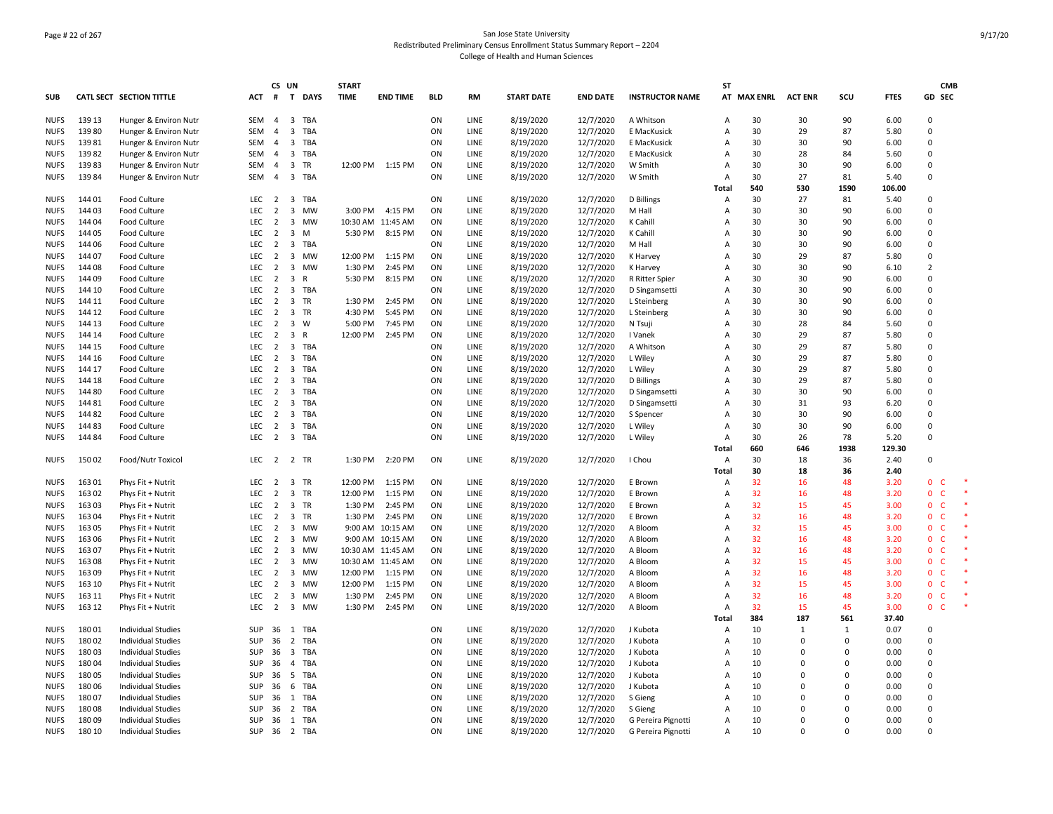# Page # 22 of 267 San Jose State University Redistributed Preliminary Census Enrollment Status Summary Report – 2204 College of Health and Human Sciences

|             |        |                                        |                  | CS UN          |                                         |            | <b>START</b> |                   |            |             |                   |                 |                        | <b>ST</b> |             |                |              |             | <b>CMB</b>                  |  |
|-------------|--------|----------------------------------------|------------------|----------------|-----------------------------------------|------------|--------------|-------------------|------------|-------------|-------------------|-----------------|------------------------|-----------|-------------|----------------|--------------|-------------|-----------------------------|--|
| <b>SUB</b>  |        | CATL SECT SECTION TITTLE               | ACT # T DAYS     |                |                                         |            | <b>TIME</b>  | <b>END TIME</b>   | <b>BLD</b> | RM          | <b>START DATE</b> | <b>END DATE</b> | <b>INSTRUCTOR NAME</b> |           | AT MAX ENRL | <b>ACT ENR</b> | scu          | <b>FTES</b> | GD SEC                      |  |
| <b>NUFS</b> | 139 13 | Hunger & Environ Nutr                  | SEM              | 4              | $\overline{3}$                          | TBA        |              |                   | ON         | LINE        | 8/19/2020         | 12/7/2020       | A Whitson              | A         | 30          | 30             | 90           | 6.00        | 0                           |  |
| <b>NUFS</b> | 13980  | Hunger & Environ Nutr                  | <b>SEM</b>       | $\overline{4}$ | $\overline{3}$                          | TBA        |              |                   | ON         | LINE        | 8/19/2020         | 12/7/2020       | E MacKusick            | A         | 30          | 29             | 87           | 5.80        | $\Omega$                    |  |
| <b>NUFS</b> | 13981  | Hunger & Environ Nutr                  | SEM              | $\overline{4}$ | 3 TBA                                   |            |              |                   | ON         | LINE        | 8/19/2020         | 12/7/2020       | E MacKusick            | A         | 30          | 30             | 90           | 6.00        | $\Omega$                    |  |
| <b>NUFS</b> | 13982  | Hunger & Environ Nutr                  | SEM              | $\overline{4}$ | 3 TBA                                   |            |              |                   | ON         | LINE        | 8/19/2020         | 12/7/2020       | E MacKusick            | Α         | 30          | 28             | 84           | 5.60        | $\Omega$                    |  |
| <b>NUFS</b> | 13983  | Hunger & Environ Nutr                  | SEM              | $\overline{4}$ | 3                                       | TR         |              | 12:00 PM 1:15 PM  | ON         | LINE        | 8/19/2020         | 12/7/2020       | W Smith                | A         | 30          | 30             | 90           | 6.00        | $\Omega$                    |  |
| <b>NUFS</b> | 13984  | Hunger & Environ Nutr                  | SEM              | $\overline{4}$ | 3 TBA                                   |            |              |                   | ON         | LINE        | 8/19/2020         | 12/7/2020       | W Smith                | A         | 30          | 27             | 81           | 5.40        | $\Omega$                    |  |
|             |        |                                        |                  |                |                                         |            |              |                   |            |             |                   |                 |                        | Total     | 540         | 530            | 1590         | 106.00      |                             |  |
| <b>NUFS</b> | 14401  | Food Culture                           | <b>LEC</b>       | 2              | 3                                       | TBA        |              |                   | ON         | LINE        | 8/19/2020         | 12/7/2020       | D Billings             | A         | 30          | 27             | 81           | 5.40        | $\Omega$                    |  |
| <b>NUFS</b> | 144 03 | Food Culture                           | LEC              | $\overline{2}$ | 3                                       | <b>MW</b>  | 3:00 PM      | 4:15 PM           | ON         | LINE        | 8/19/2020         | 12/7/2020       | M Hall                 | A         | 30          | 30             | 90           | 6.00        | $\Omega$                    |  |
| <b>NUFS</b> | 144 04 | Food Culture                           | LEC              | $\overline{2}$ | 3 MW                                    |            | 10:30 AM     | 11:45 AM          | ON         | LINE        | 8/19/2020         | 12/7/2020       | K Cahill               | A         | 30          | 30             | 90           | 6.00        | $\Omega$                    |  |
| <b>NUFS</b> | 144 05 | Food Culture                           | LEC              | $\overline{2}$ | $\overline{\mathbf{3}}$                 | M          | 5:30 PM      | 8:15 PM           | ON         | LINE        | 8/19/2020         | 12/7/2020       | K Cahill               | A         | 30          | 30             | 90           | 6.00        | $\Omega$                    |  |
| <b>NUFS</b> | 144 06 | Food Culture                           | LEC              | 2              | $\overline{3}$                          | <b>TBA</b> |              |                   | ON         | LINE        | 8/19/2020         | 12/7/2020       | M Hall                 | A         | 30          | 30             | 90           | 6.00        | $\Omega$                    |  |
| <b>NUFS</b> | 144 07 | Food Culture                           | LEC              | $\overline{2}$ | $\overline{3}$                          | MW         | 12:00 PM     | 1:15 PM           | ON         | LINE        | 8/19/2020         | 12/7/2020       | K Harvey               | A         | 30          | 29             | 87           | 5.80        | $\mathbf 0$                 |  |
| <b>NUFS</b> | 144 08 | Food Culture                           | LEC              | $\overline{2}$ | 3 MW                                    |            | 1:30 PM      | 2:45 PM           | ON         | LINE        | 8/19/2020         | 12/7/2020       | K Harvey               | A         | 30          | 30             | 90           | 6.10        | $\overline{2}$              |  |
| <b>NUFS</b> | 144 09 | Food Culture                           | LEC              | $\overline{2}$ | 3<br>R                                  |            | 5:30 PM      | 8:15 PM           | ON         | LINE        | 8/19/2020         | 12/7/2020       | R Ritter Spier         | A         | 30          | 30             | 90           | 6.00        | 0                           |  |
| <b>NUES</b> | 144 10 | Food Culture                           | <b>LEC</b>       | 2              | 3 TBA                                   |            |              |                   | ON         | LINE        | 8/19/2020         | 12/7/2020       | D Singamsetti          | A         | 30          | 30             | 90           | 6.00        | $\Omega$                    |  |
| <b>NUFS</b> | 144 11 | Food Culture                           | LEC              | $\overline{2}$ | $\overline{3}$                          | TR         | 1:30 PM      | 2:45 PM           | ON         | LINE        | 8/19/2020         | 12/7/2020       | L Steinberg            | A         | 30          | 30             | 90           | 6.00        | $\Omega$                    |  |
| <b>NUFS</b> | 144 12 | Food Culture                           | <b>LEC</b>       | $\overline{2}$ | 3 TR                                    |            | 4:30 PM      | 5:45 PM           | ON         | LINE        | 8/19/2020         | 12/7/2020       | L Steinberg            | A         | 30          | 30             | 90           | 6.00        | 0                           |  |
| <b>NUFS</b> | 144 13 | Food Culture                           | LEC              | 2              | $\overline{\mathbf{3}}$                 | W          | 5:00 PM      | 7:45 PM           | ON         | LINE        | 8/19/2020         | 12/7/2020       | N Tsuji                | A         | 30          | 28             | 84           | 5.60        | $\Omega$                    |  |
| <b>NUFS</b> | 144 14 | Food Culture                           | <b>LEC</b>       | $\overline{2}$ | $\overline{\mathbf{3}}$<br>$\mathsf{R}$ |            | 12:00 PM     | 2:45 PM           | ON         | LINE        | 8/19/2020         | 12/7/2020       | I Vanek                | A         | 30          | 29             | 87           | 5.80        | $\Omega$                    |  |
| <b>NUFS</b> | 144 15 | Food Culture                           | LEC              | $\overline{2}$ | 3 TBA                                   |            |              |                   | ON         | LINE        | 8/19/2020         | 12/7/2020       | A Whitson              | A         | 30          | 29             | 87           | 5.80        | $\Omega$                    |  |
| <b>NUFS</b> | 144 16 | Food Culture                           | LEC              | 2              | 3 TBA                                   |            |              |                   | ON         | LINE        | 8/19/2020         | 12/7/2020       | L Wiley                | A         | 30          | 29             | 87           | 5.80        | 0                           |  |
| <b>NUFS</b> | 144 17 | Food Culture                           | LEC <sub>2</sub> |                | 3                                       | TBA        |              |                   | ON         | LINE        | 8/19/2020         | 12/7/2020       | L Wiley                | A         | 30          | 29             | 87           | 5.80        | $\Omega$                    |  |
| <b>NUFS</b> | 144 18 | Food Culture                           | <b>LEC</b>       | 2              | 3                                       | TBA        |              |                   | ON         | LINE        | 8/19/2020         | 12/7/2020       | D Billings             | A         | 30          | 29             | 87           | 5.80        | $\Omega$                    |  |
| <b>NUES</b> | 144 80 | Food Culture                           | <b>LEC</b>       | 2              | $\overline{\mathbf{3}}$                 | TBA        |              |                   | ON         | <b>LINE</b> | 8/19/2020         | 12/7/2020       | D Singamsetti          | A         | 30          | 30             | 90           | 6.00        | $\Omega$                    |  |
| <b>NUFS</b> | 144 81 | Food Culture                           | LEC              | $\overline{2}$ | 3                                       | <b>TBA</b> |              |                   | ON         | LINE        | 8/19/2020         | 12/7/2020       | D Singamsetti          | A         | 30          | 31             | 93           | 6.20        | 0                           |  |
| <b>NUFS</b> | 144 82 | Food Culture                           | LEC              | $\overline{2}$ | 3                                       | TBA        |              |                   | ON         | LINE        | 8/19/2020         | 12/7/2020       | S Spencer              | A         | 30          | 30             | 90           | 6.00        | $\Omega$                    |  |
| <b>NUFS</b> | 14483  | Food Culture                           | LEC              | 2              | $\overline{3}$                          | TBA        |              |                   | ON         | LINE        | 8/19/2020         | 12/7/2020       | L Wiley                | A         | 30          | 30             | 90           | 6.00        | $\Omega$                    |  |
| <b>NUFS</b> | 14484  | Food Culture                           | <b>LEC</b>       | $\overline{2}$ | 3 TBA                                   |            |              |                   | ON         | LINE        | 8/19/2020         | 12/7/2020       | L Wiley                | A         | 30          | 26             | 78           | 5.20        | $\Omega$                    |  |
|             |        |                                        |                  |                |                                         |            |              |                   |            |             |                   |                 |                        | Total     | 660         | 646            | 1938         | 129.30      |                             |  |
| <b>NUFS</b> | 15002  | Food/Nutr Toxicol                      | LEC 2 2 TR       |                |                                         |            | 1:30 PM      | 2:20 PM           | ON         | LINE        | 8/19/2020         | 12/7/2020       | I Chou                 | A         | 30          | 18             | 36           | 2.40        | $\mathsf 0$                 |  |
|             |        |                                        |                  |                |                                         |            |              |                   |            |             |                   |                 |                        | Total     | 30          | 18             | 36           | 2.40        |                             |  |
| <b>NUFS</b> | 163 01 | Phys Fit + Nutrit                      | LEC              | 2              | 3                                       | TR         | 12:00 PM     | 1:15 PM           | ON         | LINE        | 8/19/2020         | 12/7/2020       | E Brown                | A         | 32          | 16             | 48           | 3.20        | $\Omega$<br>- C             |  |
| <b>NUFS</b> | 163 02 | Phys Fit + Nutrit                      | LEC              | $\overline{2}$ | 3                                       | TR         | 12:00 PM     | 1:15 PM           | ON         | LINE        | 8/19/2020         | 12/7/2020       | E Brown                | A         | 32          | 16             | 48           | 3.20        | $\mathbf 0$<br>$\mathsf{C}$ |  |
| <b>NUFS</b> | 163 03 | Phys Fit + Nutrit                      | LEC              | 2              | 3 TR                                    |            | 1:30 PM      | 2:45 PM           | ON         | LINE        | 8/19/2020         | 12/7/2020       | E Brown                | A         | 32          | 15             | 45           | 3.00        | 0<br>- C                    |  |
| <b>NUFS</b> | 16304  | Phys Fit + Nutrit                      | <b>LEC</b>       | $\overline{2}$ | 3 TR                                    |            | 1:30 PM      | 2:45 PM           | ON         | LINE        | 8/19/2020         | 12/7/2020       | E Brown                | A         | 32          | 16             | 48           | 3.20        | $\mathbf{0}$<br>- C         |  |
| <b>NUFS</b> | 163 05 |                                        | <b>LEC</b>       | 2              | 3                                       | <b>MW</b>  | 9:00 AM      | 10:15 AM          | ON         | LINE        | 8/19/2020         | 12/7/2020       | A Bloom                | A         | 32          | 15             | 45           | 3.00        | $\mathbf{0}$<br>- C         |  |
| <b>NUFS</b> | 163 06 | Phys Fit + Nutrit<br>Phys Fit + Nutrit | LEC              | $\overline{2}$ | $\overline{3}$                          | MW         |              | 9:00 AM 10:15 AM  | ON         | LINE        | 8/19/2020         | 12/7/2020       | A Bloom                | A         | 32          | 16             | 48           | 3.20        | 0 <sub>c</sub>              |  |
| <b>NUFS</b> | 16307  | Phys Fit + Nutrit                      | LEC              | $\overline{2}$ | 3 MW                                    |            |              | 10:30 AM 11:45 AM | ON         | LINE        | 8/19/2020         | 12/7/2020       | A Bloom                | A         | 32          | 16             | 48           | 3.20        | 0 <sub>c</sub>              |  |
| <b>NUFS</b> | 16308  | Phys Fit + Nutrit                      | LEC              | 2              | 3                                       | MW         |              | 10:30 AM 11:45 AM | ON         | LINE        | 8/19/2020         | 12/7/2020       | A Bloom                | A         | 32          | 15             | 45           | 3.00        | 0<br>- C                    |  |
| <b>NUES</b> |        |                                        | <b>LEC</b>       | 2              | 3                                       | MW         | 12:00 PM     | 1:15 PM           | ON         | LINE        |                   |                 |                        | A         | 32          | 16             | 48           | 3.20        | 0 <sup>o</sup>              |  |
|             | 163 09 | Phys Fit + Nutrit                      |                  | 2              |                                         |            |              |                   |            |             | 8/19/2020         | 12/7/2020       | A Bloom                | A         | 32          | 15             | 45           | 3.00        | 0 <sup>o</sup>              |  |
| <b>NUFS</b> | 163 10 | Phys Fit + Nutrit                      | LEC              |                | 3                                       | MW         | 12:00 PM     | 1:15 PM           | ON         | LINE        | 8/19/2020         | 12/7/2020       | A Bloom                |           |             |                | 48           |             | 0                           |  |
| <b>NUFS</b> | 163 11 | Phys Fit + Nutrit                      | <b>LEC</b>       | $\overline{2}$ | 3 MW                                    |            | 1:30 PM      | 2:45 PM           | ON         | LINE        | 8/19/2020         | 12/7/2020       | A Bloom                | A         | 32          | 16             |              | 3.20        | -C                          |  |
| <b>NUFS</b> | 163 12 | Phys Fit + Nutrit                      | LEC              | $\overline{2}$ | 3                                       | MW         | 1:30 PM      | 2:45 PM           | ON         | LINE        | 8/19/2020         | 12/7/2020       | A Bloom                | A         | 32          | 15             | 45           | 3.00        | $\mathbf 0$<br>C            |  |
|             |        |                                        |                  |                |                                         |            |              |                   |            |             |                   |                 |                        | Total     | 384         | 187            | 561          | 37.40       |                             |  |
| <b>NUFS</b> | 18001  | <b>Individual Studies</b>              | SUP              | 36             | 1 TBA                                   |            |              |                   | ON         | LINE        | 8/19/2020         | 12/7/2020       | J Kubota               | A         | 10          | 1              | $\mathbf{1}$ | 0.07        | $\Omega$                    |  |
| <b>NUFS</b> | 18002  | <b>Individual Studies</b>              | SUP              | 36             | 2 TBA                                   |            |              |                   | ON         | LINE        | 8/19/2020         | 12/7/2020       | J Kubota               | Α         | 10          | $\mathbf 0$    | 0            | 0.00        | $\mathbf 0$                 |  |
| <b>NUFS</b> | 18003  | <b>Individual Studies</b>              | SUP              | - 36           | 3 TBA                                   |            |              |                   | ON         | LINE        | 8/19/2020         | 12/7/2020       | J Kubota               | A         | 10          | $\Omega$       | 0            | 0.00        | $\Omega$                    |  |
| <b>NUFS</b> | 18004  | <b>Individual Studies</b>              | SUP              | 36             | $\overline{4}$                          | TBA        |              |                   | ON         | LINE        | 8/19/2020         | 12/7/2020       | J Kubota               | A         | 10          | $\Omega$       | $\Omega$     | 0.00        | $\Omega$                    |  |
| <b>NUES</b> | 18005  | <b>Individual Studies</b>              | <b>SUP</b>       | 36             | 5 TBA                                   |            |              |                   | ON         | <b>LINE</b> | 8/19/2020         | 12/7/2020       | J Kubota               | A         | 10          | $\Omega$       | $\Omega$     | 0.00        | $\Omega$                    |  |
| <b>NUFS</b> | 180 06 | <b>Individual Studies</b>              | SUP              | 36             | 6                                       | TBA        |              |                   | ON         | LINE        | 8/19/2020         | 12/7/2020       | J Kubota               | A         | 10          | $\Omega$       | 0            | 0.00        | 0                           |  |
| <b>NUES</b> | 18007  | <b>Individual Studies</b>              | <b>SUP</b>       | 36             | 1                                       | TBA        |              |                   | ON         | LINE        | 8/19/2020         | 12/7/2020       | S Gieng                | A         | 10          | $\Omega$       | $\Omega$     | 0.00        | $\Omega$                    |  |
| <b>NUFS</b> | 18008  | <b>Individual Studies</b>              | <b>SUP</b>       | - 36           | 2 TBA                                   |            |              |                   | ON         | LINE        | 8/19/2020         | 12/7/2020       | S Gieng                | A         | 10          | $\Omega$       | $\Omega$     | 0.00        | $\Omega$                    |  |
| <b>NUFS</b> | 18009  | <b>Individual Studies</b>              | SUP              | - 36           | 1 TBA                                   |            |              |                   | ON         | LINE        | 8/19/2020         | 12/7/2020       | G Pereira Pignotti     | A         | 10          | $\Omega$       | $\Omega$     | 0.00        | $\Omega$                    |  |
| <b>NUFS</b> | 180 10 | <b>Individual Studies</b>              | SUP 36 2 TBA     |                |                                         |            |              |                   | ON         | LINE        | 8/19/2020         | 12/7/2020       | G Pereira Pignotti     | A         | 10          | $\Omega$       | $\Omega$     | 0.00        | $\Omega$                    |  |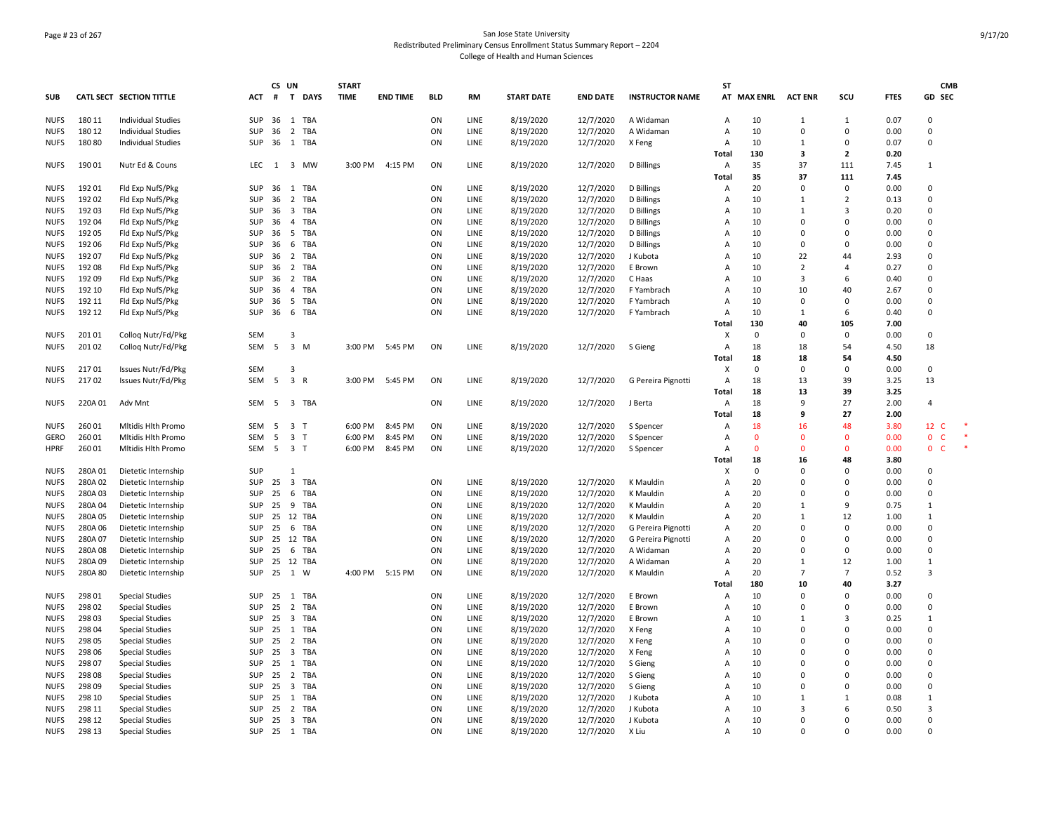# Page # 23 of 267 San Jose State University Redistributed Preliminary Census Enrollment Status Summary Report – 2204 College of Health and Human Sciences

|             |         |                           |              | CS UN |                                   |             | <b>START</b> |                 |            |             |                   |                 |                        | SΤ             |             |                |                |             | <b>CMB</b>         |
|-------------|---------|---------------------------|--------------|-------|-----------------------------------|-------------|--------------|-----------------|------------|-------------|-------------------|-----------------|------------------------|----------------|-------------|----------------|----------------|-------------|--------------------|
| <b>SUB</b>  |         | CATL SECT SECTION TITTLE  | ACT          | #     | T                                 | <b>DAYS</b> | <b>TIME</b>  | <b>END TIME</b> | <b>BLD</b> | <b>RM</b>   | <b>START DATE</b> | <b>END DATE</b> | <b>INSTRUCTOR NAME</b> |                | AT MAX ENRL | <b>ACT ENR</b> | scu            | <b>FTES</b> | GD SEC             |
| <b>NUFS</b> | 180 11  | <b>Individual Studies</b> | SUP          | 36    | 1 TBA                             |             |              |                 | ON         | LINE        | 8/19/2020         | 12/7/2020       | A Widaman              | Α              | 10          | 1              | $\mathbf{1}$   | 0.07        | $\Omega$           |
| <b>NUFS</b> | 180 12  | <b>Individual Studies</b> | SUP          | 36    | 2 TBA                             |             |              |                 | ON         | LINE        | 8/19/2020         | 12/7/2020       | A Widaman              | A              | 10          | 0              | 0              | 0.00        | $\Omega$           |
| <b>NUFS</b> | 18080   | Individual Studies        | SUP          | 36    | 1 TBA                             |             |              |                 | ON         | LINE        | 8/19/2020         | 12/7/2020       | X Feng                 | A              | 10          | 1              | 0              | 0.07        | $\Omega$           |
|             |         |                           |              |       |                                   |             |              |                 |            |             |                   |                 |                        | Total          | 130         | 3              | $\overline{2}$ | 0.20        |                    |
| <b>NUFS</b> | 19001   | Nutr Ed & Couns           | <b>LEC</b>   | 1     |                                   | 3 MW        | 3:00 PM      | 4:15 PM         | ON         | <b>LINE</b> | 8/19/2020         | 12/7/2020       | D Billings             | A              | 35          | 37             | 111            | 7.45        | $\mathbf{1}$       |
|             |         |                           |              |       |                                   |             |              |                 |            |             |                   |                 |                        | Total          | 35          | 37             | 111            | 7.45        |                    |
| <b>NUFS</b> | 192 01  | Fld Exp NufS/Pkg          | SUP          | 36    | 1 TBA                             |             |              |                 | ON         | LINE        | 8/19/2020         | 12/7/2020       | D Billings             | А              | 20          | $\Omega$       | $\mathbf 0$    | 0.00        | $\Omega$           |
| <b>NUFS</b> | 192 02  | Fld Exp NufS/Pkg          | SUP          | 36    | 2 TBA                             |             |              |                 | ON         | LINE        | 8/19/2020         | 12/7/2020       | D Billings             | Α              | 10          | 1              | $\overline{2}$ | 0.13        | $\Omega$           |
| <b>NUFS</b> | 19203   | Fld Exp NufS/Pkg          | SUP          | 36    | 3 TBA                             |             |              |                 | ON         | LINE        | 8/19/2020         | 12/7/2020       | D Billings             | A              | 10          | 1              | 3              | 0.20        | $\Omega$           |
| <b>NUFS</b> | 192 04  | Fld Exp NufS/Pkg          | SUP          | 36    | $\overline{4}$                    | TBA         |              |                 | ON         | LINE        | 8/19/2020         | 12/7/2020       | D Billings             | A              | 10          | $\Omega$       | 0              | 0.00        | $\Omega$           |
| <b>NUFS</b> | 192 05  | Fld Exp NufS/Pkg          | SUP          | 36    | 5                                 | TBA         |              |                 | ON         | LINE        | 8/19/2020         | 12/7/2020       | D Billings             | $\overline{A}$ | 10          | $\Omega$       | $\Omega$       | 0.00        | $\Omega$           |
| <b>NUFS</b> | 192 06  | Fld Exp NufS/Pkg          | SUP          | 36    | 6                                 | TBA         |              |                 | ON         | LINE        | 8/19/2020         | 12/7/2020       | D Billings             | A              | 10          | 0              | 0              | 0.00        | 0                  |
| <b>NUFS</b> | 192 07  | Fld Exp NufS/Pkg          | SUP          | 36    | 2                                 | TBA         |              |                 | ON         | LINE        |                   |                 | J Kubota               | A              | 10          | 22             | 44             | 2.93        | $\Omega$           |
| <b>NUFS</b> | 192 08  |                           | SUP          | 36    | $\overline{2}$                    | TBA         |              |                 | ON         | LINE        | 8/19/2020         | 12/7/2020       | E Brown                | $\overline{A}$ | 10          | $\overline{2}$ | 4              | 0.27        | $\Omega$           |
|             |         | Fld Exp NufS/Pkg          | SUP          |       |                                   | TBA         |              |                 |            | LINE        | 8/19/2020         | 12/7/2020       |                        | $\overline{A}$ | 10          | 3              |                | 0.40        | $\Omega$           |
| <b>NUFS</b> | 192 09  | Fld Exp NufS/Pkg          |              | 36    | $\overline{2}$                    |             |              |                 | ON         |             | 8/19/2020         | 12/7/2020       | C Haas                 |                |             |                | 6              |             |                    |
| <b>NUFS</b> | 192 10  | Fld Exp NufS/Pkg          | SUP          | 36    | $\overline{4}$                    | TBA         |              |                 | ON         | LINE        | 8/19/2020         | 12/7/2020       | F Yambrach             | A              | 10          | 10             | 40             | 2.67        | $\Omega$           |
| <b>NUFS</b> | 192 11  | Fld Exp NufS/Pkg          | <b>SUP</b>   | 36    | 5                                 | TBA         |              |                 | ON         | LINE        | 8/19/2020         | 12/7/2020       | F Yambrach             | A              | 10          | 0              | 0              | 0.00        | 0                  |
| <b>NUFS</b> | 192 12  | Fld Exp NufS/Pkg          | SUP          | 36    | 6                                 | TBA         |              |                 | ON         | LINE        | 8/19/2020         | 12/7/2020       | F Yambrach             | A              | 10          | 1              | 6              | 0.40        | $\Omega$           |
|             |         |                           |              |       |                                   |             |              |                 |            |             |                   |                 |                        | Total          | 130         | 40             | 105            | 7.00        |                    |
| <b>NUFS</b> | 20101   | Collog Nutr/Fd/Pkg        | <b>SEM</b>   |       | 3                                 |             |              |                 |            |             |                   |                 |                        | X              | 0           | $\Omega$       | $\Omega$       | 0.00        | $\Omega$           |
| <b>NUFS</b> | 20102   | Collog Nutr/Fd/Pkg        | SEM          | 5     | 3 M                               |             | 3:00 PM      | 5:45 PM         | ON         | LINE        | 8/19/2020         | 12/7/2020       | S Gieng                | $\overline{A}$ | 18          | 18             | 54             | 4.50        | 18                 |
|             |         |                           |              |       |                                   |             |              |                 |            |             |                   |                 |                        | Total          | 18          | 18             | 54             | 4.50        |                    |
| <b>NUFS</b> | 21701   | Issues Nutr/Fd/Pkg        | <b>SEM</b>   |       | $\overline{3}$                    |             |              |                 |            |             |                   |                 |                        | X              | 0           | 0              | 0              | 0.00        | $\Omega$           |
| <b>NUFS</b> | 21702   | Issues Nutr/Fd/Pkg        | SEM          | 5     | 3 R                               |             | 3:00 PM      | 5:45 PM         | ON         | LINE        | 8/19/2020         | 12/7/2020       | G Pereira Pignotti     | $\overline{A}$ | 18          | 13             | 39             | 3.25        | 13                 |
|             |         |                           |              |       |                                   |             |              |                 |            |             |                   |                 |                        | Total          | 18          | 13             | 39             | 3.25        |                    |
| <b>NUFS</b> | 220A 01 | Adv Mnt                   | SEM          | -5    | 3 TBA                             |             |              |                 | ON         | LINE        | 8/19/2020         | 12/7/2020       | J Berta                | Α              | 18          | 9              | 27             | 2.00        | $\overline{4}$     |
|             |         |                           |              |       |                                   |             |              |                 |            |             |                   |                 |                        | Total          | 18          | 9              | 27             | 2.00        |                    |
| <b>NUFS</b> | 26001   | Mitidis Hith Promo        | SEM          | - 5   | $\overline{\mathbf{3}}$<br>$\top$ |             | 6:00 PM      | 8:45 PM         | ON         | LINE        | 8/19/2020         | 12/7/2020       | S Spencer              | A              | 18          | 16             | 48             | 3.80        | 12 C               |
| <b>GERO</b> | 26001   | Mitidis Hith Promo        | <b>SEM</b>   | 5     | $\overline{3}$<br>$\mathsf{T}$    |             | 6:00 PM      | 8:45 PM         | ON         | <b>LINE</b> | 8/19/2020         | 12/7/2020       | S Spencer              | A              | $\Omega$    | $\Omega$       | $\Omega$       | 0.00        | $\Omega$<br>- C    |
| <b>HPRF</b> | 26001   | Mitidis Hith Promo        | SEM          | 5     | 3 <sub>1</sub>                    |             | 6:00 PM      | 8:45 PM         | ON         | LINE        | 8/19/2020         | 12/7/2020       | S Spencer              | A              | $\Omega$    | $\mathbf{0}$   | $\Omega$       | 0.00        | $\mathbf{0}$<br>-C |
|             |         |                           |              |       |                                   |             |              |                 |            |             |                   |                 |                        | Total          | 18          | 16             | 48             | 3.80        |                    |
| <b>NUFS</b> | 280A01  | Dietetic Internship       | SUP          |       | $\mathbf{1}$                      |             |              |                 |            |             |                   |                 |                        | X              | $\mathbf 0$ | $\Omega$       | $\Omega$       | 0.00        | $\Omega$           |
| <b>NUFS</b> | 280A02  | Dietetic Internship       | SUP          | 25    | $\overline{\mathbf{3}}$           | <b>TBA</b>  |              |                 | ON         | LINE        | 8/19/2020         | 12/7/2020       | K Mauldin              | Α              | 20          | $\Omega$       | 0              | 0.00        | $\Omega$           |
| <b>NUES</b> | 280A03  | Dietetic Internship       | <b>SUP</b>   | 25    | 6                                 | TBA         |              |                 | ON         | LINE        | 8/19/2020         | 12/7/2020       | K Mauldin              | A              | 20          | $\Omega$       | $\Omega$       | 0.00        | $\Omega$           |
| <b>NUFS</b> | 280A 04 | Dietetic Internship       | SUP          | 25    | 9                                 | TBA         |              |                 | ON         | LINE        | 8/19/2020         | 12/7/2020       | K Mauldin              | A              | 20          | $\mathbf{1}$   | 9              | 0.75        | $\mathbf{1}$       |
| <b>NUFS</b> | 280A05  | Dietetic Internship       | SUP          | 25    | 12 TBA                            |             |              |                 | ON         | LINE        | 8/19/2020         | 12/7/2020       | K Mauldin              | A              | 20          | 1              | 12             | 1.00        | 1                  |
| <b>NUES</b> | 280A06  | Dietetic Internship       | SUP          | 25    | 6                                 | TBA         |              |                 | ON         | LINE        | 8/19/2020         | 12/7/2020       | G Pereira Pignotti     | A              | 20          | $\Omega$       | 0              | 0.00        | $\Omega$           |
| <b>NUFS</b> | 280A07  | Dietetic Internship       | SUP          | 25    | 12 TBA                            |             |              |                 | ON         | LINE        | 8/19/2020         | 12/7/2020       | G Pereira Pignotti     | $\overline{A}$ | 20          | $\Omega$       | $\Omega$       | 0.00        | $\Omega$           |
| <b>NUES</b> | 280A08  | Dietetic Internship       | SUP          | 25    | 6                                 | TBA         |              |                 | ON         | LINE        | 8/19/2020         | 12/7/2020       | A Widaman              | $\overline{A}$ | 20          | $\Omega$       | $\Omega$       | 0.00        | $\Omega$           |
| <b>NUFS</b> | 280A09  | Dietetic Internship       | SUP          | 25    | 12 TBA                            |             |              |                 | ON         | LINE        | 8/19/2020         | 12/7/2020       | A Widaman              | A              | 20          | 1              | 12             | 1.00        | $\mathbf{1}$       |
| <b>NUFS</b> | 280A 80 | Dietetic Internship       | SUP          | 25    | 1 W                               |             | 4:00 PM      | 5:15 PM         | ON         | LINE        | 8/19/2020         | 12/7/2020       | K Mauldin              | Α              | 20          | $\overline{7}$ | $\overline{7}$ | 0.52        | 3                  |
|             |         |                           |              |       |                                   |             |              |                 |            |             |                   |                 |                        | Total          | 180         | 10             | 40             | 3.27        |                    |
| <b>NUFS</b> | 298 01  | <b>Special Studies</b>    | SUP          | 25    | 1 TBA                             |             |              |                 | ON         | LINE        | 8/19/2020         | 12/7/2020       | E Brown                | A              | 10          | $\Omega$       | 0              | 0.00        | $\Omega$           |
| <b>NUFS</b> | 298 02  | <b>Special Studies</b>    | SUP          | 25    | $\overline{2}$                    | <b>TBA</b>  |              |                 | ON         | LINE        | 8/19/2020         | 12/7/2020       | E Brown                | $\overline{A}$ | 10          | $\Omega$       | $\Omega$       | 0.00        | $\Omega$           |
| <b>NUFS</b> | 298 03  | <b>Special Studies</b>    | SUP          | 25    | $\overline{\mathbf{3}}$           | <b>TBA</b>  |              |                 | ON         | LINE        | 8/19/2020         | 12/7/2020       | E Brown                | A              | 10          | $\mathbf{1}$   | 3              | 0.25        | $\mathbf{1}$       |
| <b>NUFS</b> | 298 04  | <b>Special Studies</b>    | SUP          | 25    | 1                                 | TBA         |              |                 | ON         | LINE        | 8/19/2020         | 12/7/2020       | X Feng                 | A              | 10          | $\Omega$       | $\Omega$       | 0.00        | $\Omega$           |
| <b>NUFS</b> | 298 05  | <b>Special Studies</b>    | SUP          | 25    | 2 TBA                             |             |              |                 | ON         | LINE        | 8/19/2020         | 12/7/2020       | X Feng                 | A              | 10          | $\Omega$       | 0              | 0.00        | $\Omega$           |
| <b>NUFS</b> | 298 06  | <b>Special Studies</b>    | SUP          | 25    | 3 TBA                             |             |              |                 | ON         | LINE        | 8/19/2020         | 12/7/2020       | X Feng                 | A              | 10          | $\Omega$       | $\Omega$       | 0.00        | $\Omega$           |
| <b>NUFS</b> | 298 07  | <b>Special Studies</b>    | SUP          | 25    | 1                                 | TBA         |              |                 | ON         | LINE        | 8/19/2020         | 12/7/2020       | S Gieng                | A              | 10          | $\Omega$       | $\Omega$       | 0.00        | $\Omega$           |
| <b>NUFS</b> | 298 08  | <b>Special Studies</b>    | SUP          | 25    | $\overline{2}$                    | TBA         |              |                 | ON         | LINE        | 8/19/2020         | 12/7/2020       | S Gieng                | A              | 10          | $\Omega$       | $\Omega$       | 0.00        | $\Omega$           |
| <b>NUFS</b> | 298 09  | <b>Special Studies</b>    | SUP          | 25    | $\overline{\mathbf{3}}$           | TBA         |              |                 | ON         | LINE        | 8/19/2020         | 12/7/2020       | S Gieng                | A              | 10          | $\Omega$       | 0              | 0.00        | 0                  |
| <b>NUES</b> | 298 10  | <b>Special Studies</b>    | SUP          | 25    | 1                                 | TBA         |              |                 | ON         | LINE        | 8/19/2020         | 12/7/2020       | J Kubota               | A              | 10          | 1              | 1              | 0.08        | $\mathbf{1}$       |
| <b>NUES</b> | 298 11  | <b>Special Studies</b>    | SUP          | 25    | 2                                 | TBA         |              |                 | ON         | LINE        | 8/19/2020         | 12/7/2020       | J Kubota               | A              | 10          | 3              | 6              | 0.50        | 3                  |
| <b>NUFS</b> | 298 12  | <b>Special Studies</b>    | SUP          | 25    | 3 TBA                             |             |              |                 | ON         | LINE        | 8/19/2020         | 12/7/2020       | J Kubota               | A              | 10          | $\Omega$       | $\Omega$       | 0.00        | $\Omega$           |
| <b>NUFS</b> | 298 13  | <b>Special Studies</b>    | SUP 25 1 TBA |       |                                   |             |              |                 | ON         | LINE        | 8/19/2020         | 12/7/2020       | X Liu                  | Α              | 10          | $\Omega$       | $\Omega$       | 0.00        | $\Omega$           |
|             |         |                           |              |       |                                   |             |              |                 |            |             |                   |                 |                        |                |             |                |                |             |                    |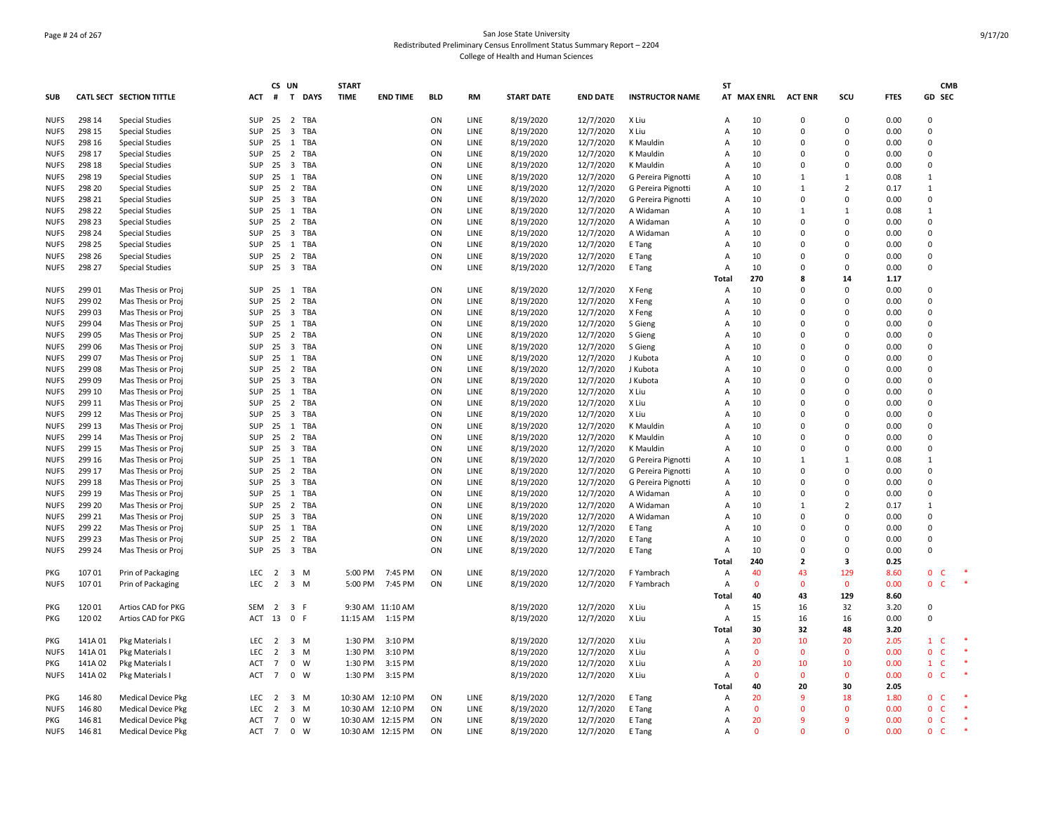# Page # 24 of 267 San Jose State University Redistributed Preliminary Census Enrollment Status Summary Report – 2204 College of Health and Human Sciences

|                            |                  |                                                  |            |                 | CS UN                   |                | <b>START</b> |                   |            |                     |                        |                        |                        | <b>ST</b>               |                   |                      |                     |              | <b>CMB</b>               |  |
|----------------------------|------------------|--------------------------------------------------|------------|-----------------|-------------------------|----------------|--------------|-------------------|------------|---------------------|------------------------|------------------------|------------------------|-------------------------|-------------------|----------------------|---------------------|--------------|--------------------------|--|
| <b>SUB</b>                 |                  | <b>CATL SECT SECTION TITTLE</b>                  | ACT        |                 |                         | # T DAYS       | <b>TIME</b>  | <b>END TIME</b>   | <b>BLD</b> | <b>RM</b>           | <b>START DATE</b>      | <b>END DATE</b>        | <b>INSTRUCTOR NAME</b> |                         | AT MAX ENRL       | <b>ACT ENR</b>       | SCU                 | <b>FTES</b>  | GD SEC                   |  |
| <b>NUFS</b>                | 298 14           | <b>Special Studies</b>                           | SUP        | 25              |                         | 2 TBA          |              |                   | ON         | LINE                | 8/19/2020              | 12/7/2020              | X Liu                  | Α                       | 10                | 0                    | 0                   | 0.00         | 0                        |  |
| <b>NUFS</b>                | 298 15           | <b>Special Studies</b>                           | SUP        | 25              | $\overline{\mathbf{3}}$ | TBA            |              |                   | ON         | LINE                | 8/19/2020              | 12/7/2020              | X Liu                  | A                       | 10                | $\Omega$             | 0                   | 0.00         | $\Omega$                 |  |
| <b>NUFS</b>                | 298 16           | <b>Special Studies</b>                           | SUP        | 25              | 1                       | TBA            |              |                   | ON         | LINE                | 8/19/2020              | 12/7/2020              | K Mauldin              | A                       | 10                | $\Omega$             | 0                   | 0.00         | $\Omega$                 |  |
| <b>NUFS</b>                | 298 17           | <b>Special Studies</b>                           | SUP        | 25              |                         | 2 TBA          |              |                   | ON         | LINE                | 8/19/2020              | 12/7/2020              | K Mauldin              | $\overline{A}$          | 10                | $\Omega$             | $\Omega$            | 0.00         | $\Omega$                 |  |
| <b>NUFS</b>                | 298 18           | <b>Special Studies</b>                           | SUP        | 25              | 3                       | TBA            |              |                   | ON         | LINE                | 8/19/2020              | 12/7/2020              | K Mauldin              | A                       | 10                | $\Omega$             | $\Omega$            | 0.00         | $\Omega$                 |  |
| <b>NUFS</b>                | 298 19           | <b>Special Studies</b>                           | SUP        | 25              | 1                       | TBA            |              |                   | ON         | LINE                | 8/19/2020              | 12/7/2020              | G Pereira Pignotti     | A                       | 10                | $\mathbf{1}$         | $\mathbf{1}$        | 0.08         | $\mathbf{1}$             |  |
| <b>NUFS</b>                | 298 20           | <b>Special Studies</b>                           | SUP        | 25              | $\overline{2}$          | TBA            |              |                   | ON         | LINE                | 8/19/2020              | 12/7/2020              | G Pereira Pignotti     | $\overline{A}$          | 10                | $\mathbf{1}$         | $\overline{2}$      | 0.17         | $\mathbf{1}$             |  |
| <b>NUFS</b>                | 298 21           | <b>Special Studies</b>                           | SUP        | 25              | $\overline{\mathbf{3}}$ | TBA            |              |                   | ON         | LINE                | 8/19/2020              | 12/7/2020              | G Pereira Pignotti     | Α                       | 10                | $\Omega$             | $\Omega$            | 0.00         | $\Omega$                 |  |
| <b>NUFS</b>                | 298 22           | <b>Special Studies</b>                           | SUP        | 25              | 1                       | TBA            |              |                   | ON         | LINE                | 8/19/2020              | 12/7/2020              | A Widaman              | A                       | 10                | 1                    | $\mathbf{1}$        | 0.08         | $\mathbf{1}$             |  |
| <b>NUFS</b>                | 298 23           | <b>Special Studies</b>                           | SUP        | 25              | 2                       | TBA            |              |                   | ON         | LINE                | 8/19/2020              | 12/7/2020              | A Widaman              | A                       | 10                | $\Omega$<br>$\Omega$ | 0<br>$\Omega$       | 0.00         | 0<br>$\Omega$            |  |
| <b>NUES</b>                | 298 24           | <b>Special Studies</b>                           | SUP        | 25              | $\overline{\mathbf{3}}$ | TBA            |              |                   | ON         | LINE                | 8/19/2020              | 12/7/2020              | A Widaman              | A<br>$\overline{A}$     | 10                | $\Omega$             | $\Omega$            | 0.00         | $\Omega$                 |  |
| <b>NUFS</b><br><b>NUES</b> | 298 25           | <b>Special Studies</b>                           | SUP<br>SUP | 25              | 1                       | TBA            |              |                   | ON         | LINE<br><b>LINE</b> | 8/19/2020              | 12/7/2020              | E Tang                 | A                       | 10<br>10          | 0                    | 0                   | 0.00<br>0.00 | $\Omega$                 |  |
| <b>NUFS</b>                | 298 26<br>298 27 | <b>Special Studies</b><br><b>Special Studies</b> | SUP        | 25<br>25        |                         | 2 TBA<br>3 TBA |              |                   | ON<br>ON   | LINE                | 8/19/2020<br>8/19/2020 | 12/7/2020<br>12/7/2020 | E Tang<br>E Tang       | $\overline{A}$          | 10                | $\Omega$             | 0                   | 0.00         | $\Omega$                 |  |
|                            |                  |                                                  |            |                 |                         |                |              |                   |            |                     |                        |                        |                        | Total                   | 270               | 8                    | 14                  | 1.17         |                          |  |
| <b>NUFS</b>                | 299 01           | Mas Thesis or Proj                               | SUP        | 25              |                         | 1 TBA          |              |                   | ON         | LINE                | 8/19/2020              | 12/7/2020              | X Feng                 | A                       | 10                | $\Omega$             | 0                   | 0.00         | 0                        |  |
| <b>NUFS</b>                | 299 02           | Mas Thesis or Proj                               | SUP        | 25              | 2                       | TBA            |              |                   | ON         | LINE                | 8/19/2020              | 12/7/2020              | X Feng                 | A                       | 10                | 0                    | 0                   | 0.00         | $\Omega$                 |  |
| <b>NUFS</b>                | 29903            | Mas Thesis or Proj                               | SUP        | 25              | $\overline{\mathbf{3}}$ | TBA            |              |                   | ON         | LINE                | 8/19/2020              | 12/7/2020              | X Feng                 | A                       | 10                | $\Omega$             | $\Omega$            | 0.00         | $\Omega$                 |  |
| <b>NUFS</b>                | 29904            | Mas Thesis or Proj                               | SUP        | 25              | 1                       | TBA            |              |                   | ON         | LINE                | 8/19/2020              | 12/7/2020              | S Gieng                | A                       | 10                | $\Omega$             | $\Omega$            | 0.00         | $\Omega$                 |  |
| <b>NUFS</b>                | 299 05           | Mas Thesis or Proj                               | SUP        | 25              | $\overline{2}$          | TBA            |              |                   | ON         | LINE                | 8/19/2020              | 12/7/2020              | S Gieng                | $\overline{A}$          | 10                | $\Omega$             | 0                   | 0.00         | $\Omega$                 |  |
| <b>NUFS</b>                | 299 06           | Mas Thesis or Proj                               | SUP        | 25              | 3                       | TBA            |              |                   | ON         | LINE                | 8/19/2020              | 12/7/2020              | S Gieng                | A                       | 10                | 0                    | $\Omega$            | 0.00         | $\Omega$                 |  |
| <b>NUFS</b>                | 299 07           | Mas Thesis or Proj                               | SUP        | 25              | 1                       | TBA            |              |                   | ON         | <b>LINE</b>         | 8/19/2020              | 12/7/2020              | J Kubota               | A                       | 10                | $\Omega$             | $\Omega$            | 0.00         | $\Omega$                 |  |
| <b>NUFS</b>                | 299 08           | Mas Thesis or Proj                               | SUP        | 25              | $\overline{2}$          | TBA            |              |                   | ON         | LINE                | 8/19/2020              | 12/7/2020              | J Kubota               | A                       | 10                | $\Omega$             | $\Omega$            | 0.00         | $\Omega$                 |  |
| <b>NUFS</b>                | 299 09           | Mas Thesis or Proj                               | SUP        | 25              | $\overline{\mathbf{3}}$ | TBA            |              |                   | ON         | LINE                | 8/19/2020              | 12/7/2020              | J Kubota               | A                       | 10                | 0                    | 0                   | 0.00         | $\mathbf 0$              |  |
| <b>NUFS</b>                | 299 10           | Mas Thesis or Proj                               | SUP        | 25              | 1                       | TBA            |              |                   | ON         | LINE                | 8/19/2020              | 12/7/2020              | X Liu                  | A                       | 10                | $\Omega$             | $\Omega$            | 0.00         | $\Omega$                 |  |
| <b>NUFS</b>                | 299 11           | Mas Thesis or Proj                               | SUP        | 25              | 2                       | TBA            |              |                   | ON         | LINE                | 8/19/2020              | 12/7/2020              | X Liu                  | A                       | 10                | $\Omega$             | 0                   | 0.00         | 0                        |  |
| <b>NUES</b>                | 299 12           | Mas Thesis or Proj                               | SUP        | 25              | 3                       | TBA            |              |                   | ON         | LINE                | 8/19/2020              | 12/7/2020              | X Liu                  | A                       | 10                | $\Omega$             | 0                   | 0.00         | $\Omega$                 |  |
| <b>NUFS</b>                | 299 13           | Mas Thesis or Proj                               | SUP        | 25              | 1                       | TBA            |              |                   | ON         | LINE                | 8/19/2020              | 12/7/2020              | K Mauldin              | A                       | 10                | $\Omega$             | $\Omega$            | 0.00         | $\Omega$                 |  |
| <b>NUFS</b>                | 299 14           | Mas Thesis or Proj                               | SUP        | 25              | $\overline{2}$          | TBA            |              |                   | ON         | LINE                | 8/19/2020              | 12/7/2020              | K Mauldin              | A                       | 10                | 0                    | 0                   | 0.00         | 0                        |  |
| <b>NUES</b>                | 299 15           | Mas Thesis or Proj                               | SUP        | 25              | $\overline{\mathbf{3}}$ | TBA            |              |                   | ON         | <b>LINE</b>         | 8/19/2020              | 12/7/2020              | K Mauldin              | A                       | 10                | $\Omega$             | $\Omega$            | 0.00         | $\Omega$                 |  |
| <b>NUFS</b>                | 299 16           | Mas Thesis or Proj                               | SUP        | 25              | 1                       | TBA            |              |                   | ON         | LINE                | 8/19/2020              | 12/7/2020              | G Pereira Pignotti     | $\overline{A}$          | 10                | $\mathbf{1}$         | $\mathbf{1}$        | 0.08         | $\mathbf{1}$             |  |
| <b>NUFS</b>                | 299 17           | Mas Thesis or Proj                               | SUP        | 25              | $\overline{2}$          | TBA            |              |                   | ON         | LINE                | 8/19/2020              | 12/7/2020              | G Pereira Pignotti     | $\overline{A}$          | 10                | $\Omega$             | $\Omega$            | 0.00         | $\Omega$                 |  |
| <b>NUFS</b>                | 299 18           | Mas Thesis or Proj                               | SUP        | 25              | $\overline{\mathbf{3}}$ | TBA            |              |                   | ON         | LINE                | 8/19/2020              | 12/7/2020              | G Pereira Pignotti     | Α                       | 10                | $\Omega$             | 0                   | 0.00         | $\Omega$                 |  |
| <b>NUFS</b>                | 299 19           | Mas Thesis or Proj                               | SUP        | 25              | 1                       | TBA            |              |                   | ON         | LINE                | 8/19/2020              | 12/7/2020              | A Widaman              | A                       | 10                | $\Omega$             | $\Omega$            | 0.00         | $\Omega$                 |  |
| <b>NUFS</b>                | 299 20           | Mas Thesis or Proj                               | SUP        | 25              | $\overline{2}$          | TBA            |              |                   | ON         | LINE                | 8/19/2020              | 12/7/2020              | A Widaman              | A                       | 10                | $\mathbf{1}$         | $\overline{2}$      | 0.17         | $\mathbf{1}$             |  |
| <b>NUFS</b>                | 299 21           | Mas Thesis or Proj                               | SUP        | 25              | $\overline{\mathbf{3}}$ | TBA            |              |                   | ON         | LINE                | 8/19/2020              | 12/7/2020              | A Widaman              | $\overline{A}$          | 10                | 0                    | 0                   | 0.00         | 0                        |  |
| <b>NUFS</b>                | 299 22           | Mas Thesis or Proj                               | SUP        | 25              | 1                       | TBA            |              |                   | ON         | LINE                | 8/19/2020              | 12/7/2020              | E Tang                 | A                       | 10                | 0                    | 0                   | 0.00         | 0                        |  |
| <b>NUFS</b>                | 299 23           | Mas Thesis or Proj                               | SUP        | 25              |                         | 2 TBA          |              |                   | ON         | LINE                | 8/19/2020              | 12/7/2020              | E Tang                 | A                       | 10                | $\Omega$             | 0                   | 0.00         | $\Omega$                 |  |
| <b>NUFS</b>                | 299 24           | Mas Thesis or Proj                               | SUP        | 25              |                         | 3 TBA          |              |                   | ON         | <b>LINE</b>         | 8/19/2020              | 12/7/2020              | E Tang                 | $\overline{A}$          | 10                | $\Omega$             | $\Omega$            | 0.00         | $\Omega$                 |  |
|                            |                  |                                                  |            |                 |                         |                |              |                   |            |                     |                        |                        |                        | Total                   | 240               | $\mathbf{z}$         | 3                   | 0.25         |                          |  |
| PKG                        | 10701            | Prin of Packaging                                | LEC        | 2               | $\overline{\mathbf{3}}$ | M              | 5:00 PM      | 7:45 PM           | ON         | LINE                | 8/19/2020              | 12/7/2020              | F Yambrach             | A                       | 40                | 43<br>$\Omega$       | 129<br>$\mathbf{0}$ | 8.60         | 0<br>- C<br>$\mathbf{0}$ |  |
| <b>NUFS</b>                | 10701            | Prin of Packaging                                | LEC        | $\overline{2}$  |                         | 3 M            | 5:00 PM      | 7:45 PM           | ON         | LINE                | 8/19/2020              | 12/7/2020              | F Yambrach             | Α                       | $\mathbf 0$<br>40 | 43                   | 129                 | 0.00<br>8.60 | - C                      |  |
|                            | 12001            |                                                  | SEM        | $\overline{2}$  | $\overline{3}$          | -F             | 9:30 AM      | 11:10 AM          |            |                     |                        | 12/7/2020              | X Liu                  | Total<br>$\overline{A}$ | 15                | 16                   | 32                  | 3.20         | 0                        |  |
| PKG<br>PKG                 | 12002            | Artios CAD for PKG<br>Artios CAD for PKG         | ACT 13 0 F |                 |                         |                | 11:15 AM     | 1:15 PM           |            |                     | 8/19/2020              |                        | X Liu                  | Α                       | 15                | 16                   | 16                  | 0.00         | $\Omega$                 |  |
|                            |                  |                                                  |            |                 |                         |                |              |                   |            |                     | 8/19/2020              | 12/7/2020              |                        | Total                   | 30                | 32                   | 48                  | 3.20         |                          |  |
| <b>PKG</b>                 | 141A01           | Pkg Materials I                                  | <b>LEC</b> | 2               |                         | 3 M            | 1:30 PM      | 3:10 PM           |            |                     | 8/19/2020              | 12/7/2020              | X Liu                  | $\overline{A}$          | 20                | 10                   | 20                  | 2.05         | $1 \quad C$              |  |
| <b>NUFS</b>                | 141A01           | Pkg Materials I                                  | LEC        | $\overline{2}$  | $\overline{3}$          | M              | 1:30 PM      | 3:10 PM           |            |                     | 8/19/2020              | 12/7/2020              | X Liu                  | $\overline{A}$          | $\mathbf 0$       | $\mathbf 0$          | $\Omega$            | 0.00         | 0<br><b>C</b>            |  |
| PKG                        | 141A02           | Pkg Materials I                                  | ACT        | 7               | $\mathbf 0$             | W              | 1:30 PM      | 3:15 PM           |            |                     | 8/19/2020              | 12/7/2020              | X Liu                  | A                       | 20                | 10                   | 10                  | 0.00         | $1 \quad C$              |  |
| <b>NUFS</b>                | 141A02           | Pkg Materials I                                  | ACT        | $7\overline{ }$ |                         | $0 \quad W$    | 1:30 PM      | 3:15 PM           |            |                     | 8/19/2020              | 12/7/2020              | X Liu                  | A                       | $\mathbf{0}$      | $\mathbf{0}$         | $\mathbf{0}$        | 0.00         | $\mathbf{0}$<br>- C      |  |
|                            |                  |                                                  |            |                 |                         |                |              |                   |            |                     |                        |                        |                        | Total                   | 40                | 20                   | 30                  | 2.05         |                          |  |
| <b>PKG</b>                 | 146 80           | <b>Medical Device Pkg</b>                        | LEC        | $\overline{2}$  | $\overline{\mathbf{3}}$ | M              |              | 10:30 AM 12:10 PM | ON         | LINE                | 8/19/2020              | 12/7/2020              | E Tang                 | A                       | 20                | 9                    | 18                  | 1.80         | 0 <sup>o</sup>           |  |
| <b>NUFS</b>                | 146 80           | <b>Medical Device Pkg</b>                        | <b>LEC</b> | 2               | $\overline{\mathbf{3}}$ | M              |              | 10:30 AM 12:10 PM | ON         | LINE                | 8/19/2020              | 12/7/2020              | E Tang                 | A                       | $\mathbf 0$       | 0                    | $\mathbf 0$         | 0.00         | 0 <sup>o</sup>           |  |
| <b>PKG</b>                 | 14681            | <b>Medical Device Pkg</b>                        | <b>ACT</b> | $7^{\circ}$     |                         | 0 W            |              | 10:30 AM 12:15 PM | ON         | LINE                | 8/19/2020              | 12/7/2020              | E Tang                 | A                       | 20                | 9                    | 9                   | 0.00         | $\Omega$<br>-C           |  |
| <b>NUFS</b>                | 14681            | <b>Medical Device Pkg</b>                        | ACT 7      |                 |                         | 0 W            |              | 10:30 AM 12:15 PM | ON         | LINE                | 8/19/2020              | 12/7/2020              | E Tang                 | A                       | $\Omega$          | $\Omega$             | $\Omega$            | 0.00         | $\mathbf{0}$<br>-C       |  |
|                            |                  |                                                  |            |                 |                         |                |              |                   |            |                     |                        |                        |                        |                         |                   |                      |                     |              |                          |  |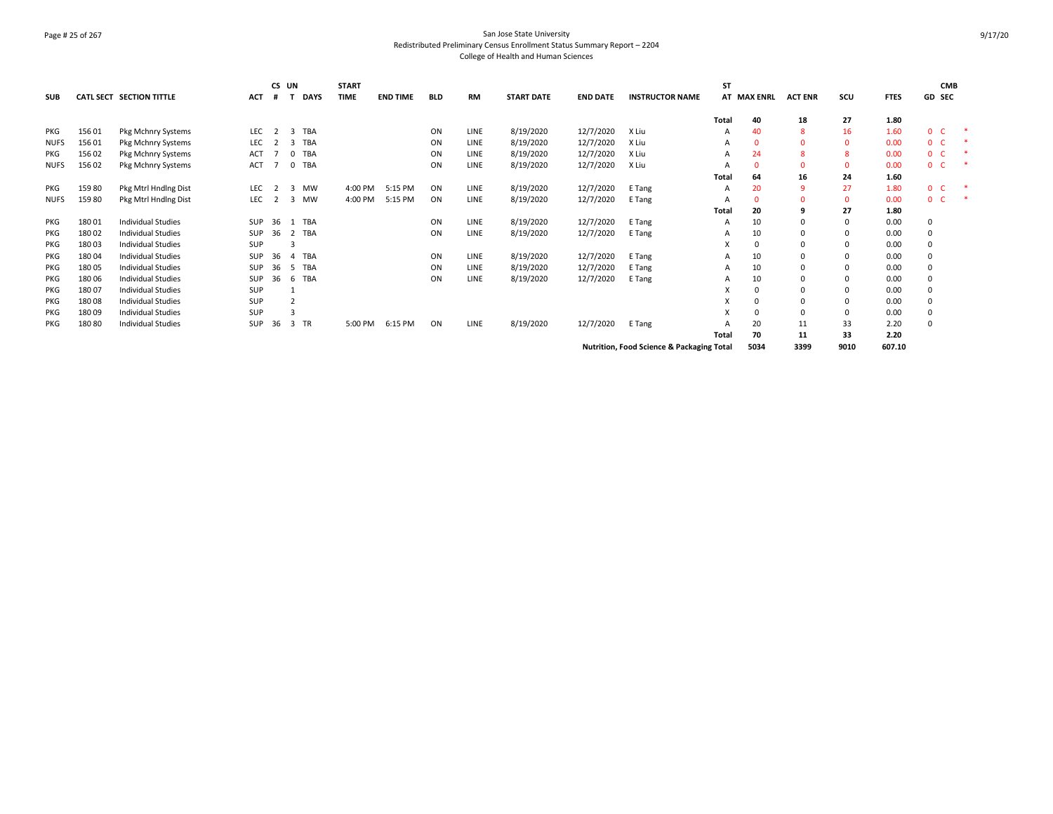# Page # 25 of 267 San Jose State University Redistributed Preliminary Census Enrollment Status Summary Report – 2204 College of Health and Human Sciences

| <b>SUB</b>  |        | <b>CATL SECT SECTION TITTLE</b> | <b>ACT</b> | CS UN<br># |                | <b>DAYS</b> | <b>START</b><br><b>TIME</b> | <b>END TIME</b> | <b>BLD</b> | <b>RM</b>   | <b>START DATE</b> | <b>END DATE</b> | <b>INSTRUCTOR NAME</b>                               | ST    | <b>AT MAX ENRL</b> | <b>ACT ENR</b> | scu  | <b>FTES</b> | <b>GD SEC</b>  | <b>CMB</b> |        |
|-------------|--------|---------------------------------|------------|------------|----------------|-------------|-----------------------------|-----------------|------------|-------------|-------------------|-----------------|------------------------------------------------------|-------|--------------------|----------------|------|-------------|----------------|------------|--------|
|             |        |                                 |            |            |                |             |                             |                 |            |             |                   |                 |                                                      | Total | 40                 | 18             | 27   | 1.80        |                |            |        |
| PKG         | 15601  | Pkg Mchnry Systems              | <b>LEC</b> |            | 3              | TBA         |                             |                 | ON         | LINE        | 8/19/2020         | 12/7/2020       | X Liu                                                | Α     | 40                 | 8              | 16   | 1.60        | 0              | <b>C</b>   | $\ast$ |
| <b>NUFS</b> | 15601  | Pkg Mchnry Systems              | LEC        |            | 3              | TBA         |                             |                 | ON         | LINE        | 8/19/2020         | 12/7/2020       | X Liu                                                | A     | $\Omega$           | $\Omega$       |      | 0.00        | $\mathbf{0}$   | - C        | $\ast$ |
| PKG         | 15602  | Pkg Mchnry Systems              | ACT        |            | $\Omega$       | TBA         |                             |                 | ON         | LINE        | 8/19/2020         | 12/7/2020       | X Liu                                                | A     | 24                 | 8              |      | 0.00        | 0              | - C        |        |
| <b>NUFS</b> | 156 02 | Pkg Mchnry Systems              | ACT        |            | 0 TBA          |             |                             |                 | ON         | LINE        | 8/19/2020         | 12/7/2020       | X Liu                                                | А     | $\Omega$           | $\Omega$       |      | 0.00        | 0 <sup>o</sup> |            | 未      |
|             |        |                                 |            |            |                |             |                             |                 |            |             |                   |                 |                                                      | Total | 64                 | 16             | 24   | 1.60        |                |            |        |
| PKG         | 15980  | Pkg Mtrl Hnding Dist            | <b>LEC</b> | 2          | 3 MW           |             | 4:00 PM                     | 5:15 PM         | ON         | <b>LINE</b> | 8/19/2020         | 12/7/2020       | E Tang                                               | A     | 20                 | q              | 27   | 1.80        | 0 <sup>o</sup> |            |        |
| <b>NUFS</b> | 15980  | Pkg Mtrl Hndlng Dist            | LEC        | 2          | 3 MW           |             | 4:00 PM                     | 5:15 PM         | ON         | LINE        | 8/19/2020         | 12/7/2020       | E Tang                                               |       | $\Omega$           | $\Omega$       |      | 0.00        | $0-$           |            | $\ast$ |
|             |        |                                 |            |            |                |             |                             |                 |            |             |                   |                 |                                                      | Total | 20                 | 9              | 27   | 1.80        |                |            |        |
| PKG         | 18001  | <b>Individual Studies</b>       | SUP        | 36         |                | <b>TBA</b>  |                             |                 | ON         | LINE        | 8/19/2020         | 12/7/2020       | E Tang                                               | A     | 10                 |                |      | 0.00        | 0              |            |        |
| PKG         | 18002  | <b>Individual Studies</b>       | SUP        | 36         | 2 TBA          |             |                             |                 | ON         | LINE        | 8/19/2020         | 12/7/2020       | E Tang                                               | A     | 10                 |                |      | 0.00        | 0              |            |        |
| PKG         | 18003  | <b>Individual Studies</b>       | <b>SUP</b> |            | 3              |             |                             |                 |            |             |                   |                 |                                                      | X     | $\Omega$           | $\Omega$       |      | 0.00        | 0              |            |        |
| <b>PKG</b>  | 18004  | <b>Individual Studies</b>       | <b>SUP</b> | 36         | $\overline{a}$ | TBA         |                             |                 | ON         | LINE        | 8/19/2020         | 12/7/2020       | E Tang                                               | A     | 10                 | $\Omega$       |      | 0.00        | 0              |            |        |
| <b>PKG</b>  | 18005  | <b>Individual Studies</b>       | <b>SUP</b> | 36         | -5             | TBA         |                             |                 | ON         | LINE        | 8/19/2020         | 12/7/2020       | E Tang                                               | A     | 10                 | $\Omega$       |      | 0.00        | 0              |            |        |
| <b>PKG</b>  | 18006  | <b>Individual Studies</b>       | <b>SUP</b> | 36         | 6              | TBA         |                             |                 | ON         | LINE        | 8/19/2020         | 12/7/2020       | E Tang                                               | A     | 10                 |                |      | 0.00        | 0              |            |        |
| PKG         | 18007  | <b>Individual Studies</b>       | SUP        |            |                |             |                             |                 |            |             |                   |                 |                                                      | x     |                    | $\Omega$       |      | 0.00        | 0              |            |        |
| <b>PKG</b>  | 18008  | <b>Individual Studies</b>       | <b>SUP</b> |            | $\overline{2}$ |             |                             |                 |            |             |                   |                 |                                                      |       |                    |                |      | 0.00        | 0              |            |        |
| PKG         | 18009  | <b>Individual Studies</b>       | <b>SUP</b> |            | 3              |             |                             |                 |            |             |                   |                 |                                                      | X     | $\Omega$           | $\Omega$       |      | 0.00        | 0              |            |        |
| PKG         | 18080  | <b>Individual Studies</b>       | <b>SUP</b> | 36         | 3              | TR          | 5:00 PM                     | 6:15 PM         | ON         | LINE        | 8/19/2020         | 12/7/2020       | E Tang                                               |       | 20                 | 11             | 33   | 2.20        | 0              |            |        |
|             |        |                                 |            |            |                |             |                             |                 |            |             |                   |                 |                                                      | Total | 70                 | 11             | 33   | 2.20        |                |            |        |
|             |        |                                 |            |            |                |             |                             |                 |            |             |                   |                 | <b>Nutrition, Food Science &amp; Packaging Total</b> |       | 5034               | 3399           | 9010 | 607.10      |                |            |        |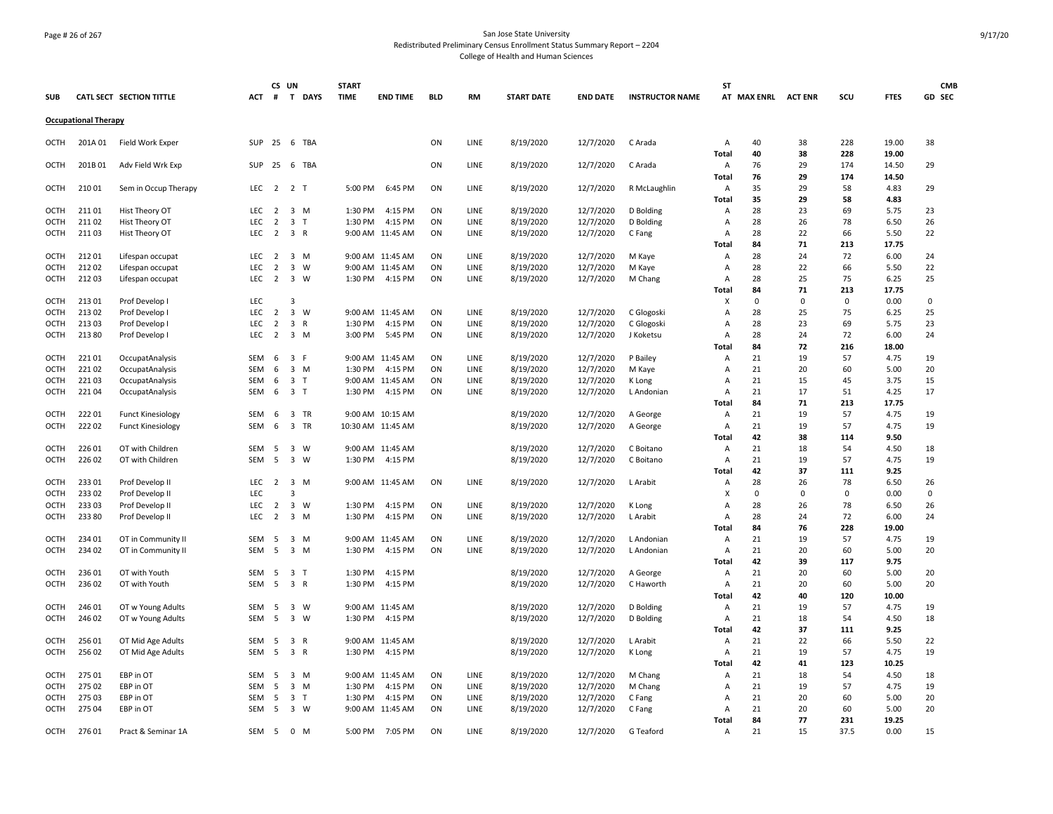# Page # 26 of 267 San Jose State University Redistributed Preliminary Census Enrollment Status Summary Report – 2204 College of Health and Human Sciences

|            |                             |                                      |              | CS UN          |                |              | <b>START</b> |                   |            |             |                   |                 |                        | <b>ST</b>               |             |                |             |                | <b>CMB</b> |
|------------|-----------------------------|--------------------------------------|--------------|----------------|----------------|--------------|--------------|-------------------|------------|-------------|-------------------|-----------------|------------------------|-------------------------|-------------|----------------|-------------|----------------|------------|
| <b>SUB</b> |                             | CATL SECT SECTION TITTLE             | <b>ACT</b>   | #              | T              | <b>DAYS</b>  | <b>TIME</b>  | <b>END TIME</b>   | <b>BLD</b> | <b>RM</b>   | <b>START DATE</b> | <b>END DATE</b> | <b>INSTRUCTOR NAME</b> |                         | AT MAX ENRL | <b>ACT ENR</b> | scu         | <b>FTES</b>    | GD SEC     |
|            | <b>Occupational Therapy</b> |                                      |              |                |                |              |              |                   |            |             |                   |                 |                        |                         |             |                |             |                |            |
| OCTH       | 201A 01                     | Field Work Exper                     | SUP 25 6 TBA |                |                |              |              |                   | ON         | LINE        | 8/19/2020         | 12/7/2020       | C Arada                | Α                       | 40          | 38             | 228         | 19.00          | 38         |
| OCTH       | 201B01                      | Adv Field Wrk Exp                    | <b>SUP</b>   | 25             |                | 6 TBA        |              |                   | ON         | LINE        | 8/19/2020         | 12/7/2020       | C Arada                | Total<br>A              | 40<br>76    | 38<br>29       | 228<br>174  | 19.00<br>14.50 | 29         |
|            |                             |                                      |              |                |                |              |              |                   |            |             |                   |                 |                        | Total                   | 76          | 29             | 174         | 14.50          |            |
| OCTH       | 21001                       | Sem in Occup Therapy                 | <b>LEC</b>   | 2 2 T          |                |              | 5:00 PM      | 6:45 PM           | ON         | LINE        | 8/19/2020         | 12/7/2020       | R McLaughlin           | A<br>Total              | 35<br>35    | 29<br>29       | 58<br>58    | 4.83<br>4.83   | 29         |
| OCTH       | 21101                       | Hist Theory OT                       | <b>LEC</b>   | $\overline{2}$ | 3 M            |              | 1:30 PM      | 4:15 PM           | ON         | <b>LINE</b> | 8/19/2020         | 12/7/2020       | D Bolding              | Α                       | 28          | 23             | 69          | 5.75           | 23         |
| OCTH       | 21102                       | Hist Theory OT                       | <b>LEC</b>   | $\overline{2}$ | $\overline{3}$ | $\mathsf{T}$ | 1:30 PM      | 4:15 PM           | ON         | LINE        | 8/19/2020         | 12/7/2020       | D Bolding              | $\overline{A}$          | 28          | 26             | 78          | 6.50           | 26         |
| OCTH       | 21103                       | Hist Theory OT                       | <b>LEC</b>   | $\overline{2}$ | 3 R            |              |              | 9:00 AM 11:45 AM  | ON         | LINE        | 8/19/2020         | 12/7/2020       | C Fang                 | $\overline{A}$<br>Total | 28<br>84    | 22<br>71       | 66<br>213   | 5.50<br>17.75  | 22         |
| OCTH       | 21201                       |                                      | LEC          | $\overline{2}$ | 3 M            |              |              | 9:00 AM 11:45 AM  | ON         | LINE        | 8/19/2020         | 12/7/2020       |                        | A                       | 28          | 24             | 72          | 6.00           | 24         |
| OCTH       | 21202                       | Lifespan occupat                     | <b>LEC</b>   | $\overline{2}$ | 3 W            |              |              | 9:00 AM 11:45 AM  | ON         | LINE        | 8/19/2020         | 12/7/2020       | M Kaye<br>M Kaye       | A                       | 28          | 22             | 66          | 5.50           | 22         |
| OCTH       | 21203                       | Lifespan occupat<br>Lifespan occupat | <b>LEC</b>   | $\overline{2}$ | 3              | W            | 1:30 PM      | 4:15 PM           | ON         | LINE        | 8/19/2020         | 12/7/2020       | M Chang                | A                       | 28          | 25             | 75          | 6.25           | 25         |
|            |                             |                                      |              |                |                |              |              |                   |            |             |                   |                 |                        | Total                   | 84          | 71             | 213         | 17.75          |            |
| OCTH       | 21301                       | Prof Develop I                       | <b>LEC</b>   |                | 3              |              |              |                   |            |             |                   |                 |                        | x                       | 0           | 0              | $\mathbf 0$ | 0.00           | 0          |
| OCTH       | 21302                       | Prof Develop I                       | LEC          | $\overline{2}$ | 3 W            |              |              | 9:00 AM 11:45 AM  | ON         | LINE        | 8/19/2020         | 12/7/2020       | C Glogoski             | $\overline{A}$          | 28          | 25             | 75          | 6.25           | 25         |
| OCTH       | 21303                       | Prof Develop I                       | <b>LEC</b>   | $\overline{2}$ | 3 R            |              | 1:30 PM      | 4:15 PM           | ON         | <b>LINE</b> | 8/19/2020         | 12/7/2020       | C Glogoski             | $\overline{A}$          | 28          | 23             | 69          | 5.75           | 23         |
| OCTH       | 21380                       | Prof Develop I                       | <b>LEC</b>   | $\overline{2}$ | 3 M            |              |              | 3:00 PM 5:45 PM   | ON         | LINE        | 8/19/2020         | 12/7/2020       | J Koketsu              | $\overline{A}$          | 28          | 24             | 72          | 6.00           | 24         |
|            |                             |                                      |              |                |                |              |              |                   |            |             |                   |                 |                        | Total                   | 84          | 72             | 216         | 18.00          |            |
| OCTH       | 22101                       | OccupatAnalysis                      | SEM          | 6              | 3 F            |              |              | 9:00 AM 11:45 AM  | ON         | LINE        | 8/19/2020         | 12/7/2020       | P Bailey               | A                       | 21          | 19             | 57          | 4.75           | 19         |
| OCTH       | 22102                       | OccupatAnalysis                      | <b>SEM</b>   | 6              | 3 M            |              | 1:30 PM      | 4:15 PM           | ON         | LINE        | 8/19/2020         | 12/7/2020       | M Kaye                 | A                       | 21          | 20             | 60          | 5.00           | 20         |
| OCTH       | 22103                       | OccupatAnalysis                      | SEM          | 6              | 3 <sub>T</sub> |              |              | 9:00 AM 11:45 AM  | ON         | LINE        | 8/19/2020         | 12/7/2020       | K Long                 | A                       | 21          | 15             | 45          | 3.75           | 15         |
| OCTH       | 22104                       | OccupatAnalysis                      | SEM          | 6              | 3 T            |              | 1:30 PM      | 4:15 PM           | ON         | LINE        | 8/19/2020         | 12/7/2020       | L Andonian             | A                       | 21          | 17             | 51          | 4.25           | 17         |
|            |                             |                                      |              |                |                |              |              |                   |            |             |                   |                 |                        | Total                   | 84          | 71             | 213         | 17.75          |            |
| OCTH       | 22201                       | <b>Funct Kinesiology</b>             | SEM          | 6              | 3 TR           |              |              | 9:00 AM 10:15 AM  |            |             | 8/19/2020         | 12/7/2020       | A George               | Α                       | 21          | 19             | 57          | 4.75           | 19         |
| OCTH       | 22202                       | <b>Funct Kinesiology</b>             | SEM          | 6              | 3 TR           |              |              | 10:30 AM 11:45 AM |            |             | 8/19/2020         | 12/7/2020       | A George               | Α                       | 21          | 19             | 57          | 4.75           | 19         |
|            |                             |                                      |              |                |                |              |              |                   |            |             |                   |                 |                        | Total                   | 42          | 38             | 114         | 9.50           |            |
| OCTH       | 22601                       | OT with Children                     | <b>SEM</b>   | -5             | $\overline{3}$ | <b>W</b>     |              | 9:00 AM 11:45 AM  |            |             | 8/19/2020         | 12/7/2020       | C Boitano              | $\overline{A}$          | 21          | 18             | 54          | 4.50           | 18         |
| OCTH       | 226 02                      | OT with Children                     | SEM          | 5              | 3 W            |              |              | 1:30 PM 4:15 PM   |            |             | 8/19/2020         | 12/7/2020       | C Boitano              | Α                       | 21          | 19             | 57          | 4.75           | 19         |
|            |                             |                                      |              |                |                |              |              |                   |            |             |                   |                 |                        | Total                   | 42          | 37             | 111         | 9.25           |            |
| OCTH       | 23301                       | Prof Develop II                      | <b>LEC</b>   | 2              | 3 M            |              |              | 9:00 AM 11:45 AM  | ON         | LINE        | 8/19/2020         | 12/7/2020       | L Arabit               | A                       | 28          | 26             | 78          | 6.50           | 26         |
| OCTH       | 23302                       | Prof Develop II                      | <b>LEC</b>   |                | 3              |              |              |                   |            |             |                   |                 |                        | X                       | 0           | 0              | $\Omega$    | 0.00           | 0          |
| OCTH       | 23303                       | Prof Develop II                      | LEC          | $\overline{2}$ | 3 W            |              | 1:30 PM      | 4:15 PM           | ON         | LINE        | 8/19/2020         | 12/7/2020       | K Long                 | A                       | 28          | 26             | 78          | 6.50           | 26         |
| OCTH       | 23380                       | Prof Develop II                      | <b>LEC</b>   | $\overline{2}$ | 3 M            |              | 1:30 PM      | 4:15 PM           | ON         | LINE        | 8/19/2020         | 12/7/2020       | L Arabit               | A                       | 28          | 24             | 72          | 6.00           | 24         |
|            |                             |                                      |              |                |                |              |              |                   |            |             |                   |                 |                        | Total                   | 84          | 76             | 228         | 19.00          |            |
| OCTH       | 234 01                      | OT in Community II                   | SEM          | - 5            | 3 M            |              |              | 9:00 AM 11:45 AM  | ON         | <b>LINE</b> | 8/19/2020         | 12/7/2020       | L Andonian             | Α                       | 21          | 19             | 57          | 4.75           | 19         |
| OCTH       | 234 02                      | OT in Community II                   | SEM          | - 5            | 3 M            |              | 1:30 PM      | 4:15 PM           | ON         | LINE        | 8/19/2020         | 12/7/2020       | L Andonian             | $\overline{A}$          | 21          | 20             | 60          | 5.00           | 20         |
|            |                             |                                      |              |                |                |              |              |                   |            |             |                   |                 |                        | Total                   | 42          | 39             | 117         | 9.75           |            |
| OCTH       | 23601                       | OT with Youth                        | SEM          | 5              | 3 <sub>T</sub> |              | 1:30 PM      | 4:15 PM           |            |             | 8/19/2020         | 12/7/2020       | A George               | A                       | 21          | 20             | 60          | 5.00           | 20         |
| OCTH       | 23602                       | OT with Youth                        | <b>SEM</b>   | 5              | 3 R            |              | 1:30 PM      | 4:15 PM           |            |             | 8/19/2020         | 12/7/2020       | C Haworth              | A                       | 21          | 20             | 60          | 5.00           | 20         |
|            |                             |                                      |              |                |                |              |              |                   |            |             |                   |                 |                        | Total                   | 42          | 40             | 120         | 10.00          |            |
| OCTH       | 246 01                      | OT w Young Adults                    | SEM          | -5             | 3              | W            | 9:00 AM      | 11:45 AM          |            |             | 8/19/2020         | 12/7/2020       | D Bolding              | A                       | 21          | 19             | 57          | 4.75           | 19         |
| OCTH       | 246 02                      | OT w Young Adults                    | <b>SEM</b>   | 5              | 3 W            |              | 1:30 PM      | 4:15 PM           |            |             | 8/19/2020         | 12/7/2020       | D Bolding              | Α                       | 21          | 18             | 54          | 4.50           | 18         |
|            |                             |                                      |              |                |                |              |              |                   |            |             |                   |                 |                        | <b>Total</b>            | 42          | 37             | 111         | 9.25           |            |
| OCTH       | 256 01                      | OT Mid Age Adults                    | SEM          | - 5            | 3 R            |              |              | 9:00 AM 11:45 AM  |            |             | 8/19/2020         | 12/7/2020       | L Arabit               | A                       | 21          | 22             | 66          | 5.50           | 22         |
| OCTH       | 25602                       | OT Mid Age Adults                    | SEM          | - 5            | 3 R            |              | 1:30 PM      | 4:15 PM           |            |             | 8/19/2020         | 12/7/2020       | K Long                 | $\overline{A}$          | 21          | 19             | 57          | 4.75           | 19         |
|            |                             |                                      |              |                |                |              |              |                   |            |             |                   |                 |                        | Total                   | 42          | 41             | 123         | 10.25          |            |
| OCTH       | 275 01                      | EBP in OT                            | SEM          | 5              | 3 M            |              |              | 9:00 AM 11:45 AM  | ON         | LINE        | 8/19/2020         | 12/7/2020       | M Chang                | $\overline{A}$          | 21          | 18             | 54          | 4.50           | 18         |
| OCTH       | 275 02                      | EBP in OT                            | <b>SEM</b>   | 5              | 3 M            |              | 1:30 PM      | 4:15 PM           | ON         | LINE        | 8/19/2020         | 12/7/2020       | M Chang                | A                       | 21          | 19             | 57          | 4.75           | 19         |
| OCTH       | 275 03                      | EBP in OT                            | SEM          | 5              | 3 <sub>T</sub> |              | 1:30 PM      | 4:15 PM           | ON         | LINE        | 8/19/2020         | 12/7/2020       | C Fang                 | A                       | 21          | 20             | 60          | 5.00           | 20         |
| OCTH       | 275 04                      | EBP in OT                            | SEM          | 5              | 3 W            |              |              | 9:00 AM 11:45 AM  | ON         | LINE        | 8/19/2020         | 12/7/2020       | C Fang                 | Α                       | 21          | 20             | 60          | 5.00           | 20         |
|            |                             |                                      |              |                |                |              |              |                   |            |             |                   |                 |                        | Total                   | 84<br>21    | 77             | 231         | 19.25          |            |
| OCTH       | 27601                       | Pract & Seminar 1A                   | SEM          | - 5            | $0 \mathsf{M}$ |              | 5:00 PM      | 7:05 PM           | ON         | LINE        | 8/19/2020         | 12/7/2020       | G Teaford              | A                       |             | 15             | 37.5        | 0.00           | 15         |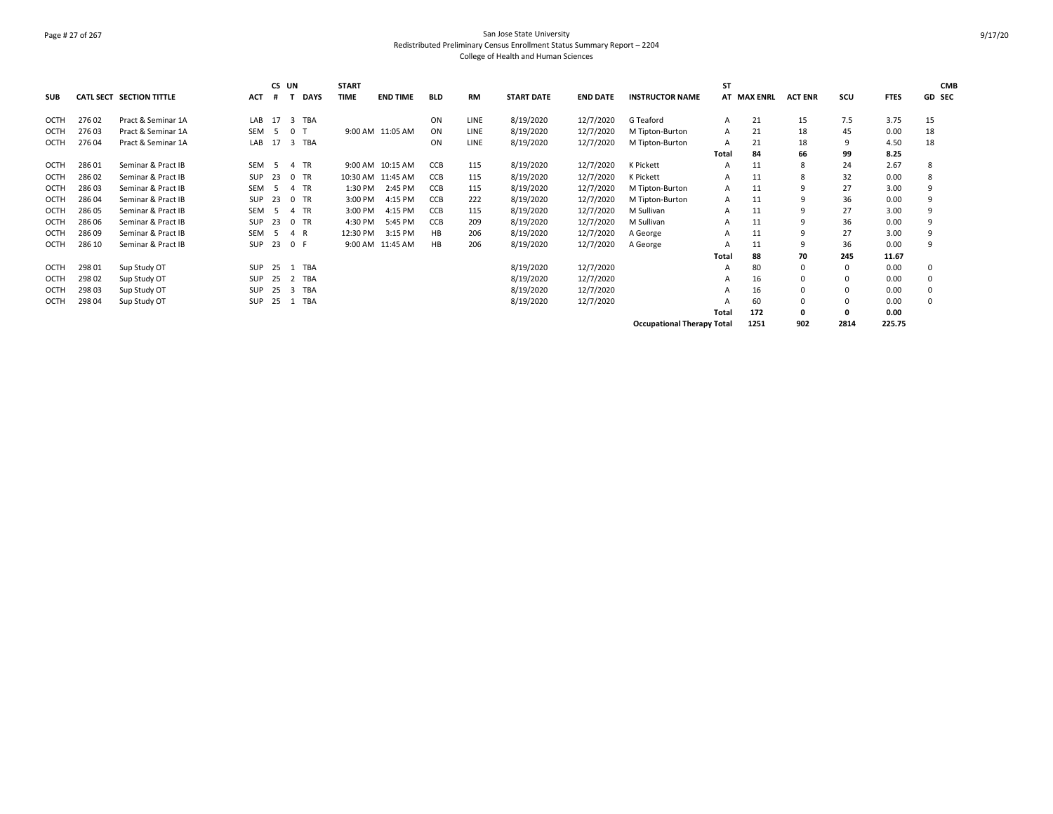# Page # 27 of 267 San Jose State University Redistributed Preliminary Census Enrollment Status Summary Report – 2204 College of Health and Human Sciences

|            |        |                                 |            | CS UN |                                | <b>START</b> |                   |            |             |                   |                 |                                   | <b>ST</b>    |             |                |          |             | <b>CMB</b> |
|------------|--------|---------------------------------|------------|-------|--------------------------------|--------------|-------------------|------------|-------------|-------------------|-----------------|-----------------------------------|--------------|-------------|----------------|----------|-------------|------------|
| <b>SUB</b> |        | <b>CATL SECT SECTION TITTLE</b> | <b>ACT</b> |       | <b>DAYS</b>                    | <b>TIME</b>  | <b>END TIME</b>   | <b>BLD</b> | <b>RM</b>   | <b>START DATE</b> | <b>END DATE</b> | <b>INSTRUCTOR NAME</b>            |              | AT MAX ENRL | <b>ACT ENR</b> | SCU      | <b>FTES</b> | GD SEC     |
| OCTH       | 27602  | Pract & Seminar 1A              | LAB        | 17    | $\overline{3}$<br>TBA          |              |                   | ON         | <b>LINE</b> | 8/19/2020         | 12/7/2020       | G Teaford                         |              | 21          | 15             | 7.5      | 3.75        | 15         |
| OCTH       | 27603  | Pract & Seminar 1A              | <b>SEM</b> | -5    | 0                              |              | 9:00 AM 11:05 AM  | ON         | <b>LINE</b> | 8/19/2020         | 12/7/2020       | M Tipton-Burton                   | A            | 21          | 18             | 45       | 0.00        | 18         |
| OCTH       | 27604  | Pract & Seminar 1A              | LAB        | 17    | $\overline{\mathbf{3}}$<br>TBA |              |                   | ON         | <b>LINE</b> | 8/19/2020         | 12/7/2020       | M Tipton-Burton                   |              | 21          | 18             | 9        | 4.50        | 18         |
|            |        |                                 |            |       |                                |              |                   |            |             |                   |                 |                                   |              |             |                |          |             |            |
|            |        |                                 |            |       |                                |              |                   |            |             |                   |                 |                                   | Total        | 84          | 66             | 99       | 8.25        |            |
| OCTH       | 28601  | Seminar & Pract IB              | <b>SEM</b> | -5    | TR<br>$\overline{4}$           |              | 9:00 AM 10:15 AM  | <b>CCB</b> | 115         | 8/19/2020         | 12/7/2020       | K Pickett                         | А            | 11          | 8              | 24       | 2.67        | 8          |
| OCTH       | 28602  | Seminar & Pract IB              | <b>SUP</b> | 23    | 0 TR                           |              | 10:30 AM 11:45 AM | CCB        | 115         | 8/19/2020         | 12/7/2020       | K Pickett                         |              | 11          | 8              | 32       | 0.00        | 8          |
| OCTH       | 28603  | Seminar & Pract IB              | <b>SEM</b> | -5    | TR                             | 1:30 PM      | 2:45 PM           | CCB        | 115         | 8/19/2020         | 12/7/2020       | M Tipton-Burton                   | Α            | 11          | 9              | 27       | 3.00        | 9          |
| OCTH       | 28604  | Seminar & Pract IB              | <b>SUP</b> | 23    | 0 TR                           | 3:00 PM      | 4:15 PM           | CCB        | 222         | 8/19/2020         | 12/7/2020       | M Tipton-Burton                   | A            | 11          | 9              | 36       | 0.00        | 9          |
| OCTH       | 286 05 | Seminar & Pract IB              | <b>SEM</b> | -5    | 4 TR                           | 3:00 PM      | 4:15 PM           | CCB        | 115         | 8/19/2020         | 12/7/2020       | M Sullivan                        | Α            | 11          | 9              | 27       | 3.00        | 9          |
| OCTH       | 286 06 | Seminar & Pract IB              | SUP        | 23    | 0 TR                           | 4:30 PM      | 5:45 PM           | CCB        | 209         | 8/19/2020         | 12/7/2020       | M Sullivan                        |              | 11          | 9              | 36       | 0.00        | 9          |
| OCTH       | 28609  | Seminar & Pract IB              | <b>SEM</b> | -5    | R<br>$\overline{4}$            | 12:30 PM     | 3:15 PM           | НB         | 206         | 8/19/2020         | 12/7/2020       | A George                          | A            | 11          | 9              | 27       | 3.00        | 9          |
| OCTH       | 286 10 | Seminar & Pract IB              | <b>SUP</b> | 23    | 0 F                            |              | 9:00 AM 11:45 AM  | HB         | 206         | 8/19/2020         | 12/7/2020       | A George                          |              | 11          | 9              | 36       | 0.00        | 9          |
|            |        |                                 |            |       |                                |              |                   |            |             |                   |                 |                                   | <b>Total</b> | 88          | 70             | 245      | 11.67       |            |
| OCTH       | 298 01 | Sup Study OT                    | <b>SUP</b> | 25    | TBA                            |              |                   |            |             | 8/19/2020         | 12/7/2020       |                                   | А            | 80          | $\Omega$       | $\Omega$ | 0.00        | 0          |
| OCTH       | 298 02 | Sup Study OT                    | <b>SUP</b> | 25    | TBA<br>2                       |              |                   |            |             | 8/19/2020         | 12/7/2020       |                                   | A            | 16          | 0              |          | 0.00        | 0          |
| OCTH       | 298 03 | Sup Study OT                    | <b>SUP</b> | 25    | TBA<br>$\overline{3}$          |              |                   |            |             | 8/19/2020         | 12/7/2020       |                                   |              | 16          | $\Omega$       | $\Omega$ | 0.00        | 0          |
| OCTH       | 298 04 | Sup Study OT                    | SUP        | 25    | TBA                            |              |                   |            |             | 8/19/2020         | 12/7/2020       |                                   |              | 60          | $\Omega$       |          | 0.00        | 0          |
|            |        |                                 |            |       |                                |              |                   |            |             |                   |                 |                                   | Total        | 172         | 0              | 0        | 0.00        |            |
|            |        |                                 |            |       |                                |              |                   |            |             |                   |                 | <b>Occupational Therapy Total</b> |              | 1251        | 902            | 2814     | 225.75      |            |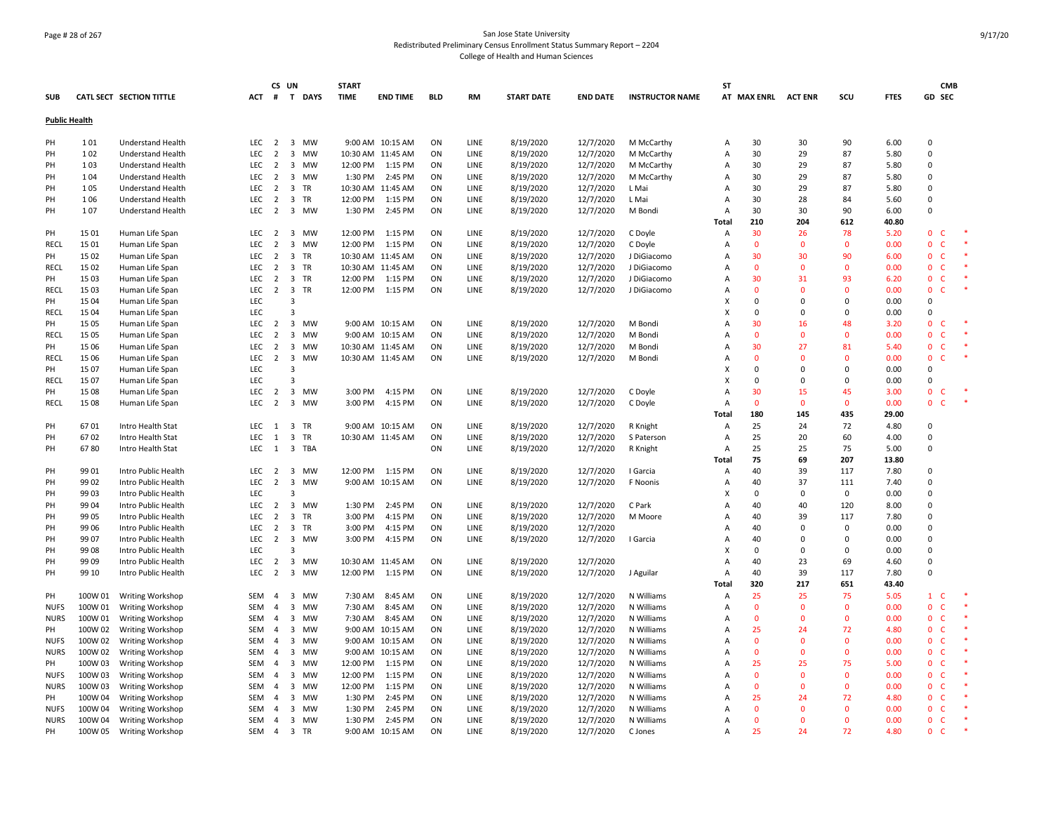# Page # 28 of 267 San Jose State University Redistributed Preliminary Census Enrollment Status Summary Report – 2204 College of Health and Human Sciences

|                      |         |                                 |            |                  | CS UN                   |           | <b>START</b> |                   |            |             |                   |                 |                        | <b>ST</b> |                     |                |              |             |                              | <b>CMB</b> |
|----------------------|---------|---------------------------------|------------|------------------|-------------------------|-----------|--------------|-------------------|------------|-------------|-------------------|-----------------|------------------------|-----------|---------------------|----------------|--------------|-------------|------------------------------|------------|
| <b>SUB</b>           |         | <b>CATL SECT SECTION TITTLE</b> | ACT        |                  |                         | # T DAYS  | <b>TIME</b>  | <b>END TIME</b>   | <b>BLD</b> | <b>RM</b>   | <b>START DATE</b> | <b>END DATE</b> | <b>INSTRUCTOR NAME</b> |           | AT MAX ENRL ACT ENR |                | SCU          | <b>FTES</b> | GD SEC                       |            |
| <b>Public Health</b> |         |                                 |            |                  |                         |           |              |                   |            |             |                   |                 |                        |           |                     |                |              |             |                              |            |
| PH                   | 101     | <b>Understand Health</b>        |            | LEC <sub>2</sub> | $\overline{\mathbf{3}}$ | MW        |              | 9:00 AM 10:15 AM  | ON         | LINE        | 8/19/2020         | 12/7/2020       | M McCarthy             | A         | 30                  | 30             | 90           | 6.00        | $\Omega$                     |            |
| PH                   | 102     | <b>Understand Health</b>        | LEC        | $\overline{2}$   | $\overline{3}$          | <b>MW</b> |              | 10:30 AM 11:45 AM | ON         | <b>LINE</b> | 8/19/2020         | 12/7/2020       | M McCarthy             | A         | 30                  | 29             | 87           | 5.80        | $\Omega$                     |            |
| PH                   | 103     | <b>Understand Health</b>        | LEC        | $\overline{2}$   | $\overline{\mathbf{3}}$ | MW        | 12:00 PM     | 1:15 PM           | ON         | LINE        | 8/19/2020         | 12/7/2020       | M McCarthy             | Α         | 30                  | 29             | 87           | 5.80        | $\Omega$                     |            |
| PH                   | 104     | Understand Health               | LEC        | $\overline{2}$   | $\overline{3}$          | MW        | 1:30 PM      | 2:45 PM           | ON         | LINE        | 8/19/2020         | 12/7/2020       | M McCarthy             | Α         | 30                  | 29             | 87           | 5.80        | 0                            |            |
| PH                   | 105     | Understand Health               | <b>LEC</b> | $\overline{2}$   | $\overline{\mathbf{3}}$ | TR        |              | 10:30 AM 11:45 AM | ON         | LINE        | 8/19/2020         | 12/7/2020       | L Mai                  | A         | 30                  | 29             | 87           | 5.80        | $\Omega$                     |            |
| PH                   | 106     | Understand Health               | LEC        | $\overline{2}$   | $\overline{\mathbf{3}}$ | TR        | 12:00 PM     | 1:15 PM           | ON         | LINE        | 8/19/2020         | 12/7/2020       | L Mai                  | Α         | 30                  | 28             | 84           | 5.60        | 0                            |            |
| PH                   | 107     | <b>Understand Health</b>        | LEC.       | 2                | $\overline{\mathbf{3}}$ | MW        | 1:30 PM      | 2:45 PM           | ON         | LINE        | 8/19/2020         | 12/7/2020       | M Bondi                | A         | 30                  | 30             | 90           | 6.00        | $\Omega$                     |            |
|                      |         |                                 |            |                  |                         |           |              |                   |            |             |                   |                 |                        | Total     | 210                 | 204            | 612          | 40.80       |                              |            |
| PH                   | 15 01   | Human Life Span                 | LEC        | $\overline{2}$   |                         | 3 MW      | 12:00 PM     | 1:15 PM           | ON         | LINE        | 8/19/2020         | 12/7/2020       | C Doyle                | A         | 30                  | 26             | 78           | 5.20        | $\mathbf 0$<br>C             |            |
| RECL                 | 15 01   | Human Life Span                 | <b>LEC</b> | $\overline{2}$   | $\overline{\mathbf{3}}$ | <b>MW</b> | 12:00 PM     | 1:15 PM           | ON         | <b>LINE</b> | 8/19/2020         | 12/7/2020       | C Doyle                | A         | $\mathbf{0}$        | $\mathbf{0}$   | $\mathbf{0}$ | 0.00        | $\Omega$<br>C                |            |
| PH                   | 15 02   | Human Life Span                 | <b>LEC</b> | $\overline{2}$   | $\overline{\mathbf{3}}$ | TR        |              | 10:30 AM 11:45 AM | ON         | LINE        | 8/19/2020         | 12/7/2020       | J DiGiacomo            | A         | 30                  | 30             | 90           | 6.00        | $\mathbf{0}$<br>$\mathsf{C}$ |            |
| RECL                 | 15 02   | Human Life Span                 | LEC        | $\overline{2}$   | $\overline{\mathbf{3}}$ | TR        |              | 10:30 AM 11:45 AM | ON         | LINE        | 8/19/2020         | 12/7/2020       | J DiGiacomo            | Α         | $\Omega$            | $\Omega$       | $\Omega$     | 0.00        | $\mathbf 0$<br>C             |            |
| PH                   | 15 03   | Human Life Span                 | <b>LEC</b> | $\overline{2}$   | $\overline{\mathbf{3}}$ | TR        | 12:00 PM     | 1:15 PM           | ON         | LINE        | 8/19/2020         | 12/7/2020       | J DiGiacomo            | Α         | 30                  | 31             | 93           | 6.20        | $\mathbf 0$<br>c             |            |
| RECL                 | 15 03   | Human Life Span                 | LEC        | $\overline{2}$   | $\overline{\mathbf{3}}$ | TR        | 12:00 PM     | 1:15 PM           | ON         | LINE        | 8/19/2020         | 12/7/2020       | J DiGiacomo            | A         | $\Omega$            | $\mathbf{0}$   | $\Omega$     | 0.00        | $\mathbf 0$<br>$\mathsf{C}$  |            |
| PH                   | 15 04   | Human Life Span                 | LEC        |                  | 3                       |           |              |                   |            |             |                   |                 |                        | X         | $\Omega$            | $\Omega$       | 0            | 0.00        | 0                            |            |
| <b>RECL</b>          | 15 04   | Human Life Span                 | LEC        |                  | $\overline{3}$          |           |              |                   |            |             |                   |                 |                        | x         | $\Omega$            | $\Omega$       | $\Omega$     | 0.00        | $\Omega$                     |            |
| PH                   | 15 05   | Human Life Span                 | LEC        | $\overline{2}$   | $\overline{\mathbf{3}}$ | <b>MW</b> |              | 9:00 AM 10:15 AM  | ON         | LINE        | 8/19/2020         | 12/7/2020       | M Bondi                | A         | 30                  | 16             | 48           | 3.20        | $\Omega$<br>C                |            |
| RECL                 | 15 05   | Human Life Span                 | <b>LEC</b> | $\overline{2}$   | $\overline{\mathbf{3}}$ | <b>MW</b> |              | 9:00 AM 10:15 AM  | ON         | <b>LINE</b> | 8/19/2020         | 12/7/2020       | M Bondi                | A         | $\Omega$            | $\mathbf{0}$   | $\Omega$     | 0.00        | $\Omega$<br>C                |            |
| PH                   | 15 06   | Human Life Span                 | LEC        | 2                | $\overline{\mathbf{3}}$ | MW        |              | 10:30 AM 11:45 AM | ON         | LINE        | 8/19/2020         | 12/7/2020       | M Bondi                | A         | 30                  | 27             | 81           | 5.40        | $\mathbf{0}$<br>C            |            |
| RECL                 | 15 06   | Human Life Span                 | <b>LEC</b> | $\overline{2}$   | $\overline{\mathbf{3}}$ | <b>MW</b> |              | 10:30 AM 11:45 AM | ON         | LINE        | 8/19/2020         | 12/7/2020       | M Bondi                | A         | $\Omega$            | $\Omega$       | $\Omega$     | 0.00        | $\mathbf{0}$<br>C            |            |
| PH                   | 15 07   | Human Life Span                 | LEC        |                  | $\overline{3}$          |           |              |                   |            |             |                   |                 |                        | X         | $\Omega$            | $\Omega$       | $\Omega$     | 0.00        | $\Omega$                     |            |
| RECL                 | 15 07   | Human Life Span                 | LEC        |                  | $\overline{3}$          |           |              |                   |            |             |                   |                 |                        | X         | $\mathbf 0$         | 0              | 0            | 0.00        | $\overline{0}$               |            |
| PH                   | 15 08   | Human Life Span                 | <b>LEC</b> | 2                |                         | 3 MW      | 3:00 PM      | 4:15 PM           | ON         | LINE        | 8/19/2020         | 12/7/2020       | C Doyle                | A         | 30                  | 15             | 45           | 3.00        | $\mathbf 0$                  |            |
| <b>RECL</b>          | 15 08   | Human Life Span                 | LEC        | $\overline{2}$   | $\overline{\mathbf{3}}$ | MW        | 3:00 PM      | 4:15 PM           | ON         | LINE        | 8/19/2020         | 12/7/2020       | C Doyle                | A         | $\mathbf{0}$        | $\overline{0}$ | $\Omega$     | 0.00        | $\mathbf{0}$                 |            |
|                      |         |                                 |            |                  |                         |           |              |                   |            |             |                   |                 |                        | Total     | 180                 | 145            | 435          | 29.00       |                              |            |
| PH                   | 6701    | Intro Health Stat               |            | LEC 1            | $\overline{\mathbf{3}}$ | TR        |              | 9:00 AM 10:15 AM  | ON         | LINE        | 8/19/2020         | 12/7/2020       | R Knight               | A         | 25                  | 24             | 72           | 4.80        | 0                            |            |
| PH                   | 6702    | Intro Health Stat               | <b>LEC</b> | 1                | $\overline{\mathbf{3}}$ | TR        |              | 10:30 AM 11:45 AM | ON         | <b>LINE</b> | 8/19/2020         | 12/7/2020       | S Paterson             | A         | 25                  | 20             | 60           | 4.00        | $\Omega$                     |            |
| PH                   | 6780    | Intro Health Stat               | LEC        | 1                | $\overline{\mathbf{3}}$ | TBA       |              |                   | ON         | LINE        | 8/19/2020         | 12/7/2020       | R Knight               | A         | 25                  | 25             | 75           | 5.00        | $\Omega$                     |            |
|                      |         |                                 |            |                  |                         |           |              |                   |            |             |                   |                 |                        | Total     | 75                  | 69             | 207          | 13.80       |                              |            |
| PH                   | 99 01   | Intro Public Health             |            | LEC <sub>2</sub> | $\overline{\mathbf{3}}$ | MW        |              | 12:00 PM 1:15 PM  | ON         | LINE        | 8/19/2020         | 12/7/2020       | I Garcia               | Α         | 40                  | 39             | 117          | 7.80        | $\Omega$                     |            |
| PH                   | 99 02   | Intro Public Health             | LEC        | $\overline{2}$   | $\overline{\mathbf{3}}$ | MW        |              | 9:00 AM 10:15 AM  | ON         | LINE        | 8/19/2020         | 12/7/2020       | F Noonis               | Α         | 40                  | 37             | 111          | 7.40        | $\overline{0}$               |            |
| PH                   | 99 03   | Intro Public Health             | LEC        |                  | 3                       |           |              |                   |            |             |                   |                 |                        | x         | $\Omega$            | 0              | 0            | 0.00        | $\Omega$                     |            |
| PН                   | 99 04   | Intro Public Health             | LEC        | $\overline{2}$   | $\overline{\mathbf{3}}$ | MW        | 1:30 PM      | 2:45 PM           | ON         | LINE        | 8/19/2020         | 12/7/2020       | C Park                 | A         | 40                  | 40             | 120          | 8.00        | $\Omega$                     |            |
| PH                   | 99 05   | Intro Public Health             | <b>LEC</b> | $\overline{2}$   | $\overline{3}$          | TR        | 3:00 PM      | 4:15 PM           | ON         | <b>LINE</b> | 8/19/2020         | 12/7/2020       | M Moore                | A         | 40                  | 39             | 117          | 7.80        | $\Omega$                     |            |
| PH                   | 99 06   | Intro Public Health             | LEC        | $\overline{2}$   | $\overline{\mathbf{3}}$ | <b>TR</b> | 3:00 PM      | 4:15 PM           | ON         | LINE        | 8/19/2020         | 12/7/2020       |                        | A         | 40                  | $\mathbf 0$    | $\mathbf 0$  | 0.00        | $\Omega$                     |            |
| PH                   | 99 07   | Intro Public Health             | LEC        | $\overline{2}$   |                         | 3 MW      | 3:00 PM      | 4:15 PM           | ON         | LINE        | 8/19/2020         | 12/7/2020       | I Garcia               | A         | 40                  | $\Omega$       | 0            | 0.00        | 0                            |            |
| PH                   | 99 08   | Intro Public Health             | LEC        |                  | 3                       |           |              |                   |            |             |                   |                 |                        | X         | $\Omega$            | $\Omega$       | 0            | 0.00        | $\Omega$                     |            |
| PH                   | 99 09   | Intro Public Health             | LEC        | $\overline{2}$   | $\overline{\mathbf{3}}$ | MW        |              | 10:30 AM 11:45 AM | ON         | LINE        | 8/19/2020         | 12/7/2020       |                        | A         | 40                  | 23             | 69           | 4.60        | $\Omega$                     |            |
| PH                   | 99 10   | Intro Public Health             | LEC        | $\overline{2}$   | $\overline{\mathbf{3}}$ | MW        | 12:00 PM     | 1:15 PM           | ON         | LINE        | 8/19/2020         | 12/7/2020       | J Aguilar              | A         | 40                  | 39             | 117          | 7.80        | $\Omega$                     |            |
|                      |         |                                 |            |                  |                         |           |              |                   |            |             |                   |                 |                        | Total     | 320                 | 217            | 651          | 43.40       |                              |            |
| PH                   | 100W 01 | <b>Writing Workshop</b>         | SEM        | $\overline{4}$   | $\overline{\mathbf{3}}$ | MW        | 7:30 AM      | 8:45 AM           | ON         | LINE        | 8/19/2020         | 12/7/2020       | N Williams             | A         | 25                  | 25             | 75           | 5.05        | $\mathbf{1}$<br>C            |            |
| <b>NUFS</b>          | 100W 01 | <b>Writing Workshop</b>         | SEM        | $\overline{4}$   | $\overline{\mathbf{3}}$ | <b>MW</b> | 7:30 AM      | 8:45 AM           | ON         | <b>LINE</b> | 8/19/2020         | 12/7/2020       | N Williams             | A         | $\Omega$            | $\Omega$       | $\Omega$     | 0.00        | $\Omega$<br>C                |            |
| <b>NURS</b>          | 100W 01 | <b>Writing Workshop</b>         | SEM        | $\overline{4}$   | $\overline{\mathbf{3}}$ | <b>MW</b> | 7:30 AM      | 8:45 AM           | ON         | LINE        | 8/19/2020         | 12/7/2020       | N Williams             | A         | $\Omega$            | $\Omega$       | $\Omega$     | 0.00        | $\mathbf{0}$<br>$\mathsf{C}$ |            |
| PH                   | 100W 02 | Writing Workshop                | SEM        | $\overline{4}$   | $\overline{\mathbf{3}}$ | MW        |              | 9:00 AM 10:15 AM  | ON         | LINE        | 8/19/2020         | 12/7/2020       | N Williams             | A         | 25                  | 24             | 72           | 4.80        | $\Omega$<br>C                |            |
| NUFS                 | 100W 02 | <b>Writing Workshop</b>         | SEM        | 4                | $\overline{3}$          | MW        |              | 9:00 AM 10:15 AM  | ON         | LINE        | 8/19/2020         | 12/7/2020       | N Williams             | Α         | $\mathbf 0$         | $\Omega$       | $\mathbf{0}$ | 0.00        | $\mathbf 0$<br>c             |            |
| <b>NURS</b>          | 100W 02 | <b>Writing Workshop</b>         | SEM        | $\overline{4}$   | $\overline{\mathbf{3}}$ | MW        |              | 9:00 AM 10:15 AM  | ON         | LINE        | 8/19/2020         | 12/7/2020       | N Williams             | A         | $\mathbf{0}$        | $\overline{0}$ | $\mathbf{0}$ | 0.00        | $\mathbf 0$<br>$\mathsf{C}$  |            |
| PH                   | 100W 03 | Writing Workshop                | SEM        | 4                | $\overline{\mathbf{3}}$ | <b>MW</b> | 12:00 PM     | 1:15 PM           | ON         | LINE        | 8/19/2020         | 12/7/2020       | N Williams             | A         | 25                  | 25             | 75           | 5.00        | $\mathbf{0}$<br>$\mathsf{C}$ |            |
| <b>NUFS</b>          | 100W 03 | <b>Writing Workshop</b>         | <b>SEM</b> | $\overline{4}$   | $\overline{\mathbf{3}}$ | MW        | 12:00 PM     | 1:15 PM           | ON         | LINE        | 8/19/2020         | 12/7/2020       | N Williams             | A         | $\mathbf{0}$        | $\Omega$       | $\Omega$     | 0.00        | $\mathbf{0}$<br>$\mathsf{C}$ |            |
| NURS                 | 100W 03 | Writing Workshop                | SEM        | $\overline{4}$   | $\overline{\mathbf{3}}$ | MW        | 12:00 PM     | 1:15 PM           | ON         | LINE        | 8/19/2020         | 12/7/2020       | N Williams             | A         | $\Omega$            | $\Omega$       | $\mathbf{0}$ | 0.00        | $\Omega$<br>C                |            |
| PH                   | 100W 04 | Writing Workshop                | SEM        | $\overline{4}$   | $\overline{\mathbf{3}}$ | <b>MW</b> | 1:30 PM      | 2:45 PM           | ON         | <b>LINE</b> | 8/19/2020         | 12/7/2020       | N Williams             | A         | 25                  | 24             | 72           | 4.80        | $\mathbf{0}$<br>C            |            |
| <b>NUFS</b>          | 100W 04 | <b>Writing Workshop</b>         | SEM        | $\overline{4}$   | $\overline{3}$          | MW        | 1:30 PM      | 2:45 PM           | ON         | LINE        | 8/19/2020         | 12/7/2020       | N Williams             | A         | $\Omega$            | $\Omega$       | $\Omega$     | 0.00        | $\mathbf{0}$<br>C            |            |
| <b>NURS</b>          | 100W 04 | <b>Writing Workshop</b>         | SEM        | $\overline{4}$   |                         | 3 MW      | 1:30 PM      | 2:45 PM           | ON         | LINE        | 8/19/2020         | 12/7/2020       | N Williams             | A         | $\Omega$            | $\Omega$       | $\Omega$     | 0.00        | $\Omega$<br>C                |            |
| PH                   | 100W 05 | Writing Workshop                | SEM        | $\overline{4}$   | $\overline{\mathbf{3}}$ | <b>TR</b> |              | 9:00 AM 10:15 AM  | ON         | LINE        | 8/19/2020         | 12/7/2020       | C Jones                | A         | 25                  | 24             | 72           | 4.80        | $\mathbf{0}$<br>c            |            |
|                      |         |                                 |            |                  |                         |           |              |                   |            |             |                   |                 |                        |           |                     |                |              |             |                              |            |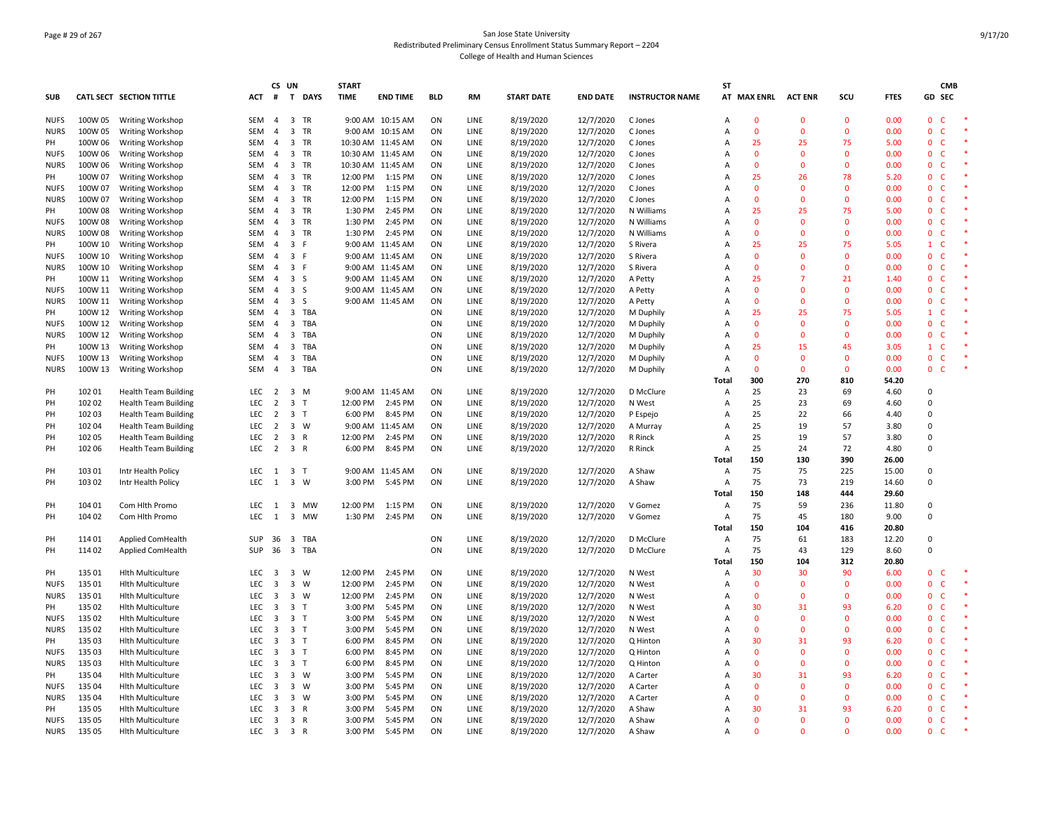# Page # 29 of 267 San Jose State University Redistributed Preliminary Census Enrollment Status Summary Report – 2204 College of Health and Human Sciences

|                            |                    |                                                    |                   | CS UN                            |                         |              | <b>START</b> |                                      |            |              |                        |                        |                        | ST                  |                    |                |                |              |                              | <b>CMB</b> |
|----------------------------|--------------------|----------------------------------------------------|-------------------|----------------------------------|-------------------------|--------------|--------------|--------------------------------------|------------|--------------|------------------------|------------------------|------------------------|---------------------|--------------------|----------------|----------------|--------------|------------------------------|------------|
| <b>SUB</b>                 |                    | <b>CATL SECT SECTION TITTLE</b>                    | <b>ACT</b>        | #                                | $\mathbf{T}$            | <b>DAYS</b>  | <b>TIME</b>  | <b>END TIME</b>                      | <b>BLD</b> | <b>RM</b>    | <b>START DATE</b>      | <b>END DATE</b>        | <b>INSTRUCTOR NAME</b> |                     | AT MAX ENRL        | <b>ACT ENR</b> | SCU            | <b>FTES</b>  | GD SEC                       |            |
| <b>NUFS</b>                | 100W 05            | <b>Writing Workshop</b>                            | SEM               | 4                                | 3 TR                    |              |              | 9:00 AM 10:15 AM                     | ON         | LINE         | 8/19/2020              | 12/7/2020              | C Jones                | Α                   | $\mathbf 0$        | 0              | $\mathbf{0}$   | 0.00         | $\mathbf 0$<br>C             |            |
| <b>NURS</b>                | 100W 05            | <b>Writing Workshop</b>                            | SEM               | $\overline{4}$                   | $\overline{3}$          | TR           |              | 9:00 AM 10:15 AM                     | ON         | LINE         | 8/19/2020              | 12/7/2020              | C Jones                | Α                   | $\mathbf{0}$       | $\Omega$       | $\Omega$       | 0.00         | 0<br>C                       |            |
| PH                         | 100W 06            | <b>Writing Workshop</b>                            | SEM               | $\overline{4}$                   | $\overline{3}$          | TR           |              | 10:30 AM 11:45 AM                    | ON         | LINE         | 8/19/2020              | 12/7/2020              | C Jones                | Α                   | 25                 | 25             | 75             | 5.00         | $\mathbf 0$<br>C             |            |
| <b>NUFS</b>                | 100W 06            | Writing Workshop                                   | <b>SEM</b>        | $\overline{4}$                   | 3 TR                    |              |              | 10:30 AM 11:45 AM                    | ON         | <b>LINE</b>  | 8/19/2020              | 12/7/2020              | C Jones                | $\overline{A}$      | $\mathbf{0}$       | $\Omega$       | $\Omega$       | 0.00         | $\mathbf{0}$<br>$\mathsf{C}$ |            |
| <b>NURS</b>                | 100W 06            | Writing Workshop                                   | SEM               | $\overline{a}$                   | 3                       | TR           |              | 10:30 AM 11:45 AM                    | ON         | LINE         | 8/19/2020              | 12/7/2020              | C Jones                | $\overline{A}$      | $\mathbf{0}$       | $\mathbf{0}$   | $\Omega$       | 0.00         | $\mathbf 0$<br>$\mathsf{C}$  |            |
| PH                         | 100W 07            | Writing Workshop                                   | SEM               | $\overline{a}$                   | 3 TR                    |              | 12:00 PM     | 1:15 PM                              | ON         | LINE         | 8/19/2020              | 12/7/2020              | C Jones                | Α                   | 25                 | 26             | 78             | 5.20         | $\mathbf 0$<br>C             |            |
| <b>NUFS</b>                | 100W 07            | Writing Workshop                                   | SEM               | $\overline{a}$                   | 3 TR                    |              | 12:00 PM     | 1:15 PM                              | ON         | LINE         | 8/19/2020              | 12/7/2020              | C Jones                | $\overline{A}$      | $\mathbf{0}$       | $\Omega$       | $\Omega$       | 0.00         | $\mathbf 0$<br>$\mathsf{C}$  |            |
| <b>NURS</b>                | 100W 07            | Writing Workshop                                   | SEM               | $\overline{a}$                   | 3 TR                    |              | 12:00 PM     | 1:15 PM                              | ON         | LINE         | 8/19/2020              | 12/7/2020              | C Jones                | Α                   | $\mathbf{0}$       | $\mathbf{0}$   | $\mathbf{0}$   | 0.00         | $\mathbf 0$<br>C             |            |
| PH                         | 100W 08            | Writing Workshop                                   | SEM               | 4                                | $\overline{3}$          | TR           | 1:30 PM      | 2:45 PM                              | ON         | LINE         | 8/19/2020              | 12/7/2020              | N Williams             | $\overline{A}$      | 25                 | 25             | 75             | 5.00         | $\mathbf 0$<br>C             |            |
| <b>NUFS</b>                | 100W 08            | <b>Writing Workshop</b>                            | SEM               | 4                                | 3 TR                    |              | 1:30 PM      | 2:45 PM                              | ON         | LINE         | 8/19/2020              | 12/7/2020              | N Williams             | A                   | $\mathbf 0$        | 0              | $\mathbf 0$    | 0.00         | $\mathbf 0$<br>C             |            |
| <b>NURS</b>                | 100W 08            | Writing Workshop                                   | <b>SEM</b><br>SEM | $\overline{a}$                   | 3 TR<br>$\overline{3}$  |              | 1:30 PM      | 2:45 PM<br>9:00 AM 11:45 AM          | ON<br>ON   | LINE         | 8/19/2020              | 12/7/2020              | N Williams             | $\overline{A}$      | $\mathbf{0}$<br>25 | $\Omega$<br>25 | $\Omega$<br>75 | 0.00<br>5.05 | $\mathbf{0}$<br>C.<br>C      |            |
| PH<br><b>NUFS</b>          | 100W 10            | <b>Writing Workshop</b>                            |                   | $\overline{4}$<br>$\overline{a}$ |                         | -F<br>F.     |              |                                      |            | LINE         | 8/19/2020              | 12/7/2020              | S Rivera               | $\overline{A}$      | $\mathbf{0}$       | $\Omega$       | $\Omega$       | 0.00         | $\mathbf{1}$                 |            |
| <b>NURS</b>                | 100W 10<br>100W 10 | Writing Workshop                                   | SEM<br>SEM        | $\overline{a}$                   | $\overline{3}$<br>3 F   |              |              | 9:00 AM 11:45 AM<br>9:00 AM 11:45 AM | ON<br>ON   | LINE<br>LINE | 8/19/2020              | 12/7/2020              | S Rivera<br>S Rivera   | A<br>$\overline{A}$ | $\mathbf{0}$       | $\Omega$       | $\mathbf{0}$   | 0.00         | $\mathbf 0$<br>c<br>0<br>C   |            |
| PH                         | 100W 11            | Writing Workshop                                   | SEM               | $\overline{a}$                   | 3 <sub>5</sub>          |              |              | 9:00 AM 11:45 AM                     | ON         | LINE         | 8/19/2020<br>8/19/2020 | 12/7/2020<br>12/7/2020 |                        | Α                   | 25                 | 7              | 21             | 1.40         | $\mathbf 0$<br>C             |            |
|                            | 100W 11            | <b>Writing Workshop</b><br><b>Writing Workshop</b> | SEM               | $\overline{a}$                   | $\overline{\mathbf{3}}$ | -S           |              | 9:00 AM 11:45 AM                     | ON         | LINE         | 8/19/2020              |                        | A Petty<br>A Petty     | $\overline{A}$      | $\mathbf{0}$       | $\Omega$       | $\Omega$       | 0.00         | $\mathbf{0}$<br>$\mathsf{C}$ |            |
| <b>NUFS</b><br><b>NURS</b> | 100W 11            | Writing Workshop                                   | SEM               | $\overline{a}$                   | $\overline{\mathbf{3}}$ | S            |              | 9:00 AM 11:45 AM                     | ON         | LINE         | 8/19/2020              | 12/7/2020<br>12/7/2020 | A Petty                | Α                   | $\mathbf{0}$       | $\Omega$       | $\mathbf{0}$   | 0.00         | 0<br>c                       |            |
| PH                         | 100W 12            | <b>Writing Workshop</b>                            | SEM               | 4                                | 3 TBA                   |              |              |                                      | ON         | LINE         | 8/19/2020              | 12/7/2020              | M Duphily              | A                   | 25                 | 25             | 75             | 5.05         | $\mathsf{C}$<br>$\mathbf{1}$ |            |
| <b>NUFS</b>                | 100W 12            | Writing Workshop                                   | SEM               | $\overline{a}$                   | 3                       | TBA          |              |                                      | ON         | LINE         | 8/19/2020              | 12/7/2020              | M Duphily              | Α                   | $\mathbf{0}$       | $\Omega$       | $\Omega$       | 0.00         | 0<br>C                       |            |
| <b>NURS</b>                | 100W 12            | <b>Writing Workshop</b>                            | SEM               | $\overline{4}$                   | $\overline{3}$          | TBA          |              |                                      | ON         | LINE         | 8/19/2020              | 12/7/2020              | M Duphily              | $\overline{A}$      | $\mathbf{0}$       | $\Omega$       | $\Omega$       | 0.00         | $\mathbf{0}$<br>C            |            |
| PH                         | 100W 13            | <b>Writing Workshop</b>                            | SEM               | $\overline{4}$                   | $\overline{3}$          | TBA          |              |                                      | ON         | LINE         | 8/19/2020              | 12/7/2020              | M Duphily              | $\overline{A}$      | 25                 | 15             | 45             | 3.05         | $\mathsf{C}$<br>$\mathbf{1}$ |            |
| <b>NUES</b>                | 100W 13            | Writing Workshop                                   | SEM               | $\overline{a}$                   | $\overline{3}$          | TBA          |              |                                      | ON         | LINE         | 8/19/2020              | 12/7/2020              | M Duphily              | A                   | $\mathbf{0}$       | $\Omega$       | $\Omega$       | 0.00         | $\mathbf 0$<br>$\mathsf{C}$  |            |
| <b>NURS</b>                | 100W 13            | <b>Writing Workshop</b>                            | SEM               | $\overline{4}$                   | $\overline{\mathbf{3}}$ | TBA          |              |                                      | ON         | LINE         | 8/19/2020              | 12/7/2020              | M Duphily              | Α                   | $\mathbf{0}$       | $\mathbf{0}$   | $\mathbf{0}$   | 0.00         | $\mathbf 0$<br>$\mathsf{C}$  |            |
|                            |                    |                                                    |                   |                                  |                         |              |              |                                      |            |              |                        |                        |                        | Total               | 300                | 270            | 810            | 54.20        |                              |            |
| PH                         | 102 01             | <b>Health Team Building</b>                        | LEC <sub>2</sub>  |                                  | 3 M                     |              |              | 9:00 AM 11:45 AM                     | ON         | LINE         | 8/19/2020              | 12/7/2020              | D McClure              | A                   | 25                 | 23             | 69             | 4.60         | $\Omega$                     |            |
| PH                         | 102 02             | <b>Health Team Building</b>                        | LEC               | $\overline{2}$                   | 3                       | T            | 12:00 PM     | 2:45 PM                              | ON         | LINE         | 8/19/2020              | 12/7/2020              | N West                 | Α                   | 25                 | 23             | 69             | 4.60         | $\mathbf 0$                  |            |
| PH                         | 102 03             | <b>Health Team Building</b>                        | <b>LEC</b>        | $\overline{2}$                   | $\overline{3}$          | $\mathsf{T}$ | 6:00 PM      | 8:45 PM                              | ON         | LINE         | 8/19/2020              | 12/7/2020              | P Espejo               | Α                   | 25                 | 22             | 66             | 4.40         | 0                            |            |
| PH                         | 102 04             | <b>Health Team Building</b>                        | LEC               | 2                                | $\overline{3}$          | W            |              | 9:00 AM 11:45 AM                     | ON         | LINE         | 8/19/2020              | 12/7/2020              | A Murray               | $\overline{A}$      | 25                 | 19             | 57             | 3.80         | 0                            |            |
| PH                         | 102 05             | <b>Health Team Building</b>                        | <b>LEC</b>        | 2                                | $\overline{3}$          | $\mathsf{R}$ | 12:00 PM     | 2:45 PM                              | ON         | LINE         | 8/19/2020              | 12/7/2020              | R Rinck                | $\overline{A}$      | 25                 | 19             | 57             | 3.80         | 0                            |            |
| PH                         | 102 06             | <b>Health Team Building</b>                        | LEC               | $\overline{2}$                   | $\overline{\mathbf{3}}$ | $\mathsf{R}$ | 6:00 PM      | 8:45 PM                              | ON         | LINE         | 8/19/2020              | 12/7/2020              | R Rinck                | A                   | 25                 | 24             | 72             | 4.80         | $\Omega$                     |            |
|                            |                    |                                                    |                   |                                  |                         |              |              |                                      |            |              |                        |                        |                        | <b>Total</b>        | 150                | 130            | 390            | 26.00        |                              |            |
| PH                         | 103 01             | Intr Health Policy                                 | LEC 1             |                                  | 3 <sub>T</sub>          |              |              | 9:00 AM 11:45 AM                     | ON         | LINE         | 8/19/2020              | 12/7/2020              | A Shaw                 | Α                   | 75                 | 75             | 225            | 15.00        | $\Omega$                     |            |
| PH                         | 103 02             | Intr Health Policy                                 | <b>LEC</b>        | 1                                | $\overline{\mathbf{3}}$ | W            | 3:00 PM      | 5:45 PM                              | ON         | LINE         | 8/19/2020              | 12/7/2020              | A Shaw                 | Α                   | 75                 | 73             | 219            | 14.60        | 0                            |            |
|                            |                    |                                                    |                   |                                  |                         |              |              |                                      |            |              |                        |                        |                        | <b>Total</b>        | 150                | 148            | 444            | 29.60        |                              |            |
| PH                         | 104 01             | Com Hith Promo                                     | LEC               | 1                                | 3                       | МW           | 12:00 PM     | 1:15 PM                              | ON         | LINE         | 8/19/2020              | 12/7/2020              | V Gomez                | Α                   | 75                 | 59             | 236            | 11.80        | 0                            |            |
| PH                         | 104 02             | Com Hlth Promo                                     | LEC               | 1                                | $\overline{\mathbf{3}}$ | MW           | 1:30 PM      | 2:45 PM                              | ON         | LINE         | 8/19/2020              | 12/7/2020              | V Gomez                | Α                   | 75                 | 45             | 180            | 9.00         | $\mathbf 0$                  |            |
|                            |                    |                                                    |                   |                                  |                         |              |              |                                      |            |              |                        |                        |                        | Total               | 150                | 104            | 416            | 20.80        |                              |            |
| PH                         | 114 01             | Applied ComHealth                                  | SUP               | 36                               | 3 TBA                   |              |              |                                      | ON         | LINE         | 8/19/2020              | 12/7/2020              | D McClure              | Α                   | 75                 | 61             | 183            | 12.20        | $\Omega$                     |            |
| PH                         | 114 02             | Applied ComHealth                                  | SUP               | 36                               | 3 TBA                   |              |              |                                      | ON         | LINE         | 8/19/2020              | 12/7/2020              | D McClure              | A                   | 75                 | 43             | 129            | 8.60         | $\Omega$                     |            |
|                            |                    |                                                    |                   |                                  |                         |              |              |                                      |            |              |                        |                        |                        | Total               | 150                | 104            | 312            | 20.80        |                              |            |
| PH                         | 135 01             | <b>Hith Multiculture</b>                           | LEC               | 3                                | 3                       | W            | 12:00 PM     | 2:45 PM                              | ON         | LINE         | 8/19/2020              | 12/7/2020              | N West                 | A                   | 30                 | 30             | 90             | 6.00         | $\mathbf 0$<br>C             |            |
| <b>NUFS</b>                | 135 01             | <b>Hith Multiculture</b>                           | LEC               | 3                                | $\overline{3}$          | W            | 12:00 PM     | 2:45 PM                              | ON         | LINE         | 8/19/2020              | 12/7/2020              | N West                 | $\overline{A}$      | $\mathbf 0$        | $\mathbf{0}$   | $\mathbf{0}$   | 0.00         | $\mathbf 0$<br>$\mathsf{C}$  |            |
| <b>NURS</b>                | 135 01             | <b>Hlth Multiculture</b>                           | <b>LEC</b>        | 3                                | $\overline{\mathbf{3}}$ | W            | 12:00 PM     | 2:45 PM                              | ON         | LINE         | 8/19/2020              | 12/7/2020              | N West                 | $\overline{A}$      | $\mathbf 0$        | $\mathbf 0$    | $\mathbf{0}$   | 0.00         | $\mathbf 0$<br>$\mathsf{C}$  |            |
| PH                         | 135 02             | <b>Hlth Multiculture</b>                           | LEC               | 3                                | 3                       | $\mathsf{T}$ | 3:00 PM      | 5:45 PM                              | ON         | LINE         | 8/19/2020              | 12/7/2020              | N West                 | Α                   | 30                 | 31             | 93             | 6.20         | 0<br>C                       |            |
| <b>NUFS</b>                | 135 02             | <b>Hith Multiculture</b>                           | <b>LEC</b>        | 3                                | 3 <sub>T</sub>          |              | 3:00 PM      | 5:45 PM                              | ON         | LINE         | 8/19/2020              | 12/7/2020              | N West                 | $\overline{A}$      | $\mathbf{0}$       | $\Omega$       | $\Omega$       | 0.00         | $\mathbf{0}$<br>C            |            |
| <b>NURS</b>                | 135 02             | <b>Hlth Multiculture</b>                           | <b>LEC</b>        | 3                                | 3 <sub>T</sub>          |              | 3:00 PM      | 5:45 PM                              | ON         | <b>LINE</b>  | 8/19/2020              | 12/7/2020              | N West                 | $\overline{A}$      | $\mathbf{0}$       | $\Omega$       | $\Omega$       | 0.00         | $\mathbf{0}$<br>$\mathsf{C}$ |            |
| PH                         | 135 03             | <b>Hlth Multiculture</b>                           | <b>LEC</b>        | 3                                | 3 <sub>1</sub>          |              | 6:00 PM      | 8:45 PM                              | ON         | LINE         | 8/19/2020              | 12/7/2020              | Q Hinton               | A                   | 30                 | 31             | 93             | 6.20         | $\mathbf 0$<br>$\mathcal{C}$ |            |
| <b>NUFS</b>                | 135 03             | <b>Hlth Multiculture</b>                           | LEC               | 3                                | $\overline{3}$          | $\top$       | 6:00 PM      | 8:45 PM                              | ON         | LINE         | 8/19/2020              | 12/7/2020              | Q Hinton               | $\overline{A}$      | 0                  | $\mathbf{0}$   | $\mathbf{0}$   | 0.00         | 0<br>C                       |            |
| <b>NURS</b>                | 135 03             | <b>Hith Multiculture</b>                           | LEC               | 3                                | $\overline{3}$          | T            | 6:00 PM      | 8:45 PM                              | ON         | LINE         | 8/19/2020              | 12/7/2020              | Q Hinton               | $\overline{A}$      | $\mathbf 0$        | $\Omega$       | $\Omega$       | 0.00         | $\mathbf 0$<br>c             |            |
| PH                         | 135 04             | <b>Hith Multiculture</b>                           | <b>LEC</b>        | 3                                | $\overline{3}$          | W            | 3:00 PM      | 5:45 PM                              | ON         | LINE         | 8/19/2020              | 12/7/2020              | A Carter               | A                   | 30                 | 31             | 93             | 6.20         | $\mathbf{0}$<br>$\mathsf{C}$ |            |
| <b>NUFS</b>                | 135 04             | <b>Hlth Multiculture</b>                           | <b>LEC</b>        | 3                                | 3                       | W            | 3:00 PM      | 5:45 PM                              | ON         | LINE         | 8/19/2020              | 12/7/2020              | A Carter               | Α                   | $\mathbf 0$        | $\Omega$       | $\Omega$       | 0.00         | $\mathbf 0$<br>C.            |            |
| <b>NURS</b>                | 135 04             | <b>Hlth Multiculture</b>                           | LEC               | 3                                | 3                       | W            | 3:00 PM      | 5:45 PM                              | ON         | LINE         | 8/19/2020              | 12/7/2020              | A Carter               | Α                   | $\Omega$           | $\Omega$       | $\Omega$       | 0.00         | 0<br>C                       |            |
| PH                         | 135 05             | <b>Hlth Multiculture</b>                           | LEC               | 3                                | 3                       | R            | 3:00 PM      | 5:45 PM                              | ON         | LINE         | 8/19/2020              | 12/7/2020              | A Shaw                 | A                   | 30                 | 31             | 93             | 6.20         | 0<br>C                       |            |
| <b>NUFS</b>                | 135 05             | <b>Hith Multiculture</b>                           | <b>LEC</b>        | $\overline{\mathbf{3}}$          | 3 R                     |              | 3:00 PM      | 5:45 PM                              | ON         | LINE         | 8/19/2020              | 12/7/2020              | A Shaw                 | $\overline{A}$      | $\Omega$           | $\Omega$       | $\Omega$       | 0.00         | $\mathbf{0}$<br>C            |            |
| <b>NURS</b>                | 135 05             | <b>Hlth Multiculture</b>                           | LEC <sub>3</sub>  |                                  | $\overline{3}$          | $\mathsf{R}$ | 3:00 PM      | 5:45 PM                              | ON         | LINE         | 8/19/2020              | 12/7/2020              | A Shaw                 | $\overline{A}$      | $\Omega$           | $\Omega$       | $\Omega$       | 0.00         | $\mathbf 0$<br>$\mathcal{C}$ |            |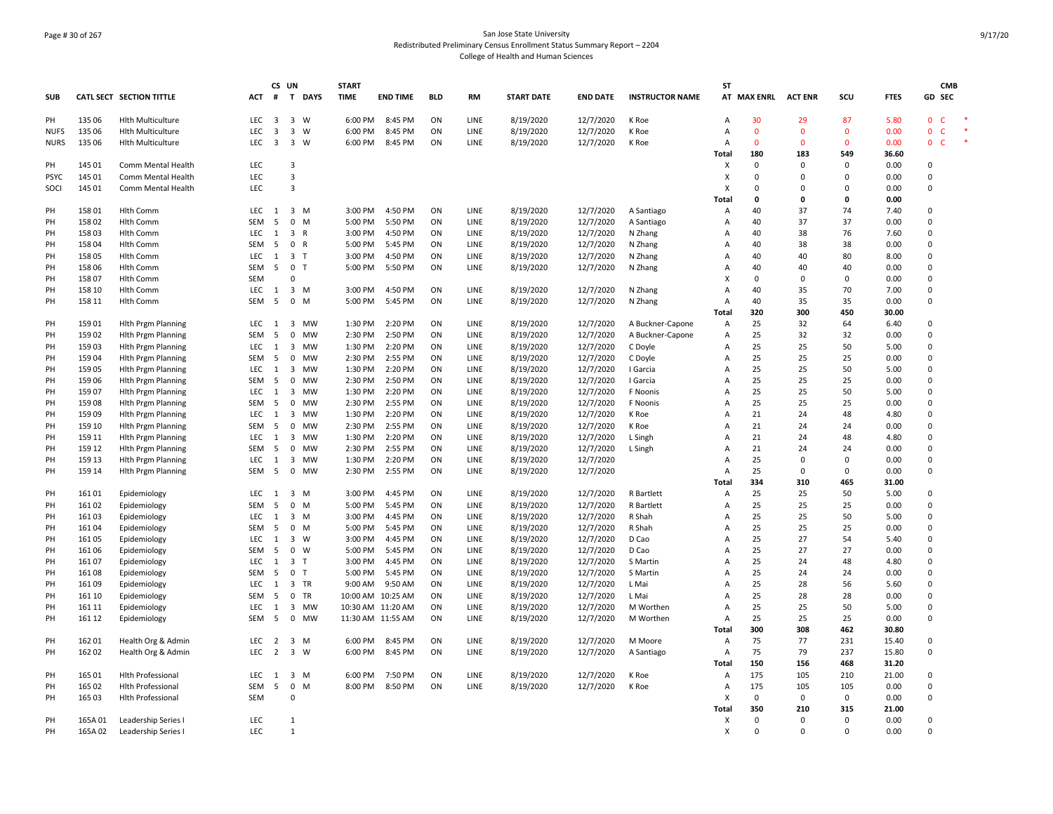# Page # 30 of 267 San Jose State University Redistributed Preliminary Census Enrollment Status Summary Report – 2204 College of Health and Human Sciences

|             |         |                                 |            | CS UN                   |                         |              | <b>START</b> |                   |            |           |                   |                 |                        | SΤ             |              |                |          |             | <b>CMB</b>                   |
|-------------|---------|---------------------------------|------------|-------------------------|-------------------------|--------------|--------------|-------------------|------------|-----------|-------------------|-----------------|------------------------|----------------|--------------|----------------|----------|-------------|------------------------------|
| <b>SUB</b>  |         | <b>CATL SECT SECTION TITTLE</b> | <b>ACT</b> | #                       | $\mathbf{T}$            | <b>DAYS</b>  | <b>TIME</b>  | <b>END TIME</b>   | <b>BLD</b> | <b>RM</b> | <b>START DATE</b> | <b>END DATE</b> | <b>INSTRUCTOR NAME</b> |                | AT MAX ENRL  | <b>ACT ENR</b> | scu      | <b>FTES</b> | GD SEC                       |
| PH          | 135 06  | <b>Hlth Multiculture</b>        | LEC        | 3                       | $\overline{3}$          | W            | 6:00 PM      | 8:45 PM           | ON         | LINE      | 8/19/2020         | 12/7/2020       | K Roe                  | Α              | 30           | 29             | 87       | 5.80        | $\mathbf{0}$<br>-C           |
| <b>NUFS</b> | 135 06  | <b>Hith Multiculture</b>        | <b>LEC</b> | $\overline{\mathbf{3}}$ | $\overline{\mathbf{3}}$ | W            | 6:00 PM      | 8:45 PM           | ON         | LINE      | 8/19/2020         | 12/7/2020       | K Roe                  | A              | $\mathbf{0}$ | $\Omega$       | $\Omega$ | 0.00        | $\mathsf{C}$<br>$\mathbf{0}$ |
| <b>NURS</b> | 135 06  | <b>Hith Multiculture</b>        | LEC        | $\overline{\mathbf{3}}$ | 3 W                     |              | 6:00 PM      | 8:45 PM           | ON         | LINE      | 8/19/2020         | 12/7/2020       | K Roe                  | Α              | $\mathbf{0}$ | $\Omega$       | $\Omega$ | 0.00        | $\mathbf{0}$<br><b>C</b>     |
|             |         |                                 |            |                         |                         |              |              |                   |            |           |                   |                 |                        | Total          | 180          | 183            | 549      | 36.60       |                              |
| PH          | 145 01  | Comm Mental Health              | LEC        |                         | 3                       |              |              |                   |            |           |                   |                 |                        | X              | $\Omega$     | $\Omega$       | 0        | 0.00        | $\Omega$                     |
| <b>PSYC</b> | 145 01  | Comm Mental Health              | LEC        |                         | $\overline{3}$          |              |              |                   |            |           |                   |                 |                        | X              | $\Omega$     | $\Omega$       | $\Omega$ | 0.00        | $\Omega$                     |
| SOCI        | 145 01  | Comm Mental Health              | LEC        |                         | $\overline{3}$          |              |              |                   |            |           |                   |                 |                        | X              | $\Omega$     | $\Omega$       | $\Omega$ | 0.00        | $\Omega$                     |
|             |         |                                 |            |                         |                         |              |              |                   |            |           |                   |                 |                        | Total          | 0            | 0              | 0        | 0.00        |                              |
| PH          | 15801   | <b>Hlth Comm</b>                | LEC        | 1                       | $\overline{\mathbf{3}}$ | M            | 3:00 PM      | 4:50 PM           | ON         | LINE      | 8/19/2020         | 12/7/2020       | A Santiago             | Α              | 40           | 37             | 74       | 7.40        | $\Omega$                     |
| PH          | 15802   | <b>Hlth Comm</b>                | SEM        | 5                       | $\mathbf 0$             | M            | 5:00 PM      | 5:50 PM           | ON         | LINE      | 8/19/2020         | 12/7/2020       | A Santiago             | Α              | 40           | 37             | 37       | 0.00        | $\Omega$                     |
| PH          | 15803   | <b>Hlth Comm</b>                | LEC        | $\mathbf{1}$            | 3 R                     |              | 3:00 PM      | 4:50 PM           | ON         | LINE      | 8/19/2020         | 12/7/2020       | N Zhang                | A              | 40           | 38             | 76       | 7.60        | $\Omega$                     |
| PH          | 15804   | <b>Hlth Comm</b>                | SEM        | -5                      | $\mathbf 0$             | R            | 5:00 PM      | 5:45 PM           | ON         | LINE      | 8/19/2020         | 12/7/2020       | N Zhang                | Α              | 40           | 38             | 38       | 0.00        | $\mathsf 0$                  |
| PH          | 15805   | <b>Hlth Comm</b>                | <b>LEC</b> | 1                       | 3 <sub>1</sub>          |              | 3:00 PM      | 4:50 PM           | ON         | LINE      | 8/19/2020         | 12/7/2020       | N Zhang                | A              | 40           | 40             | 80       | 8.00        | $\Omega$                     |
| PH          | 15806   | <b>Hlth Comm</b>                | SEM        | 5                       | $\mathbf 0$             | $\top$       | 5:00 PM      | 5:50 PM           | ON         | LINE      | 8/19/2020         | 12/7/2020       | N Zhang                | A              | 40           | 40             | 40       | 0.00        | $\Omega$                     |
| PH          | 15807   | <b>Hlth Comm</b>                | <b>SEM</b> |                         | 0                       |              |              |                   |            |           |                   |                 |                        | X              | $\Omega$     | $\Omega$       | 0        | 0.00        | $\Omega$                     |
| PH          | 158 10  | <b>Hlth Comm</b>                | LEC        | 1                       | 3 M                     |              | 3:00 PM      | 4:50 PM           | ON         | LINE      | 8/19/2020         | 12/7/2020       | N Zhang                | A              | 40           | 35             | 70       | 7.00        | $\Omega$                     |
| PH          | 158 11  | <b>Hlth Comm</b>                | SEM        | - 5                     | $\overline{0}$          | M            | 5:00 PM      | 5:45 PM           | ON         | LINE      | 8/19/2020         | 12/7/2020       | N Zhang                | A              | 40           | 35             | 35       | 0.00        | $\Omega$                     |
|             |         |                                 |            |                         |                         |              |              |                   |            |           |                   |                 |                        | Total          | 320          | 300            | 450      | 30.00       |                              |
| PH          | 15901   | <b>Hith Prgm Planning</b>       | LEC        | 1                       |                         | 3 MW         | 1:30 PM      | 2:20 PM           | ON         | LINE      | 8/19/2020         | 12/7/2020       | A Buckner-Capone       | Α              | 25           | 32             | 64       | 6.40        | 0                            |
| PH          | 159 02  | <b>Hith Prgm Planning</b>       | <b>SEM</b> | 5                       | $\mathbf 0$             | <b>MW</b>    | 2:30 PM      | 2:50 PM           | ON         | LINE      | 8/19/2020         | 12/7/2020       | A Buckner-Capone       | Α              | 25           | 32             | 32       | 0.00        | $\Omega$                     |
| PH          | 15903   | <b>Hith Prgm Planning</b>       | LEC        | 1                       | 3                       | MW           | 1:30 PM      | 2:20 PM           | ON         | LINE      | 8/19/2020         | 12/7/2020       | C Doyle                | Α              | 25           | 25             | 50       | 5.00        | 0                            |
| PH          | 15904   | <b>Hith Prgm Planning</b>       | SEM        | 5                       | $\mathbf 0$             | MW           | 2:30 PM      | 2:55 PM           | ON         | LINE      | 8/19/2020         | 12/7/2020       | C Doyle                | Α              | 25           | 25             | 25       | 0.00        | $\mathbf 0$                  |
| PH          | 15905   | <b>Hlth Prgm Planning</b>       | LEC        | 1                       | 3                       | MW           | 1:30 PM      | 2:20 PM           | ON         | LINE      | 8/19/2020         | 12/7/2020       | I Garcia               | A              | 25           | 25             | 50       | 5.00        | $\Omega$                     |
| PH          | 15906   | <b>Hith Prgm Planning</b>       | SEM        | - 5                     | 0                       | <b>MW</b>    | 2:30 PM      | 2:50 PM           | ON         | LINE      | 8/19/2020         | 12/7/2020       | I Garcia               | A              | 25           | 25             | 25       | 0.00        | $\Omega$                     |
| PH          | 159 07  | <b>Hith Prgm Planning</b>       | LEC        | 1                       | $\overline{\mathbf{3}}$ | MW           | 1:30 PM      | 2:20 PM           | ON         | LINE      | 8/19/2020         | 12/7/2020       | F Noonis               | A              | 25           | 25             | 50       | 5.00        | $\Omega$                     |
| PH          | 15908   | <b>Hith Prgm Planning</b>       | SEM        | - 5                     | 0                       | MW           | 2:30 PM      | 2:55 PM           | ON         | LINE      | 8/19/2020         | 12/7/2020       | F Noonis               | A              | 25           | 25             | 25       | 0.00        | $\Omega$                     |
| PH          | 15909   | <b>Hith Prgm Planning</b>       | LEC        | 1                       | 3                       | <b>MW</b>    | 1:30 PM      | 2:20 PM           | ON         | LINE      | 8/19/2020         | 12/7/2020       | K Roe                  | $\overline{A}$ | 21           | 24             | 48       | 4.80        | $\Omega$                     |
| PH          | 159 10  | <b>Hith Prgm Planning</b>       | SEM        | 5                       | $\mathbf 0$             | <b>MW</b>    | 2:30 PM      | 2:55 PM           | ON         | LINE      | 8/19/2020         | 12/7/2020       | K Roe                  | A              | 21           | 24             | 24       | 0.00        | $\Omega$                     |
| PH          | 159 11  | <b>Hith Prgm Planning</b>       | LEC        | 1                       | $\overline{\mathbf{3}}$ | MW           | 1:30 PM      | 2:20 PM           | ON         | LINE      | 8/19/2020         | 12/7/2020       | L Singh                | $\overline{A}$ | 21           | 24             | 48       | 4.80        | $\Omega$                     |
| PH          | 159 12  | <b>Hith Prgm Planning</b>       | SEM        | - 5                     | 0                       | MW           | 2:30 PM      | 2:55 PM           | ON         | LINE      | 8/19/2020         | 12/7/2020       | L Singh                | Α              | 21           | 24             | 24       | 0.00        | 0                            |
| PH          | 159 13  | <b>Hith Prgm Planning</b>       | <b>LEC</b> | 1                       | 3                       | MW           | 1:30 PM      | 2:20 PM           | ON         | LINE      | 8/19/2020         | 12/7/2020       |                        | A              | 25           | $\Omega$       | 0        | 0.00        | $\Omega$                     |
| PH          | 159 14  | <b>Hith Prgm Planning</b>       | SEM        | 5                       | $\mathbf 0$             | MW           | 2:30 PM      | 2:55 PM           | ON         | LINE      | 8/19/2020         | 12/7/2020       |                        | $\overline{A}$ | 25           | $\Omega$       | $\Omega$ | 0.00        | $\Omega$                     |
|             |         |                                 |            |                         |                         |              |              |                   |            |           |                   |                 |                        | Total          | 334          | 310            | 465      | 31.00       |                              |
| PH          | 16101   | Epidemiology                    | LEC        | 1                       | $\overline{3}$          | M            | 3:00 PM      | 4:45 PM           | ON         | LINE      | 8/19/2020         | 12/7/2020       | <b>R</b> Bartlett      | A              | 25           | 25             | 50       | 5.00        | $\Omega$                     |
| PH          | 16102   | Epidemiology                    | <b>SEM</b> | 5                       | $\mathbf{0}$            | M            | 5:00 PM      | 5:45 PM           | ON         | LINE      | 8/19/2020         | 12/7/2020       | R Bartlett             | A              | 25           | 25             | 25       | 0.00        | $\Omega$                     |
| PH          | 16103   | Epidemiology                    | LEC        | 1                       | 3 M                     |              | 3:00 PM      | 4:45 PM           | ON         | LINE      | 8/19/2020         | 12/7/2020       | R Shah                 | $\Delta$       | 25           | 25             | 50       | 5.00        | $\Omega$                     |
| PH          | 16104   | Epidemiology                    | SEM        | - 5                     | $\mathbf 0$             | M            | 5:00 PM      | 5:45 PM           | ON         | LINE      | 8/19/2020         | 12/7/2020       | R Shah                 | Α              | 25           | 25             | 25       | 0.00        | $\Omega$                     |
| PH          | 16105   | Epidemiology                    | LEC        | $\mathbf{1}$            | 3 W                     |              | 3:00 PM      | 4:45 PM           | ON         | LINE      | 8/19/2020         | 12/7/2020       | D Cao                  | $\overline{A}$ | 25           | 27             | 54       | 5.40        | $\Omega$                     |
| PH          | 16106   | Epidemiology                    | SEM        | 5                       | $\mathbf 0$             | W            | 5:00 PM      | 5:45 PM           | ON         | LINE      | 8/19/2020         | 12/7/2020       | D Cao                  | A              | 25           | 27             | 27       | 0.00        | $\Omega$                     |
| PH          | 16107   | Epidemiology                    | <b>LEC</b> | 1                       | 3 T                     |              | 3:00 PM      | 4:45 PM           | ON         | LINE      | 8/19/2020         | 12/7/2020       | S Martin               | A              | 25           | 24             | 48       | 4.80        | $\Omega$                     |
| PH          | 16108   | Epidemiology                    | SEM        | -5                      | 0                       | $\mathsf{T}$ | 5:00 PM      | 5:45 PM           | ON         | LINE      | 8/19/2020         | 12/7/2020       | S Martin               | A              | 25           | 24             | 24       | 0.00        | $\Omega$                     |
| PH          | 16109   | Epidemiology                    | <b>LEC</b> | 1                       | 3 TR                    |              | 9:00 AM      | 9:50 AM           | ON         | LINE      | 8/19/2020         | 12/7/2020       | L Mai                  | $\overline{A}$ | 25           | 28             | 56       | 5.60        | $\Omega$                     |
| PH          | 161 10  | Epidemiology                    | SEM        | 5                       | $\mathsf{O}$            | TR           | 10:00 AM     | 10:25 AM          | ON         | LINE      | 8/19/2020         | 12/7/2020       | L Mai                  | A              | 25           | 28             | 28       | 0.00        | $\mathbf 0$                  |
| PH          | 161 11  | Epidemiology                    | <b>LEC</b> | 1                       | 3 MW                    |              |              | 10:30 AM 11:20 AM | ON         | LINE      | 8/19/2020         | 12/7/2020       | M Worthen              | A              | 25           | 25             | 50       | 5.00        | $\Omega$                     |
| PH          | 161 12  | Epidemiology                    | SEM        | 5                       | $\mathbf 0$             | <b>MW</b>    |              | 11:30 AM 11:55 AM | ON         | LINE      | 8/19/2020         | 12/7/2020       | M Worthen              | Α              | 25           | 25             | 25       | 0.00        | $\Omega$                     |
|             |         |                                 |            |                         |                         |              |              |                   |            |           |                   |                 |                        | <b>Total</b>   | 300          | 308            | 462      | 30.80       |                              |
| PH          | 162 01  | Health Org & Admin              | LEC        | $\overline{2}$          | 3 M                     |              | 6:00 PM      | 8:45 PM           | ON         | LINE      | 8/19/2020         | 12/7/2020       | M Moore                | Α              | 75           | 77             | 231      | 15.40       | $\Omega$                     |
| PH          | 162 02  | Health Org & Admin              | <b>LEC</b> | $\overline{2}$          | $\overline{\mathbf{3}}$ | W            | 6:00 PM      | 8:45 PM           | ON         | LINE      | 8/19/2020         | 12/7/2020       | A Santiago             | Α              | 75           | 79             | 237      | 15.80       | 0                            |
|             |         |                                 |            |                         |                         |              |              |                   |            |           |                   |                 |                        | <b>Total</b>   | 150          | 156            | 468      | 31.20       |                              |
| PH          | 165 01  | <b>Hlth Professional</b>        | LEC        | 1                       | 3 M                     |              | 6:00 PM      | 7:50 PM           | ON         | LINE      | 8/19/2020         | 12/7/2020       | K Roe                  | $\overline{A}$ | 175          | 105            | 210      | 21.00       | 0                            |
| PH          | 165 02  | <b>Hlth Professional</b>        | SEM        | 5                       | 0                       | M            | 8:00 PM      | 8:50 PM           | ON         | LINE      | 8/19/2020         | 12/7/2020       | K Roe                  | Α              | 175          | 105            | 105      | 0.00        | $\Omega$                     |
| PH          | 165 03  | <b>Hith Professional</b>        | <b>SEM</b> |                         | $\Omega$                |              |              |                   |            |           |                   |                 |                        | X              | $\Omega$     | 0              | 0        | 0.00        | $\Omega$                     |
|             |         |                                 |            |                         |                         |              |              |                   |            |           |                   |                 |                        | Total          | 350          | 210            | 315      | 21.00       |                              |
| PH          | 165A01  | Leadership Series               | LEC        |                         | $\mathbf{1}$            |              |              |                   |            |           |                   |                 |                        | x              | $\Omega$     | $\Omega$       | $\Omega$ | 0.00        | $\Omega$                     |
| PH          | 165A 02 | Leadership Series I             | LEC        |                         | $\mathbf{1}$            |              |              |                   |            |           |                   |                 |                        | X              | $\Omega$     | $\Omega$       | $\Omega$ | 0.00        | $\Omega$                     |
|             |         |                                 |            |                         |                         |              |              |                   |            |           |                   |                 |                        |                |              |                |          |             |                              |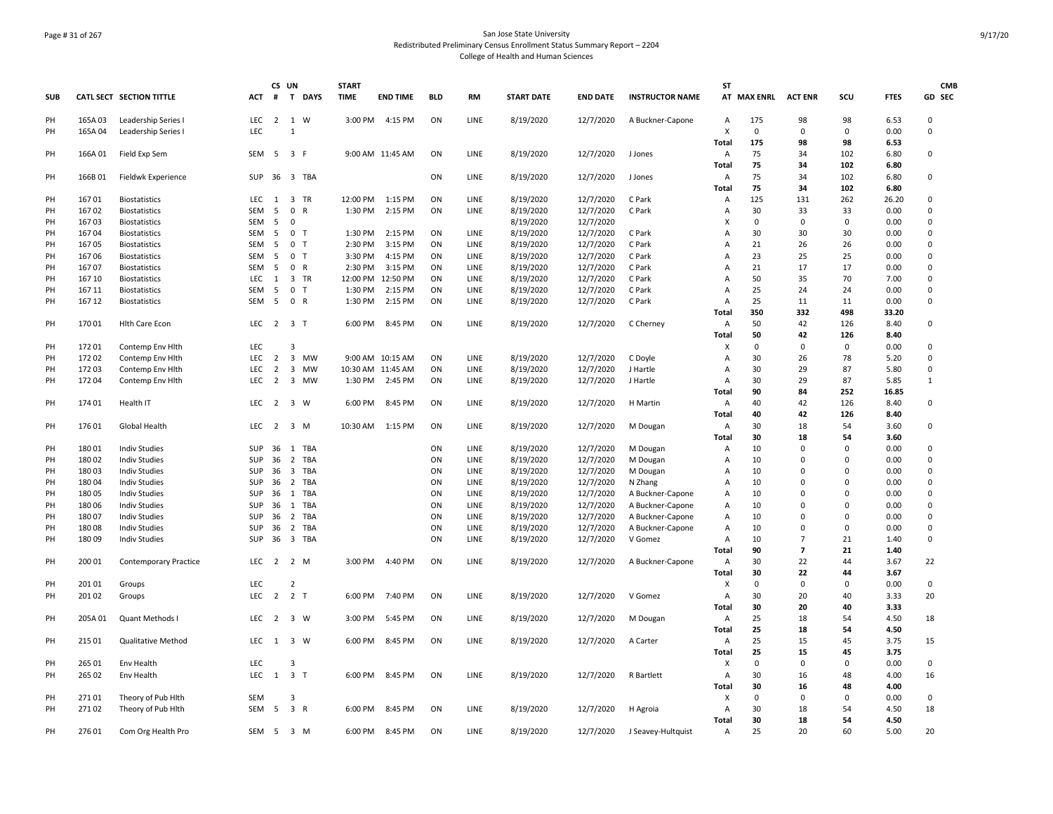# Page # 31 of 267 San Jose State University Redistributed Preliminary Census Enrollment Status Summary Report – 2204 College of Health and Human Sciences

|            |                |                                              |                  | CS UN          |                              | <b>START</b> |                   |            |              |                        |                        |                                      | <b>ST</b>      |             |                |                |              | <b>CMB</b>  |
|------------|----------------|----------------------------------------------|------------------|----------------|------------------------------|--------------|-------------------|------------|--------------|------------------------|------------------------|--------------------------------------|----------------|-------------|----------------|----------------|--------------|-------------|
| <b>SUB</b> |                | CATL SECT SECTION TITTLE                     | <b>ACT</b>       | #              | T DAYS                       | <b>TIME</b>  | <b>END TIME</b>   | <b>BLD</b> | <b>RM</b>    | <b>START DATE</b>      | <b>END DATE</b>        | <b>INSTRUCTOR NAME</b>               |                | AT MAX ENRL | <b>ACT ENR</b> | SCU            | <b>FTES</b>  | GD SEC      |
| PH         | 165A03         | Leadership Series I                          | <b>LEC</b>       | 2              | 1 W                          | 3:00 PM      | 4:15 PM           | ON         | LINE         | 8/19/2020              | 12/7/2020              | A Buckner-Capone                     | $\overline{A}$ | 175         | 98             | 98             | 6.53         | $\Omega$    |
| PH         | 165A04         | Leadership Series I                          | LEC              |                | $\mathbf{1}$                 |              |                   |            |              |                        |                        |                                      | X              | $\mathbf 0$ | $\Omega$       | $\mathbf 0$    | 0.00         | $\Omega$    |
|            |                |                                              |                  |                |                              |              |                   |            |              |                        |                        |                                      | <b>Total</b>   | 175         | 98             | 98             | 6.53         |             |
| PH         | 166A01         | Field Exp Sem                                | SEM              | 5              | 3 F                          |              | 9:00 AM 11:45 AM  | ON         | LINE         | 8/19/2020              | 12/7/2020              | J Jones                              | Α              | 75          | 34             | 102            | 6.80         | $\pmb{0}$   |
|            |                |                                              |                  |                |                              |              |                   |            |              |                        |                        |                                      | <b>Total</b>   | 75          | 34             | 102            | 6.80         |             |
| PH         | 166B01         | Fieldwk Experience                           | SUP              | 36             | 3 TBA                        |              |                   | ON         | LINE         | 8/19/2020              | 12/7/2020              | J Jones                              | $\overline{A}$ | 75          | 34             | 102            | 6.80         | $\mathbf 0$ |
|            |                |                                              |                  |                |                              |              |                   |            |              |                        |                        |                                      | <b>Total</b>   | 75          | 34             | 102            | 6.80         |             |
| PH         | 16701          | <b>Biostatistics</b>                         | <b>LEC</b>       | 1              | 3 TR                         | 12:00 PM     | 1:15 PM           | ON         | LINE         | 8/19/2020              | 12/7/2020              | C Park                               | A              | 125         | 131            | 262            | 26.20        | 0           |
| PH         | 16702          | <b>Biostatistics</b>                         | <b>SEM</b>       | 5              | 0 R                          | 1:30 PM      | 2:15 PM           | ON         | LINE         | 8/19/2020              | 12/7/2020              | C Park                               | $\overline{A}$ | 30          | 33             | 33             | 0.00         | $\Omega$    |
| PH         | 16703          | <b>Biostatistics</b>                         | <b>SEM</b>       | 5              | $\Omega$                     |              |                   |            |              | 8/19/2020              | 12/7/2020              |                                      | X              | $\mathbf 0$ | $\Omega$       | $\mathbf 0$    | 0.00         | $\Omega$    |
| PH         | 16704          | <b>Biostatistics</b>                         | SEM              | 5              | 0 <sub>T</sub>               | 1:30 PM      | 2:15 PM           | ON         | LINE         | 8/19/2020              | 12/7/2020              | C Park                               | A              | 30          | 30             | 30             | 0.00         | 0           |
| PH         | 16705          | <b>Biostatistics</b>                         | <b>SEM</b>       | 5              | 0 <sub>T</sub>               | 2:30 PM      | 3:15 PM           | ON         | LINE         | 8/19/2020              | 12/7/2020              | C Park                               | A              | 21          | 26             | 26             | 0.00         | 0           |
| PH         | 16706          | <b>Biostatistics</b>                         | SEM              | 5              | 0 <sub>T</sub>               | 3:30 PM      | 4:15 PM           | ON         | LINE         | 8/19/2020              | 12/7/2020              | C Park                               | A              | 23          | 25             | 25             | 0.00         | $\mathbf 0$ |
| PH         | 16707          | <b>Biostatistics</b>                         | SEM              | 5              | 0 R                          | 2:30 PM      | 3:15 PM           | ON         | LINE         | 8/19/2020              | 12/7/2020              | C Park                               | A              | 21          | 17             | 17             | 0.00         | $\mathsf 0$ |
| PH         | 167 10         | <b>Biostatistics</b>                         | <b>LEC</b>       | 1              | 3 TR                         | 12:00 PM     | 12:50 PM          | ON         | LINE         | 8/19/2020              | 12/7/2020              | C Park                               | A              | 50          | 35             | 70             | 7.00         | $\pmb{0}$   |
| PH         | 167 11         | <b>Biostatistics</b>                         | <b>SEM</b>       | 5              | 0 <sub>T</sub>               | 1:30 PM      | 2:15 PM           | ON         | LINE         | 8/19/2020              | 12/7/2020              | C Park                               | A              | 25          | 24             | 24             | 0.00         | 0           |
| PH         | 167 12         | <b>Biostatistics</b>                         | <b>SEM</b>       | 5              | 0 R                          | 1:30 PM      | 2:15 PM           | ON         | LINE         | 8/19/2020              | 12/7/2020              | C Park                               | $\overline{A}$ | 25          | 11             | 11             | 0.00         | 0           |
|            |                |                                              |                  |                |                              |              |                   |            |              |                        |                        |                                      | <b>Total</b>   | 350         | 332            | 498            | 33.20        |             |
| PH         | 17001          | <b>Hith Care Econ</b>                        | <b>LEC</b>       | 2              | 3 T                          | 6:00 PM      | 8:45 PM           | ON         | LINE         | 8/19/2020              | 12/7/2020              | C Cherney                            | $\overline{A}$ | 50          | 42             | 126            | 8.40         | $\pmb{0}$   |
|            |                |                                              |                  |                |                              |              |                   |            |              |                        |                        |                                      | <b>Total</b>   | 50          | 42             | 126            | 8.40         |             |
| PH         | 17201          | Contemp Env Hlth                             | LEC              |                | 3                            |              |                   |            |              |                        |                        |                                      | X              | $\Omega$    | $\Omega$       | $\mathbf 0$    | 0.00         | 0           |
| PH         | 17202          | Contemp Env Hlth                             | LEC              | $\overline{2}$ | 3 MW                         |              | 9:00 AM 10:15 AM  | ON         | LINE         | 8/19/2020              | 12/7/2020              | C Doyle                              | A              | 30          | 26             | 78             | 5.20         | $\pmb{0}$   |
| PH         | 17203          | Contemp Env Hith                             | LEC              | $\overline{2}$ | 3 MW                         |              | 10:30 AM 11:45 AM | ON         | LINE         | 8/19/2020              | 12/7/2020              | J Hartle                             | A              | 30          | 29             | 87             | 5.80         | 0           |
| PH         | 17204          | Contemp Env Hlth                             | <b>LEC</b>       | $\overline{2}$ | 3 MW                         | 1:30 PM      | 2:45 PM           | ON         | LINE         | 8/19/2020              | 12/7/2020              | J Hartle                             | $\overline{A}$ | 30          | 29             | 87             | 5.85         | 1           |
|            |                |                                              |                  |                |                              |              |                   |            |              |                        |                        |                                      | <b>Total</b>   | 90          | 84             | 252            | 16.85        |             |
| PH         | 174 01         | Health IT                                    | LEC              | $\overline{2}$ | $\overline{\mathbf{3}}$<br>W | 6:00 PM      | 8:45 PM           | ON         | LINE         | 8/19/2020              | 12/7/2020              | H Martin                             | Α              | 40          | 42             | 126            | 8.40         | 0           |
|            |                |                                              |                  |                |                              |              |                   |            |              |                        |                        |                                      | <b>Total</b>   | 40          | 42             | 126            | 8.40         |             |
| PH         | 17601          | Global Health                                | <b>LEC</b>       | 2              | 3 M                          | 10:30 AM     | 1:15 PM           | ON         | LINE         | 8/19/2020              | 12/7/2020              | M Dougan                             | $\overline{A}$ | 30          | 18             | 54             | 3.60         | 0           |
|            |                |                                              |                  |                |                              |              |                   |            |              |                        |                        |                                      | Total          | 30          | 18             | 54             | 3.60         |             |
| PH         | 18001          | <b>Indiv Studies</b>                         | SUP              | 36             | 1 TBA                        |              |                   | ON         | LINE         | 8/19/2020              | 12/7/2020              |                                      | A              | 10          | $\Omega$       | $\mathbf 0$    | 0.00         | $\pmb{0}$   |
| PH         | 18002          | <b>Indiv Studies</b>                         | SUP              | 36             | $\overline{2}$<br>TBA        |              |                   | ON         | LINE         | 8/19/2020              | 12/7/2020              | M Dougan<br>M Dougan                 | A              | 10          | $\mathbf 0$    | $\mathbf 0$    | 0.00         | 0           |
| PH         | 18003          | <b>Indiv Studies</b>                         | SUP              | 36             | 3 TBA                        |              |                   | ON         | LINE         | 8/19/2020              | 12/7/2020              | M Dougan                             | A              | 10          | $\Omega$       | $\mathbf 0$    | 0.00         | $\mathbf 0$ |
| PH         | 18004          | <b>Indiv Studies</b>                         | SUP              | 36             | $\overline{2}$<br>TBA        |              |                   | ON         | LINE         | 8/19/2020              | 12/7/2020              |                                      | A              | 10          | $\mathbf 0$    | $\overline{0}$ | 0.00         | $\mathsf 0$ |
|            |                |                                              |                  |                |                              |              |                   |            |              |                        |                        | N Zhang                              |                |             | $\Omega$       | $\overline{0}$ |              | 0           |
| PH<br>PH   | 18005<br>18006 | <b>Indiv Studies</b><br><b>Indiv Studies</b> | SUP<br>SUP       | 36<br>36       | 1 TBA<br>1<br>TBA            |              |                   | ON<br>ON   | LINE<br>LINE | 8/19/2020              | 12/7/2020              | A Buckner-Capone                     | A<br>A         | 10<br>10    | $\Omega$       | $\Omega$       | 0.00<br>0.00 | 0           |
| PH         | 18007          | <b>Indiv Studies</b>                         | <b>SUP</b>       | 36             | 2 TBA                        |              |                   | ON         | LINE         | 8/19/2020<br>8/19/2020 | 12/7/2020<br>12/7/2020 | A Buckner-Capone<br>A Buckner-Capone | $\overline{A}$ | 10          | $\Omega$       | $\Omega$       | 0.00         | $\Omega$    |
| PH         | 18008          | <b>Indiv Studies</b>                         | SUP              | 36             |                              |              |                   | ON         | LINE         |                        |                        |                                      | A              | 10          | $\Omega$       | $\mathbf 0$    | 0.00         | 0           |
|            |                |                                              |                  |                | 2 TBA                        |              |                   |            |              | 8/19/2020              | 12/7/2020              | A Buckner-Capone                     |                |             | $\overline{7}$ | 21             |              | $\mathbf 0$ |
| PH         | 18009          | <b>Indiv Studies</b>                         | SUP              | 36             | 3 TBA                        |              |                   | ON         | LINE         | 8/19/2020              | 12/7/2020              | V Gomez                              | A<br>Total     | 10<br>90    | $\overline{7}$ | 21             | 1.40<br>1.40 |             |
| PH         | 200 01         |                                              | LEC              | $\overline{2}$ | 2 M                          | 3:00 PM      | 4:40 PM           | ON         | LINE         | 8/19/2020              | 12/7/2020              |                                      |                | 30          | 22             | 44             | 3.67         | 22          |
|            |                | <b>Contemporary Practice</b>                 |                  |                |                              |              |                   |            |              |                        |                        | A Buckner-Capone                     | Α              |             | 22             | 44             |              |             |
|            |                |                                              |                  |                | $\overline{2}$               |              |                   |            |              |                        |                        |                                      | Total          | 30          |                |                | 3.67         |             |
| PH         | 20101          | Groups                                       | LEC              |                |                              |              |                   |            |              |                        |                        |                                      | X              | 0           | 0              | $\mathbf 0$    | 0.00         | 0           |
| PH         | 20102          | Groups                                       | <b>LEC</b>       | $\overline{2}$ | 2 <sub>T</sub>               | 6:00 PM      | 7:40 PM           | ON         | LINE         | 8/19/2020              | 12/7/2020              | V Gomez                              | Α              | 30          | 20             | 40             | 3.33         | 20          |
|            |                |                                              |                  |                |                              |              |                   |            |              |                        |                        |                                      | <b>Total</b>   | 30          | 20             | 40             | 3.33         |             |
| PH         | 205A01         | Quant Methods I                              | <b>LEC</b>       | 2              | 3 W                          | 3:00 PM      | 5:45 PM           | ON         | LINE         | 8/19/2020              | 12/7/2020              | M Dougan                             | Α              | 25          | 18             | 54             | 4.50         | 18          |
|            |                |                                              |                  |                |                              |              |                   |            |              |                        |                        |                                      | Total          | 25          | 18             | 54             | 4.50         |             |
| PH         | 215 01         | <b>Qualitative Method</b>                    | <b>LEC</b>       | $\mathbf{1}$   | 3 W                          | 6:00 PM      | 8:45 PM           | ON         | <b>LINE</b>  | 8/19/2020              | 12/7/2020              | A Carter                             | Α              | 25          | 15             | 45             | 3.75         | 15          |
|            |                |                                              |                  |                |                              |              |                   |            |              |                        |                        |                                      | <b>Total</b>   | 25          | 15             | 45             | 3.75         |             |
| PH         | 265 01         | Env Health                                   | LEC              |                | 3                            |              |                   |            |              |                        |                        |                                      | X              | 0           | $\mathbf 0$    | $\mathbf 0$    | 0.00         | 0           |
| PH         | 265 02         | Env Health                                   | <b>LEC</b>       |                | 1 3 T                        | 6:00 PM      | 8:45 PM           | ON         | LINE         | 8/19/2020              | 12/7/2020              | R Bartlett                           | Α              | 30          | 16             | 48             | 4.00         | 16          |
|            |                |                                              |                  |                |                              |              |                   |            |              |                        |                        |                                      | Total          | 30          | 16             | 48             | 4.00         |             |
| PH         | 27101          | Theory of Pub Hlth                           | SEM              |                | 3                            |              |                   |            |              |                        |                        |                                      | X              | $\mathbf 0$ | $\Omega$       | $\overline{0}$ | 0.00         | 0           |
| PH         | 27102          | Theory of Pub Hith                           | SEM              | 5              | 3 R                          | 6:00 PM      | 8:45 PM           | ON         | LINE         | 8/19/2020              | 12/7/2020              | H Agroia                             | Α              | 30          | 18             | 54             | 4.50         | 18          |
|            |                |                                              |                  |                |                              |              |                   |            |              |                        |                        |                                      | Total          | 30          | 18             | 54             | 4.50         |             |
| PH         | 27601          | Com Org Health Pro                           | SEM <sub>5</sub> |                | 3 M                          | 6:00 PM      | 8:45 PM           | ON         | LINE         | 8/19/2020              | 12/7/2020              | J Seavey-Hultquist                   | A              | 25          | 20             | 60             | 5.00         | 20          |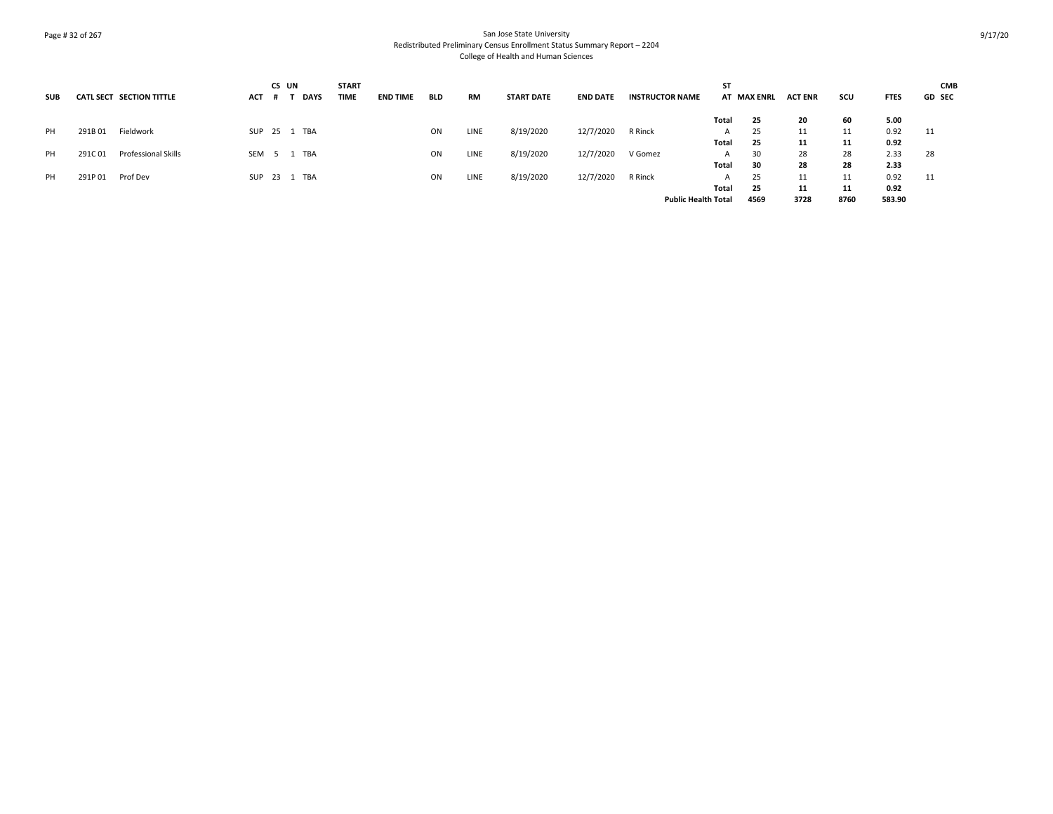# Page # 32 of 267 San Jose State University Redistributed Preliminary Census Enrollment Status Summary Report – 2204 College of Health and Human Sciences

|            |        |                            |     | CS UN |              | <b>START</b> |                 |            |             |                   |                 |                        | <b>ST</b>                  |             |                |      |             | <b>CMB</b>    |
|------------|--------|----------------------------|-----|-------|--------------|--------------|-----------------|------------|-------------|-------------------|-----------------|------------------------|----------------------------|-------------|----------------|------|-------------|---------------|
| <b>SUB</b> |        | CATL SECT SECTION TITTLE   | ACT |       | <b>DAYS</b>  | <b>TIME</b>  | <b>END TIME</b> | <b>BLD</b> | <b>RM</b>   | <b>START DATE</b> | <b>END DATE</b> | <b>INSTRUCTOR NAME</b> |                            | AT MAX ENRL | <b>ACT ENR</b> | scu  | <b>FTES</b> | <b>GD SEC</b> |
|            |        |                            |     |       |              |              |                 |            |             |                   |                 |                        | Total                      | 25          | 20             | 60   | 5.00        |               |
| PH         | 291B01 | Fieldwork                  |     |       | SUP 25 1 TBA |              |                 | ON         | LINE        | 8/19/2020         | 12/7/2020       | R Rinck                | A                          | 25          | 11             | 11   | 0.92        | 11            |
|            |        |                            |     |       |              |              |                 |            |             |                   |                 |                        | Total                      | 25          | 11             | 11   | 0.92        |               |
| PH         | 291C01 | <b>Professional Skills</b> |     |       | SEM 5 1 TBA  |              |                 | ON         | <b>LINE</b> | 8/19/2020         | 12/7/2020       | V Gomez                | A                          | 30          | 28             | 28   | 2.33        | 28            |
|            |        |                            |     |       |              |              |                 |            |             |                   |                 |                        | Total                      | 30          | 28             | 28   | 2.33        |               |
| PH         | 291P01 | Prof Dev                   |     |       | SUP 23 1 TBA |              |                 | ON         | LINE        | 8/19/2020         | 12/7/2020       | R Rinck                | A                          | 25          | 11             | 11   | 0.92        | 11            |
|            |        |                            |     |       |              |              |                 |            |             |                   |                 |                        | Total                      | 25          | 11             | 11   | 0.92        |               |
|            |        |                            |     |       |              |              |                 |            |             |                   |                 |                        | <b>Public Health Total</b> | 4569        | 3728           | 8760 | 583.90      |               |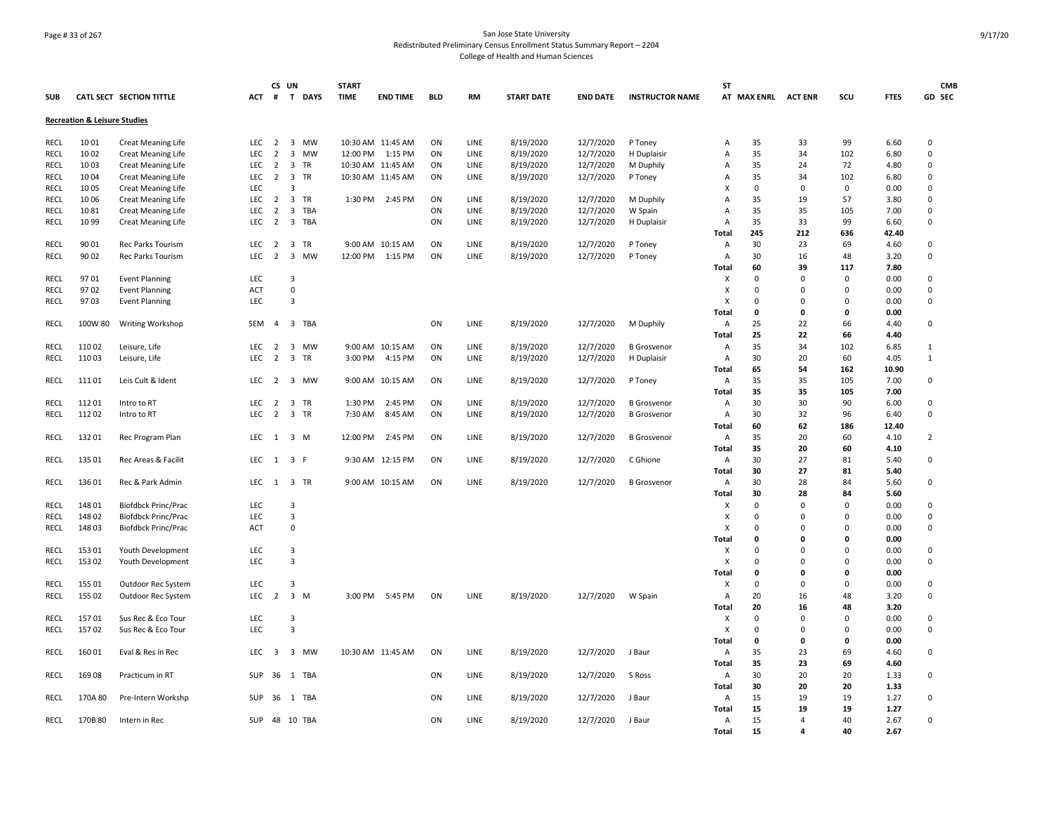# Page # 33 of 267 San Jose State University Redistributed Preliminary Census Enrollment Status Summary Report – 2204 College of Health and Human Sciences

|             |                                         |                                 |            | CS UN          |          |          | <b>START</b> |                   |            |      |                   |                 |                        | <b>ST</b>      |                     |             |                                  |             | <b>CMB</b>     |
|-------------|-----------------------------------------|---------------------------------|------------|----------------|----------|----------|--------------|-------------------|------------|------|-------------------|-----------------|------------------------|----------------|---------------------|-------------|----------------------------------|-------------|----------------|
| <b>SUB</b>  |                                         | <b>CATL SECT SECTION TITTLE</b> | ACT        |                |          | # T DAYS | <b>TIME</b>  | <b>END TIME</b>   | <b>BLD</b> | RM   | <b>START DATE</b> | <b>END DATE</b> | <b>INSTRUCTOR NAME</b> |                | AT MAX ENRL ACT ENR |             | SCU                              | <b>FTES</b> | GD SEC         |
|             | <b>Recreation &amp; Leisure Studies</b> |                                 |            |                |          |          |              |                   |            |      |                   |                 |                        |                |                     |             |                                  |             |                |
| RECL        | 1001                                    | <b>Creat Meaning Life</b>       | LEC        | $\overline{2}$ |          | 3 MW     |              | 10:30 AM 11:45 AM | ON         | LINE | 8/19/2020         | 12/7/2020       | P Toney                | A              | 35                  | 33          | 99                               | 6.60        | 0              |
| <b>RECL</b> | 10 02                                   | <b>Creat Meaning Life</b>       | <b>LEC</b> | $\overline{2}$ |          | 3 MW     | 12:00 PM     | 1:15 PM           | ON         | LINE | 8/19/2020         | 12/7/2020       | H Duplaisir            | Α              | 35                  | 34          | 102                              | 6.80        | 0              |
| <b>RECL</b> | 10 03                                   | Creat Meaning Life              | LEC        | $\overline{2}$ |          | 3 TR     |              | 10:30 AM 11:45 AM | ON         | LINE | 8/19/2020         | 12/7/2020       | M Duphily              | A              | 35                  | 24          | 72                               | 4.80        | 0              |
| RECL        | 10 04                                   | <b>Creat Meaning Life</b>       | <b>LEC</b> | $\overline{2}$ |          | 3 TR     |              | 10:30 AM 11:45 AM | ON         |      | 8/19/2020         | 12/7/2020       |                        | A              | 35                  | 34          | 102                              | 6.80        | $\mathbf 0$    |
| RECL        | 10 05                                   | <b>Creat Meaning Life</b>       | LEC        |                | 3        |          |              |                   |            | LINE |                   |                 | P Toney                | X              | $\mathbf 0$         | 0           | $\mathbf 0$                      | 0.00        | 0              |
| RECL        | 1006                                    | <b>Creat Meaning Life</b>       | <b>LEC</b> | $\overline{2}$ |          | 3 TR     | 1:30 PM      | 2:45 PM           | ON         | LINE | 8/19/2020         | 12/7/2020       | M Duphily              | $\overline{A}$ | 35                  | 19          | 57                               | 3.80        | 0              |
| RECL        | 1081                                    | <b>Creat Meaning Life</b>       | <b>LEC</b> | $\overline{2}$ |          | 3 TBA    |              |                   | ON         | LINE | 8/19/2020         | 12/7/2020       | W Spain                | A              | 35                  | 35          | 105                              | 7.00        | $\mathbf 0$    |
| RECL        | 10 99                                   | <b>Creat Meaning Life</b>       | LEC        | $\overline{2}$ |          | 3 TBA    |              |                   | ON         | LINE | 8/19/2020         | 12/7/2020       | H Duplaisir            | Α              | 35                  | 33          | 99                               | 6.60        | 0              |
|             |                                         |                                 |            |                |          |          |              |                   |            |      |                   |                 |                        | Total          | 245                 | 212         | 636                              | 42.40       |                |
| <b>RECL</b> | 90 01                                   | Rec Parks Tourism               | <b>LEC</b> | $\overline{2}$ |          | 3 TR     |              | 9:00 AM 10:15 AM  | ON         | LINE | 8/19/2020         | 12/7/2020       |                        | Α              | 30                  | 23          | 69                               | 4.60        | 0              |
| <b>RECL</b> | 90 02                                   |                                 | <b>LEC</b> | $\overline{2}$ |          | 3 MW     |              |                   | ON         |      |                   |                 | P Toney                | $\overline{A}$ | 30                  | 16          | 48                               | 3.20        | 0              |
|             |                                         | Rec Parks Tourism               |            |                |          |          | 12:00 PM     | 1:15 PM           |            | LINE | 8/19/2020         | 12/7/2020       | P Toney                | Total          | 60                  | 39          | 117                              | 7.80        |                |
|             | 9701                                    |                                 | LEC        |                | 3        |          |              |                   |            |      |                   |                 |                        | X              |                     | 0           | $\mathbf 0$                      |             | 0              |
| <b>RECL</b> |                                         | <b>Event Planning</b>           |            |                |          |          |              |                   |            |      |                   |                 |                        |                | 0<br>$\Omega$       |             |                                  | 0.00        |                |
| RECL        | 9702                                    | <b>Event Planning</b>           | ACT        |                | 0<br>3   |          |              |                   |            |      |                   |                 |                        | X<br>X         | $\Omega$            | 0           | $\overline{0}$<br>$\overline{0}$ | 0.00        | 0              |
| RECL        | 9703                                    | <b>Event Planning</b>           | LEC        |                |          |          |              |                   |            |      |                   |                 |                        |                |                     | 0<br>0      | $\mathbf 0$                      | 0.00        | 0              |
|             |                                         |                                 |            |                |          |          |              |                   |            |      |                   |                 |                        | Total          | 0                   |             |                                  | 0.00        |                |
| RECL        | 100W 80                                 | Writing Workshop                | <b>SEM</b> | $\overline{4}$ |          | 3 TBA    |              |                   | ON         | LINE | 8/19/2020         | 12/7/2020       | M Duphily              | Α              | 25                  | 22          | 66                               | 4.40        | $\mathbf 0$    |
|             |                                         |                                 |            |                |          |          |              |                   |            |      |                   |                 |                        | Total          | 25                  | 22<br>34    | 66                               | 4.40        |                |
| RECL        | 11002                                   | Leisure, Life                   | <b>LEC</b> | $\overline{2}$ |          | 3 MW     |              | 9:00 AM 10:15 AM  | ON         | LINE | 8/19/2020         | 12/7/2020       | <b>B</b> Grosvenor     | Α              | 35                  |             | 102                              | 6.85        | 1              |
| RECL        | 11003                                   | Leisure, Life                   | <b>LEC</b> | $\overline{2}$ |          | 3 TR     | 3:00 PM      | 4:15 PM           | ON         | LINE | 8/19/2020         | 12/7/2020       | H Duplaisir            | Α              | 30                  | 20          | 60                               | 4.05        | $\mathbf{1}$   |
|             |                                         |                                 |            |                |          |          |              |                   |            |      |                   |                 |                        | Total          | 65                  | 54          | 162                              | 10.90       |                |
| <b>RECL</b> | 11101                                   | Leis Cult & Ident               | <b>LEC</b> |                |          | 2 3 MW   |              | 9:00 AM 10:15 AM  | ON         | LINE | 8/19/2020         | 12/7/2020       | P Toney                | A              | 35                  | 35          | 105                              | 7.00        | $\mathbf 0$    |
|             |                                         |                                 |            |                |          |          |              |                   |            |      |                   |                 |                        | <b>Total</b>   | 35                  | 35          | 105                              | 7.00        |                |
| RECL        | 11201                                   | Intro to RT                     | <b>LEC</b> | $\overline{2}$ |          | 3 TR     | 1:30 PM      | 2:45 PM           | ON         | LINE | 8/19/2020         | 12/7/2020       | <b>B</b> Grosvenor     | $\overline{A}$ | 30                  | 30          | 90                               | 6.00        | 0              |
| RECL        | 11202                                   | Intro to RT                     | <b>LEC</b> | $\overline{2}$ | 3 TR     |          | 7:30 AM      | 8:45 AM           | ON         | LINE | 8/19/2020         | 12/7/2020       | <b>B</b> Grosvenor     | Α              | 30                  | 32          | 96                               | 6.40        | 0              |
|             |                                         |                                 |            |                |          |          |              |                   |            |      |                   |                 |                        | Total          | 60                  | 62          | 186                              | 12.40       |                |
| RECL        | 13201                                   | Rec Program Plan                | <b>LEC</b> | 1 3 M          |          |          | 12:00 PM     | 2:45 PM           | ON         | LINE | 8/19/2020         | 12/7/2020       | <b>B</b> Grosvenor     | Α              | 35                  | 20          | 60                               | 4.10        | $\overline{2}$ |
|             |                                         |                                 |            |                |          |          |              |                   |            |      |                   |                 |                        | Total          | 35                  | 20          | 60                               | 4.10        |                |
| RECL        | 135 01                                  | Rec Areas & Facilit             | <b>LEC</b> | 1 3 F          |          |          |              | 9:30 AM 12:15 PM  | ON         | LINE | 8/19/2020         | 12/7/2020       | C Ghione               | A              | 30                  | 27          | 81                               | 5.40        | 0              |
|             |                                         |                                 |            |                |          |          |              |                   |            |      |                   |                 |                        | Total          | 30                  | 27          | 81                               | 5.40        |                |
| RECL        | 136 01                                  | Rec & Park Admin                | <b>LEC</b> | 1              |          | 3 TR     |              | 9:00 AM 10:15 AM  | ON         | LINE | 8/19/2020         | 12/7/2020       | <b>B</b> Grosvenor     | A              | 30                  | 28          | 84                               | 5.60        | 0              |
|             |                                         |                                 |            |                |          |          |              |                   |            |      |                   |                 |                        | <b>Total</b>   | 30                  | 28          | 84                               | 5.60        |                |
| RECL        | 14801                                   | <b>Biofdbck Princ/Prac</b>      | LEC        |                | 3        |          |              |                   |            |      |                   |                 |                        | X              | 0                   | $\mathbf 0$ | $\mathbf 0$                      | 0.00        | 0              |
| <b>RECL</b> | 148 02                                  | Biofdbck Princ/Prac             | LEC        |                | 3        |          |              |                   |            |      |                   |                 |                        | X              | 0                   | 0           | $\Omega$                         | 0.00        | 0              |
| RECL        | 14803                                   | Biofdbck Princ/Prac             | <b>ACT</b> |                | 0        |          |              |                   |            |      |                   |                 |                        | X              | 0                   | $\mathbf 0$ | $\Omega$                         | 0.00        | 0              |
|             |                                         |                                 |            |                |          |          |              |                   |            |      |                   |                 |                        | Total          | 0                   | 0           | $\mathbf 0$                      | 0.00        |                |
| <b>RECL</b> | 153 01                                  | Youth Development               | <b>LEC</b> |                | 3        |          |              |                   |            |      |                   |                 |                        | X              | $\Omega$            | $\mathbf 0$ | $\Omega$                         | 0.00        | $\pmb{0}$      |
| RECL        | 153 02                                  | Youth Development               | LEC        |                | 3        |          |              |                   |            |      |                   |                 |                        | X              | $\mathbf 0$         | 0           | $\overline{0}$                   | 0.00        | 0              |
|             |                                         |                                 |            |                |          |          |              |                   |            |      |                   |                 |                        | Total          | 0                   | 0           | $\mathbf 0$                      | 0.00        |                |
| RECL        | 155 01                                  | Outdoor Rec System              | <b>LEC</b> |                | 3        |          |              |                   |            |      |                   |                 |                        | x              | 0                   | $\mathbf 0$ | 0                                | 0.00        | 0              |
| RECL        | 155 02                                  | Outdoor Rec System              | <b>LEC</b> | 2              | $3 \, M$ |          |              | 3:00 PM 5:45 PM   | ON         | LINE | 8/19/2020         | 12/7/2020       | W Spain                | Α              | 20                  | 16          | 48                               | 3.20        | 0              |
|             |                                         |                                 |            |                |          |          |              |                   |            |      |                   |                 |                        | Total          | 20                  | 16          | 48                               | 3.20        |                |
| RECL        | 15701                                   | Sus Rec & Eco Tour              | <b>LEC</b> |                | -3       |          |              |                   |            |      |                   |                 |                        | X              | 0                   | $\mathsf 0$ | $\overline{0}$                   | 0.00        | 0              |
| <b>RECL</b> | 15702                                   | Sus Rec & Eco Tour              | <b>LEC</b> |                | 3        |          |              |                   |            |      |                   |                 |                        | X              | 0                   | 0           | $\Omega$                         | 0.00        | 0              |
|             |                                         |                                 |            |                |          |          |              |                   |            |      |                   |                 |                        | Total          | 0                   | 0           | $\mathbf 0$                      | 0.00        |                |
| RECL        | 16001                                   | Eval & Res in Rec               | <b>LEC</b> | $\overline{3}$ |          | 3 MW     |              | 10:30 AM 11:45 AM | ON         | LINE | 8/19/2020         | 12/7/2020       | J Baur                 | Α              | 35                  | 23          | 69                               | 4.60        | $\mathbf 0$    |
|             |                                         |                                 |            |                |          |          |              |                   |            |      |                   |                 |                        | <b>Total</b>   | 35                  | 23          | 69                               | 4.60        |                |
| RECL        | 16908                                   | Practicum in RT                 | SUP        | 36             |          | 1 TBA    |              |                   | ON         | LINE | 8/19/2020         | 12/7/2020       | S Ross                 | A              | 30                  | 20          | 20                               | 1.33        | $\pmb{0}$      |
|             |                                         |                                 |            |                |          |          |              |                   |            |      |                   |                 |                        | Total          | 30                  | 20          | 20                               | 1.33        |                |
| RECL        | 170A 80                                 | Pre-Intern Workshp              | SUP        | 36             |          | 1 TBA    |              |                   | ON         | LINE | 8/19/2020         | 12/7/2020       | J Baur                 | Α              | 15                  | 19          | 19                               | 1.27        | 0              |
|             |                                         |                                 |            |                |          |          |              |                   |            |      |                   |                 |                        | Total          | 15                  | 19          | 19                               | 1.27        |                |
| RECL        | 170B 80                                 | Intern in Rec                   | SUP        | 48 10 TBA      |          |          |              |                   | ON         | LINE | 8/19/2020         | 12/7/2020       | J Baur                 | Α              | 15                  | 4           | 40                               | 2.67        | 0              |
|             |                                         |                                 |            |                |          |          |              |                   |            |      |                   |                 |                        | Total          | 15                  | 4           | 40                               | 2.67        |                |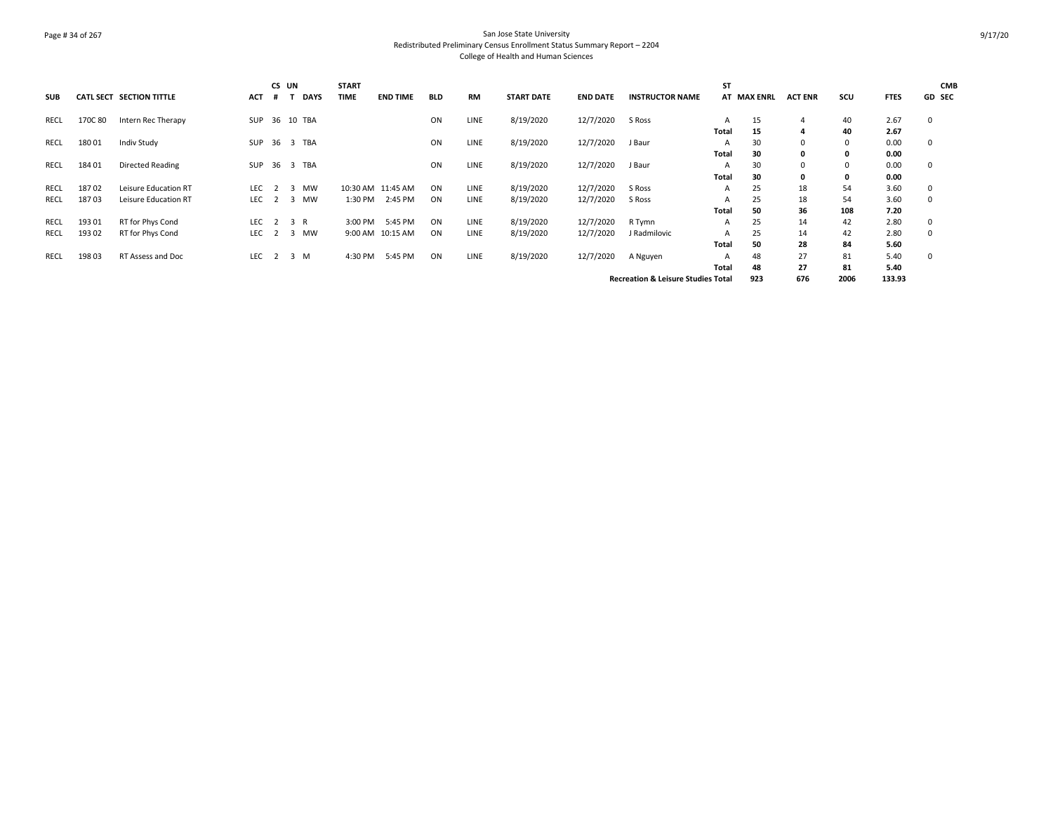# Page # 34 of 267 San Jose State University Redistributed Preliminary Census Enrollment Status Summary Report – 2204 College of Health and Human Sciences

| <b>SUB</b> |         | CATL SECT SECTION TITTLE | ACT        | CS UN<br>#     |                | <b>DAYS</b>   | <b>START</b><br><b>TIME</b> | <b>END TIME</b>   | <b>BLD</b> | <b>RM</b>   | <b>START DATE</b> | <b>END DATE</b> | <b>INSTRUCTOR NAME</b>                        | <b>ST</b>    | <b>AT MAX ENRL</b> | <b>ACT ENR</b> | scu          | <b>FTES</b> | <b>CMB</b><br><b>GD SEC</b> |
|------------|---------|--------------------------|------------|----------------|----------------|---------------|-----------------------------|-------------------|------------|-------------|-------------------|-----------------|-----------------------------------------------|--------------|--------------------|----------------|--------------|-------------|-----------------------------|
| RECL       | 170C 80 | Intern Rec Therapy       |            |                |                | SUP 36 10 TBA |                             |                   | ON         | LINE        | 8/19/2020         | 12/7/2020       | S Ross                                        | A            | 15                 | 4              | 40           | 2.67        | 0                           |
|            |         |                          |            |                |                |               |                             |                   |            |             |                   |                 |                                               | <b>Total</b> | 15                 | 4              | 40           | 2.67        |                             |
| RECL       | 18001   | <b>Indiv Study</b>       |            |                |                | SUP 36 3 TBA  |                             |                   | ON         | LINE        | 8/19/2020         | 12/7/2020       | J Baur                                        | A            | 30                 | 0              | $\mathbf 0$  | 0.00        | 0                           |
|            |         |                          |            |                |                |               |                             |                   |            |             |                   |                 |                                               | Total        | 30                 | 0              | $\mathbf{0}$ | 0.00        |                             |
| RECL       | 18401   | Directed Reading         | SUP        |                |                | 36 3 TBA      |                             |                   | ON         | <b>LINE</b> | 8/19/2020         | 12/7/2020       | J Baur                                        | A            | 30                 | $\Omega$       | $\Omega$     | 0.00        | 0                           |
|            |         |                          |            |                |                |               |                             |                   |            |             |                   |                 |                                               | <b>Total</b> | 30                 | 0              | $\mathbf{0}$ | 0.00        |                             |
| RECL       | 18702   | Leisure Education RT     | <b>LEC</b> | $\overline{2}$ | 3              | <b>MW</b>     |                             | 10:30 AM 11:45 AM | ON         | <b>LINE</b> | 8/19/2020         | 12/7/2020       | S Ross                                        | A            | 25                 | 18             | 54           | 3.60        | 0                           |
| RECL       | 18703   | Leisure Education RT     | LEC        | $\overline{2}$ | 3              | <b>MW</b>     | 1:30 PM                     | 2:45 PM           | ON         | <b>LINE</b> | 8/19/2020         | 12/7/2020       | S Ross                                        | A            | 25                 | 18             | 54           | 3.60        | 0                           |
|            |         |                          |            |                |                |               |                             |                   |            |             |                   |                 |                                               | Total        | 50                 | 36             | 108          | 7.20        |                             |
| RECL       | 193 01  | RT for Phys Cond         | LEC        | 2 3 R          |                |               | 3:00 PM                     | 5:45 PM           | ON         | <b>LINE</b> | 8/19/2020         | 12/7/2020       | R Tymn                                        | Α            | 25                 | 14             | 42           | 2.80        | 0                           |
| RECL       | 193 02  | RT for Phys Cond         | LEC.       | 2              | $\overline{3}$ | <b>MW</b>     |                             | 9:00 AM 10:15 AM  | ON         | <b>LINE</b> | 8/19/2020         | 12/7/2020       | J Radmilovic                                  | А            | 25                 | 14             | 42           | 2.80        | 0                           |
|            |         |                          |            |                |                |               |                             |                   |            |             |                   |                 |                                               | <b>Total</b> | 50                 | 28             | 84           | 5.60        |                             |
| RECL       | 198 03  | RT Assess and Doc        | LEC        | $\overline{2}$ |                | 3 M           | 4:30 PM                     | 5:45 PM           | ON         | <b>LINE</b> | 8/19/2020         | 12/7/2020       | A Nguyen                                      | А            | 48                 | 27             | 81           | 5.40        | 0                           |
|            |         |                          |            |                |                |               |                             |                   |            |             |                   |                 |                                               | Total        | 48                 | 27             | 81           | 5.40        |                             |
|            |         |                          |            |                |                |               |                             |                   |            |             |                   |                 | <b>Recreation &amp; Leisure Studies Total</b> |              | 923                | 676            | 2006         | 133.93      |                             |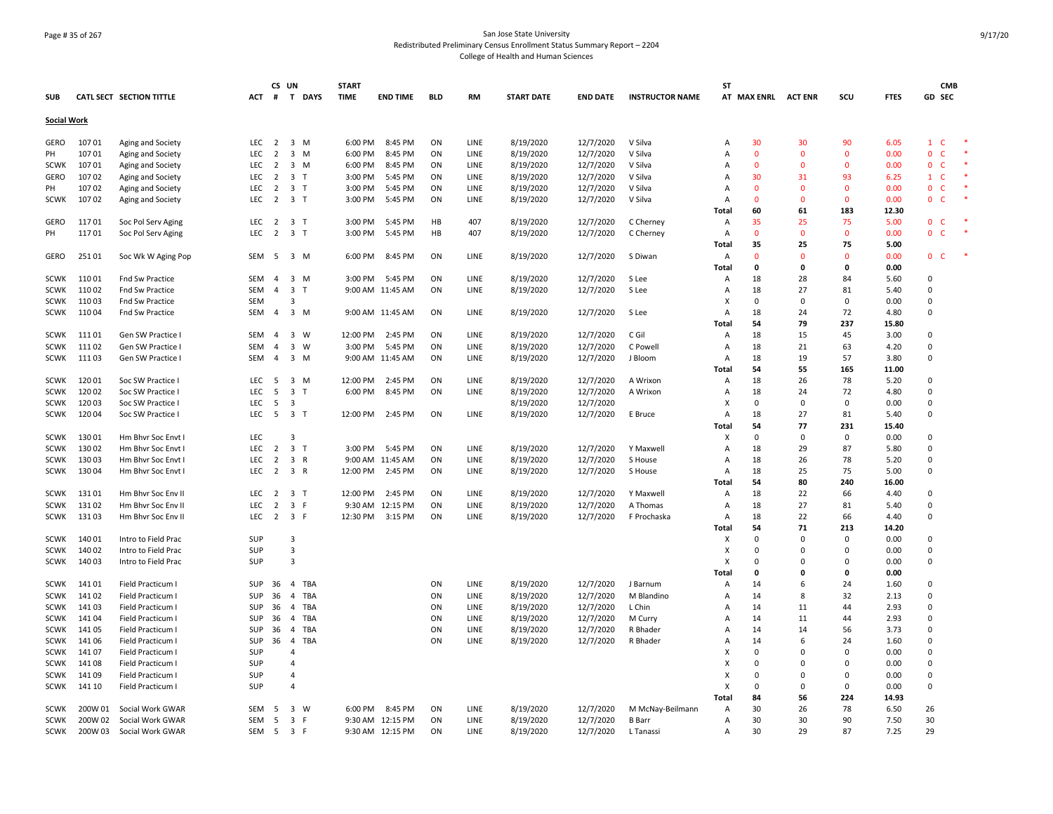# Page # 35 of 267 San Jose State University Redistributed Preliminary Census Enrollment Status Summary Report – 2204 College of Health and Human Sciences

|                    |         |                                 |                   |                                  | CS UN                   |              | <b>START</b>       |                  |            |              |                        |                        |                        | <b>ST</b>      |                |                    |              |               | <b>CMB</b>                         |  |
|--------------------|---------|---------------------------------|-------------------|----------------------------------|-------------------------|--------------|--------------------|------------------|------------|--------------|------------------------|------------------------|------------------------|----------------|----------------|--------------------|--------------|---------------|------------------------------------|--|
| <b>SUB</b>         |         | <b>CATL SECT SECTION TITTLE</b> | ACT               |                                  |                         | # T DAYS     | <b>TIME</b>        | <b>END TIME</b>  | <b>BLD</b> | RM           | <b>START DATE</b>      | <b>END DATE</b>        | <b>INSTRUCTOR NAME</b> |                | AT MAX ENRL    | <b>ACT ENR</b>     | SCU          | <b>FTES</b>   | GD SEC                             |  |
| <b>Social Work</b> |         |                                 |                   |                                  |                         |              |                    |                  |            |              |                        |                        |                        |                |                |                    |              |               |                                    |  |
| GERO               | 10701   |                                 | LEC               | $\overline{2}$                   | 3 M                     |              | 6:00 PM            | 8:45 PM          | ON         | LINE         | 8/19/2020              | 12/7/2020              | V Silva                | A              | 30             | 30                 | 90           | 6.05          | $1 \quad C$                        |  |
| PH                 | 10701   | Aging and Society               | <b>LEC</b>        | 2                                | $\overline{3}$          | M            | 6:00 PM            | 8:45 PM          | ON         | LINE         |                        |                        | V Silva                | A              | $\overline{0}$ | $\Omega$           | $\mathbf{0}$ | 0.00          | $\Omega$<br><b>C</b>               |  |
| <b>SCWK</b>        | 10701   | Aging and Society               | LEC               | 2                                | $\overline{3}$          | M            | 6:00 PM            | 8:45 PM          | ON         | LINE         | 8/19/2020<br>8/19/2020 | 12/7/2020<br>12/7/2020 | V Silva                | A              | $\overline{0}$ | $\mathbf{0}$       | $\mathbf{0}$ | 0.00          | $\mathbf{0}$<br>- C                |  |
|                    | 10702   | Aging and Society               |                   |                                  | 3 <sub>T</sub>          |              |                    | 5:45 PM          | ON         |              | 8/19/2020              |                        | V Silva                |                | 30             |                    | 93           | 6.25          |                                    |  |
| GERO               | 10702   | Aging and Society               | LEC<br><b>LEC</b> | $\overline{2}$<br>$\overline{2}$ | 3 <sub>T</sub>          |              | 3:00 PM<br>3:00 PM | 5:45 PM          | ON         | LINE<br>LINE | 8/19/2020              | 12/7/2020              | V Silva                | A<br>A         | $\Omega$       | 31<br>$\mathbf{0}$ | $\mathbf{0}$ | 0.00          | $1 \quad C$<br>$\mathbf{0}$<br>- C |  |
| PH                 |         | Aging and Society               |                   |                                  | 3 <sub>T</sub>          |              |                    |                  | ON         |              |                        | 12/7/2020              |                        | A              | $\Omega$       |                    | $\mathbf 0$  |               | -C                                 |  |
| <b>SCWK</b>        | 10702   | Aging and Society               | LEC               | $\overline{2}$                   |                         |              | 3:00 PM            | 5:45 PM          |            | LINE         | 8/19/2020              | 12/7/2020              | V Silva                |                | 60             | $\mathbf 0$        | 183          | 0.00<br>12.30 | 0                                  |  |
| GERO               | 11701   |                                 |                   | $\overline{2}$                   | 3 <sub>T</sub>          |              | 3:00 PM            | 5:45 PM          | HB         | 407          |                        |                        |                        | Total          | 35             | 61                 | 75           |               | 0<br>- C                           |  |
| PH                 | 11701   | Soc Pol Serv Aging              | LEC<br><b>LEC</b> | $\overline{2}$                   | 3 <sub>T</sub>          |              | 3:00 PM            | 5:45 PM          | HB         | 407          | 8/19/2020              | 12/7/2020              | C Cherney<br>C Cherney | Α<br>A         | $\overline{0}$ | 25<br>$\mathbf{0}$ | $\mathbf{0}$ | 5.00<br>0.00  | $\mathbf{0}$<br>-C                 |  |
|                    |         | Soc Pol Serv Aging              |                   |                                  |                         |              |                    |                  |            |              | 8/19/2020              | 12/7/2020              |                        | Total          | 35             | 25                 | 75           | 5.00          |                                    |  |
|                    |         |                                 |                   |                                  |                         |              |                    |                  |            |              |                        |                        |                        |                | $\overline{0}$ | $\Omega$           | $\mathbf{0}$ | 0.00          |                                    |  |
| GERO               | 25101   | Soc Wk W Aging Pop              | SEM               | - 5                              | 3 M                     |              | 6:00 PM            | 8:45 PM          | ON         | LINE         | 8/19/2020              | 12/7/2020              | S Diwan                | Α<br>Total     | $\Omega$       | $\Omega$           | 0            | 0.00          | 0 <sup>o</sup>                     |  |
|                    |         |                                 |                   |                                  |                         |              |                    |                  |            |              |                        |                        |                        |                |                |                    |              |               |                                    |  |
| <b>SCWK</b>        | 11001   | Fnd Sw Practice                 | SEM               | 4                                | 3 M                     |              | 3:00 PM            | 5:45 PM          | ON         | LINE         | 8/19/2020              | 12/7/2020              | S Lee                  | A              | 18             | 28                 | 84           | 5.60          | 0                                  |  |
| <b>SCWK</b>        | 11002   | Fnd Sw Practice                 | SEM               | $\overline{4}$                   | 3 <sub>T</sub>          |              |                    | 9:00 AM 11:45 AM | ON         | LINE         | 8/19/2020              | 12/7/2020              | S Lee                  | A              | 18             | 27<br>$\Omega$     | 81           | 5.40          | $\Omega$<br>$\Omega$               |  |
| <b>SCWK</b>        | 11003   | Fnd Sw Practice                 | SEM               |                                  | 3                       |              |                    |                  |            |              |                        |                        |                        | x              | $\mathbf 0$    |                    | 0            | 0.00          |                                    |  |
| <b>SCWK</b>        | 11004   | Fnd Sw Practice                 | <b>SEM</b>        | $\overline{4}$                   | 3 M                     |              |                    | 9:00 AM 11:45 AM | ON         | LINE         | 8/19/2020              | 12/7/2020              | S Lee                  | A              | 18             | 24                 | 72           | 4.80          | $\Omega$                           |  |
|                    |         |                                 |                   |                                  |                         |              |                    |                  |            |              |                        |                        |                        | Total          | 54             | 79                 | 237          | 15.80         |                                    |  |
| <b>SCWK</b>        | 11101   | Gen SW Practice I               | SEM               | $\overline{a}$                   | $\overline{\mathbf{3}}$ | W            | 12:00 PM           | 2:45 PM          | ON         | LINE         | 8/19/2020              | 12/7/2020              | C Gil                  | A              | 18             | 15                 | 45           | 3.00          | $\Omega$                           |  |
| <b>SCWK</b>        | 11102   | Gen SW Practice                 | SEM               | $\overline{\mathbf{A}}$          | $\overline{3}$          | W            | 3:00 PM            | 5:45 PM          | ON         | LINE         | 8/19/2020              | 12/7/2020              | C Powell               | Α              | 18             | 21                 | 63           | 4.20          | $\Omega$                           |  |
| <b>SCWK</b>        | 11103   | Gen SW Practice I               | SEM               | 4                                | $\overline{3}$          | M            | 9:00 AM            | 11:45 AM         | ON         | LINE         | 8/19/2020              | 12/7/2020              | J Bloom                | A              | 18             | 19                 | 57           | 3.80          | 0                                  |  |
|                    |         |                                 |                   |                                  |                         |              |                    |                  |            |              |                        |                        |                        | Total          | 54             | 55                 | 165          | 11.00         |                                    |  |
| <b>SCWK</b>        | 12001   | Soc SW Practice I               | LEC               | -5                               | $\overline{3}$          | M            | 12:00 PM           | 2:45 PM          | ON         | LINE         | 8/19/2020              | 12/7/2020              | A Wrixon               | A              | 18             | 26                 | 78           | 5.20          | $\Omega$                           |  |
| <b>SCWK</b>        | 12002   | Soc SW Practice I               | <b>LEC</b>        | - 5                              | 3 <sub>T</sub>          |              | 6:00 PM            | 8:45 PM          | ON         | LINE         | 8/19/2020              | 12/7/2020              | A Wrixon               | $\overline{A}$ | 18             | 24                 | 72           | 4.80          | $\Omega$                           |  |
| <b>SCWK</b>        | 12003   | Soc SW Practice I               | <b>LEC</b>        | - 5                              | 3                       |              |                    |                  |            |              | 8/19/2020              | 12/7/2020              |                        | X              | $\mathbf{0}$   | 0                  | 0            | 0.00          | $\Omega$                           |  |
| <b>SCWK</b>        | 12004   | Soc SW Practice I               | LEC               | 5                                | 3 <sub>1</sub>          |              | 12:00 PM           | 2:45 PM          | ON         | LINE         | 8/19/2020              | 12/7/2020              | E Bruce                | A              | 18             | 27                 | 81           | 5.40          | $\Omega$                           |  |
|                    |         |                                 |                   |                                  |                         |              |                    |                  |            |              |                        |                        |                        | Total          | 54             | 77                 | 231          | 15.40         |                                    |  |
| <b>SCWK</b>        | 13001   | Hm Bhvr Soc Envt I              | <b>LEC</b>        |                                  | 3                       |              |                    |                  |            |              |                        |                        |                        | x              | $\mathbf 0$    | 0                  | 0            | 0.00          | 0                                  |  |
| <b>SCWK</b>        | 13002   | Hm Bhvr Soc Envt                | <b>LEC</b>        | $\overline{2}$                   | $\overline{3}$          | $\mathsf{T}$ | 3:00 PM            | 5:45 PM          | ON         | LINE         | 8/19/2020              | 12/7/2020              | Y Maxwell              | A              | 18             | 29                 | 87           | 5.80          | $\Omega$                           |  |
| <b>SCWK</b>        | 13003   | Hm Bhvr Soc Envt I              | <b>LEC</b>        | 2                                | $\overline{3}$          | $\mathsf{R}$ |                    | 9:00 AM 11:45 AM | ON         | LINE         | 8/19/2020              | 12/7/2020              | S House                | A              | 18             | 26                 | 78           | 5.20          | $\Omega$                           |  |
| <b>SCWK</b>        | 13004   | Hm Bhvr Soc Envt I              | LEC               | 2                                | $\overline{3}$          | $\mathsf{R}$ | 12:00 PM           | 2:45 PM          | ON         | LINE         | 8/19/2020              | 12/7/2020              | S House                | A              | 18             | 25                 | 75           | 5.00          | $\Omega$                           |  |
|                    |         |                                 |                   |                                  |                         |              |                    |                  |            |              |                        |                        |                        | Total          | 54             | 80                 | 240          | 16.00         |                                    |  |
| <b>SCWK</b>        | 13101   | Hm Bhvr Soc Env II              | LEC               | 2                                | 3 <sub>T</sub>          |              | 12:00 PM           | 2:45 PM          | ON         | LINE         | 8/19/2020              | 12/7/2020              | Y Maxwell              | A              | 18             | 22                 | 66           | 4.40          | 0                                  |  |
| <b>SCWK</b>        | 13102   | Hm Bhvr Soc Env II              | <b>LEC</b>        | 2                                | $\overline{3}$          | $\mathsf{F}$ | 9:30 AM            | 12:15 PM         | ON         | LINE         | 8/19/2020              | 12/7/2020              | A Thomas               | A              | 18             | 27                 | 81           | 5.40          | $\Omega$                           |  |
| <b>SCWK</b>        | 13103   | Hm Bhvr Soc Env II              | LEC               | $\overline{2}$                   | 3 F                     |              | 12:30 PM           | 3:15 PM          | ON         | LINE         | 8/19/2020              | 12/7/2020              | F Prochaska            | A              | 18             | 22                 | 66           | 4.40          | 0                                  |  |
|                    |         |                                 |                   |                                  |                         |              |                    |                  |            |              |                        |                        |                        | Total          | 54             | 71                 | 213          | 14.20         |                                    |  |
| <b>SCWK</b>        | 14001   | Intro to Field Prac             | <b>SUP</b>        |                                  | $\overline{3}$          |              |                    |                  |            |              |                        |                        |                        | x              | $\Omega$       | $\Omega$           | 0            | 0.00          | $\Omega$                           |  |
| <b>SCWK</b>        | 14002   | Intro to Field Prac             | <b>SUP</b>        |                                  | $\overline{3}$          |              |                    |                  |            |              |                        |                        |                        | X              | $\Omega$       | $\Omega$           | $\Omega$     | 0.00          | $\Omega$                           |  |
| <b>SCWK</b>        | 14003   | Intro to Field Prac             | SUP               |                                  | $\overline{3}$          |              |                    |                  |            |              |                        |                        |                        | X              | $\Omega$       | $\Omega$           | $\Omega$     | 0.00          | $\Omega$                           |  |
|                    |         |                                 |                   |                                  |                         |              |                    |                  |            |              |                        |                        |                        | Total          | 0              | 0                  | 0            | 0.00          |                                    |  |
| <b>SCWK</b>        | 14101   | Field Practicum I               | <b>SUP</b>        | 36                               |                         | 4 TBA        |                    |                  | ON         | LINE         | 8/19/2020              | 12/7/2020              | J Barnum               | A              | 14             | 6                  | 24           | 1.60          | $\Omega$                           |  |
| <b>SCWK</b>        | 14102   | Field Practicum I               | SUP               | 36                               | 4                       | TBA          |                    |                  | ON         | LINE         | 8/19/2020              | 12/7/2020              | M Blandino             | A              | 14             | 8                  | 32           | 2.13          | $\Omega$                           |  |
| <b>SCWK</b>        | 14103   | Field Practicum I               | <b>SUP</b>        | 36                               | $\overline{4}$          | TBA          |                    |                  | ON         | <b>LINE</b>  | 8/19/2020              | 12/7/2020              | L Chin                 | A              | 14             | 11                 | 44           | 2.93          | $\Omega$                           |  |
| <b>SCWK</b>        | 14104   | Field Practicum I               | <b>SUP</b>        | 36                               | $\overline{4}$          | TBA          |                    |                  | ON         | <b>LINE</b>  | 8/19/2020              | 12/7/2020              | M Curry                | A              | 14             | 11                 | 44           | 2.93          | $\Omega$                           |  |
| <b>SCWK</b>        | 14105   | Field Practicum I               | SUP               | 36                               | $\overline{4}$          | TBA          |                    |                  | ON         | LINE         | 8/19/2020              | 12/7/2020              | R Bhader               | A              | 14             | 14                 | 56           | 3.73          | $\Omega$                           |  |
| <b>SCWK</b>        | 14106   | Field Practicum I               | SUP               | 36                               | $\overline{4}$          | TBA          |                    |                  | ON         | LINE         | 8/19/2020              | 12/7/2020              | R Bhader               | A              | 14             | 6                  | 24           | 1.60          | $\Omega$                           |  |
| <b>SCWK</b>        | 14107   | Field Practicum I               | <b>SUP</b>        |                                  | $\overline{a}$          |              |                    |                  |            |              |                        |                        |                        | X              | $\mathbf 0$    | $\Omega$           | 0            | 0.00          | $\Omega$                           |  |
| <b>SCWK</b>        | 14108   | Field Practicum I               | SUP               |                                  | $\overline{4}$          |              |                    |                  |            |              |                        |                        |                        | x              | $\Omega$       | $\Omega$           | 0            | 0.00          | $\Omega$                           |  |
| <b>SCWK</b>        | 14109   | Field Practicum I               | <b>SUP</b>        |                                  | $\overline{4}$          |              |                    |                  |            |              |                        |                        |                        | X              | $\Omega$       | $\Omega$           | 0            | 0.00          | 0                                  |  |
| <b>SCWK</b>        | 141 10  | Field Practicum I               | <b>SUP</b>        |                                  | $\overline{4}$          |              |                    |                  |            |              |                        |                        |                        | X              | $\Omega$       | $\Omega$           | 0            | 0.00          | $\Omega$                           |  |
|                    |         |                                 |                   |                                  |                         |              |                    |                  |            |              |                        |                        |                        | Total          | 84             | 56                 | 224          | 14.93         |                                    |  |
| <b>SCWK</b>        | 200W 01 | Social Work GWAR                | SEM               | 5                                | $\overline{3}$          | W            | 6:00 PM            | 8:45 PM          | ON         | LINE         | 8/19/2020              | 12/7/2020              | M McNay-Beilmann       | A              | 30             | 26                 | 78           | 6.50          | 26                                 |  |
| <b>SCWK</b>        | 200W 02 | Social Work GWAR                | SEM               | -5                               | $\overline{3}$          | F            |                    | 9:30 AM 12:15 PM | ON         | LINE         | 8/19/2020              | 12/7/2020              | <b>B</b> Barr          | A              | 30             | 30                 | 90           | 7.50          | 30                                 |  |
| SCWK               | 200W 03 | Social Work GWAR                | SEM               | - 5                              | 3 F                     |              |                    | 9:30 AM 12:15 PM | ON         | LINE         | 8/19/2020              | 12/7/2020              | L Tanassi              | A              | 30             | 29                 | 87           | 7.25          | 29                                 |  |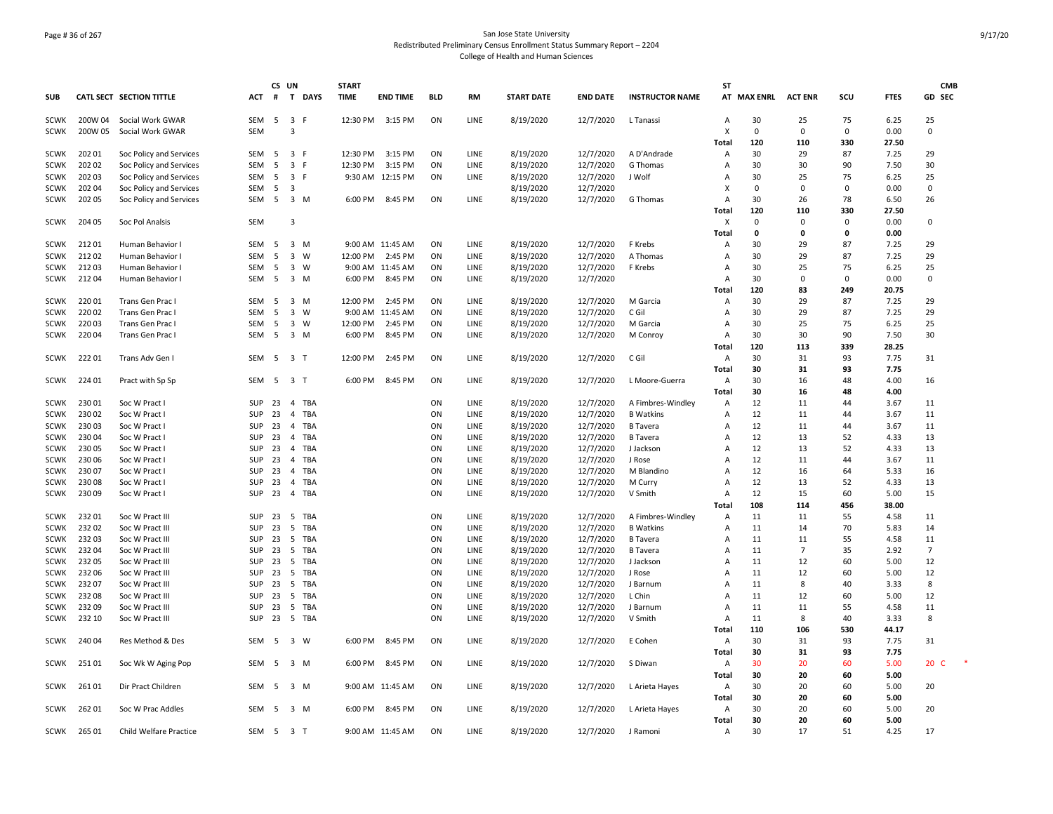# Page # 36 of 267 San Jose State University Redistributed Preliminary Census Enrollment Status Summary Report – 2204 College of Health and Human Sciences

|                            |                 |                                    |            | CS UN    |                                   | <b>START</b> |                  |            |                     |                        |                        |                        | <b>ST</b>           |                 |                |          |              | <b>CMB</b>           |
|----------------------------|-----------------|------------------------------------|------------|----------|-----------------------------------|--------------|------------------|------------|---------------------|------------------------|------------------------|------------------------|---------------------|-----------------|----------------|----------|--------------|----------------------|
| <b>SUB</b>                 |                 | <b>CATL SECT SECTION TITTLE</b>    | ACT        | #        | T DAYS                            | <b>TIME</b>  | <b>END TIME</b>  | <b>BLD</b> | <b>RM</b>           | <b>START DATE</b>      | <b>END DATE</b>        | <b>INSTRUCTOR NAME</b> | AT                  | <b>MAX ENRL</b> | <b>ACT ENR</b> | scu      | <b>FTES</b>  | GD SEC               |
| <b>SCWK</b>                | 200W 04         | Social Work GWAR                   | SEM        | - 5      | 3 F                               | 12:30 PM     | 3:15 PM          | ON         | LINE                | 8/19/2020              | 12/7/2020              | L Tanassi              | $\overline{A}$      | 30              | 25             | 75       | 6.25         | 25                   |
| <b>SCWK</b>                | 200W 05         | Social Work GWAR                   | <b>SEM</b> |          | 3                                 |              |                  |            |                     |                        |                        |                        | X                   | 0               | 0              | 0        | 0.00         | 0                    |
|                            |                 |                                    |            |          |                                   |              |                  |            |                     |                        |                        |                        | Total               | 120             | 110            | 330      | 27.50        |                      |
| <b>SCWK</b>                | 202 01          | Soc Policy and Services            | SEM        | -5       | 3 F                               | 12:30 PM     | 3:15 PM          | ON         | <b>LINE</b>         | 8/19/2020              | 12/7/2020              | A D'Andrade            | $\overline{A}$      | 30              | 29             | 87       | 7.25         | 29                   |
| <b>SCWK</b>                | 202 02          | Soc Policy and Services            | SEM        | 5        | 3 F                               | 12:30 PM     | 3:15 PM          | ON         | LINE                | 8/19/2020              | 12/7/2020              | G Thomas               | A                   | 30              | 30             | 90       | 7.50         | 30                   |
| <b>SCWK</b>                | 202 03          | Soc Policy and Services            | <b>SEM</b> | 5        | 3 F                               |              | 9:30 AM 12:15 PM | ON         | LINE                | 8/19/2020              | 12/7/2020              | J Wolf                 | A                   | 30              | 25             | 75       | 6.25         | 25                   |
| <b>SCWK</b>                | 202 04          | Soc Policy and Services            | <b>SEM</b> | -5       | 3                                 |              |                  |            |                     | 8/19/2020              | 12/7/2020              |                        | X                   | 0               | $\mathbf 0$    | $\Omega$ | 0.00         | $\Omega$             |
| <b>SCWK</b>                | 202 05          | Soc Policy and Services            | SEM        | 5        | 3 M                               | 6:00 PM      | 8:45 PM          | ON         | LINE                | 8/19/2020              | 12/7/2020              | G Thomas               | A                   | 30              | 26             | 78       | 6.50         | 26                   |
|                            |                 |                                    |            |          |                                   |              |                  |            |                     |                        |                        |                        | Total               | 120             | 110            | 330      | 27.50        |                      |
| <b>SCWK</b>                | 204 05          | Soc Pol Analsis                    | <b>SEM</b> |          | 3                                 |              |                  |            |                     |                        |                        |                        | X                   | $\Omega$        | $\Omega$       | 0        | 0.00         | 0                    |
|                            |                 |                                    |            |          |                                   |              |                  |            |                     |                        |                        |                        | Total               | 0               | 0              | 0        | 0.00         |                      |
| <b>SCWK</b>                | 21201           | Human Behavior I                   | SEM        | 5        | 3 M                               |              | 9:00 AM 11:45 AM | ON         | LINE                | 8/19/2020              | 12/7/2020              | F Krebs                | A                   | 30              | 29             | 87       | 7.25         | 29                   |
| <b>SCWK</b>                | 21202           | Human Behavior I                   | <b>SEM</b> | -5       | $\overline{3}$<br>W               | 12:00 PM     | 2:45 PM          | ON         | <b>LINE</b>         | 8/19/2020              | 12/7/2020              | A Thomas               | $\overline{A}$      | 30              | 29             | 87       | 7.25         | 29                   |
| <b>SCWK</b>                | 21203           | Human Behavior I                   | <b>SEM</b> | 5        | $\overline{\mathbf{3}}$<br>W      |              | 9:00 AM 11:45 AM | ON         | LINE                | 8/19/2020              | 12/7/2020              | F Krebs                | A                   | 30              | 25             | 75       | 6.25         | 25                   |
| <b>SCWK</b>                | 21204           | Human Behavior I                   | SEM        | 5        | 3 M                               | 6:00 PM      | 8:45 PM          | ON         | LINE                | 8/19/2020              | 12/7/2020              |                        | Α                   | 30              | $\Omega$       | $\Omega$ | 0.00         | $\Omega$             |
|                            |                 |                                    |            |          |                                   |              |                  |            |                     |                        |                        |                        | Total               | 120             | 83             | 249      | 20.75        |                      |
| <b>SCWK</b>                | 22001           | Trans Gen Prac I                   | SEM        | -5       | 3 M                               | 12:00 PM     | 2:45 PM          | ON         | LINE                | 8/19/2020              | 12/7/2020              | M Garcia               | $\overline{A}$      | 30              | 29             | 87       | 7.25         | 29                   |
| <b>SCWK</b>                | 22002           | Trans Gen Prac I                   | <b>SEM</b> | -5       | $\overline{\mathbf{3}}$<br>W      | 9:00 AM      | 11:45 AM         | ON         | LINE                | 8/19/2020              | 12/7/2020              | C Gil                  | Α                   | 30              | 29             | 87       | 7.25         | 29                   |
| <b>SCWK</b>                | 22003           | Trans Gen Prac I                   | SEM        | -5       | $\overline{\mathbf{3}}$<br>W      | 12:00 PM     | 2:45 PM          | ON         | LINE                | 8/19/2020              | 12/7/2020              | M Garcia               | A                   | 30              | 25             | 75       | 6.25         | 25                   |
| <b>SCWK</b>                | 22004           | Trans Gen Prac I                   | SEM        | 5        | 3 M                               | 6:00 PM      | 8:45 PM          | ON         | LINE                | 8/19/2020              | 12/7/2020              | M Conroy               | A                   | 30              | 30             | 90       | 7.50         | 30                   |
|                            |                 |                                    |            |          |                                   |              |                  |            |                     |                        |                        |                        | Total               | 120             | 113            | 339      | 28.25        |                      |
| <b>SCWK</b>                | 22201           | Trans Adv Gen I                    | SEM        | -5       | $\overline{\mathbf{3}}$<br>$\top$ | 12:00 PM     | 2:45 PM          | ON         | LINE                | 8/19/2020              | 12/7/2020              | C Gil                  | Α                   | 30              | 31             | 93       | 7.75         | 31                   |
|                            |                 |                                    |            |          |                                   |              |                  |            |                     |                        |                        |                        | Total               | 30              | 31             | 93       | 7.75         |                      |
| SCWK                       | 224 01          | Pract with Sp Sp                   | SEM        |          | 5 3 T                             | 6:00 PM      | 8:45 PM          | ON         | LINE                | 8/19/2020              | 12/7/2020              | L Moore-Guerra         | Α                   | 30              | 16             | 48       | 4.00         | 16                   |
|                            |                 |                                    |            |          |                                   |              |                  |            |                     |                        |                        |                        | <b>Total</b>        | 30              | 16             | 48       | 4.00         |                      |
| <b>SCWK</b>                | 23001           | Soc W Pract I                      | SUP        | 23       | TBA<br>$\overline{4}$             |              |                  | ON         | LINE                | 8/19/2020              | 12/7/2020              | A Fimbres-Windley      | A                   | 12              | 11             | 44       | 3.67         | 11                   |
| <b>SCWK</b>                | 23002           | Soc W Pract                        | SUP        | 23       | <b>TBA</b><br>$\overline{4}$      |              |                  | ON         | LINE                | 8/19/2020              | 12/7/2020              | <b>B</b> Watkins       | A                   | 12              | 11             | 44       | 3.67         | 11                   |
| <b>SCWK</b>                | 23003           | Soc W Pract                        | <b>SUP</b> | 23       | TBA<br>4                          |              |                  | ON         | LINE                | 8/19/2020              | 12/7/2020              | <b>B</b> Tavera        | A                   | 12              | 11             | 44       | 3.67         | 11                   |
| <b>SCWK</b>                | 23004           | Soc W Pract                        | SUP        | 23       | TBA<br>4                          |              |                  | ON         | LINE                | 8/19/2020              | 12/7/2020              | <b>B</b> Tavera        | A                   | 12              | 13             | 52       | 4.33         | 13                   |
| <b>SCWK</b>                | 23005           | Soc W Pract                        | SUP        | 23       | $\overline{4}$<br>TBA             |              |                  | ON         | LINE                | 8/19/2020              | 12/7/2020              | J Jackson              | A                   | 12              | 13             | 52       | 4.33         | 13                   |
| <b>SCWK</b>                | 230 06          | Soc W Pract I                      | SUP        | 23       | TBA<br>$\overline{4}$             |              |                  | ON         | LINE                | 8/19/2020              | 12/7/2020              | J Rose                 | A                   | 12              | 11             | 44       | 3.67         | 11                   |
| <b>SCWK</b>                | 230 07          | Soc W Pract I                      | SUP        | 23       | TBA<br>4                          |              |                  | ON         | LINE                | 8/19/2020              | 12/7/2020              | M Blandino             | $\overline{A}$      | 12              | 16             | 64       | 5.33         | 16                   |
| <b>SCWK</b>                | 230 08          | Soc W Pract I                      | SUP        | 23       | $\overline{4}$<br>TBA             |              |                  | ON         | <b>LINE</b>         | 8/19/2020              | 12/7/2020              | M Curry                | $\overline{A}$      | 12              | 13             | 52       | 4.33         | 13                   |
| <b>SCWK</b>                | 23009           | Soc W Pract I                      | SUP        | 23       | 4 TBA                             |              |                  | ON         | LINE                | 8/19/2020              | 12/7/2020              | V Smith                | Α                   | 12              | 15             | 60       | 5.00         | 15                   |
|                            |                 |                                    |            |          |                                   |              |                  |            |                     |                        |                        |                        | Total               | 108             | 114            | 456      | 38.00        |                      |
| <b>SCWK</b>                | 23201           | Soc W Pract III                    | SUP        | 23       | - 5<br>TBA                        |              |                  | ON         | LINE                | 8/19/2020              | 12/7/2020              | A Fimbres-Windley      | A                   | 11              | 11             | 55       | 4.58         | 11                   |
| <b>SCWK</b>                | 23202           | Soc W Pract III                    | SUP        | 23       | TBA<br>- 5                        |              |                  | ON         | LINE                | 8/19/2020              | 12/7/2020              | <b>B</b> Watkins       | A                   | 11              | 14             | 70       | 5.83         | 14                   |
| <b>SCWK</b>                | 23203           | Soc W Pract III                    | SUP        | 23       | 5<br>TBA                          |              |                  | ON         | LINE                | 8/19/2020              | 12/7/2020              | <b>B</b> Tavera        | $\overline{A}$      | 11              | 11             | 55       | 4.58         | 11<br>$\overline{7}$ |
| <b>SCWK</b>                | 23204           | Soc W Pract III                    | SUP        | 23       | 5<br>TBA                          |              |                  | ON         | LINE                | 8/19/2020              | 12/7/2020              | <b>B</b> Tavera        | A                   | 11              | $\overline{7}$ | 35       | 2.92         |                      |
| <b>SCWK</b>                | 232 05          | Soc W Pract III                    | SUP        | 23       | 5<br>TBA                          |              |                  | ON         | LINE                | 8/19/2020              | 12/7/2020              | J Jackson              | A                   | 11              | 12             | 60       | 5.00         | 12                   |
| <b>SCWK</b><br><b>SCWK</b> | 232 06<br>23207 | Soc W Pract III<br>Soc W Pract III | SUP<br>SUP | 23<br>23 | - 5<br>TBA<br>5<br><b>TBA</b>     |              |                  | ON<br>ON   | <b>LINE</b><br>LINE | 8/19/2020<br>8/19/2020 | 12/7/2020              | J Rose<br>J Barnum     | $\overline{A}$<br>A | 11<br>11        | 12<br>8        | 60<br>40 | 5.00<br>3.33 | 12<br>8              |
| <b>SCWK</b>                |                 |                                    | SUP        |          |                                   |              |                  |            | LINE                |                        | 12/7/2020              |                        | A                   | 11              |                | 60       | 5.00         |                      |
| <b>SCWK</b>                | 23208<br>23209  | Soc W Pract III                    |            | 23       | - 5<br>TBA<br>5<br>TBA            |              |                  | ON<br>ON   | <b>LINE</b>         | 8/19/2020              | 12/7/2020              | L Chin                 | $\overline{A}$      | 11              | 12<br>11       | 55       | 4.58         | 12<br>11             |
|                            |                 | Soc W Pract III                    | SUP<br>SUP | 23       |                                   |              |                  | ON         |                     | 8/19/2020              | 12/7/2020<br>12/7/2020 | J Barnum               |                     | 11              |                | 40       | 3.33         | 8                    |
| <b>SCWK</b>                | 232 10          | Soc W Pract III                    |            | 23       | 5 TBA                             |              |                  |            | LINE                | 8/19/2020              |                        | V Smith                | Α                   | 110             | 8<br>106       | 530      | 44.17        |                      |
|                            | 240 04          |                                    | SEM        |          | 3 W                               |              | 8:45 PM          | ON         | LINE                | 8/19/2020              | 12/7/2020              |                        | Total               | 30              | 31             | 93       | 7.75         | 31                   |
| <b>SCWK</b>                |                 | Res Method & Des                   |            | -5       |                                   | 6:00 PM      |                  |            |                     |                        |                        | E Cohen                | Α                   | 30              |                | 93       |              |                      |
|                            |                 |                                    |            |          |                                   |              |                  |            |                     |                        |                        |                        | Total               |                 | 31             |          | 7.75         |                      |
| SCWK                       | 25101           | Soc Wk W Aging Pop                 | SEM        | - 5      | 3 M                               | 6:00 PM      | 8:45 PM          | ON         | LINE                | 8/19/2020              | 12/7/2020              | S Diwan                | Α<br>Total          | 30<br>30        | 20<br>20       | 60<br>60 | 5.00<br>5.00 | 20 C                 |
| <b>SCWK</b>                | 26101           | Dir Pract Children                 | SEM        | -5       | 3 M                               |              | 9:00 AM 11:45 AM | ON         | <b>LINE</b>         | 8/19/2020              | 12/7/2020              | L Arieta Hayes         | A                   | 30              | 20             | 60       | 5.00         | 20                   |
|                            |                 |                                    |            |          |                                   |              |                  |            |                     |                        |                        |                        | <b>Total</b>        | 30              | 20             | 60       | 5.00         |                      |
| <b>SCWK</b>                | 26201           | Soc W Prac Addles                  | SEM        | -5       | 3 M                               | 6:00 PM      | 8:45 PM          | ON         | LINE                | 8/19/2020              | 12/7/2020              | L Arieta Hayes         | $\overline{A}$      | 30              | 20             | 60       | 5.00         | 20                   |
|                            |                 |                                    |            |          |                                   |              |                  |            |                     |                        |                        |                        | Total               | 30              | 20             | 60       | 5.00         |                      |
| SCWK                       | 26501           | Child Welfare Practice             |            |          | SEM 5 3 T                         |              | 9:00 AM 11:45 AM | ON         | LINE                | 8/19/2020              | 12/7/2020              | J Ramoni               | Α                   | 30              | 17             | 51       | 4.25         | 17                   |
|                            |                 |                                    |            |          |                                   |              |                  |            |                     |                        |                        |                        |                     |                 |                |          |              |                      |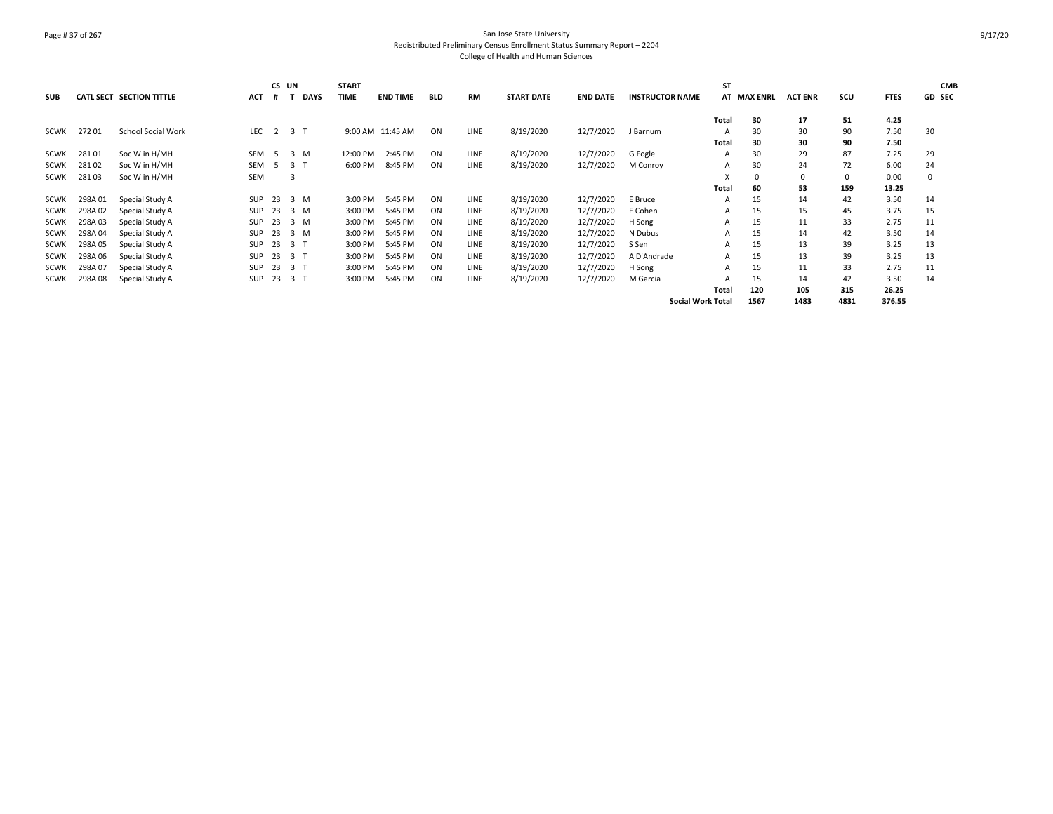# Page # 37 of 267 San Jose State University Redistributed Preliminary Census Enrollment Status Summary Report – 2204 College of Health and Human Sciences

|             |         |                                 |            | CS UN |             | <b>START</b> |                  |            |             |                   |                 |                          | <b>ST</b>    |             |                |          |             | <b>CMB</b> |
|-------------|---------|---------------------------------|------------|-------|-------------|--------------|------------------|------------|-------------|-------------------|-----------------|--------------------------|--------------|-------------|----------------|----------|-------------|------------|
| <b>SUB</b>  |         | <b>CATL SECT SECTION TITTLE</b> | <b>ACT</b> |       | <b>DAYS</b> | <b>TIME</b>  | <b>END TIME</b>  | <b>BLD</b> | <b>RM</b>   | <b>START DATE</b> | <b>END DATE</b> | <b>INSTRUCTOR NAME</b>   |              | AT MAX ENRL | <b>ACT ENR</b> | scu      | <b>FTES</b> | GD SEC     |
|             |         |                                 |            |       |             |              |                  |            |             |                   |                 |                          | Total        | 30          | 17             | 51       | 4.25        |            |
|             |         | <b>School Social Work</b>       |            |       | 2 3 T       |              | 9:00 AM 11:45 AM | ON         | <b>LINE</b> | 8/19/2020         | 12/7/2020       |                          |              |             | 30             | 90       |             |            |
| SCWK        | 27201   |                                 | LEC        |       |             |              |                  |            |             |                   |                 | J Barnum                 |              | 30          |                |          | 7.50        | 30         |
|             |         |                                 |            |       |             |              |                  |            |             |                   |                 |                          | Total        | 30          | 30             | 90       | 7.50        |            |
| <b>SCWK</b> | 28101   | Soc W in H/MH                   | <b>SEM</b> | -5    | 3 M         | 12:00 PM     | 2:45 PM          | ON         | <b>LINE</b> | 8/19/2020         | 12/7/2020       | G Fogle                  | A            | 30          | 29             | 87       | 7.25        | 29         |
| <b>SCWK</b> | 28102   | Soc W in H/MH                   | <b>SEM</b> | -5    | 3 T         | 6:00 PM      | 8:45 PM          | ON         | <b>LINE</b> | 8/19/2020         | 12/7/2020       | M Conroy                 | Α            | 30          | 24             | 72       | 6.00        | 24         |
| <b>SCWK</b> | 28103   | Soc W in H/MH                   | <b>SEM</b> |       |             |              |                  |            |             |                   |                 |                          |              | 0           | 0              | $\Omega$ | 0.00        | 0          |
|             |         |                                 |            |       |             |              |                  |            |             |                   |                 |                          | Total        | 60          | 53             | 159      | 13.25       |            |
| SCWK        | 298A 01 | Special Study A                 | <b>SUP</b> | 23    | 3 M         | 3:00 PM      | 5:45 PM          | ON         | <b>LINE</b> | 8/19/2020         | 12/7/2020       | E Bruce                  | A            | 15          | 14             | 42       | 3.50        | 14         |
| <b>SCWK</b> | 298A02  | Special Study A                 | SUP        | 23    | 3 M         | 3:00 PM      | 5:45 PM          | ON         | LINE        | 8/19/2020         | 12/7/2020       | E Cohen                  | A            | 15          | 15             | 45       | 3.75        | 15         |
| SCWK        | 298A03  | Special Study A                 | SUP        | 23    | 3 M         | 3:00 PM      | 5:45 PM          | ON         | LINE        | 8/19/2020         | 12/7/2020       | H Song                   | A            | 15          | 11             | 33       | 2.75        | 11         |
| SCWK        | 298A04  | Special Study A                 | <b>SUP</b> | 23    | 3 M         | 3:00 PM      | 5:45 PM          | ON         | <b>LINE</b> | 8/19/2020         | 12/7/2020       | N Dubus                  | A            | 15          | 14             | 42       | 3.50        | 14         |
| <b>SCWK</b> | 298A05  | Special Study A                 | <b>SUP</b> | 23    | 3 T         | 3:00 PM      | 5:45 PM          | ON         | LINE        | 8/19/2020         | 12/7/2020       | S Sen                    | A            | 15          | 13             | 39       | 3.25        | 13         |
| <b>SCWK</b> | 298A06  | Special Study A                 | <b>SUP</b> | - 23  | 3 T         | 3:00 PM      | 5:45 PM          | ON         | <b>LINE</b> | 8/19/2020         | 12/7/2020       | A D'Andrade              | A            | 15          | 13             | 39       | 3.25        | 13         |
| <b>SCWK</b> | 298A07  | Special Study A                 | <b>SUP</b> | 23    | 3 T         | 3:00 PM      | 5:45 PM          | ON         | LINE        | 8/19/2020         | 12/7/2020       | H Song                   | A            | 15          | 11             | 33       | 2.75        | 11         |
| SCWK        | 298A08  | Special Study A                 | <b>SUP</b> |       | 23 3 T      | 3:00 PM      | 5:45 PM          | ON         | <b>LINE</b> | 8/19/2020         | 12/7/2020       | M Garcia                 | А            | 15          | 14             | 42       | 3.50        | 14         |
|             |         |                                 |            |       |             |              |                  |            |             |                   |                 |                          | <b>Total</b> | 120         | 105            | 315      | 26.25       |            |
|             |         |                                 |            |       |             |              |                  |            |             |                   |                 | <b>Social Work Total</b> |              | 1567        | 1483           | 4831     | 376.55      |            |